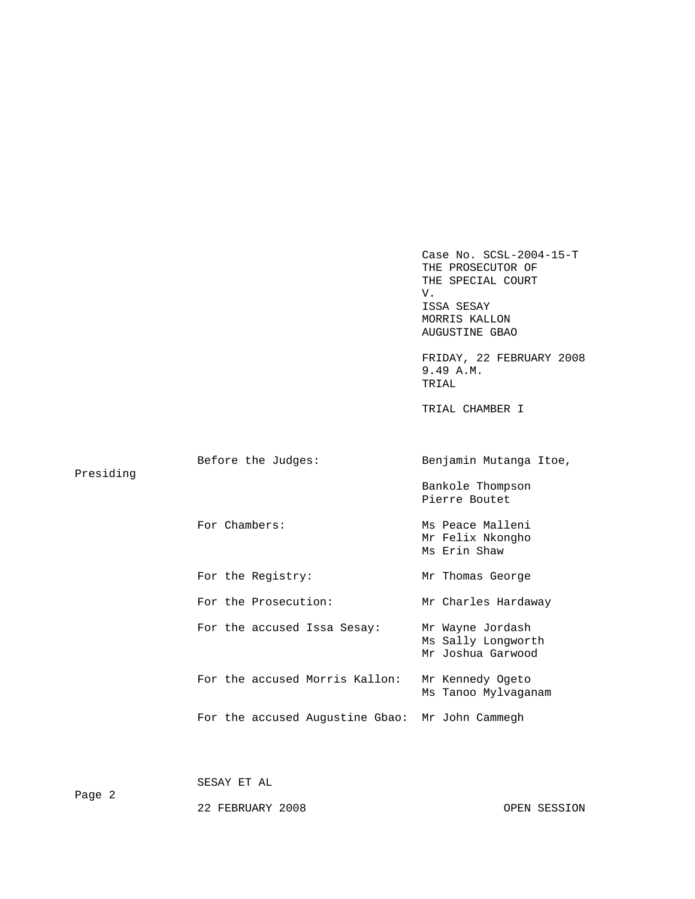Case No. SCSL-2004-15-T THE PROSECUTOR OF THE SPECIAL COURT V. ISSA SESAY MORRIS KALLON AUGUSTINE GBAO FRIDAY, 22 FEBRUARY 2008 9.49 A.M. TRIAL TRIAL CHAMBER I Before the Judges: Benjamin Mutanga Itoe, Presiding Bankole Thompson Pierre Boutet For Chambers: Ms Peace Malleni Mr Felix Nkongho Ms Erin Shaw For the Registry: Mr Thomas George For the Prosecution: Mr Charles Hardaway For the accused Issa Sesay: Mr Wayne Jordash Ms Sally Longworth Mr Joshua Garwood For the accused Morris Kallon: Mr Kennedy Ogeto Ms Tanoo Mylvaganam For the accused Augustine Gbao: Mr John Cammegh

SESAY ET AL

22 FEBRUARY 2008 OPEN SESSION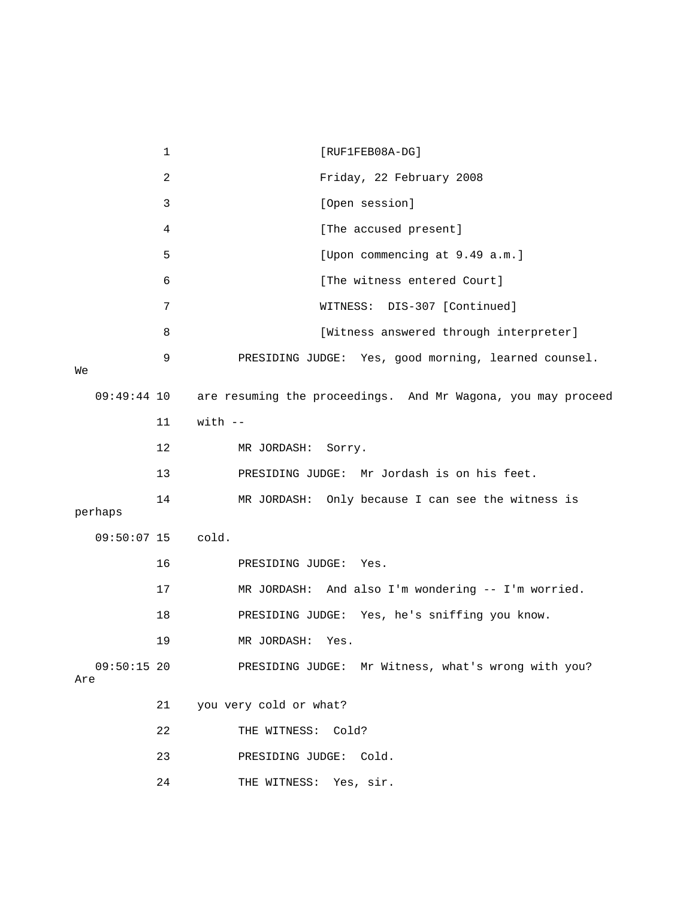|                      | $\mathbf{1}$   | [RUF1FEB08A-DG]                                              |
|----------------------|----------------|--------------------------------------------------------------|
|                      | $\overline{2}$ | Friday, 22 February 2008                                     |
|                      | 3              | [Open session]                                               |
|                      | 4              | [The accused present]                                        |
|                      | 5              | [Upon commencing at 9.49 a.m.]                               |
|                      | 6              | [The witness entered Court]                                  |
|                      | 7              | WITNESS: DIS-307 [Continued]                                 |
|                      | 8              | [Witness answered through interpreter]                       |
| Wе                   | 9              | PRESIDING JUDGE: Yes, good morning, learned counsel.         |
| $09:49:44$ 10        |                | are resuming the proceedings. And Mr Wagona, you may proceed |
|                      | 11             | $with$ $-$                                                   |
|                      | 12             | MR JORDASH:<br>Sorry.                                        |
|                      | 13             | PRESIDING JUDGE: Mr Jordash is on his feet.                  |
| perhaps              | 14             | MR JORDASH: Only because I can see the witness is            |
| $09:50:07$ 15        |                | cold.                                                        |
|                      | 16             | PRESIDING JUDGE: Yes.                                        |
|                      | 17             | MR JORDASH: And also I'm wondering -- I'm worried.           |
|                      | 18             | PRESIDING JUDGE: Yes, he's sniffing you know.                |
|                      | 19             | MR JORDASH:<br>Yes.                                          |
| $09:50:15$ 20<br>Are |                | PRESIDING JUDGE: Mr Witness, what's wrong with you?          |
|                      | 21             | you very cold or what?                                       |
|                      | 22             | THE WITNESS:<br>Cold?                                        |
|                      | 23             | PRESIDING JUDGE: Cold.                                       |
|                      | 24             | THE WITNESS: Yes, sir.                                       |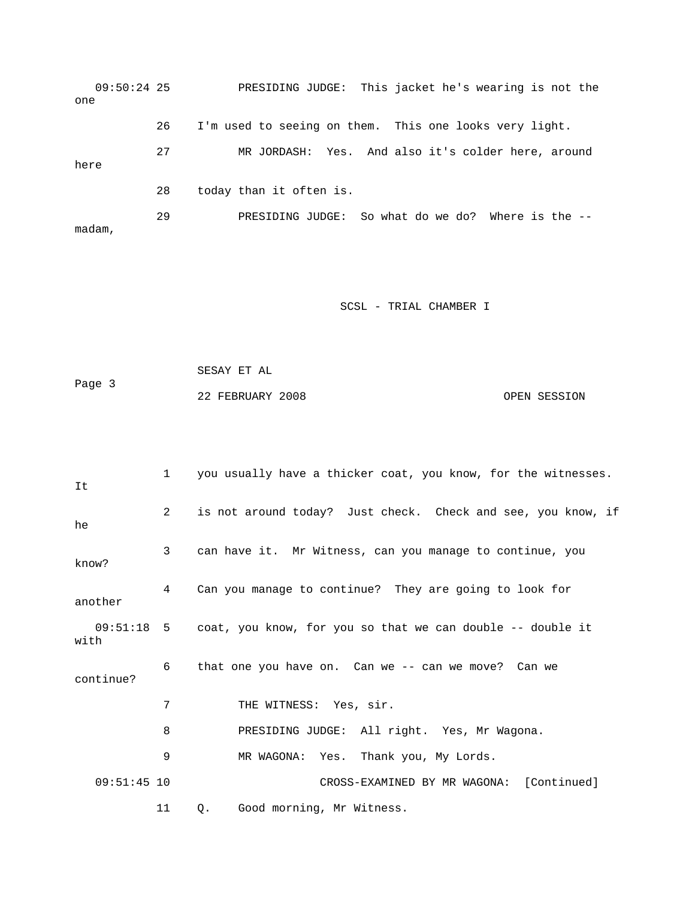09:50:24 25 PRESIDING JUDGE: This jacket he's wearing is not the one 26 I'm used to seeing on them. This one looks very light. 27 MR JORDASH: Yes. And also it's colder here, around here 28 today than it often is. 29 PRESIDING JUDGE: So what do we do? Where is the - madam,

```
 SESAY ET AL 
Page 3 
             22 FEBRUARY 2008 OPEN SESSION
```

| It            | $1 \quad$   | you usually have a thicker coat, you know, for the witnesses.           |
|---------------|-------------|-------------------------------------------------------------------------|
| he            | $2^{\circ}$ | is not around today? Just check. Check and see, you know, if            |
| know?         | 3           | can have it. Mr Witness, can you manage to continue, you                |
| another       | 4           | Can you manage to continue? They are going to look for                  |
| with          |             | $09:51:18$ 5 coat, you know, for you so that we can double -- double it |
| continue?     | 6           | that one you have on. Can we -- can we move? Can we                     |
|               | 7           | THE WITNESS: Yes, sir.                                                  |
|               | 8           | PRESIDING JUDGE: All right. Yes, Mr Wagona.                             |
|               | 9           | MR WAGONA: Yes. Thank you, My Lords.                                    |
| $09:51:45$ 10 |             | CROSS-EXAMINED BY MR WAGONA: [Continued]                                |
|               | 11          | Good morning, Mr Witness.<br>Q.                                         |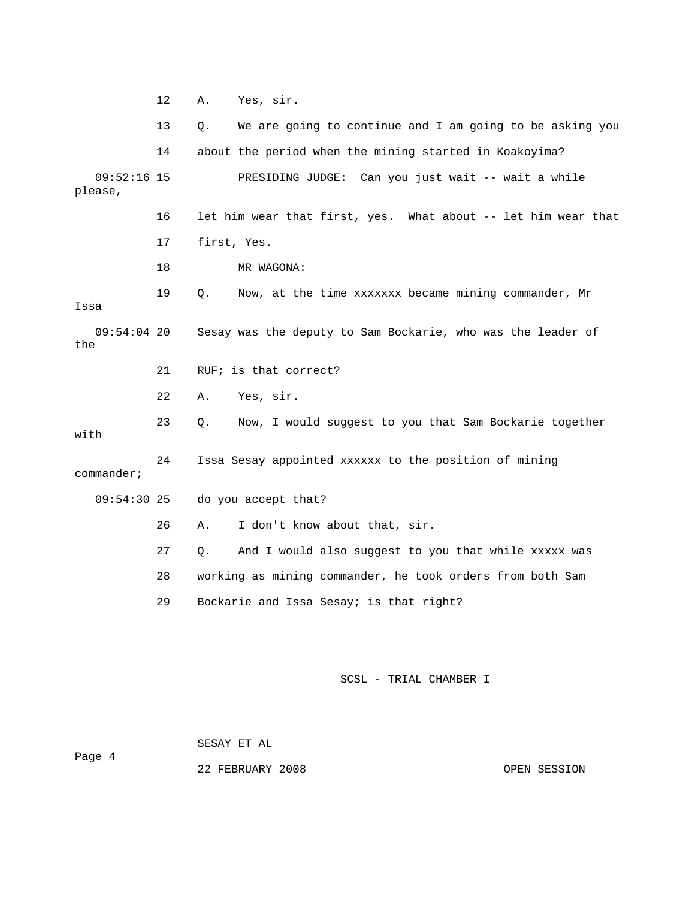12 A. Yes, sir. 13 Q. We are going to continue and I am going to be asking you 14 about the period when the mining started in Koakoyima? 09:52:16 15 PRESIDING JUDGE: Can you just wait -- wait a while please, 16 let him wear that first, yes. What about -- let him wear that 17 first, Yes. 18 MR WAGONA: 19 Q. Now, at the time xxxxxxx became mining commander, Mr Issa 09:54:04 20 Sesay was the deputy to Sam Bockarie, who was the leader of the 21 RUF; is that correct? 22 A. Yes, sir. 23 Q. Now, I would suggest to you that Sam Bockarie together with 24 Issa Sesay appointed xxxxxx to the position of mining commander; 09:54:30 25 do you accept that? 26 A. I don't know about that, sir. 27 Q. And I would also suggest to you that while xxxxx was 28 working as mining commander, he took orders from both Sam 29 Bockarie and Issa Sesay; is that right?

SCSL - TRIAL CHAMBER I

 SESAY ET AL Page 4

22 FEBRUARY 2008 OPEN SESSION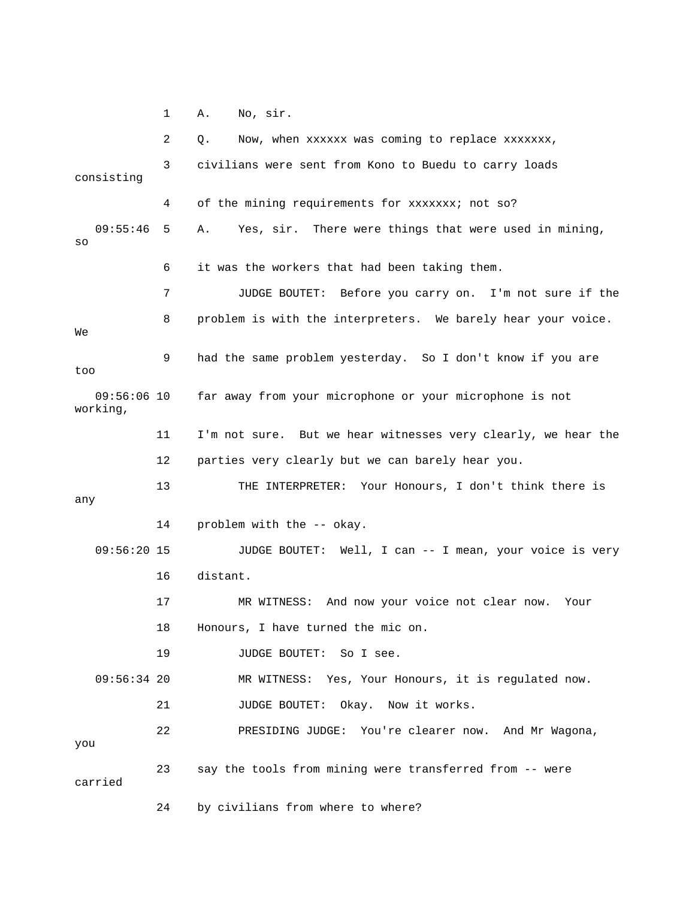1 A. No, sir.

 3 civilians were sent from Kono to Buedu to carry loads 4 of the mining requirements for xxxxxxx; not so? 09:55:46 5 A. Yes, sir. There were things that were used in mining, 6 it was the workers that had been taking them. 8 problem is with the interpreters. We barely hear your voice. 9 had the same problem yesterday. So I don't know if you are 09:56:06 10 far away from your microphone or your microphone is not 11 I'm not sure. But we hear witnesses very clearly, we hear the 12 parties very clearly but we can barely hear you. 13 THE INTERPRETER: Your Honours, I don't think there is 14 problem with the -- okay. 09:56:20 15 JUDGE BOUTET: Well, I can -- I mean, your voice is very 16 distant. MR WITNESS: And now your voice not clear now. Your 18 Honours, I have turned the mic on. 19 JUDGE BOUTET: So I see. 09:56:34 20 MR WITNESS: Yes, Your Honours, it is regulated now. 21 JUDGE BOUTET: Okay. Now it works. 22 PRESIDING JUDGE: You're clearer now. And Mr Wagona, 24 by civilians from where to where? 2 Q. Now, when xxxxxx was coming to replace xxxxxxx, consisting so 7 JUDGE BOUTET: Before you carry on. I'm not sure if the We too working, any 17 MR you 23 say the tools from mining were transferred from -- were carried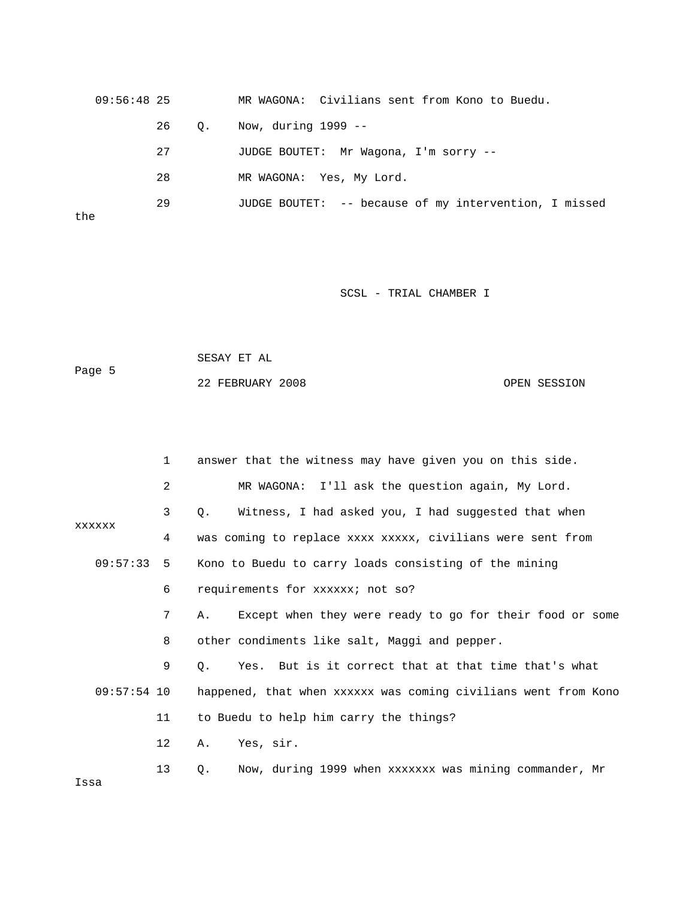09:56:48 25 MR WAGONA: Civilians sent from Kono to Buedu. 26 Q. Now, during 1999 -- 27 JUDGE BOUTET: Mr Wagona, I'm sorry -- 29 JUDGE BOUTET: -- because of my intervention, I missed 28 MR WAGONA: Yes, My Lord. the

SCSL - TRIAL CHAMBER I

|        | SESAY ET AL |  |  |
|--------|-------------|--|--|
| Page 5 |             |  |  |

22 FEBRUARY 2008 OPEN SESSION

|               | $\mathbf{1}$    | answer that the witness may have given you on this side.       |
|---------------|-----------------|----------------------------------------------------------------|
|               | 2               | MR WAGONA: I'll ask the question again, My Lord.               |
|               | 3               | Witness, I had asked you, I had suggested that when<br>Q.      |
| XXXXXX        | 4               | was coming to replace xxxx xxxxx, civilians were sent from     |
| 09:57:33      | 5               | Kono to Buedu to carry loads consisting of the mining          |
|               | 6               | requirements for xxxxxx; not so?                               |
|               | 7               | Except when they were ready to go for their food or some<br>Α. |
|               | 8               | other condiments like salt, Maggi and pepper.                  |
|               | 9               | Yes. But is it correct that at that time that's what<br>Q.     |
| $09:57:54$ 10 |                 | happened, that when xxxxxx was coming civilians went from Kono |
|               | 11              | to Buedu to help him carry the things?                         |
|               | 12 <sup>°</sup> | Yes, sir.<br>Α.                                                |
| Issa          | 13              | Now, during 1999 when xxxxxxx was mining commander, Mr<br>0.   |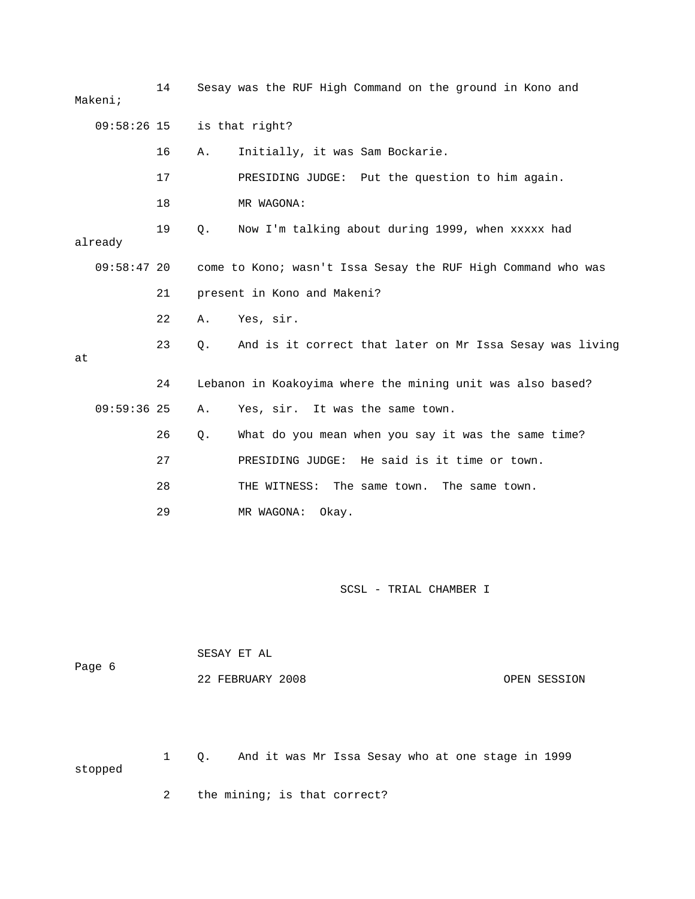|    | Makeni;       | 14 |                             | Sesay was the RUF High Command on the ground in Kono and     |  |  |  |
|----|---------------|----|-----------------------------|--------------------------------------------------------------|--|--|--|
|    | 09:58:26 15   |    |                             | is that right?                                               |  |  |  |
|    |               | 16 | Α.                          | Initially, it was Sam Bockarie.                              |  |  |  |
|    |               | 17 |                             | PRESIDING JUDGE: Put the question to him again.              |  |  |  |
|    |               | 18 |                             | MR WAGONA:                                                   |  |  |  |
|    | already       | 19 | $\circ$ .                   | Now I'm talking about during 1999, when xxxxx had            |  |  |  |
|    | 09:58:4720    |    |                             | come to Kono; wasn't Issa Sesay the RUF High Command who was |  |  |  |
|    |               | 21 | present in Kono and Makeni? |                                                              |  |  |  |
|    |               | 22 | Α.                          | Yes, sir.                                                    |  |  |  |
| at |               | 23 | О.                          | And is it correct that later on Mr Issa Sesay was living     |  |  |  |
|    |               | 24 |                             | Lebanon in Koakoyima where the mining unit was also based?   |  |  |  |
|    | $09:59:36$ 25 |    | Α.                          | Yes, sir. It was the same town.                              |  |  |  |
|    |               | 26 | $\circ$ .                   | What do you mean when you say it was the same time?          |  |  |  |
|    |               | 27 |                             | PRESIDING JUDGE: He said is it time or town.                 |  |  |  |
|    |               | 28 |                             | THE WITNESS: The same town. The same town.                   |  |  |  |
|    |               | 29 |                             | MR WAGONA:<br>Okay.                                          |  |  |  |

| Page 6 |    | SESAY ET AL      |  |  |                                                   |  |  |              |
|--------|----|------------------|--|--|---------------------------------------------------|--|--|--------------|
|        |    | 22 FEBRUARY 2008 |  |  |                                                   |  |  | OPEN SESSION |
|        |    |                  |  |  |                                                   |  |  |              |
|        |    |                  |  |  |                                                   |  |  |              |
|        | Q. |                  |  |  | And it was Mr Issa Sesay who at one stage in 1999 |  |  |              |

stopped

2 the mining; is that correct?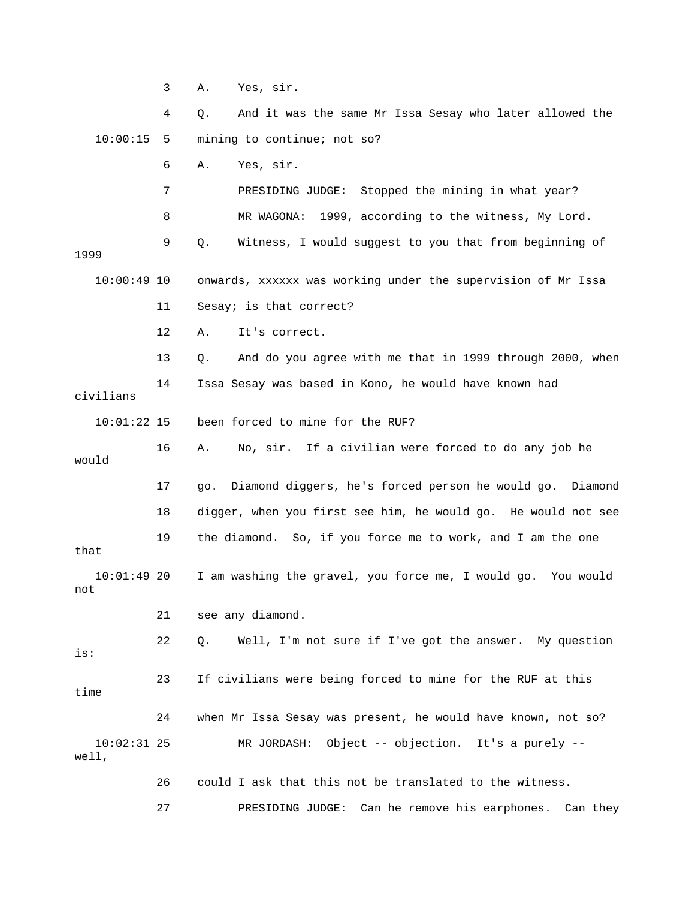3 A. Yes, sir.

 4 Q. And it was the same Mr Issa Sesay who later allowed the 10:00:15 5 mining to continue; not so? 6 A. Yes, sir. 7 PRESIDING JUDGE: Stopped the mining in what year?

8 MR WAGONA: 1999, according to the witness, My Lord.

 9 Q. Witness, I would suggest to you that from beginning of 1999 10:00:49 10 onwards, xxxxxx was working under the supervision of Mr Issa 11 Sesay; is that correct?

12 A. It's correct.

 13 Q. And do you agree with me that in 1999 through 2000, when 14 Issa Sesay was based in Kono, he would have known had civilians 10:01:22 15 been forced to mine for the RUF? 16 A. No, sir. If a civilian were forced to do any job he would 17 go. Diamond diggers, he's forced person he would go. Diamond 18 digger, when you first see him, he would go. He would not see 19 the diamond. So, if you force me to work, and I am the one that 10:01:49 20 I am washing the gravel, you force me, I would go. You would not

21 see any diamond.

 22 Q. Well, I'm not sure if I've got the answer. My question is: 23 If civilians were being forced to mine for the RUF at this time 24 when Mr Issa Sesay was present, he would have known, not so? 10:02:31 25 MR JORDASH: Object -- objection. It's a purely --

well,

 26 could I ask that this not be translated to the witness. 27 PRESIDING JUDGE: Can he remove his earphones. Can they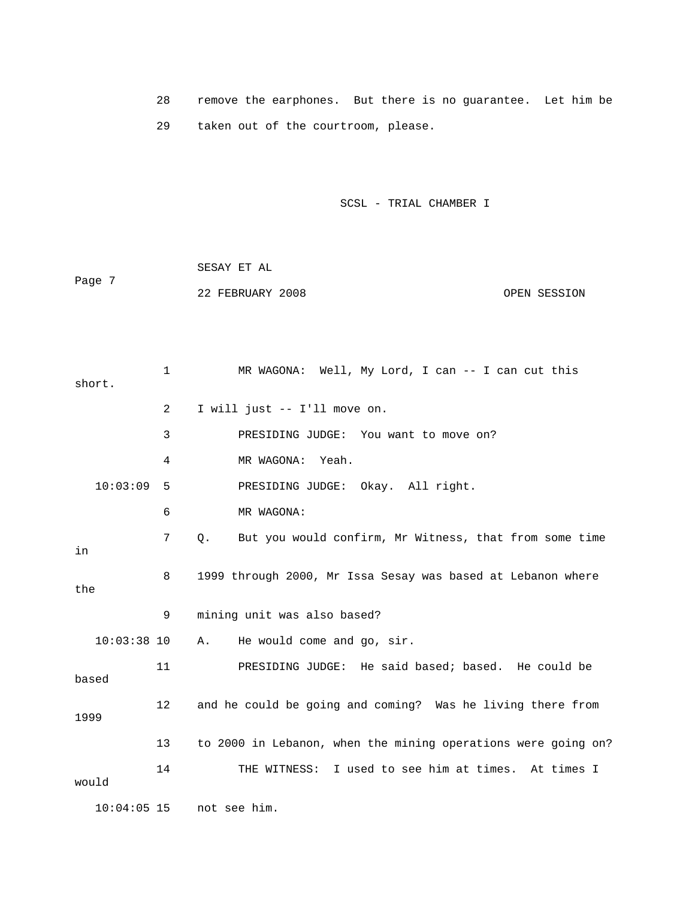28 remove the earphones. But there is no guarantee. Let him be 29 taken out of the courtroom, please.

SCSL - TRIAL CHAMBER I

 SESAY ET AL Page 7 22 FEBRUARY 2008 OPEN SESSION

1 MR WAGONA: Well, My Lord, I can -- I can cut this short. 2 I will just -- I'll move on. 3 PRESIDING JUDGE: You want to move on? 4 MR WAGONA: Yeah. 10:03:09 5 PRESIDING JUDGE: Okay. All right. 6 MR WAGONA: 7 Q. But you would confirm, Mr Witness, that from some time in 8 1999 through 2000, Mr Issa Sesay was based at Lebanon where the 9 mining unit was also based? 10:03:38 10 A. He would come and go, sir. 11 PRESIDING JUDGE: He said based; based. He could be based 12 and he could be going and coming? Was he living there from 1999 13 to 2000 in Lebanon, when the mining operations were going on? 14 THE WITNESS: I used to see him at times. At times I would 10:04:05 15 not see him.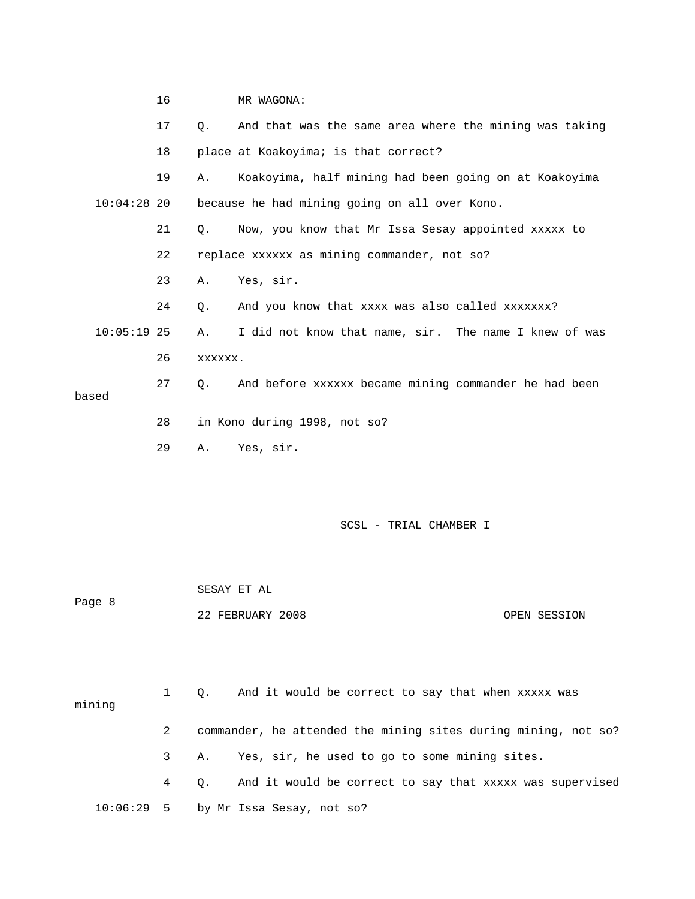|               | 16              |           | MR WAGONA:                                             |
|---------------|-----------------|-----------|--------------------------------------------------------|
|               | 17 <sup>2</sup> | $\circ$ . | And that was the same area where the mining was taking |
|               | 18              |           | place at Koakoyima; is that correct?                   |
|               | 19              | Α.        | Koakoyima, half mining had been going on at Koakoyima  |
| $10:04:28$ 20 |                 |           | because he had mining going on all over Kono.          |
|               | 21              | О.        | Now, you know that Mr Issa Sesay appointed xxxxx to    |
|               | 22              |           | replace xxxxxx as mining commander, not so?            |
|               | 23              | Α.        | Yes, sir.                                              |
|               | 24              | 0.        | And you know that xxxx was also called xxxxxxx?        |
| $10:05:19$ 25 |                 | Α.        | I did not know that name, sir. The name I knew of was  |
|               | 26              | XXXXXX.   |                                                        |
|               | 27              | 0.        | And before xxxxxx became mining commander he had been  |
| based         |                 |           |                                                        |
|               | 28              |           | in Kono during 1998, not so?                           |
|               | 29              | Α.        | Yes, sir.                                              |

| Page 8 | SESAY ET AL      |              |
|--------|------------------|--------------|
|        | 22 FEBRUARY 2008 | OPEN SESSION |

| mining |   | 1 Q. And it would be correct to say that when xxxxx was        |
|--------|---|----------------------------------------------------------------|
|        | 2 | commander, he attended the mining sites during mining, not so? |
|        |   | Yes, sir, he used to go to some mining sites.<br>3 A.          |
|        |   | 4 Q. And it would be correct to say that xxxxx was supervised  |
|        |   | $10:06:29$ 5 by Mr Issa Sesay, not so?                         |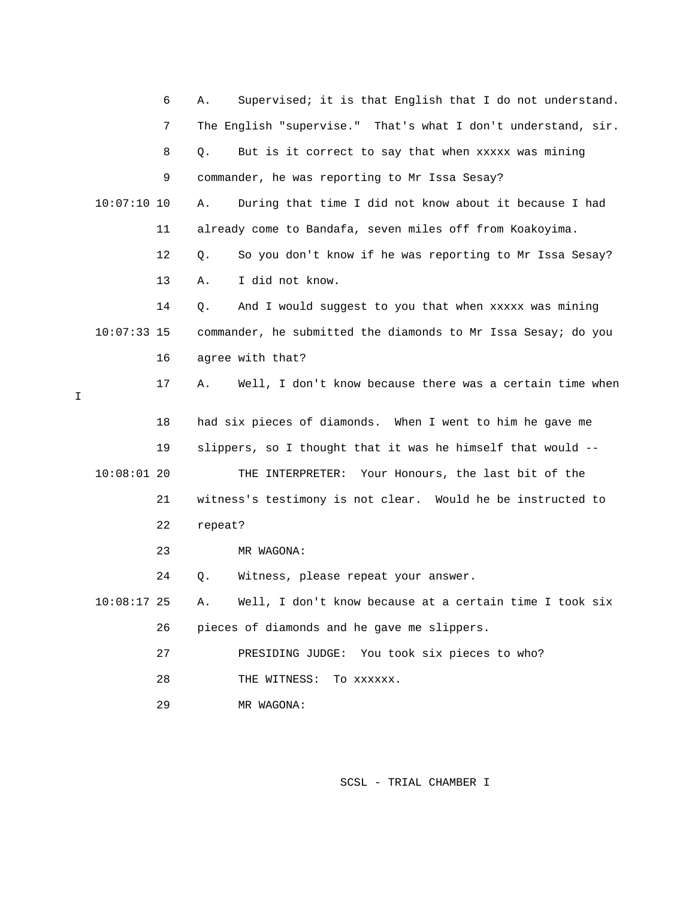|   |               | 6  | Α.      | Supervised; it is that English that I do not understand.      |
|---|---------------|----|---------|---------------------------------------------------------------|
|   |               | 7  |         | The English "supervise." That's what I don't understand, sir. |
|   |               | 8  | Q.      | But is it correct to say that when xxxxx was mining           |
|   |               | 9  |         | commander, he was reporting to Mr Issa Sesay?                 |
|   | $10:07:10$ 10 |    | Α.      | During that time I did not know about it because I had        |
|   |               | 11 |         | already come to Bandafa, seven miles off from Koakoyima.      |
|   |               | 12 | Q.      | So you don't know if he was reporting to Mr Issa Sesay?       |
|   |               | 13 | Α.      | I did not know.                                               |
|   |               | 14 | Q.      | And I would suggest to you that when xxxxx was mining         |
|   | $10:07:33$ 15 |    |         | commander, he submitted the diamonds to Mr Issa Sesay; do you |
|   |               | 16 |         | agree with that?                                              |
| I |               | 17 | Α.      | Well, I don't know because there was a certain time when      |
|   |               | 18 |         | had six pieces of diamonds. When I went to him he gave me     |
|   |               | 19 |         | slippers, so I thought that it was he himself that would --   |
|   | $10:08:01$ 20 |    |         | THE INTERPRETER: Your Honours, the last bit of the            |
|   |               | 21 |         | witness's testimony is not clear. Would he be instructed to   |
|   |               | 22 | repeat? |                                                               |
|   |               | 23 |         | MR WAGONA:                                                    |
|   |               | 24 | Q.      | Witness, please repeat your answer.                           |
|   | $10:08:17$ 25 |    | Α.      | Well, I don't know because at a certain time I took six       |
|   |               | 26 |         | pieces of diamonds and he gave me slippers.                   |
|   |               | 27 |         | PRESIDING JUDGE:<br>You took six pieces to who?               |
|   |               |    |         |                                                               |
|   |               | 28 |         | THE WITNESS:<br>TO XXXXXX.                                    |

I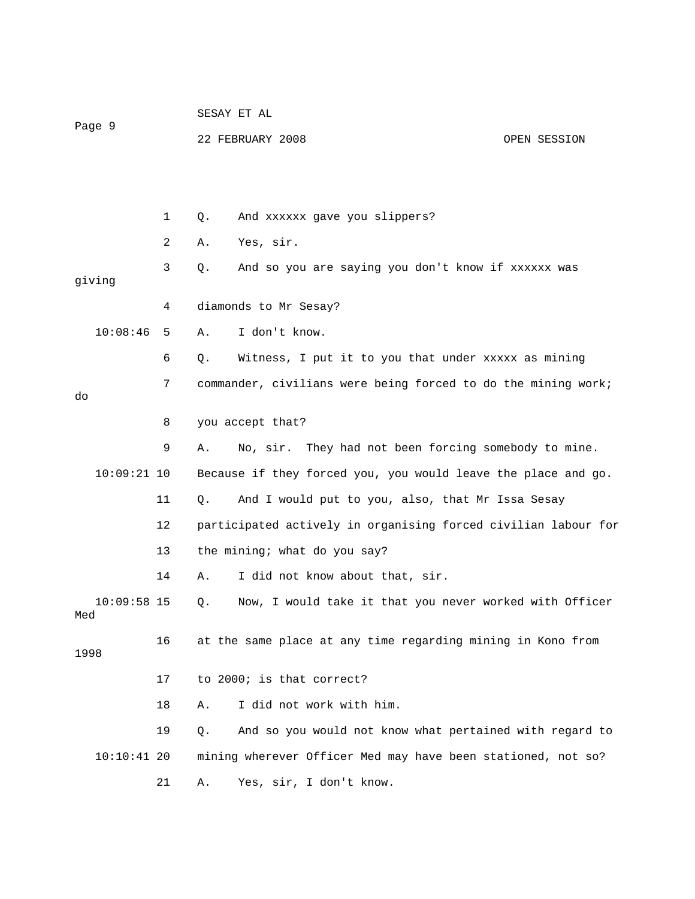| Page 9               |    | SESAY ET AL                                                    |  |  |  |  |  |  |  |
|----------------------|----|----------------------------------------------------------------|--|--|--|--|--|--|--|
|                      |    | 22 FEBRUARY 2008<br>OPEN SESSION                               |  |  |  |  |  |  |  |
|                      |    |                                                                |  |  |  |  |  |  |  |
|                      | 1  | And xxxxxx gave you slippers?<br>Q.                            |  |  |  |  |  |  |  |
|                      | 2  | Yes, sir.<br>Α.                                                |  |  |  |  |  |  |  |
| giving               | 3  | And so you are saying you don't know if xxxxxx was<br>Q.       |  |  |  |  |  |  |  |
|                      | 4  | diamonds to Mr Sesay?                                          |  |  |  |  |  |  |  |
| 10:08:46             | 5  | I don't know.<br>Α.                                            |  |  |  |  |  |  |  |
|                      | 6  | Witness, I put it to you that under xxxxx as mining<br>Q.      |  |  |  |  |  |  |  |
|                      | 7  | commander, civilians were being forced to do the mining work;  |  |  |  |  |  |  |  |
| do                   |    |                                                                |  |  |  |  |  |  |  |
|                      | 8  | you accept that?                                               |  |  |  |  |  |  |  |
|                      | 9  | No, sir. They had not been forcing somebody to mine.<br>Α.     |  |  |  |  |  |  |  |
| $10:09:21$ 10        |    | Because if they forced you, you would leave the place and go.  |  |  |  |  |  |  |  |
|                      | 11 | And I would put to you, also, that Mr Issa Sesay<br>Q.         |  |  |  |  |  |  |  |
|                      | 12 | participated actively in organising forced civilian labour for |  |  |  |  |  |  |  |
|                      | 13 | the mining; what do you say?                                   |  |  |  |  |  |  |  |
|                      | 14 | I did not know about that, sir.<br>Α.                          |  |  |  |  |  |  |  |
| $10:09:58$ 15<br>Med |    | Now, I would take it that you never worked with Officer<br>Q.  |  |  |  |  |  |  |  |
| 1998                 | 16 | at the same place at any time regarding mining in Kono from    |  |  |  |  |  |  |  |
|                      | 17 | to 2000; is that correct?                                      |  |  |  |  |  |  |  |
|                      | 18 | I did not work with him.<br>Α.                                 |  |  |  |  |  |  |  |
|                      | 19 | And so you would not know what pertained with regard to<br>Q.  |  |  |  |  |  |  |  |
| $10:10:41$ 20        |    | mining wherever Officer Med may have been stationed, not so?   |  |  |  |  |  |  |  |
|                      | 21 | Yes, sir, I don't know.<br>Α.                                  |  |  |  |  |  |  |  |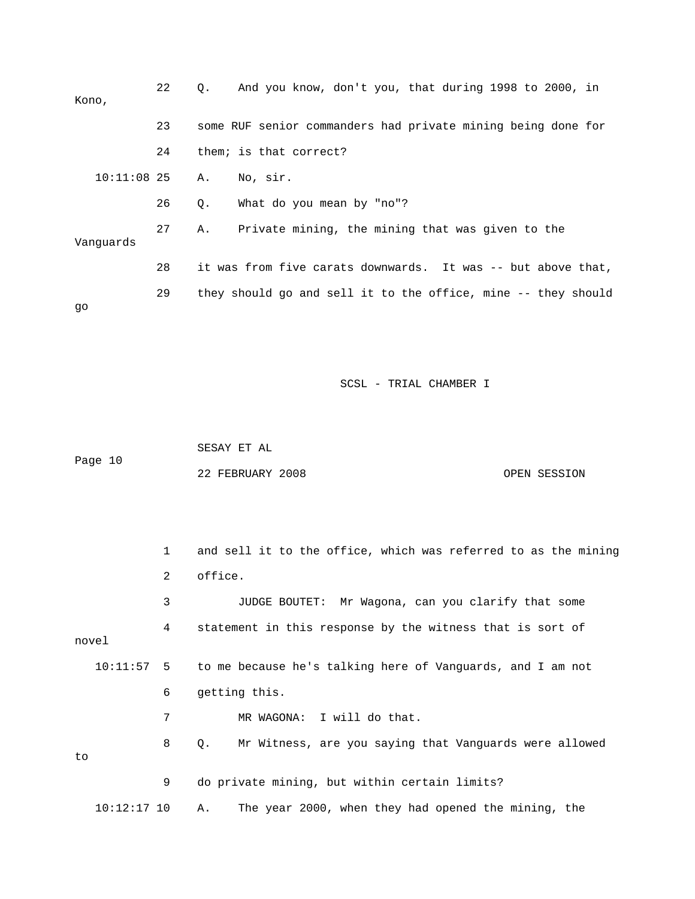| Kono,         | 22 | And you know, don't you, that during 1998 to 2000, in<br>$\circ$ . |
|---------------|----|--------------------------------------------------------------------|
|               | 23 | some RUF senior commanders had private mining being done for       |
|               | 24 | them; is that correct?                                             |
| $10:11:08$ 25 |    | No, sir.<br>Α.                                                     |
|               | 26 | What do you mean by "no"?<br>Q.                                    |
| Vanquards     | 27 | Private mining, the mining that was given to the<br>Α.             |
|               | 28 | it was from five carats downwards. It was -- but above that,       |
| qo            | 29 | they should go and sell it to the office, mine -- they should      |

 SESAY ET AL Page 10 22 FEBRUARY 2008 OPEN SESSION

 1 and sell it to the office, which was referred to as the mining 2 office. 3 JUDGE BOUTET: Mr Wagona, can you clarify that some 4 statement in this response by the witness that is sort of novel 10:11:57 5 to me because he's talking here of Vanguards, and I am not 6 getting this. 7 MR WAGONA: I will do that. 8 Q. Mr Witness, are you saying that Vanguards were allowed to 9 do private mining, but within certain limits? 10:12:17 10 A. The year 2000, when they had opened the mining, the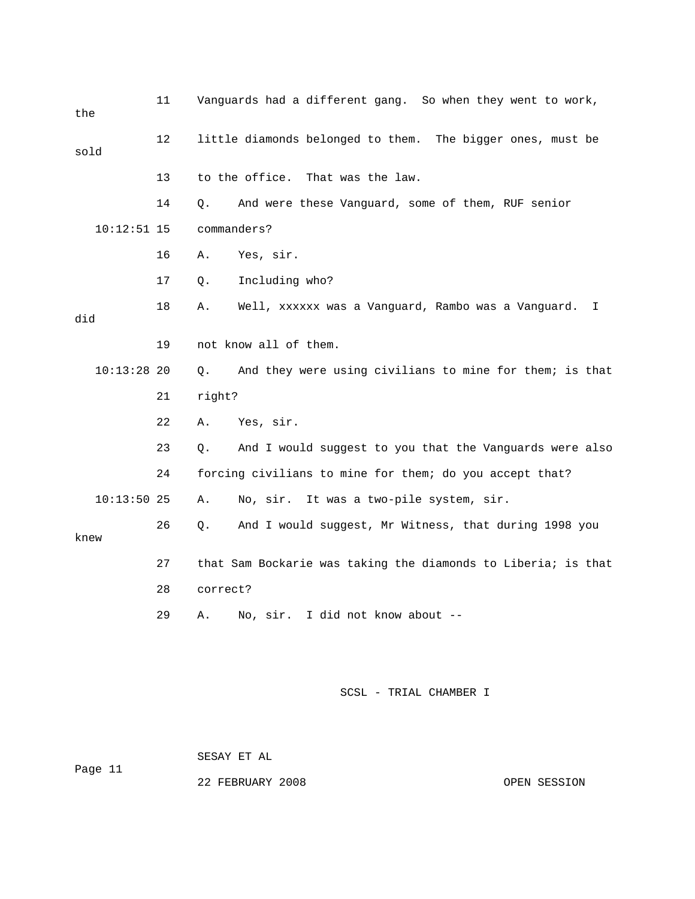| the           | 11 | Vanguards had a different gang. So when they went to work,               |
|---------------|----|--------------------------------------------------------------------------|
| sold          | 12 | little diamonds belonged to them. The bigger ones, must be               |
|               | 13 | to the office.<br>That was the law.                                      |
|               | 14 | And were these Vanguard, some of them, RUF senior<br>Q.                  |
| $10:12:51$ 15 |    | commanders?                                                              |
|               | 16 | Yes, sir.<br>Α.                                                          |
|               | 17 | Including who?<br>Q.                                                     |
| did           | 18 | Well, xxxxxx was a Vanguard, Rambo was a Vanguard.<br>Α.<br>$\mathbb{I}$ |
|               | 19 | not know all of them.                                                    |
| $10:13:28$ 20 |    | And they were using civilians to mine for them; is that<br>$Q$ .         |
|               | 21 | right?                                                                   |
|               | 22 | Yes, sir.<br>Α.                                                          |
|               | 23 | And I would suggest to you that the Vanguards were also<br>Q.            |
|               | 24 | forcing civilians to mine for them; do you accept that?                  |
| $10:13:50$ 25 |    | No, sir. It was a two-pile system, sir.<br>Α.                            |
| knew          | 26 | And I would suggest, Mr Witness, that during 1998 you<br>Q.              |
|               | 27 | that Sam Bockarie was taking the diamonds to Liberia; is that            |
|               | 28 | correct?                                                                 |
|               | 29 | No, sir. I did not know about --<br>Α.                                   |
|               |    |                                                                          |
|               |    | SCSL - TRIAL CHAMBER I                                                   |

SESAY ET AL

Page 11

22 FEBRUARY 2008 OPEN SESSION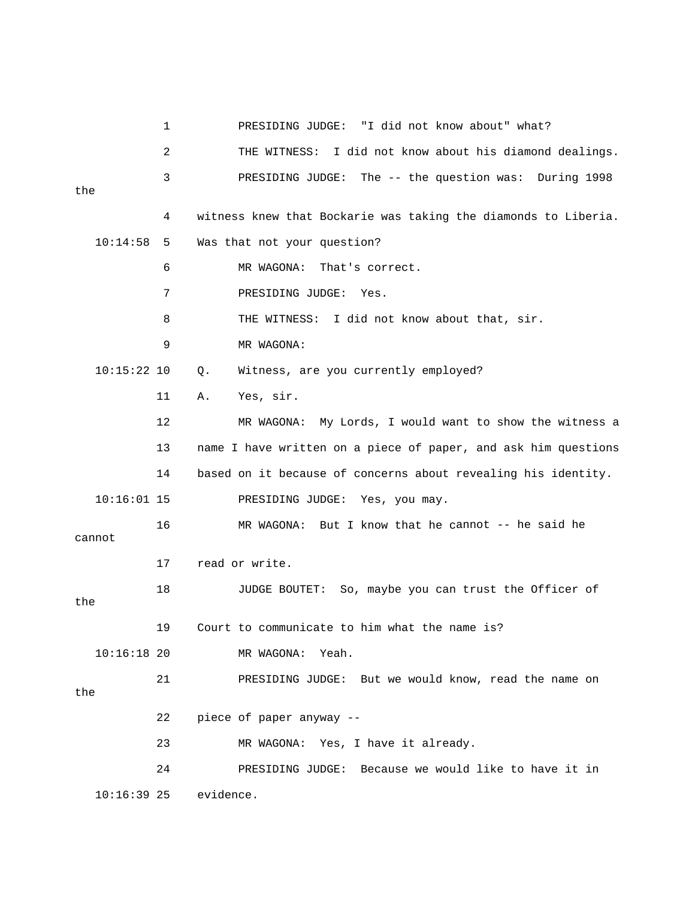|               | 1  |           | PRESIDING JUDGE: "I did not know about" what?                  |
|---------------|----|-----------|----------------------------------------------------------------|
|               | 2  |           | THE WITNESS: I did not know about his diamond dealings.        |
| the           | 3  |           | PRESIDING JUDGE: The -- the question was: During 1998          |
|               | 4  |           | witness knew that Bockarie was taking the diamonds to Liberia. |
| 10:14:58      | 5  |           | Was that not your question?                                    |
|               | 6  |           | MR WAGONA:<br>That's correct.                                  |
|               | 7  |           | PRESIDING JUDGE: Yes.                                          |
|               | 8  |           | THE WITNESS: I did not know about that, sir.                   |
|               | 9  |           | MR WAGONA:                                                     |
| $10:15:22$ 10 |    | Q.        | Witness, are you currently employed?                           |
|               | 11 | Α.        | Yes, sir.                                                      |
|               | 12 |           | MR WAGONA: My Lords, I would want to show the witness a        |
|               | 13 |           | name I have written on a piece of paper, and ask him questions |
|               | 14 |           | based on it because of concerns about revealing his identity.  |
| $10:16:01$ 15 |    |           | PRESIDING JUDGE: Yes, you may.                                 |
| cannot        | 16 |           | MR WAGONA: But I know that he cannot $-$ - he said he          |
|               | 17 |           | read or write.                                                 |
| the           | 18 |           | So, maybe you can trust the Officer of<br>JUDGE BOUTET:        |
|               | 19 |           | Court to communicate to him what the name is?                  |
| $10:16:18$ 20 |    |           | MR WAGONA: Yeah.                                               |
| the           | 21 |           | PRESIDING JUDGE: But we would know, read the name on           |
|               | 22 |           | piece of paper anyway --                                       |
|               | 23 |           | MR WAGONA: Yes, I have it already.                             |
|               | 24 |           | PRESIDING JUDGE: Because we would like to have it in           |
| $10:16:39$ 25 |    | evidence. |                                                                |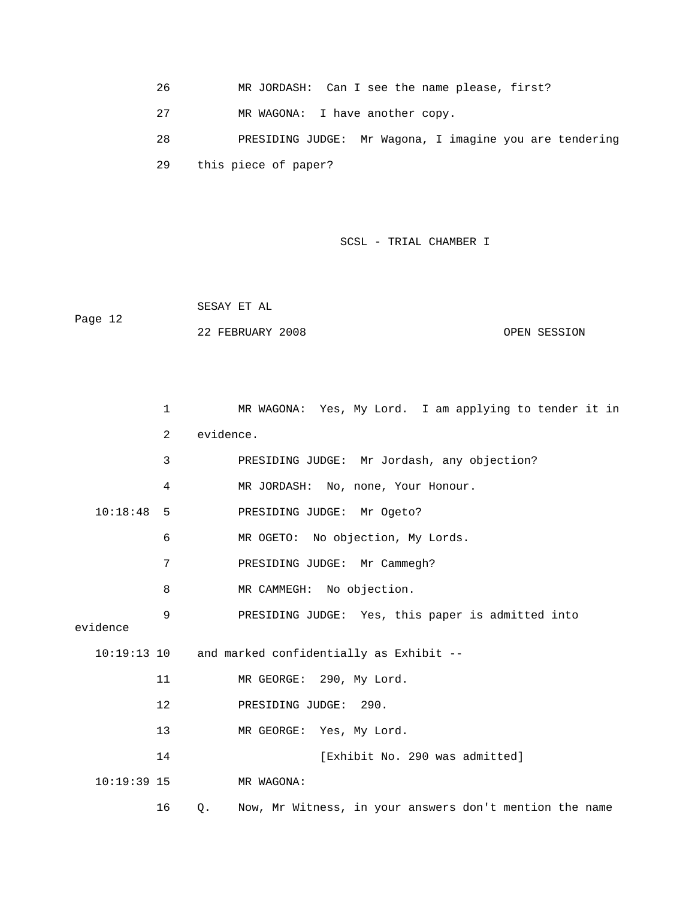- 26 MR JORDASH: Can I see the name please, first?
- 27 MR WAGONA: I have another copy.
- 29 this piece of paper? 28 PRESIDING JUDGE: Mr Wagona, I imagine you are tendering

 SESAY ET AL Page 12 22 FEBRUARY 2008 OPEN SESSION

|               | $\mathbf 1$ | MR WAGONA: Yes, My Lord. I am applying to tender it in        |
|---------------|-------------|---------------------------------------------------------------|
|               | 2           | evidence.                                                     |
|               | 3           | PRESIDING JUDGE: Mr Jordash, any objection?                   |
|               | 4           | MR JORDASH: No, none, Your Honour.                            |
| 10:18:48      | -5          | PRESIDING JUDGE: Mr Ogeto?                                    |
|               | 6           | MR OGETO: No objection, My Lords.                             |
|               | 7           | PRESIDING JUDGE: Mr Cammegh?                                  |
|               | 8           | MR CAMMEGH: No objection.                                     |
| evidence      | 9           | PRESIDING JUDGE: Yes, this paper is admitted into             |
|               |             |                                                               |
| $10:19:13$ 10 |             | and marked confidentially as Exhibit --                       |
|               | 11          | MR GEORGE: 290, My Lord.                                      |
|               | 12          | PRESIDING JUDGE: 290.                                         |
|               | 13          | MR GEORGE: Yes, My Lord.                                      |
|               | 14          | [Exhibit No. 290 was admitted]                                |
| $10:19:39$ 15 |             | MR WAGONA:                                                    |
|               | 16          | Now, Mr Witness, in your answers don't mention the name<br>Q. |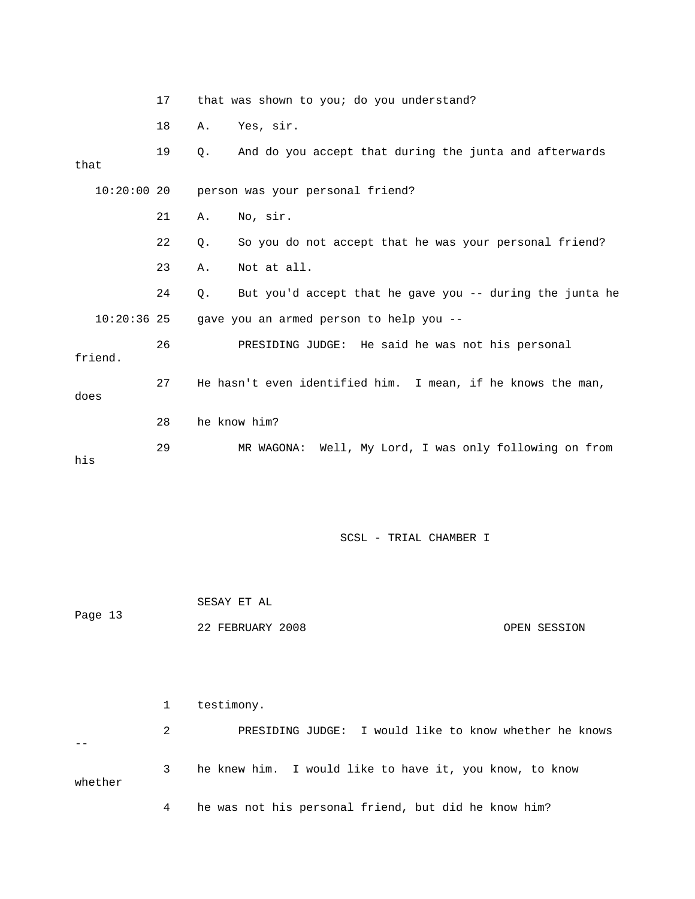|               | 17 | that was shown to you; do you understand?                      |
|---------------|----|----------------------------------------------------------------|
|               | 18 | Yes, sir.<br>Α.                                                |
| that          | 19 | And do you accept that during the junta and afterwards<br>О.   |
|               |    | 10:20:00 20 person was your personal friend?                   |
|               | 21 | No, sir.<br>Α.                                                 |
|               | 22 | So you do not accept that he was your personal friend?<br>О.   |
|               | 23 | Not at all.<br>Α.                                              |
|               | 24 | But you'd accept that he gave you -- during the junta he<br>Q. |
| $10:20:36$ 25 |    | gave you an armed person to help you --                        |
| friend.       | 26 | PRESIDING JUDGE: He said he was not his personal               |
| does          | 27 | He hasn't even identified him. I mean, if he knows the man,    |
|               | 28 | he know him?                                                   |
| his           | 29 | MR WAGONA: Well, My Lord, I was only following on from         |

 SESAY ET AL Page 13 22 FEBRUARY 2008 OPEN SESSION

 1 testimony. 2 BRESIDING JUDGE: I would like to know whether he knows 3 he knew him. I would like to have it, you know, to know whether 4 he was not his personal friend, but did he know him? --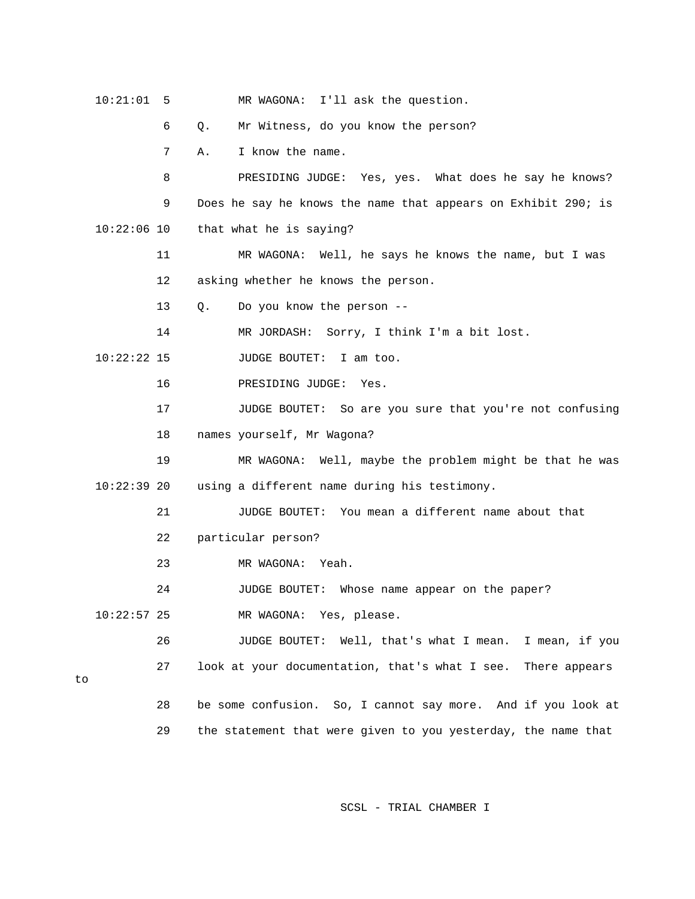|    | 10:21:01      | 5  | MR WAGONA: I'll ask the question.                                |
|----|---------------|----|------------------------------------------------------------------|
|    |               | 6  | Mr Witness, do you know the person?<br>Q.                        |
|    |               | 7  | I know the name.<br>Α.                                           |
|    |               | 8  | PRESIDING JUDGE: Yes, yes. What does he say he knows?            |
|    |               | 9  | Does he say he knows the name that appears on Exhibit 290; is    |
|    | $10:22:06$ 10 |    | that what he is saying?                                          |
|    |               | 11 | MR WAGONA: Well, he says he knows the name, but I was            |
|    |               | 12 | asking whether he knows the person.                              |
|    |               | 13 | Do you know the person --<br>Q.                                  |
|    |               | 14 | MR JORDASH: Sorry, I think I'm a bit lost.                       |
|    | $10:22:22$ 15 |    | JUDGE BOUTET:<br>I am too.                                       |
|    |               | 16 | PRESIDING JUDGE:<br>Yes.                                         |
|    |               | 17 | JUDGE BOUTET: So are you sure that you're not confusing          |
|    |               | 18 | names yourself, Mr Wagona?                                       |
|    |               | 19 | MR WAGONA: Well, maybe the problem might be that he was          |
|    | $10:22:39$ 20 |    | using a different name during his testimony.                     |
|    |               | 21 | You mean a different name about that<br>JUDGE BOUTET:            |
|    |               | 22 | particular person?                                               |
|    |               | 23 | MR WAGONA: Yeah.                                                 |
|    |               | 24 | Whose name appear on the paper?<br>JUDGE BOUTET:                 |
|    | $10:22:57$ 25 |    | MR WAGONA: Yes, please.                                          |
|    |               | 26 | <b>JUDGE BOUTET:</b><br>Well, that's what I mean. I mean, if you |
| to |               | 27 | look at your documentation, that's what I see.<br>There appears  |
|    |               | 28 | be some confusion. So, I cannot say more. And if you look at     |
|    |               | 29 | the statement that were given to you yesterday, the name that    |
|    |               |    |                                                                  |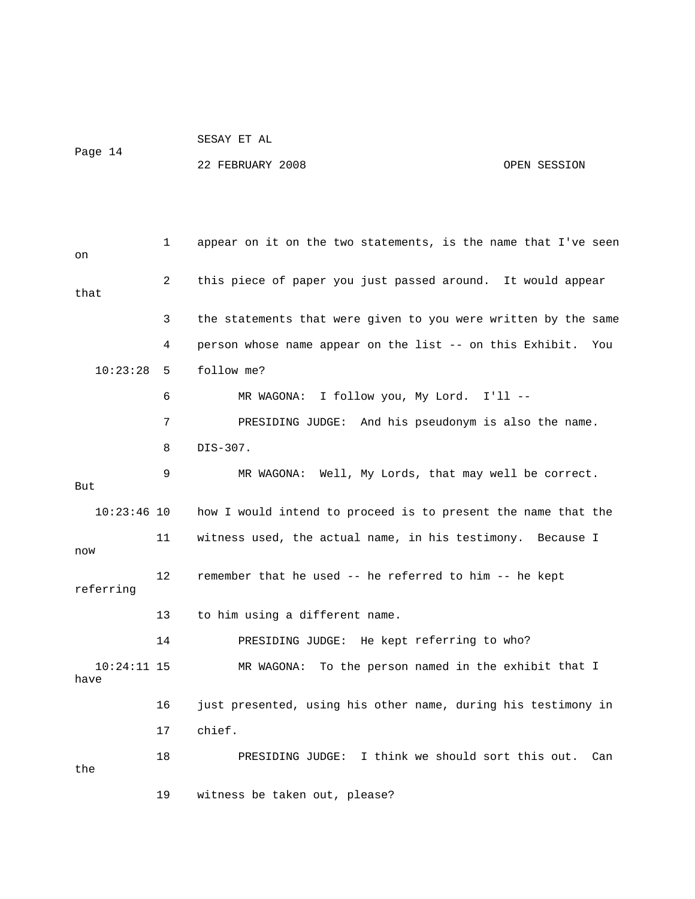| SESAY ET AL |  |  |
|-------------|--|--|

Page 14

## 22 FEBRUARY 2008 OPEN SESSION

| on                    | 1  | appear on it on the two statements, is the name that I've seen  |
|-----------------------|----|-----------------------------------------------------------------|
| that                  | 2  | this piece of paper you just passed around. It would appear     |
|                       | 3  | the statements that were given to you were written by the same  |
|                       | 4  | person whose name appear on the list -- on this Exhibit.<br>You |
| 10:23:28              | 5  | follow me?                                                      |
|                       | 6  | MR WAGONA: I follow you, My Lord. I'll --                       |
|                       | 7  | PRESIDING JUDGE: And his pseudonym is also the name.            |
|                       | 8  | DIS-307.                                                        |
| But                   | 9  | MR WAGONA: Well, My Lords, that may well be correct.            |
| $10:23:46$ 10         |    | how I would intend to proceed is to present the name that the   |
| now                   | 11 | witness used, the actual name, in his testimony. Because I      |
| referring             | 12 | remember that he used -- he referred to him -- he kept          |
|                       | 13 | to him using a different name.                                  |
|                       | 14 | PRESIDING JUDGE: He kept referring to who?                      |
| $10:24:11$ 15<br>have |    | To the person named in the exhibit that I<br>MR WAGONA:         |
|                       | 16 | just presented, using his other name, during his testimony in   |
|                       | 17 | chief.                                                          |
| the                   | 18 | PRESIDING JUDGE: I think we should sort this out.<br>Can        |
|                       | 19 | witness be taken out, please?                                   |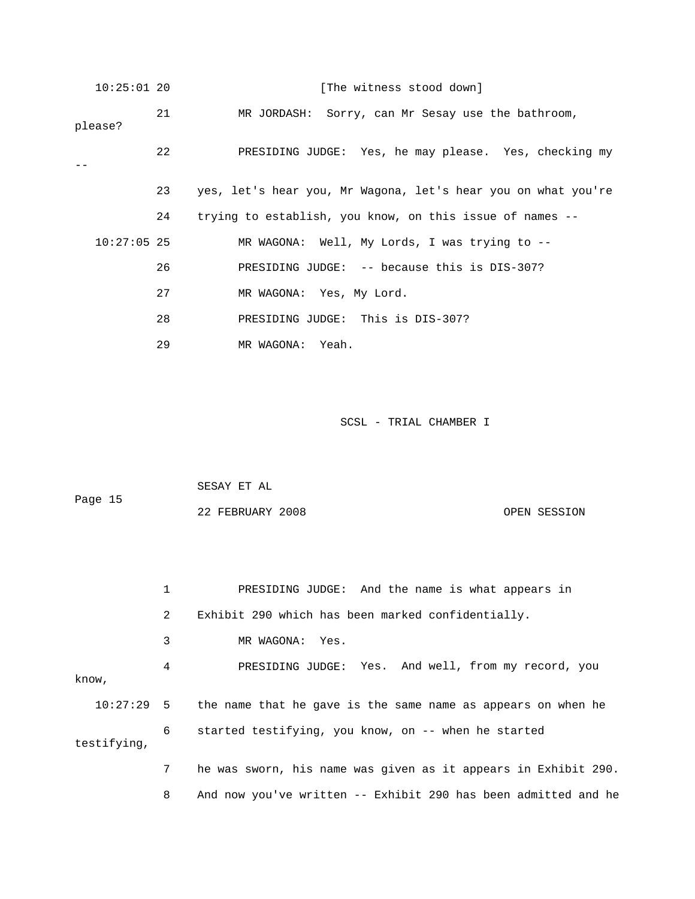| $10:25:01$ 20 |    | [The witness stood down]                                      |
|---------------|----|---------------------------------------------------------------|
| please?       | 21 | MR JORDASH: Sorry, can Mr Sesay use the bathroom,             |
|               | 22 | PRESIDING JUDGE: Yes, he may please. Yes, checking my         |
|               | 23 | yes, let's hear you, Mr Wagona, let's hear you on what you're |
|               | 24 | trying to establish, you know, on this issue of names --      |
| $10:27:05$ 25 |    | MR WAGONA: Well, My Lords, I was trying to --                 |
|               | 26 | PRESIDING JUDGE: -- because this is DIS-307?                  |
|               | 27 | MR WAGONA: Yes, My Lord.                                      |
|               | 28 | PRESIDING JUDGE: This is DIS-307?                             |
|               | 29 | MR WAGONA: Yeah.                                              |

| Page 15 | SESAY ET AL      |              |
|---------|------------------|--------------|
|         | 22 FEBRUARY 2008 | OPEN SESSION |

|             |   | PRESIDING JUDGE: And the name is what appears in                          |
|-------------|---|---------------------------------------------------------------------------|
|             | 2 | Exhibit 290 which has been marked confidentially.                         |
|             | 3 | MR WAGONA: Yes.                                                           |
| know,       | 4 | PRESIDING JUDGE: Yes. And well, from my record, you                       |
|             |   | $10:27:29$ 5 the name that he gave is the same name as appears on when he |
| testifying, | 6 | started testifying, you know, on -- when he started                       |
|             | 7 | he was sworn, his name was given as it appears in Exhibit 290.            |

8 And now you've written -- Exhibit 290 has been admitted and he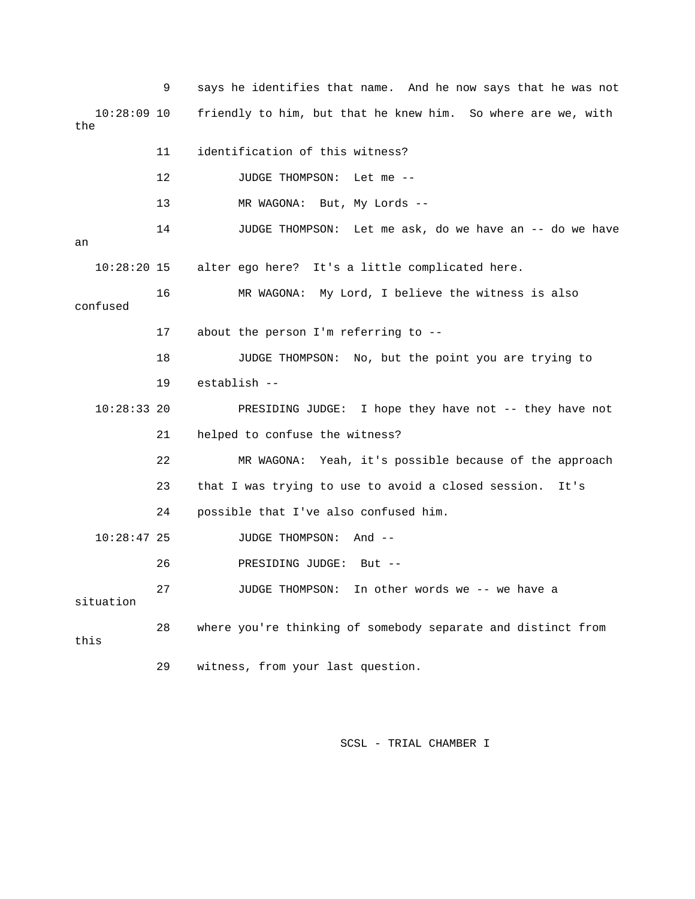9 says he identifies that name. And he now says that he was not 10:28:09 10 friendly to him, but that he knew him. So where are we, with the 11 identification of this witness? 14 JUDGE THOMPSON: Let me ask, do we have an -- do we have 16 MR WAGONA: My Lord, I believe the witness is also 18 JUDGE THOMPSON: No, but the point you are trying to 19 establish -- PRESIDING JUDGE: I hope they have not -- they have not 21 helped to confuse the witness? 22 MR WAGONA: Yeah, it's possible because of the approach 23 that I was trying to use to avoid a closed session. It's 24 possible that I've also confused him. 10:28:47 25 JUDGE THOMPSON: And -- 27 JUDGE THOMPSON: In other words we -- we have a 28 where you're thinking of somebody separate and distinct from 12 JUDGE THOMPSON: Let me -- 13 MR WAGONA: But, My Lords - an 10:28:20 15 alter ego here? It's a little complicated here. confused 17 about the person I'm referring to --  $10:28:33$  20 26 PRESIDING JUDGE: But - situation this 29 witness, from your last question.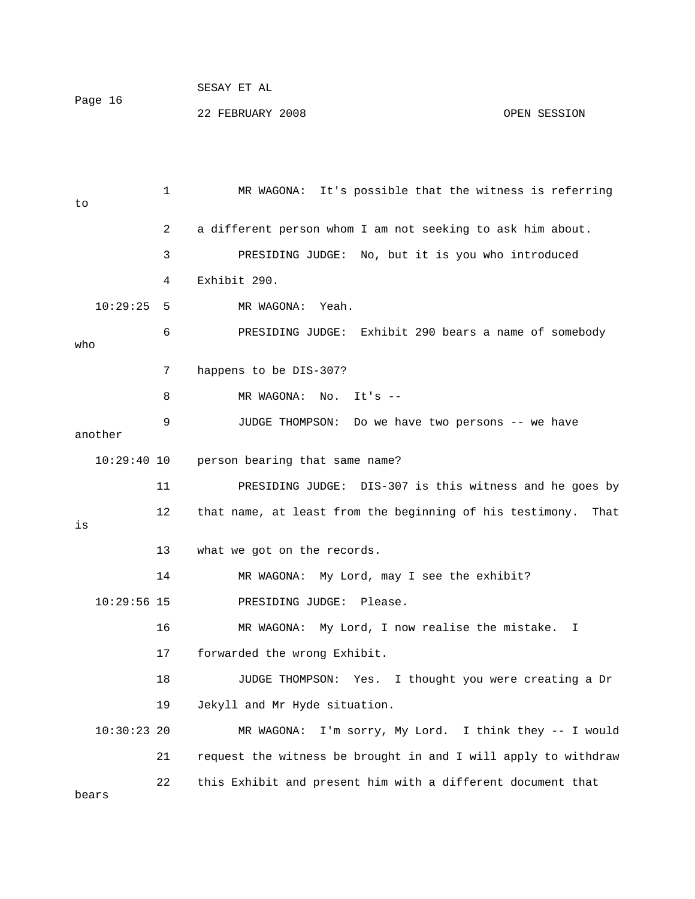|         | SESAY ET AL      |              |
|---------|------------------|--------------|
| Page 16 |                  |              |
|         | 22 FEBRUARY 2008 | OPEN SESSION |

 1 MR WAGONA: It's possible that the witness is referring 2 a different person whom I am not seeking to ask him about. MR WAGONA: Yeah. xhibit 290 bears a name of somebody 6 PRESIDING JUDGE: E o wh 7 happens to be DIS-307? 8 MR WAGONA: No. It's --9 JUDGE THOMPSON: Do we have two persons -- we have another person bearing that same name? 11 PRESIDING JUDGE: DIS-307 is this witness and he goes by 13 what we got on the records. 14 MR WAGONA: My Lord, may I see the exhibit? 16 MR WAGONA: My Lord, I now realise the mistake. I 18 JUDGE THOMPSON: Yes. I thought you were creating a Dr 10:30:23 20 MR WAGONA: I'm sorry, My Lord. I think they -- I would to 3 PRESIDING JUDGE: No, but it is you who introduced 4 Exhibit 290.  $10:29:25$  5 10:29: 12 that name, at least from the beginning of his testimony. That is 10:29:56 15 PRESIDING JUDGE: Please. 17 forwarded the wrong Exhibit. 19 Jekyll and Mr Hyde situation. 21 request the witness be brought in and I will apply to withdraw 22 this Exhibit and present him with a different document that bears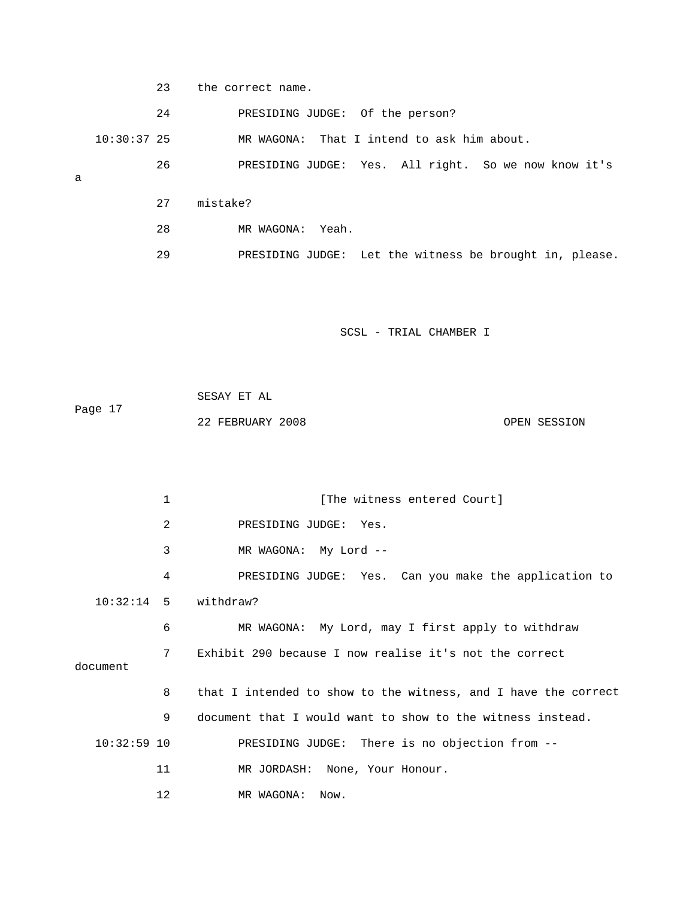23 the correct name.

24 PRESIDING JUDGE: Of the person?

10:30:37 25 MR WAGONA: That I intend to ask him about.

26 PRESIDING JUDGE: Yes. All right. So we now know it's

a

- 27 mistake?
- 28 MR WAGONA: Yeah.
- 29 PRESIDING JUDGE: Let the witness be brought in, please.

SCSL - TRIAL CHAMBER I

| Page 17 | SESAY ET AL      |              |
|---------|------------------|--------------|
|         | 22 FEBRUARY 2008 | OPEN SESSION |

1 [The witness entered Court] 2 PRESIDING JUDGE: Yes. 3 MR WAGONA: My Lord -- 4 PRESIDING JUDGE: Yes. Can you make the application to 6 MR WAGONA: My Lord, may I first apply to withdraw 7 Exhibit 290 because I now realise it's not the correct 8 that I intended to show to the witness, and I have the correct 9 document that I would want to show to the witness instead. 10:32:59 10 PRESIDING JUDGE: There is no objection from -- 10:32:14 5 withdraw? document 11 MR JORDASH: None, Your Honour. 12 MR WAGONA: Now.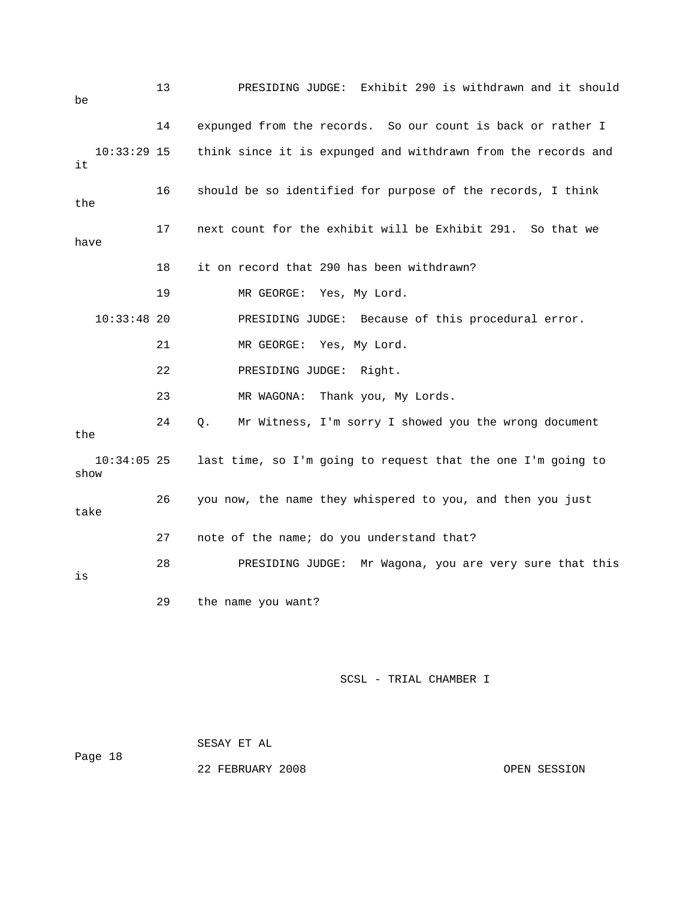| be                    | 13 | PRESIDING JUDGE: Exhibit 290 is withdrawn and it should       |
|-----------------------|----|---------------------------------------------------------------|
|                       | 14 | expunged from the records. So our count is back or rather I   |
| $10:33:29$ 15<br>it   |    | think since it is expunged and withdrawn from the records and |
| the                   | 16 | should be so identified for purpose of the records, I think   |
| have                  | 17 | next count for the exhibit will be Exhibit 291. So that we    |
|                       | 18 | it on record that 290 has been withdrawn?                     |
|                       | 19 | MR GEORGE: Yes, My Lord.                                      |
| $10:33:48$ 20         |    | PRESIDING JUDGE: Because of this procedural error.            |
|                       | 21 | MR GEORGE: Yes, My Lord.                                      |
|                       | 22 | PRESIDING JUDGE: Right.                                       |
|                       | 23 | Thank you, My Lords.<br>MR WAGONA:                            |
| the                   | 24 | Mr Witness, I'm sorry I showed you the wrong document<br>Q.   |
| $10:34:05$ 25<br>show |    | last time, so I'm going to request that the one I'm going to  |
| take                  | 26 | you now, the name they whispered to you, and then you just    |
|                       | 27 | note of the name; do you understand that?                     |
| is                    | 28 | Mr Wagona, you are very sure that this<br>PRESIDING JUDGE:    |
|                       | 29 | the name you want?                                            |

| Page 18 | SESAY ET AL      |  |              |
|---------|------------------|--|--------------|
|         | 22 FEBRUARY 2008 |  | OPEN SESSION |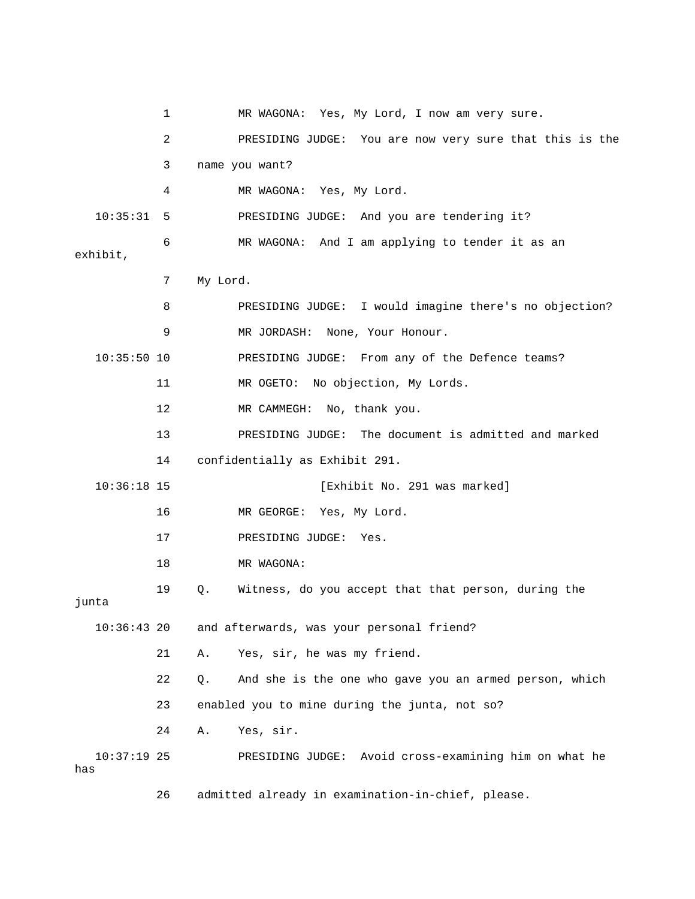1 MR WAGONA: Yes, My Lord, I now am very sure. 2 PRESIDING JUDGE: You are now very sure that this is the 3 name you want? 4 MR WAGONA: Yes, My Lord. 10:35:31 5 PRESIDING JUDGE: And you are tendering it? 6 MR WAGONA: And I am applying to tender it as an 8 PRESIDING JUDGE: I would imagine there's no objection? 10:35:50 10 PRESIDING JUDGE: From any of the Defence teams? 11 MR OGETO: No objection, My Lords. 13 PRESIDING JUDGE: The document is admitted and marked 14 confidentially as Exhibit 291. 16 MR GEORGE: Yes, My Lord. 17 PRESIDING JUDGE: Yes. 19 Q. Witness, do you accept that that person, during the 21 A. Yes, sir, he was my friend. 22 Q. And she is the one who gave you an armed person, which 23 enabled you to mine during the junta, not so? 24 A. Yes, sir. 10:37:19 25 PRESIDING JUDGE: Avoid cross-examining him on what he exhibit, 7 My Lord. 9 MR JORDASH: None, Your Honour. 12 MR CAMMEGH: No, thank you. 10:36:18 15 [Exhibit No. 291 was marked] 18 MR WAGONA: junta 10:36:43 20 and afterwards, was your personal friend? has

26 admitted already in examination-in-chief, please.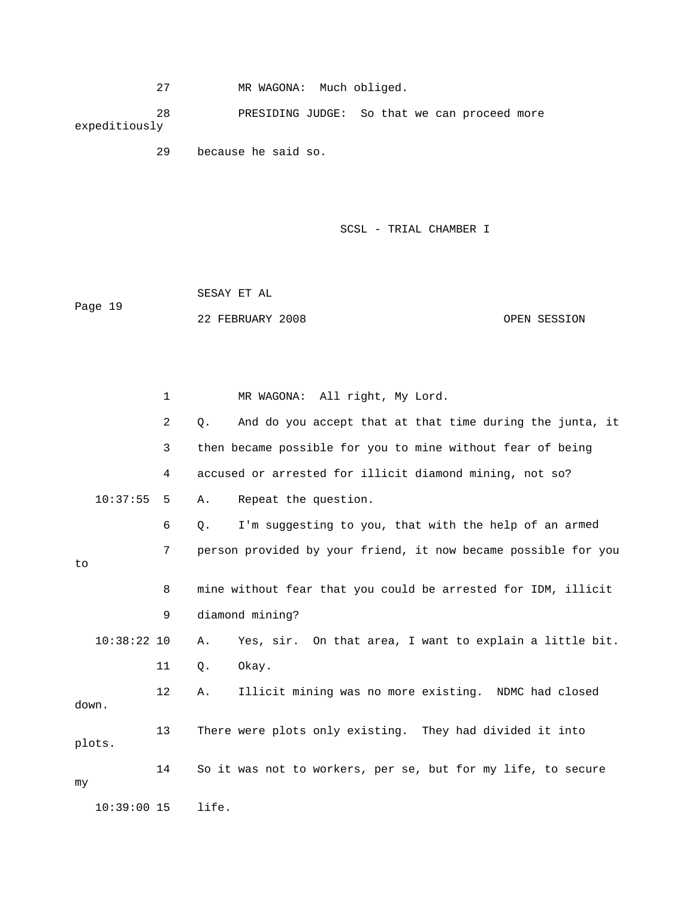27 MR WAGONA: Much obliged.

 28 PRESIDING JUDGE: So that we can proceed more expeditiously

29 because he said so.

SCSL - TRIAL CHAMBER I

 SESAY ET AL Page 19 22 FEBRUARY 2008 OPEN SESSION

 1 MR WAGONA: All right, My Lord. 2 Q. And do you accept that at that time during the junta, it 3 then became possible for you to mine without fear of being 4 accused or arrested for illicit diamond mining, not so? 10:37:55 5 A. Repeat the question. 6 Q. I'm suggesting to you, that with the help of an armed 7 person provided by your friend, it now became possible for you 9 diamond mining? 11 Q. Okay. 12 A. Illicit mining was no more existing. NDMC had closed e 14 So it was not to workers, per se, but for my life, to secur to 8 mine without fear that you could be arrested for IDM, illicit 10:38:22 10 A. Yes, sir. On that area, I want to explain a little bit. down. 13 There were plots only existing. They had divided it into plots. my

10:39:00 15 life.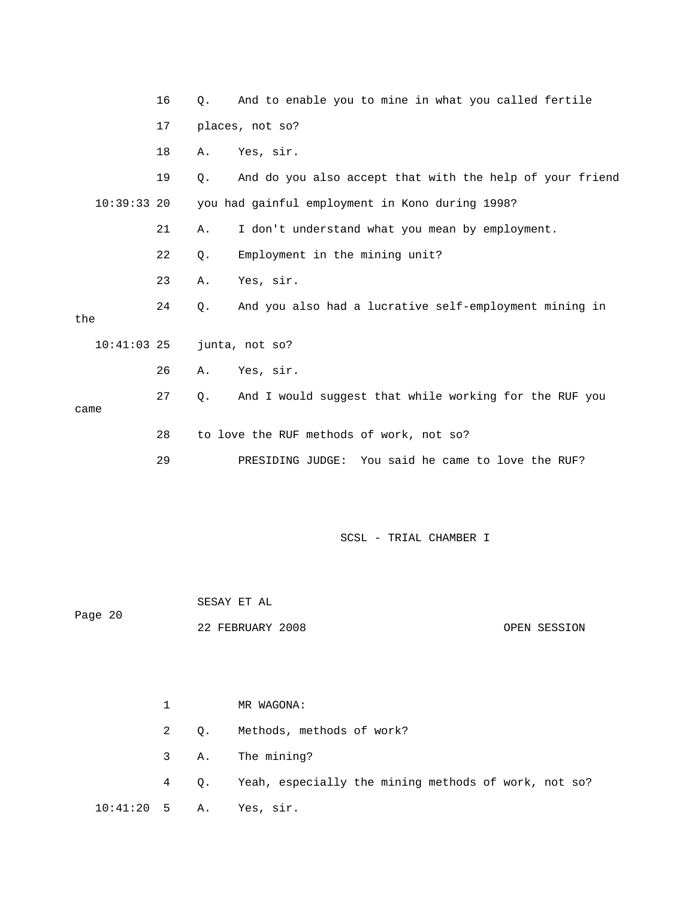|               | 16 | 0.                                       | And to enable you to mine in what you called fertile     |  |  |  |  |  |  |
|---------------|----|------------------------------------------|----------------------------------------------------------|--|--|--|--|--|--|
|               | 17 |                                          | places, not so?                                          |  |  |  |  |  |  |
|               | 18 | Α.                                       | Yes, sir.                                                |  |  |  |  |  |  |
|               | 19 | Q.                                       | And do you also accept that with the help of your friend |  |  |  |  |  |  |
| $10:39:33$ 20 |    |                                          | you had gainful employment in Kono during 1998?          |  |  |  |  |  |  |
|               | 21 | Α.                                       | I don't understand what you mean by employment.          |  |  |  |  |  |  |
|               | 22 | Q.                                       | Employment in the mining unit?                           |  |  |  |  |  |  |
|               | 23 | Α.                                       | Yes, sir.                                                |  |  |  |  |  |  |
| the           | 24 | $Q$ .                                    | And you also had a lucrative self-employment mining in   |  |  |  |  |  |  |
| $10:41:03$ 25 |    |                                          | junta, not so?                                           |  |  |  |  |  |  |
|               | 26 | Α.                                       | Yes, sir.                                                |  |  |  |  |  |  |
| came          | 27 | Q.                                       | And I would suggest that while working for the RUF you   |  |  |  |  |  |  |
|               |    |                                          |                                                          |  |  |  |  |  |  |
|               | 28 | to love the RUF methods of work, not so? |                                                          |  |  |  |  |  |  |
|               | 29 |                                          | PRESIDING JUDGE: You said he came to love the RUF?       |  |  |  |  |  |  |

Page 20 SESAY ET AL

22 FEBRUARY 2008 OPEN SESSION

 1 MR WAGONA: 2 Q. Methods, methods of work? 4 Q. Yeah, especially the mining methods of work, not so? 3 A. The mining? 10:41:20 5 A. Yes, sir.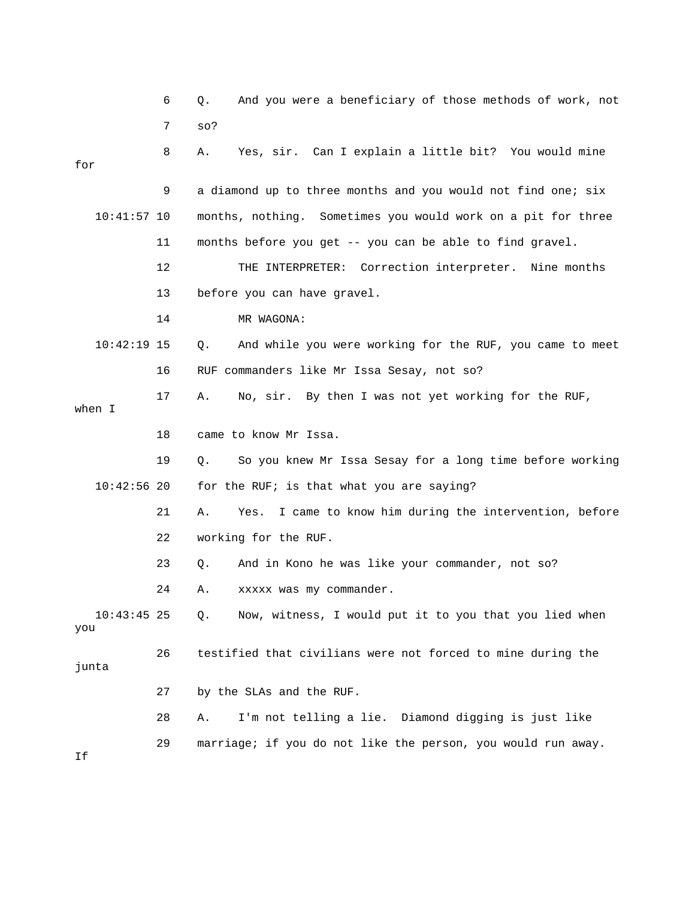|                      | 6  | And you were a beneficiary of those methods of work, not<br>Q.   |
|----------------------|----|------------------------------------------------------------------|
|                      | 7  | SO?                                                              |
| for                  | 8  | Yes, sir. Can I explain a little bit? You would mine<br>Α.       |
|                      | 9  | a diamond up to three months and you would not find one; six     |
| $10:41:57$ 10        |    | months, nothing. Sometimes you would work on a pit for three     |
|                      | 11 | months before you get -- you can be able to find gravel.         |
|                      | 12 | THE INTERPRETER: Correction interpreter. Nine months             |
|                      | 13 | before you can have gravel.                                      |
|                      | 14 | MR WAGONA:                                                       |
| $10:42:19$ 15        |    | And while you were working for the RUF, you came to meet<br>Q.   |
|                      | 16 | RUF commanders like Mr Issa Sesay, not so?                       |
| when I               | 17 | No, sir. By then I was not yet working for the RUF,<br>Α.        |
|                      | 18 | came to know Mr Issa.                                            |
|                      | 19 | So you knew Mr Issa Sesay for a long time before working<br>Q.   |
| $10:42:56$ 20        |    | for the RUF; is that what you are saying?                        |
|                      | 21 | Α.<br>I came to know him during the intervention, before<br>Yes. |
|                      | 22 | working for the RUF.                                             |
|                      | 23 | And in Kono he was like your commander, not so?<br>Q.            |
|                      | 24 | Α.<br>xxxxx was my commander.                                    |
| $10:43:45$ 25<br>you |    | Now, witness, I would put it to you that you lied when<br>Q.     |
| junta                | 26 | testified that civilians were not forced to mine during the      |
|                      | 27 | by the SLAs and the RUF.                                         |
|                      | 28 | I'm not telling a lie. Diamond digging is just like<br>Α.        |
| Ιf                   | 29 | marriage; if you do not like the person, you would run away.     |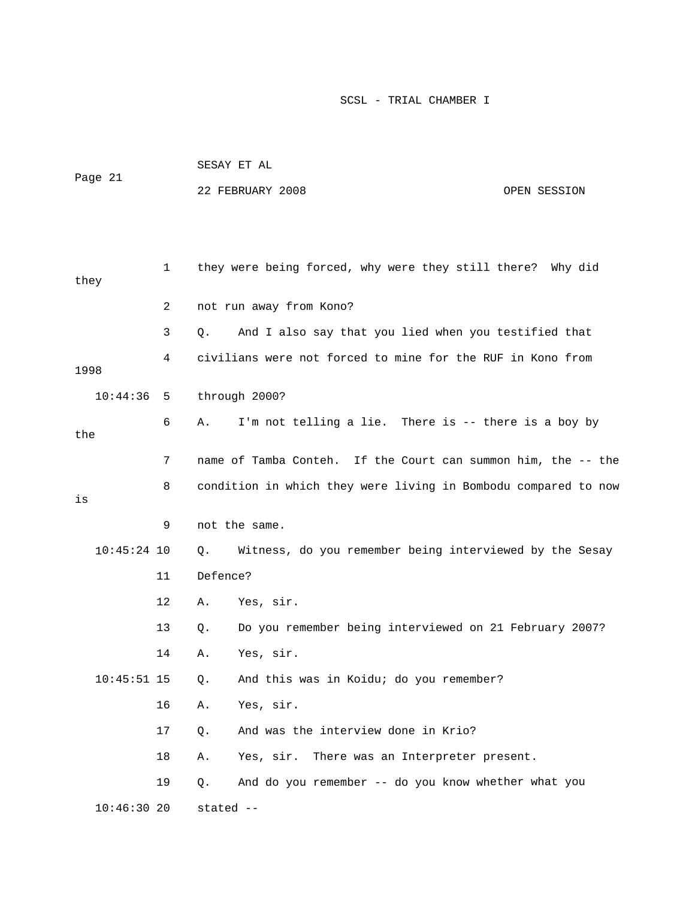|               |    |           | SESAY ET AL                                                    |              |  |  |  |  |
|---------------|----|-----------|----------------------------------------------------------------|--------------|--|--|--|--|
| Page 21       |    |           | 22 FEBRUARY 2008                                               | OPEN SESSION |  |  |  |  |
|               |    |           |                                                                |              |  |  |  |  |
|               |    |           |                                                                |              |  |  |  |  |
| they          | 1  |           | they were being forced, why were they still there? Why did     |              |  |  |  |  |
|               | 2  |           | not run away from Kono?                                        |              |  |  |  |  |
|               | 3  | Q.        | And I also say that you lied when you testified that           |              |  |  |  |  |
| 1998          | 4  |           | civilians were not forced to mine for the RUF in Kono from     |              |  |  |  |  |
| 10:44:36      |    |           | through 2000?                                                  |              |  |  |  |  |
|               | 5  |           |                                                                |              |  |  |  |  |
| the           | 6  | Α.        | I'm not telling a lie. There is -- there is a boy by           |              |  |  |  |  |
|               | 7  |           | name of Tamba Conteh. If the Court can summon him, the -- the  |              |  |  |  |  |
|               | 8  |           | condition in which they were living in Bombodu compared to now |              |  |  |  |  |
| is            |    |           |                                                                |              |  |  |  |  |
|               | 9  |           | not the same.                                                  |              |  |  |  |  |
| $10:45:24$ 10 |    | Q.        | Witness, do you remember being interviewed by the Sesay        |              |  |  |  |  |
|               | 11 | Defence?  |                                                                |              |  |  |  |  |
|               | 12 | Α.        | Yes, sir.                                                      |              |  |  |  |  |
|               | 13 | Q.        | Do you remember being interviewed on 21 February 2007?         |              |  |  |  |  |
|               | 14 | Α.        | Yes, sir.                                                      |              |  |  |  |  |
| $10:45:51$ 15 |    | Q.        | And this was in Koidu; do you remember?                        |              |  |  |  |  |
|               | 16 | Α.        | Yes, sir.                                                      |              |  |  |  |  |
|               | 17 | $Q$ .     | And was the interview done in Krio?                            |              |  |  |  |  |
|               | 18 | Α.        | Yes, sir.<br>There was an Interpreter present.                 |              |  |  |  |  |
|               | 19 | Q.        | And do you remember -- do you know whether what you            |              |  |  |  |  |
| 10:46:3020    |    | stated -- |                                                                |              |  |  |  |  |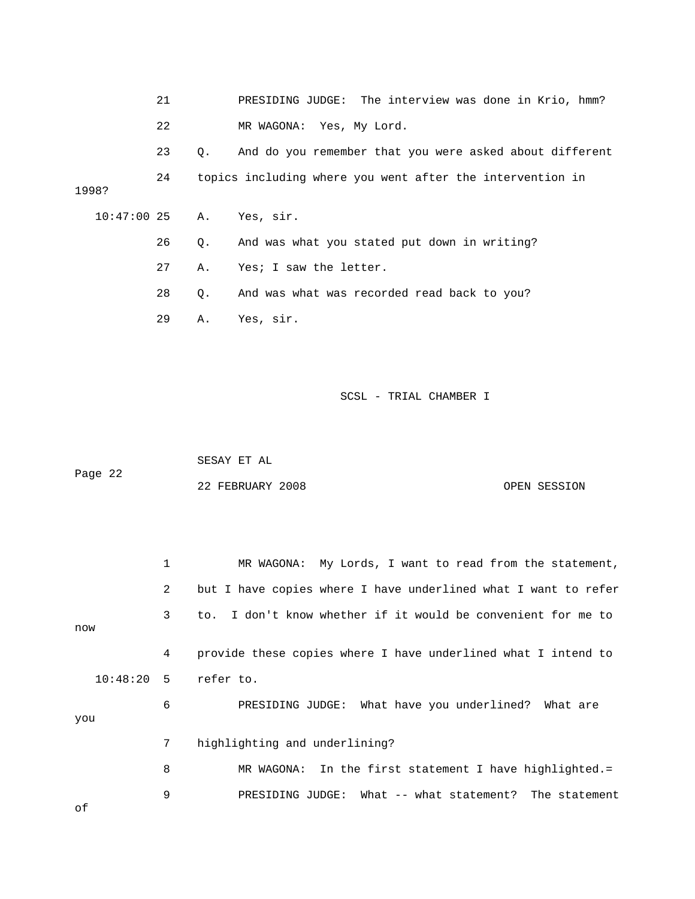21 PRESIDING JUDGE: The interview was done in Krio, hmm? 22 MR WAGONA: Yes, My Lord. 24 topics including where you went after the intervention in 1998? 26 Q. And was what you stated put down in writing? 27 A. Yes; I saw the letter. 23 Q. And do you remember that you were asked about different 10:47:00 25 A. Yes, sir. 28 Q. And was what was recorded read back to you? 29 A. Yes, sir.

SCSL - TRIAL CHAMBER I

 SESAY ET AL Page 22 22 FEBRUARY 2008 OPEN SESSION

 1 MR WAGONA: My Lords, I want to read from the statement, 2 but I have copies where I have underlined what I want to refer w no 4 provide these copies where I have underlined what I intend to 7 highlighting and underlining? 8 MR WAGONA: In the first statement I have highlighted.= 9 PRESIDING JUDGE: What -- what statement? The statement 3 to. I don't know whether if it would be convenient for me to 10:48:20 5 refer to. 6 PRESIDING JUDGE: What have you underlined? What are you

of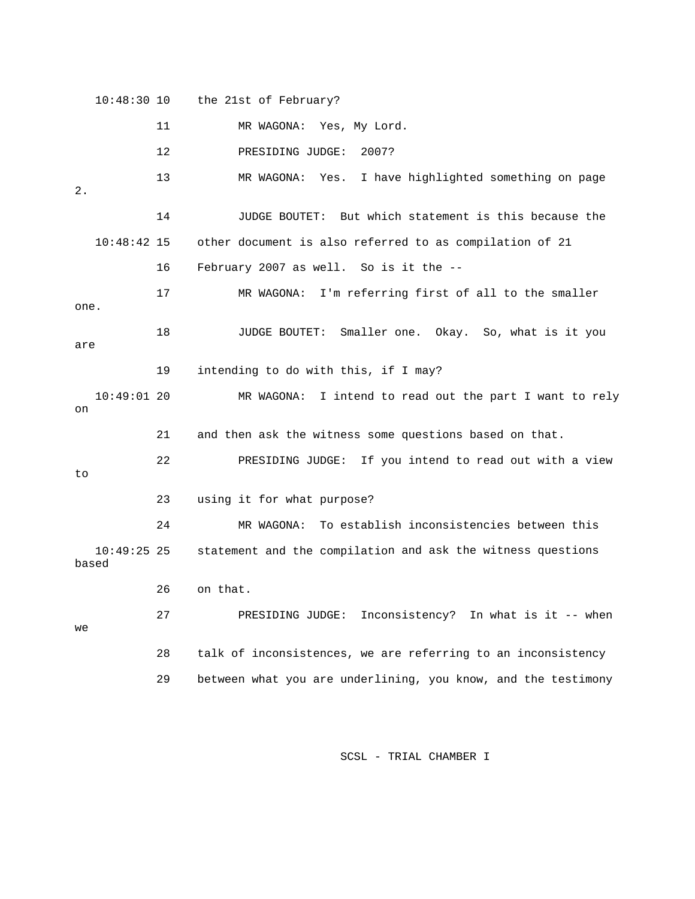10:48:30 10 the 21st of February? 11 MR WAGONA: Yes, My Lord. 12 PRESIDING JUDGE: 2007? 13 MR WAGONA: Yes. I have highlighted something on page other document is also referred to as compilation of 21 17 MR WAGONA: I'm referring first of all to the smaller one. MR WAGONA: I intend to read out the part I want to rely 21 and then ask the witness some questions based on that. 22 PRESIDING JUDGE: If you intend to read out with a view 23 using it for what purpose? 10:49:25 25 statement and the compilation and ask the witness questions 26 on that. 27 PRESIDING JUDGE: Inconsistency? In what is it -- when 28 talk of inconsistences, we are referring to an inconsistency 2. 14 JUDGE BOUTET: But which statement is this because the  $10:48:42$  15 16 February 2007 as well. So is it the -- 18 JUDGE BOUTET: Smaller one. Okay. So, what is it you are 19 intending to do with this, if I may?  $10:49:01$  20 on to 24 MR WAGONA: To establish inconsistencies between this based we 29 between what you are underlining, you know, and the testimony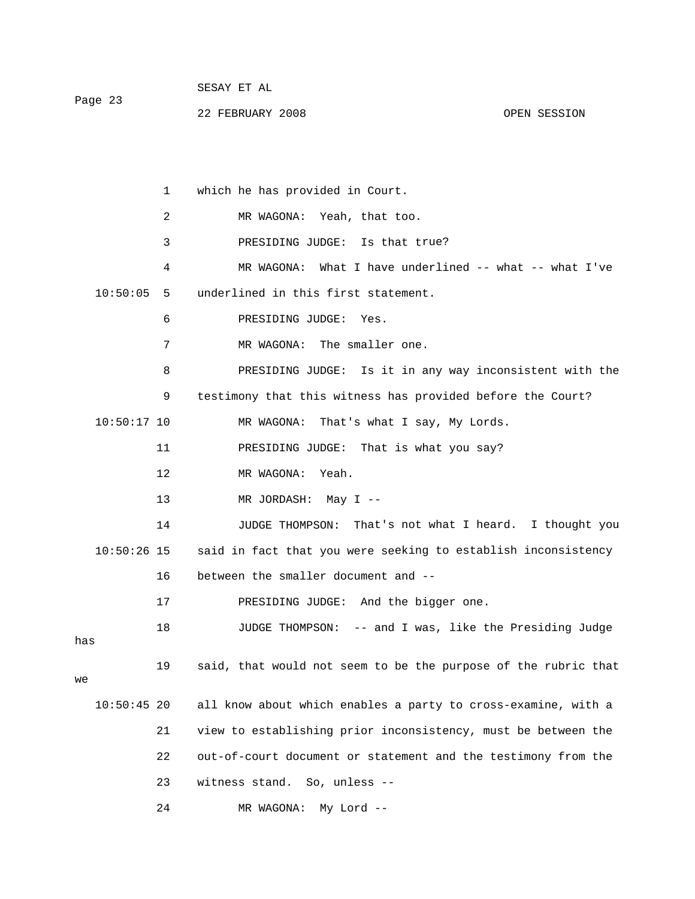|         |  |  | SESAY ET AL |  |  |
|---------|--|--|-------------|--|--|
| Page 23 |  |  |             |  |  |

22 FEBRUARY 2008 OPEN SESSION

 1 which he has provided in Court. 2 MR WAGONA: Yeah, that too. 3 PRESIDING JUDGE: Is that true? 4 MR WAGONA: What I have underlined -- what -- what I've 8 PRESIDING JUDGE: Is it in any way inconsistent with the 9 testimony that this witness has provided before the Court? 14 JUDGE THOMPSON: That's not what I heard. I thought you 10:50:26 15 said in fact that you were seeking to establish inconsistency 18 JUDGE THOMPSON: -- and I was, like the Presiding Judge 19 said, that would not seem to be the purpose of the rubric that 10:50:45 20 all know about which enables a party to cross-examine, with a 21 view to establishing prior inconsistency, must be between the 10:50:05 5 underlined in this first statement. 6 PRESIDING JUDGE: Yes. 7 MR WAGONA: The smaller one. 10:50:17 10 MR WAGONA: That's what I say, My Lords. 11 PRESIDING JUDGE: That is what you say? 12 MR WAGONA: Yeah. 13 MR JORDASH: May I -- 16 between the smaller document and -- 17 PRESIDING JUDGE: And the bigger one. has 22 out-of-court document or statement and the testimony from the 23 witness stand. So, unless --

24 MR WAGONA: My Lord --

we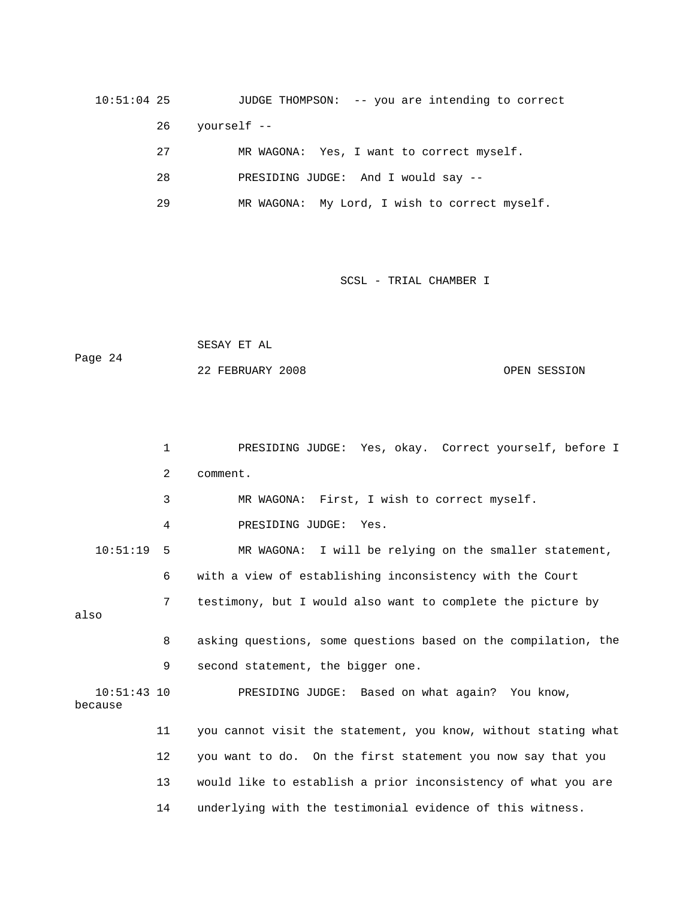10:51:04 25 JUDGE THOMPSON: -- you are intending to correct NG JUDGE: And I would say -- 28 PRESIDI 26 yourself -- 27 MR WAGONA: Yes, I want to correct myself.

29 MR WAGONA: My Lord, I wish to correct myself.

SCSL - TRIAL CHAMBER I

 SESAY ET AL Page 24 22 FEBRUARY 2008 OPEN SESSION

 1 PRESIDING JUDGE: Yes, okay. Correct yourself, before I 2 comment. 4 PRESIDING JUDGE: Yes. 10:51:19 5 MR WAGONA: I will be relying on the smaller statement, 6 with a view of establishing inconsistency with the Court also 8 asking questions, some questions based on the compilation, the 9 second statement, the bigger one. because 11 you cannot visit the statement, you know, without stating what 12 you want to do. On the first statement you now say that you 3 MR WAGONA: First, I wish to correct myself. 7 testimony, but I would also want to complete the picture by 10:51:43 10 PRESIDING JUDGE: Based on what again? You know, 13 would like to establish a prior inconsistency of what you are 14 underlying with the testimonial evidence of this witness.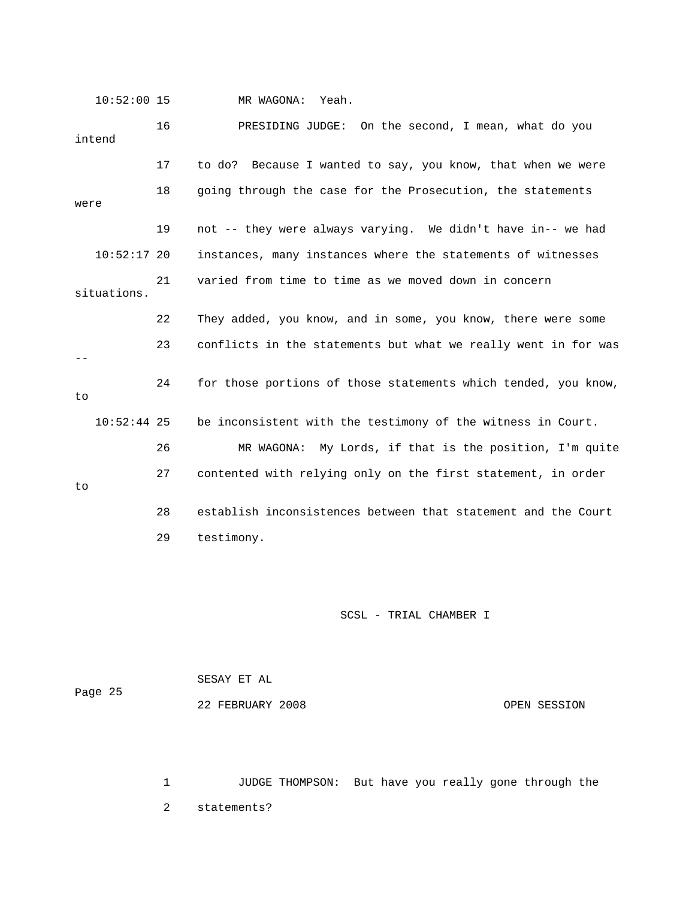10:52:00 15 MR WAGONA: Yeah.

| intend        | 16 | PRESIDING JUDGE:<br>On the second, I mean, what do you         |
|---------------|----|----------------------------------------------------------------|
|               | 17 | to do? Because I wanted to say, you know, that when we were    |
| were          | 18 | going through the case for the Prosecution, the statements     |
|               | 19 | not -- they were always varying. We didn't have in-- we had    |
| $10:52:17$ 20 |    | instances, many instances where the statements of witnesses    |
| situations.   | 21 | varied from time to time as we moved down in concern           |
|               | 22 | They added, you know, and in some, you know, there were some   |
|               | 23 | conflicts in the statements but what we really went in for was |
| to            | 24 | for those portions of those statements which tended, you know, |
| $10:52:44$ 25 |    | be inconsistent with the testimony of the witness in Court.    |
|               | 26 | My Lords, if that is the position, I'm quite<br>MR WAGONA:     |
| to            | 27 | contented with relying only on the first statement, in order   |
|               | 28 | establish inconsistences between that statement and the Court  |
|               | 29 | testimony.                                                     |

SCSL - TRIAL CHAMBER I

|         | SESAY ET AL      |              |
|---------|------------------|--------------|
| Page 25 |                  |              |
|         | 22 FEBRUARY 2008 | OPEN SESSION |

 1 JUDGE THOMPSON: But have you really gone through the 2 statements?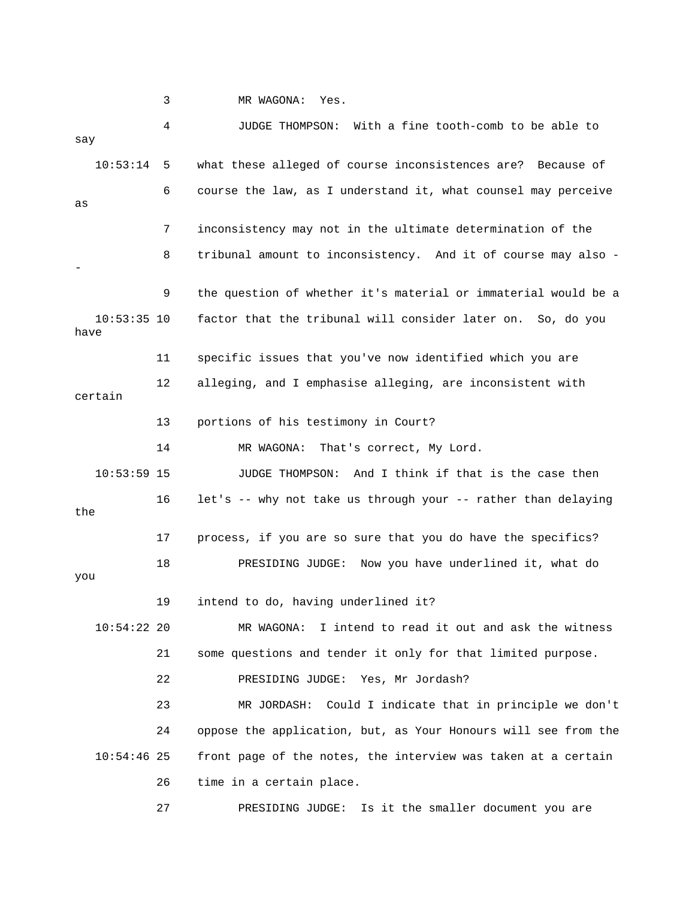3 MR WAGONA: Yes.

 4 JUDGE THOMPSON: With a fine tooth-comb to be able to 10:53:14 5 what these alleged of course inconsistences are? Because of 6 course the law, as I understand it, what counsel may perceive 7 inconsistency may not in the ultimate determination of the 8 tribunal amount to inconsistency. And it of course may also - 10:53:35 10 factor that the tribunal will consider later on. So, do you 11 specific issues that you've now identified which you are 12 alleging, and I emphasise alleging, are inconsistent with certain 13 portions of his testimony in Court? 10:53:59 15 JUDGE THOMPSON: And I think if that is the case then 16 let's -- why not take us through your -- rather than delaying the 17 process, if you are so sure that you do have the specifics? you MR WAGONA: I intend to read it out and ask the witness 21 some questions and tender it only for that limited purpose. 23 MR JORDASH: Could I indicate that in principle we don't 24 oppose the application, but, as Your Honours will see from the say as - 9 the question of whether it's material or immaterial would be a have 14 MR WAGONA: That's correct, My Lord. 18 PRESIDING JUDGE: Now you have underlined it, what do 19 intend to do, having underlined it?  $10:54:22$  20 22 PRESIDING JUDGE: Yes, Mr Jordash? 10:54:46 25 front page of the notes, the interview was taken at a certain 26 time in a certain place. 27 PRESIDING JUDGE: Is it the smaller document you are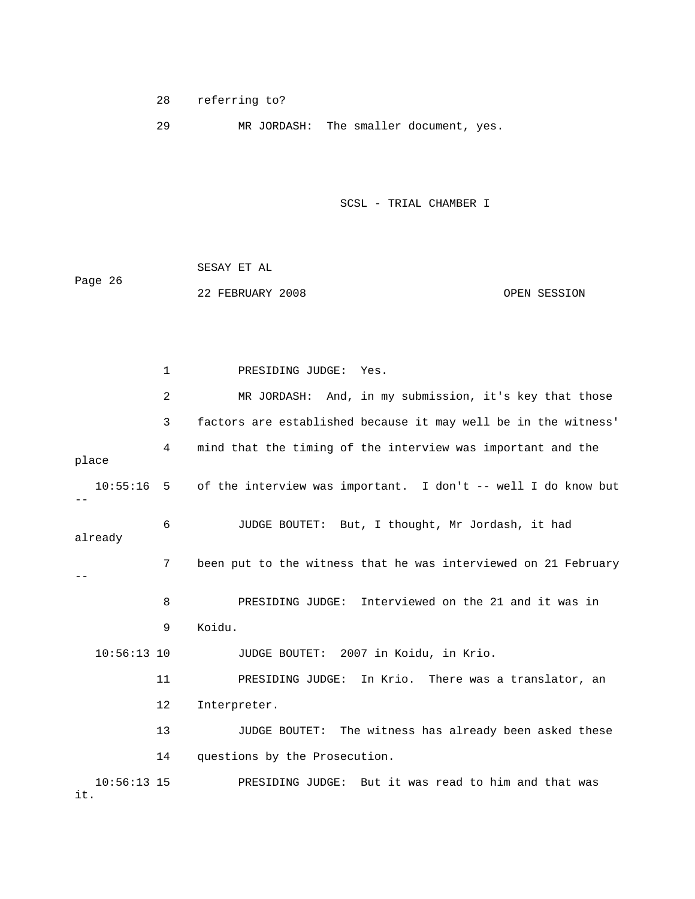28 referring to?

29 MR JORDASH: The smaller document, yes.

SCSL - TRIAL CHAMBER I

 SESAY ET AL Page 26 22 FEBRUARY 2008 OPEN SESSION

 1 PRESIDING JUDGE: Yes. 2 MR JORDASH: And, in my submission, it's key that those 3 factors are established because it may well be in the witness' place 6 JUDGE BOUTET: But, I thought, Mr Jordash, it had 7 been put to the witness that he was interviewed on 21 February 8 PRESIDING JUDGE: Interviewed on the 21 and it was in 9 Koidu. PRESIDING JUDGE: In Krio. There was a translator, an 14 questions by the Prosecution. 4 mind that the timing of the interview was important and the 10:55:16 5 of the interview was important. I don't -- well I do know but - already -- 10:56:13 10 JUDGE BOUTET: 2007 in Koidu, in Krio. 11 PR 12 Interpreter. 13 JUDGE BOUTET: The witness has already been asked these 10:56:13 15 PRESIDING JUDGE: But it was read to him and that was it.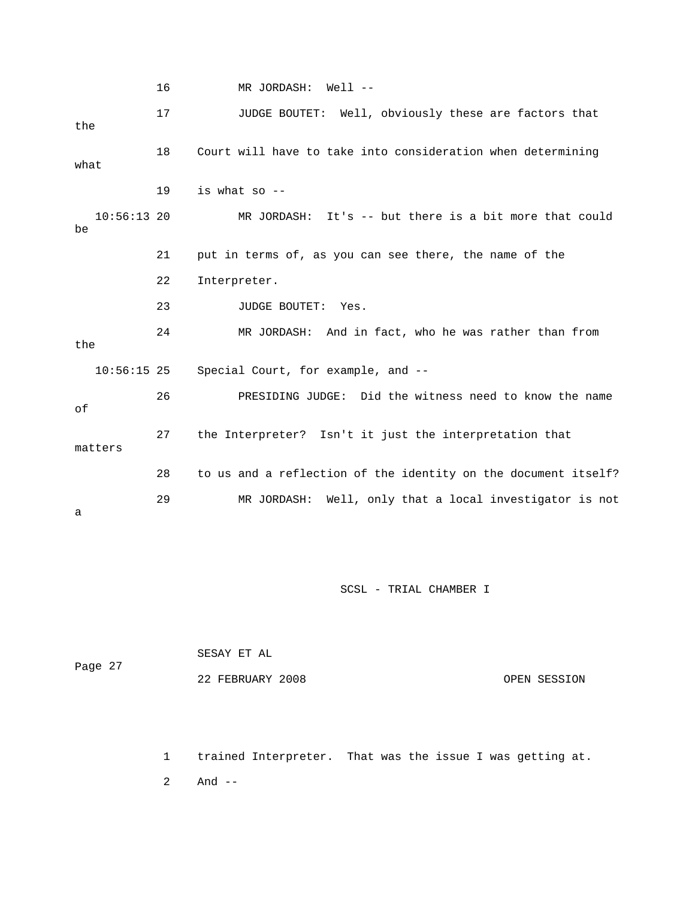16 MR JORDASH: Well -- 17 JUDGE BOUTET: Well, obviously these are factors that 18 Court will have to take into consideration when determining 19 is what so  $-$ -MR JORDASH: It's -- but there is a bit more that could 22 Interpreter. 24 MR JORDASH: And in fact, who he was rather than from the 26 PRESIDING JUDGE: Did the witness need to know the name 27 the Interpreter? Isn't it just the interpretation that 28 to us and a reflection of the identity on the document itself? 29 MR JORDASH: Well, only that a local investigator is not the what  $10:56:13$  20 be 21 put in terms of, as you can see there, the name of the 23 JUDGE BOUTET: Yes. 10:56:15 25 Special Court, for example, and - of matters a

SCSL - TRIAL CHAMBER I

|         | SESAY ET AL      |              |
|---------|------------------|--------------|
| Page 27 |                  |              |
|         | 22 FEBRUARY 2008 | OPEN SESSION |

 1 trained Interpreter. That was the issue I was getting at. 2 And --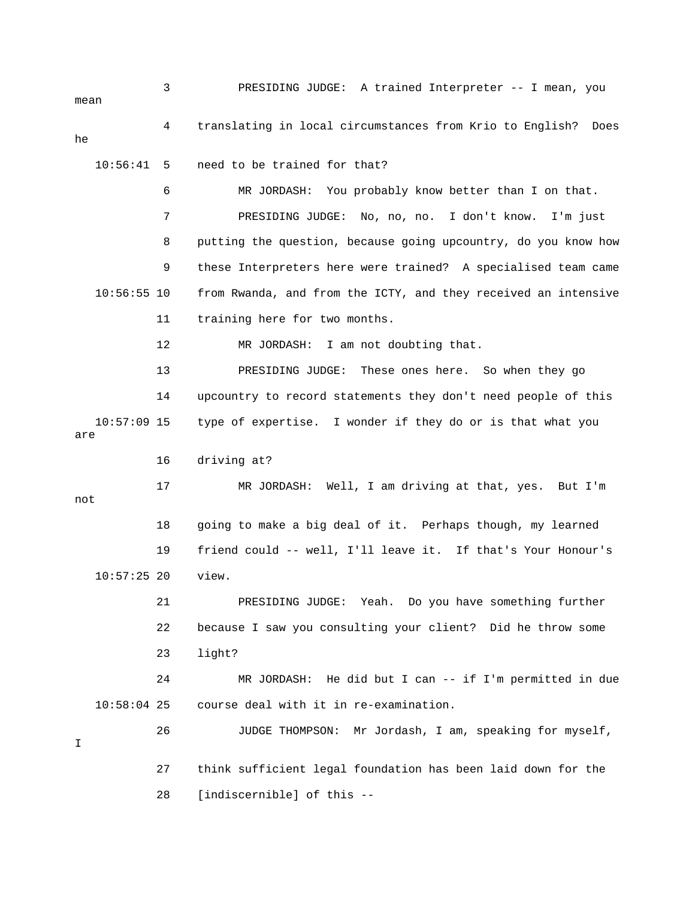3 PRESIDING JUDGE: A trained Interpreter -- I mean, you 6 MR JORDASH: You probably know better than I on that. 8 putting the question, because going upcountry, do you know how 9 these Interpreters here were trained? A specialised team came 11 training here for two months. 12 MR JORDASH: I am not doubting that. o when they go 13 PRESIDING JUDGE: These ones here. S 14 upcountry to record statements they don't need people of this 10:57:09 15 type of expertise. I wonder if they do or is that what you 17 MR JORDASH: Well, I am driving at that, yes. But I'm 19 friend could -- well, I'll leave it. If that's Your Honour's 10:57:25 20 view. 22 because I saw you consulting your client? Did he throw some 23 light? e 24 MR JORDASH: He did but I can -- if I'm permitted in du 10:58:04 25 course deal with it in re-examination. 26 JUDGE THOMPSON: Mr Jordash, I am, speaking for myself, 28 [indiscernible] of this - mean 4 translating in local circumstances from Krio to English? Does he 10:56:41 5 need to be trained for that? 7 PRESIDING JUDGE: No, no, no. I don't know. I'm just 10:56:55 10 from Rwanda, and from the ICTY, and they received an intensive are 16 driving at? not 18 going to make a big deal of it. Perhaps though, my learned 21 PRESIDING JUDGE: Yeah. Do you have something further I 27 think sufficient legal foundation has been laid down for the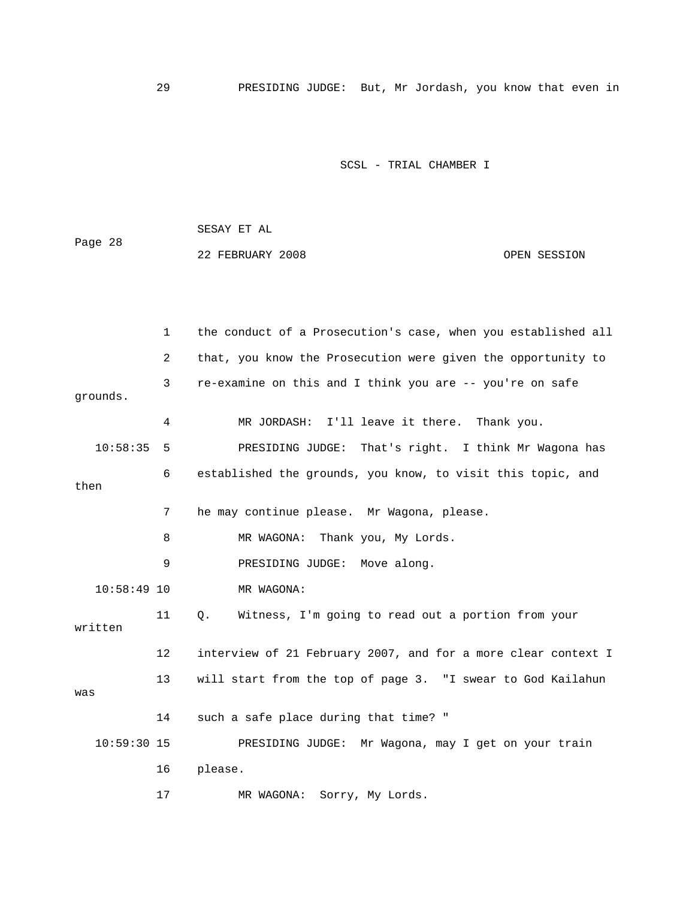29 PRESIDING JUDGE: But, Mr Jordash, you know that even in

SCSL - TRIAL CHAMBER I

Page 28 1 the conduct of a Prosecution's case, when you established all 2 that, you know the Prosecution were given the opportunity to 3 re-examine on this and I think you are -- you're on safe PRESIDING JUDGE: That's right. I think Mr Wagona has 6 established the grounds, you know, to visit this topic, and 8 MR WAGONA: Thank you, My Lords. 10:58:49 10 MR WAGONA: 11 Q. Witness, I'm going to read out a portion from your 12 interview of 21 February 2007, and for a more clear context I 13 will start from the top of page 3. "I swear to God Kailahun 10:59:30 15 PRESIDING JUDGE: Mr Wagona, may I get on your train 22 FEBRUARY 2008 OPEN SESSION grounds. 4 MR JORDASH: I'll leave it there. Thank you.  $10:58:35$  5 then 7 he may continue please. Mr Wagona, please. 9 PRESIDING JUDGE: Move along. written was 14 such a safe place during that time? " 16 please. 17 MR WAGONA: Sorry, My Lords.

SESAY ET AL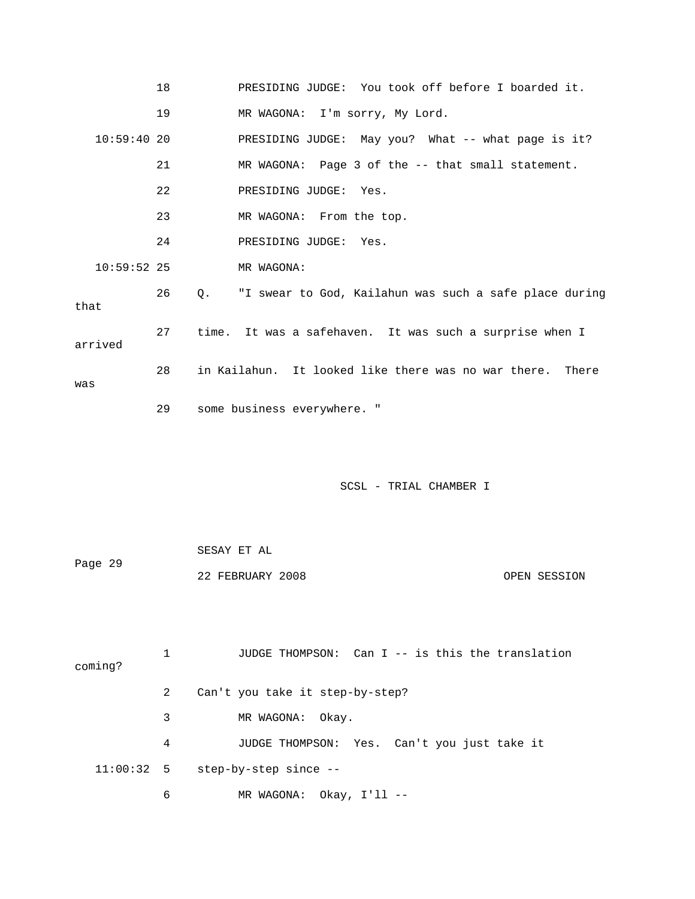|               | 18 | PRESIDING JUDGE: You took off before I boarded it.        |
|---------------|----|-----------------------------------------------------------|
|               | 19 | MR WAGONA: I'm sorry, My Lord.                            |
| 10:59:4020    |    | PRESIDING JUDGE: May you? What -- what page is it?        |
|               | 21 | MR WAGONA: Page 3 of the -- that small statement.         |
|               | 22 | PRESIDING JUDGE: Yes.                                     |
|               | 23 | MR WAGONA: From the top.                                  |
|               | 24 | PRESIDING JUDGE: Yes.                                     |
| $10:59:52$ 25 |    | MR WAGONA:                                                |
| that          | 26 | Q. "I swear to God, Kailahun was such a safe place during |
| arrived       | 27 | time. It was a safehaven. It was such a surprise when I   |
| was           | 28 | in Kailahun. It looked like there was no war there. There |
|               | 29 | some business everywhere. "                               |

| Page 29 | SESAY ET AL      |              |
|---------|------------------|--------------|
|         | 22 FEBRUARY 2008 | OPEN SESSION |

 1 JUDGE THOMPSON: Can I -- is this the translation coming? 3 MR WAGONA: Okay. 4 JUDGE THOMPSON: Yes. Can't you just take it 2 Can't you take it step-by-step? 11:00:32 5 step-by-step since -- 6 MR WAGONA: Okay, I'll --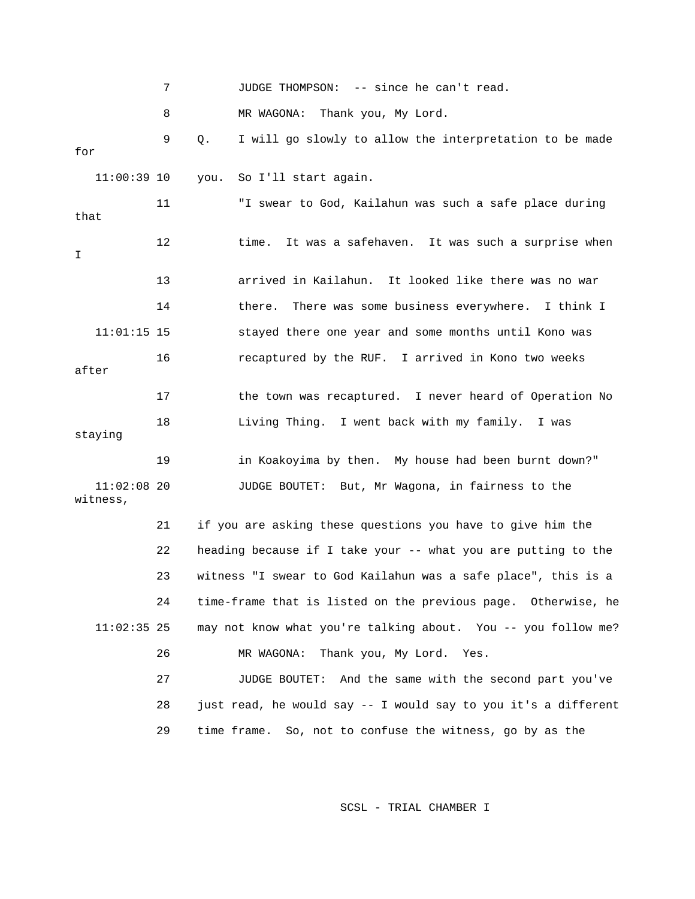|                           | 7  |      | -- since he can't read.<br>JUDGE THOMPSON:                     |
|---------------------------|----|------|----------------------------------------------------------------|
|                           | 8  |      | Thank you, My Lord.<br>MR WAGONA:                              |
| for                       | 9  | Q.   | I will go slowly to allow the interpretation to be made        |
| $11:00:39$ 10             |    | you. | So I'll start again.                                           |
| that                      | 11 |      | "I swear to God, Kailahun was such a safe place during         |
| I                         | 12 |      | It was a safehaven. It was such a surprise when<br>time.       |
|                           | 13 |      | arrived in Kailahun. It looked like there was no war           |
|                           | 14 |      | There was some business everywhere.<br>there.<br>I think I     |
| $11:01:15$ 15             |    |      | stayed there one year and some months until Kono was           |
| after                     | 16 |      | recaptured by the RUF. I arrived in Kono two weeks             |
|                           | 17 |      | the town was recaptured. I never heard of Operation No         |
| staying                   | 18 |      | Living Thing. I went back with my family. I was                |
|                           | 19 |      | in Koakoyima by then. My house had been burnt down?"           |
| $11:02:08$ 20<br>witness, |    |      | JUDGE BOUTET: But, Mr Wagona, in fairness to the               |
|                           | 21 |      | if you are asking these questions you have to give him the     |
|                           | 22 |      | heading because if I take your -- what you are putting to the  |
|                           | 23 |      | witness "I swear to God Kailahun was a safe place", this is a  |
|                           | 24 |      | time-frame that is listed on the previous page. Otherwise, he  |
| $11:02:35$ 25             |    |      | may not know what you're talking about. You -- you follow me?  |
|                           | 26 |      | Thank you, My Lord.<br>MR WAGONA:<br>Yes.                      |
|                           | 27 |      | And the same with the second part you've<br>JUDGE BOUTET:      |
|                           | 28 |      | just read, he would say -- I would say to you it's a different |
|                           | 29 |      | time frame.<br>So, not to confuse the witness, go by as the    |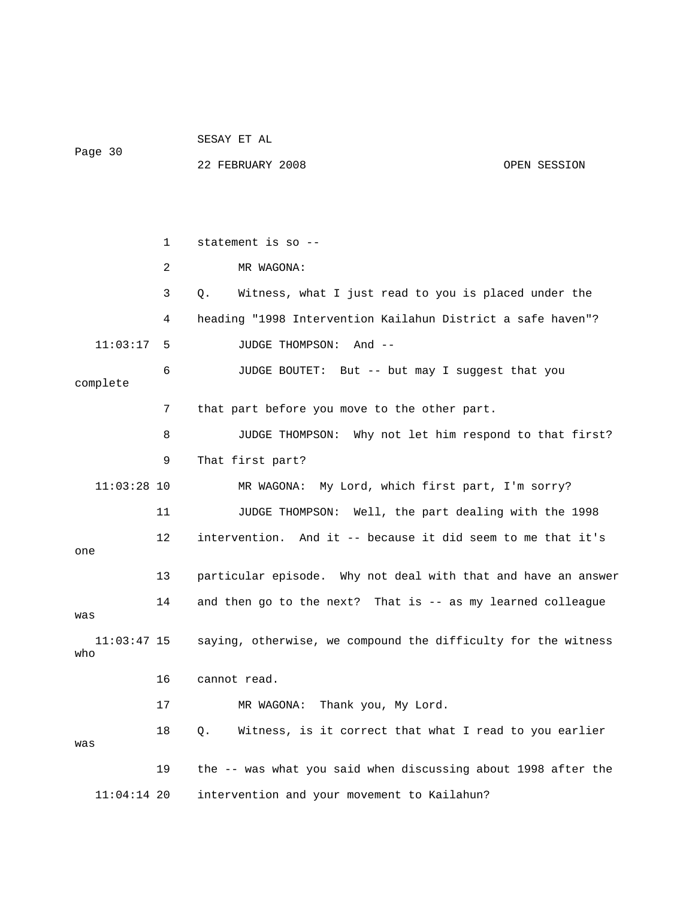22 FEBRUARY 2008 OPEN SESSION 1 statement is so -- 2 MR WAGONA: 3 Q. Witness, what I just read to you is placed under the 4 heading "1998 Intervention Kailahun District a safe haven"? 11:03:17 5 JUDGE THOMPSON: And -- 6 JUDGE BOUTET: But -- but may I suggest that you 8 JUDGE THOMPSON: Why not let him respond to that first? 9 That first part? 11 JUDGE THOMPSON: Well, the part dealing with the 1998 12 intervention. And it -- because it did seem to me that it's 14 and then go to the next? That is -- as my learned colleague 17 MR WAGONA: Thank you, My Lord. 18 Q. Witness, is it correct that what I read to you earlier intervention and your movement to Kailahun? complete 7 that part before you move to the other part. 11:03:28 10 MR WAGONA: My Lord, which first part, I'm sorry? one 13 particular episode. Why not deal with that and have an answer was 11:03:47 15 saying, otherwise, we compound the difficulty for the witness who 16 cannot read. was 19 the -- was what you said when discussing about 1998 after the  $11:04:14$  20

SESAY ET AL

Page 30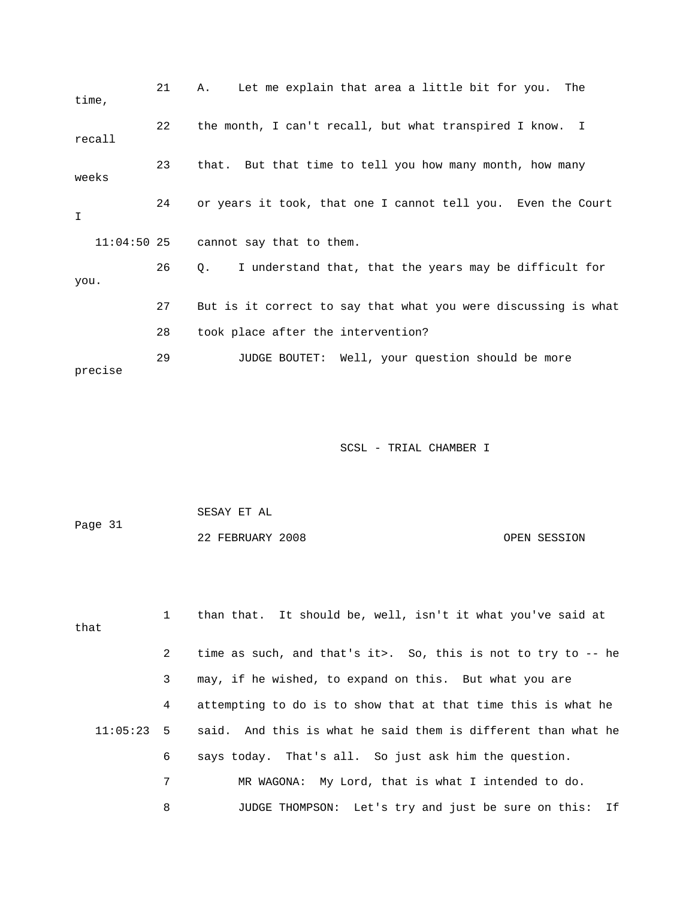| time,         | 21 | Let me explain that area a little bit for you.<br>The<br>Α.    |
|---------------|----|----------------------------------------------------------------|
| recall        | 22 | the month, I can't recall, but what transpired I know. I       |
| weeks         | 23 | that. But that time to tell you how many month, how many       |
| I             | 24 | or years it took, that one I cannot tell you. Even the Court   |
| $11:04:50$ 25 |    | cannot say that to them.                                       |
| you.          | 26 | I understand that, that the years may be difficult for<br>0.   |
|               | 27 | But is it correct to say that what you were discussing is what |
|               | 28 | took place after the intervention?                             |
| precise       | 29 | JUDGE BOUTET: Well, your question should be more               |

| Page 31 | SESAY ET AL      |              |
|---------|------------------|--------------|
|         | 22 FEBRUARY 2008 | OPEN SESSION |

| that |              | than that. It should be, well, isn't it what you've said at                |
|------|--------------|----------------------------------------------------------------------------|
|      | $\mathbf{2}$ | time as such, and that's it>. So, this is not to try to $-$ he             |
|      | 3            | may, if he wished, to expand on this. But what you are                     |
|      | 4            | attempting to do is to show that at that time this is what he              |
|      |              | $11:05:23$ 5 said. And this is what he said them is different than what he |
|      | 6            | says today. That's all. So just ask him the question.                      |
|      | 7            | MR WAGONA: My Lord, that is what I intended to do.                         |
|      | 8            | JUDGE THOMPSON: Let's try and just be sure on this: If                     |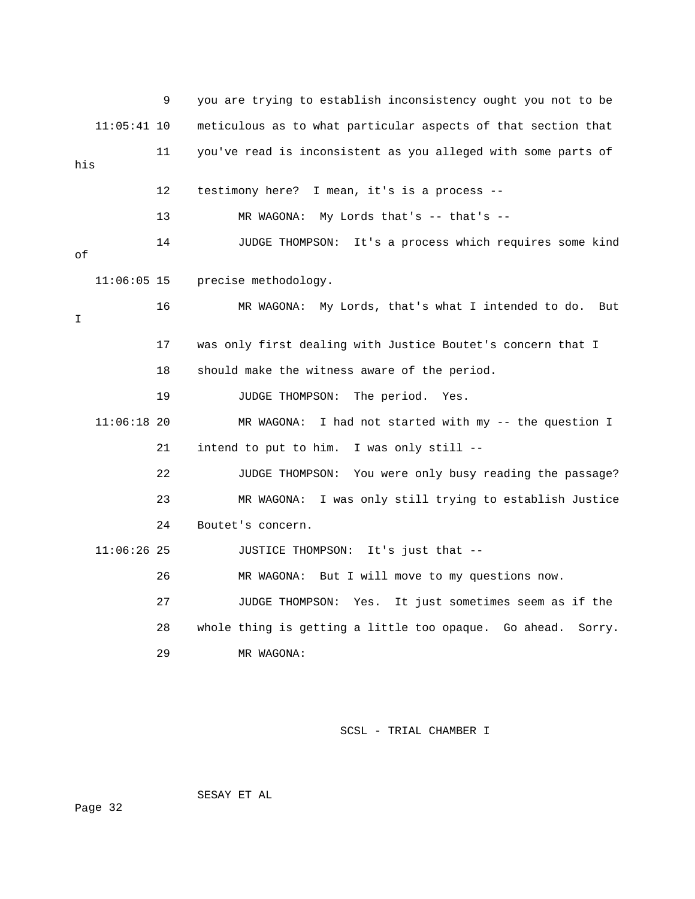|     |               | 9  | you are trying to establish inconsistency ought you not to be   |
|-----|---------------|----|-----------------------------------------------------------------|
|     | $11:05:41$ 10 |    | meticulous as to what particular aspects of that section that   |
| his |               | 11 | you've read is inconsistent as you alleged with some parts of   |
|     |               | 12 | testimony here? I mean, it's is a process --                    |
|     |               | 13 | MR WAGONA: My Lords that's $--$ that's $--$                     |
| οf  |               | 14 | JUDGE THOMPSON: It's a process which requires some kind         |
|     | $11:06:05$ 15 |    | precise methodology.                                            |
| I.  |               | 16 | MR WAGONA: My Lords, that's what I intended to do. But          |
|     |               | 17 | was only first dealing with Justice Boutet's concern that I     |
|     |               | 18 | should make the witness aware of the period.                    |
|     |               | 19 | JUDGE THOMPSON:<br>The period.<br>Yes.                          |
|     | $11:06:18$ 20 |    | MR WAGONA:<br>I had not started with my -- the question I       |
|     |               | 21 | intend to put to him. I was only still --                       |
|     |               | 22 | JUDGE THOMPSON: You were only busy reading the passage?         |
|     |               | 23 | I was only still trying to establish Justice<br>MR WAGONA:      |
|     |               | 24 | Boutet's concern.                                               |
|     | $11:06:26$ 25 |    | JUSTICE THOMPSON: It's just that --                             |
|     |               | 26 | MR WAGONA: But I will move to my questions now.                 |
|     |               | 27 | It just sometimes seem as if the<br>JUDGE THOMPSON:<br>Yes.     |
|     |               | 28 | whole thing is getting a little too opaque. Go ahead.<br>Sorry. |
|     |               | 29 | MR WAGONA:                                                      |

SESAY ET AL

ge 32 Pa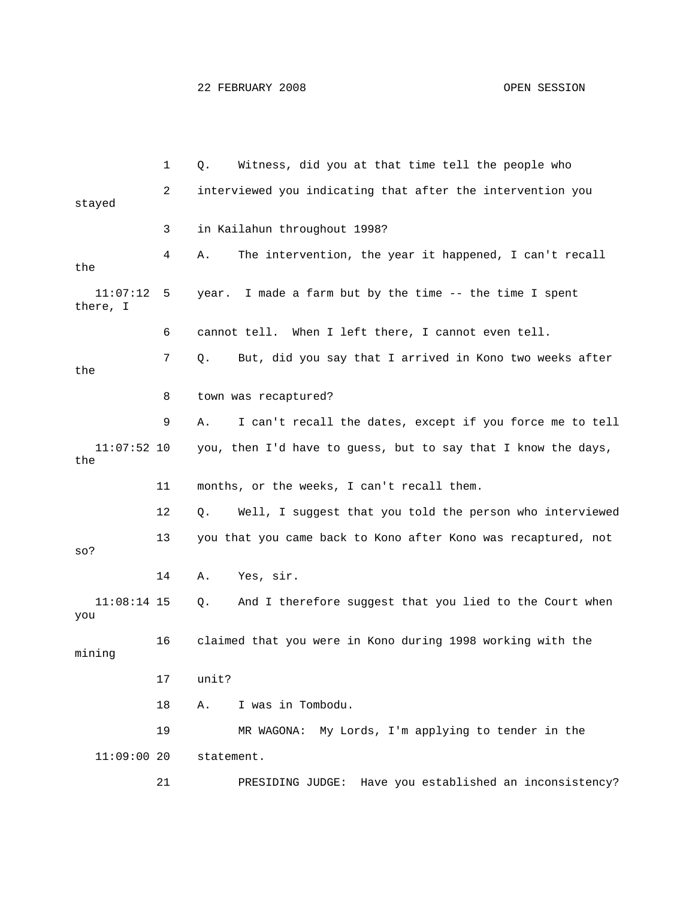|                      | 1  | Witness, did you at that time tell the people who<br>Q.              |
|----------------------|----|----------------------------------------------------------------------|
| stayed               | 2  | interviewed you indicating that after the intervention you           |
|                      | 3  | in Kailahun throughout 1998?                                         |
| the                  | 4  | The intervention, the year it happened, I can't recall<br>Α.         |
| 11:07:12<br>there, I | 5  | I made a farm but by the time -- the time I spent<br>year.           |
|                      | 6  | cannot tell. When I left there, I cannot even tell.                  |
| the                  | 7  | But, did you say that I arrived in Kono two weeks after<br>$\circ$ . |
|                      | 8  | town was recaptured?                                                 |
|                      | 9  | I can't recall the dates, except if you force me to tell<br>Α.       |
| $11:07:52$ 10<br>the |    | you, then I'd have to guess, but to say that I know the days,        |
|                      | 11 | months, or the weeks, I can't recall them.                           |
|                      | 12 | Well, I suggest that you told the person who interviewed<br>Q.       |
| $SO$ ?               | 13 | you that you came back to Kono after Kono was recaptured, not        |
|                      | 14 | Yes, sir.<br>Α.                                                      |
| $11:08:14$ 15<br>you |    | And I therefore suggest that you lied to the Court when<br>Q.        |
| mining               | 16 | claimed that you were in Kono during 1998 working with the           |
|                      | 17 | unit?                                                                |
|                      | 18 | I was in Tombodu.<br>Α.                                              |
|                      | 19 | MR WAGONA: My Lords, I'm applying to tender in the                   |
| 11:09:0020           |    | statement.                                                           |
|                      | 21 | PRESIDING JUDGE:<br>Have you established an inconsistency?           |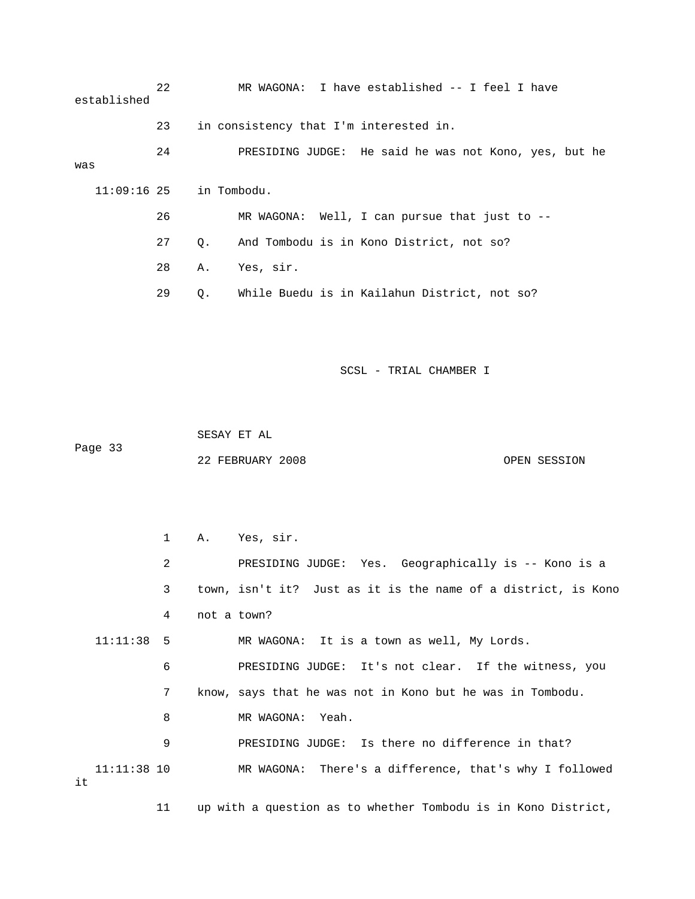| established               | 22 |           | MR WAGONA: I have established -- I feel I have        |
|---------------------------|----|-----------|-------------------------------------------------------|
|                           | 23 |           | in consistency that I'm interested in.                |
| was                       | 24 |           | PRESIDING JUDGE: He said he was not Kono, yes, but he |
| $11:09:16$ 25 in Tombodu. |    |           |                                                       |
|                           | 26 |           | MR WAGONA: Well, I can pursue that just to --         |
|                           | 27 | $\circ$ . | And Tombodu is in Kono District, not so?              |
|                           | 28 | Α.        | Yes, sir.                                             |
|                           | 29 | Q.        | While Buedu is in Kailahun District, not so?          |

 SESAY ET AL Page 33 22 FEBRUARY 2008 OPEN SESSION

 1 A. Yes, sir. UDGE: Yes. Geographically is -- Kono is a 2 PRESIDING J MR WAGONA: It is a town as well, My Lords. ness, you 6 PRESIDING JUDGE: It's not clear. If the wit 9 PRESIDING JUDGE: Is there no difference in that? 11:11:38 10 MR WAGONA: There's a difference, that's why I followed 11 up with a question as to whether Tombodu is in Kono District, 3 town, isn't it? Just as it is the name of a district, is Kono 4 not a town?  $11:11:38$  5 7 know, says that he was not in Kono but he was in Tombodu. 8 MR WAGONA: Yeah. it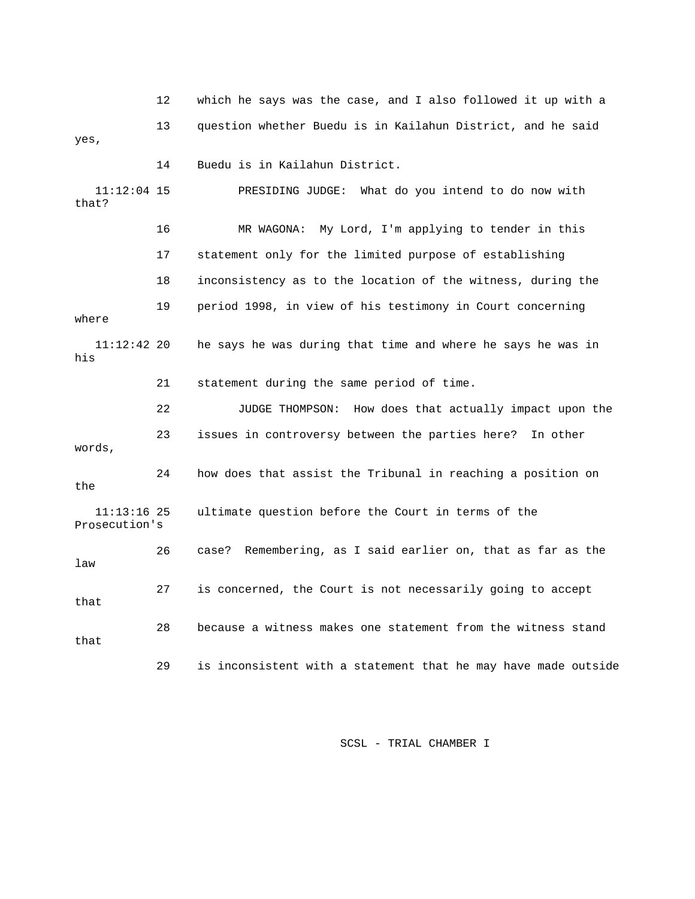|                                | 12 | which he says was the case, and I also followed it up with a   |
|--------------------------------|----|----------------------------------------------------------------|
| yes,                           | 13 | question whether Buedu is in Kailahun District, and he said    |
|                                | 14 | Buedu is in Kailahun District.                                 |
| $11:12:04$ 15<br>that?         |    | PRESIDING JUDGE: What do you intend to do now with             |
|                                | 16 | MR WAGONA: My Lord, I'm applying to tender in this             |
|                                | 17 | statement only for the limited purpose of establishing         |
|                                | 18 | inconsistency as to the location of the witness, during the    |
| where                          | 19 | period 1998, in view of his testimony in Court concerning      |
| $11:12:42$ 20<br>his           |    | he says he was during that time and where he says he was in    |
|                                | 21 | statement during the same period of time.                      |
|                                | 22 | How does that actually impact upon the<br>JUDGE THOMPSON:      |
| words,                         | 23 | issues in controversy between the parties here?<br>In other    |
| the                            | 24 | how does that assist the Tribunal in reaching a position on    |
| $11:13:16$ 25<br>Prosecution's |    | ultimate question before the Court in terms of the             |
| law                            | 26 | Remembering, as I said earlier on, that as far as the<br>case? |
| that                           | 27 | is concerned, the Court is not necessarily going to accept     |
| that                           | 28 | because a witness makes one statement from the witness stand   |
|                                | 29 | is inconsistent with a statement that he may have made outside |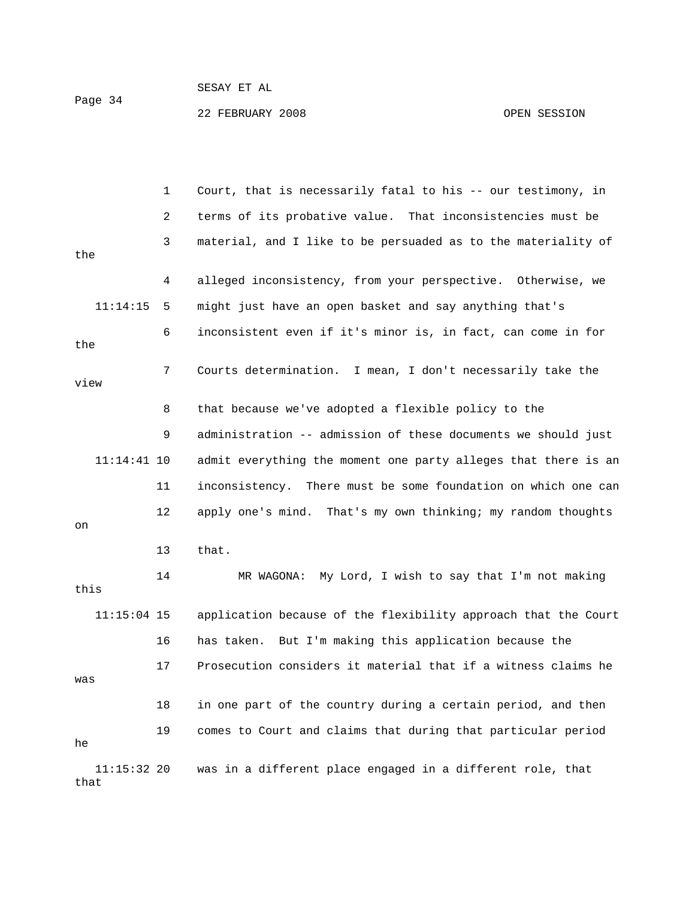## SESAY ET AL 22 FEBRUARY 2008 OPEN SESSION Page 34

 1 Court, that is necessarily fatal to his -- our testimony, in 3 material, and I like to be persuaded as to the materiality of 4 alleged inconsistency, from your perspective. Otherwise, we 11:14:15 5 might just have an open basket and say anything that's 9 administration -- admission of these documents we should just 11:14:41 10 admit everything the moment one party alleges that there is an 12 apply one's mind. That's my own thinking; my random thoughts 2 terms of its probative value. That inconsistencies must be the 6 inconsistent even if it's minor is, in fact, can come in for the 7 Courts determination. I mean, I don't necessarily take the view 8 that because we've adopted a flexible policy to the 11 inconsistency. There must be some foundation on which one can on

13 that.

 14 MR WAGONA: My Lord, I wish to say that I'm not making 11:15:04 15 application because of the flexibility approach that the Court 17 Prosecution considers it material that if a witness claims he 18 in one part of the country during a certain period, and then 19 comes to Court and claims that during that particular period this 16 has taken. But I'm making this application because the was he 11:15:32 20 was in a different place engaged in a different role, that

that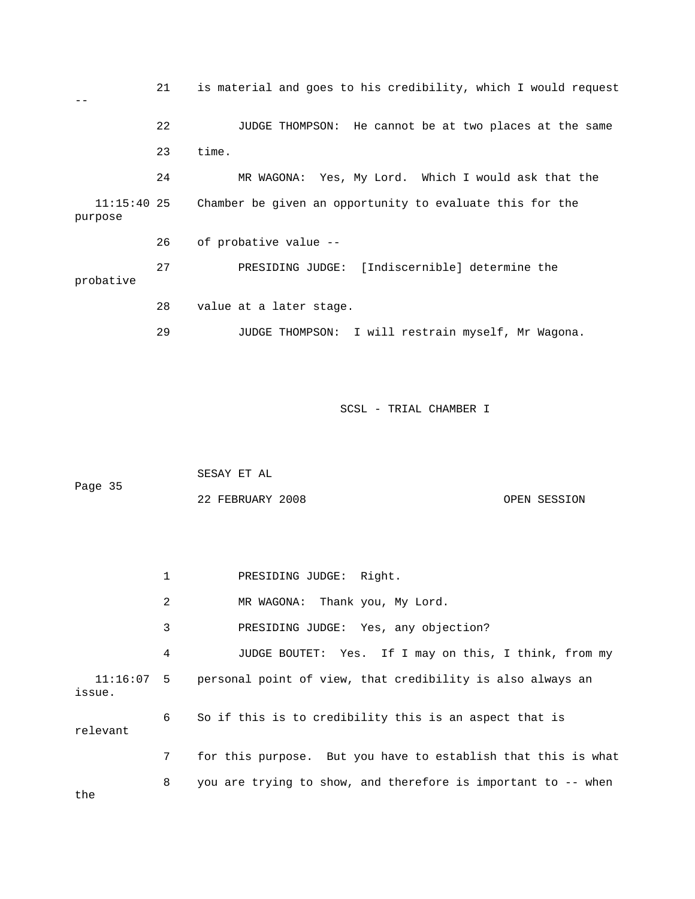21 is material and goes to his credibility, which I would request  $-$  22 JUDGE THOMPSON: He cannot be at two places at the same 23 time. 24 MR WAGONA: Yes, My Lord. Which I would ask that the 11:15:40 25 Chamber be given an opportunity to evaluate this for the purpose 26 of probative value -- 27 PRESIDING JUDGE: [Indiscernible] determine the probative 28 value at a later stage. 29 JUDGE THOMPSON: I will restrain myself, Mr Wagona.

SCSL - TRIAL CHAMBER I

| Page 35 | SESAY ET AL      |              |
|---------|------------------|--------------|
|         | 22 FEBRUARY 2008 | OPEN SESSION |

 1 PRESIDING JUDGE: Right. 2 MR WAGONA: Thank you, My Lord. 3 PRESIDING JUDGE: Yes, any objection? 4 JUDGE BOUTET: Yes. If I may on this, I think, from my 11:16:07 5 personal point of view, that credibility is also always an issue. 6 So if this is to credibility this is an aspect that is relevant 7 for this purpose. But you have to establish that this is what 8 you are trying to show, and therefore is important to -- when

the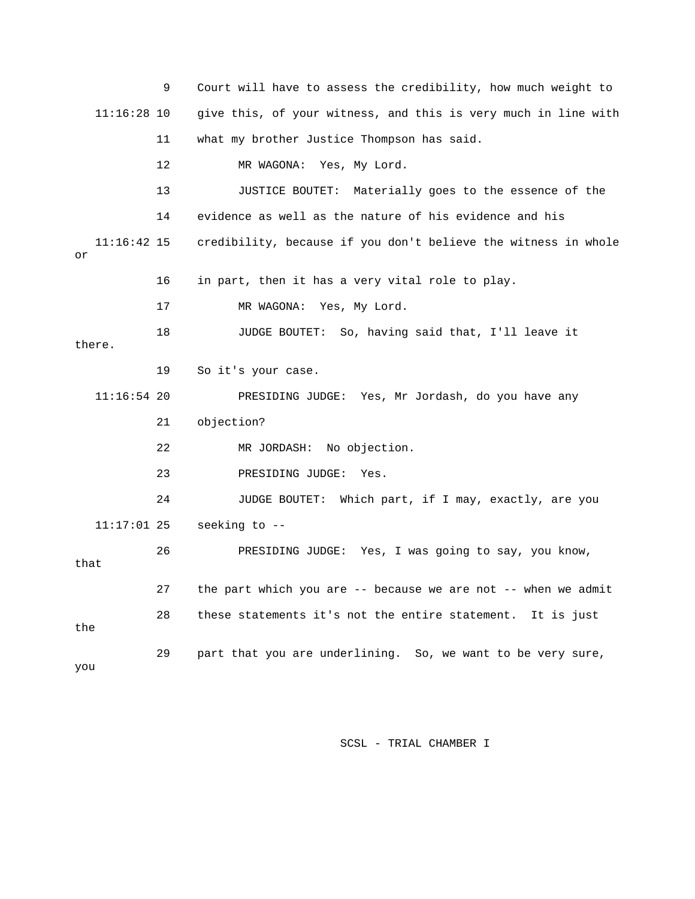|      |               | 9  | Court will have to assess the credibility, how much weight to  |
|------|---------------|----|----------------------------------------------------------------|
|      | $11:16:28$ 10 |    | give this, of your witness, and this is very much in line with |
|      |               | 11 | what my brother Justice Thompson has said.                     |
|      |               | 12 | MR WAGONA: Yes, My Lord.                                       |
|      |               | 13 | JUSTICE BOUTET: Materially goes to the essence of the          |
|      |               | 14 | evidence as well as the nature of his evidence and his         |
| or   | $11:16:42$ 15 |    | credibility, because if you don't believe the witness in whole |
|      |               | 16 | in part, then it has a very vital role to play.                |
|      |               | 17 | MR WAGONA: Yes, My Lord.                                       |
|      | there.        | 18 | JUDGE BOUTET: So, having said that, I'll leave it              |
|      |               | 19 | So it's your case.                                             |
|      | $11:16:54$ 20 |    | PRESIDING JUDGE: Yes, Mr Jordash, do you have any              |
|      |               | 21 | objection?                                                     |
|      |               | 22 | MR JORDASH: No objection.                                      |
|      |               | 23 | PRESIDING JUDGE:<br>Yes.                                       |
|      |               | 24 | JUDGE BOUTET: Which part, if I may, exactly, are you           |
|      | $11:17:01$ 25 |    | seeking to --                                                  |
| that |               | 26 | PRESIDING JUDGE: Yes, I was going to say, you know,            |
|      |               | 27 | the part which you are -- because we are not -- when we admit  |
| the  |               | 28 | these statements it's not the entire statement. It is just     |
| you  |               | 29 | part that you are underlining. So, we want to be very sure,    |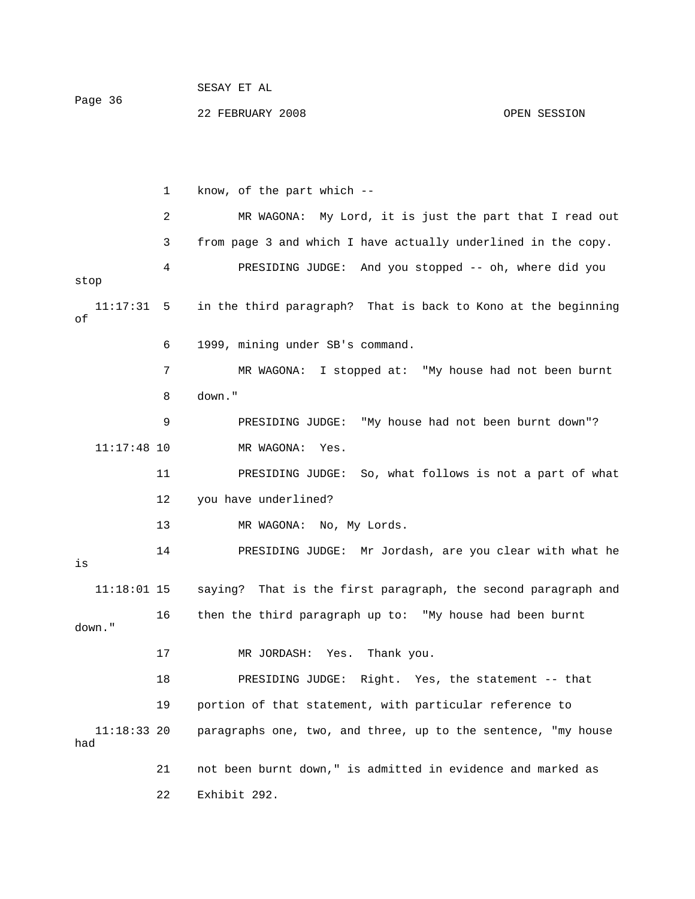|         | DLDAI LI AL |  |  |
|---------|-------------|--|--|
| Page 36 |             |  |  |

CECAY ET AL

 1 know, of the part which -- 2 MR WAGONA: My Lord, it is just the part that I read out 3 from page 3 and which I have actually underlined in the copy. 4 PRESIDING JUDGE: And you stopped -- oh, where did you stop 11:17:31 5 in the third paragraph? That is back to Kono at the beginning of 6 1999, mining under SB's command. 7 MR WAGONA: I stopped at: "My house had not been burnt 8 down." 9 PRESIDING JUDGE: "My house had not been burnt down"? 11:17:48 10 MR WAGONA: Yes. 11 PRESIDING JUDGE: So, what follows is not a part of what 12 you have underlined? 13 MR WAGONA: No, My Lords. 14 PRESIDING JUDGE: Mr Jordash, are you clear with what he 11:18:01 15 saying? That is the first paragraph, the second paragraph and 16 then the third paragraph up to: "My house had been burnt 17 MR JORDASH: Yes. Thank you. the statement -- that 18 PRESIDING JUDGE: Right. Yes, 19 portion of that statement, with particular reference to 11:18:33 20 paragraphs one, two, and three, up to the sentence, "my house is down." had 21 not been burnt down," is admitted in evidence and marked as 22 Exhibit 292.

22 FEBRUARY 2008 OPEN SESSION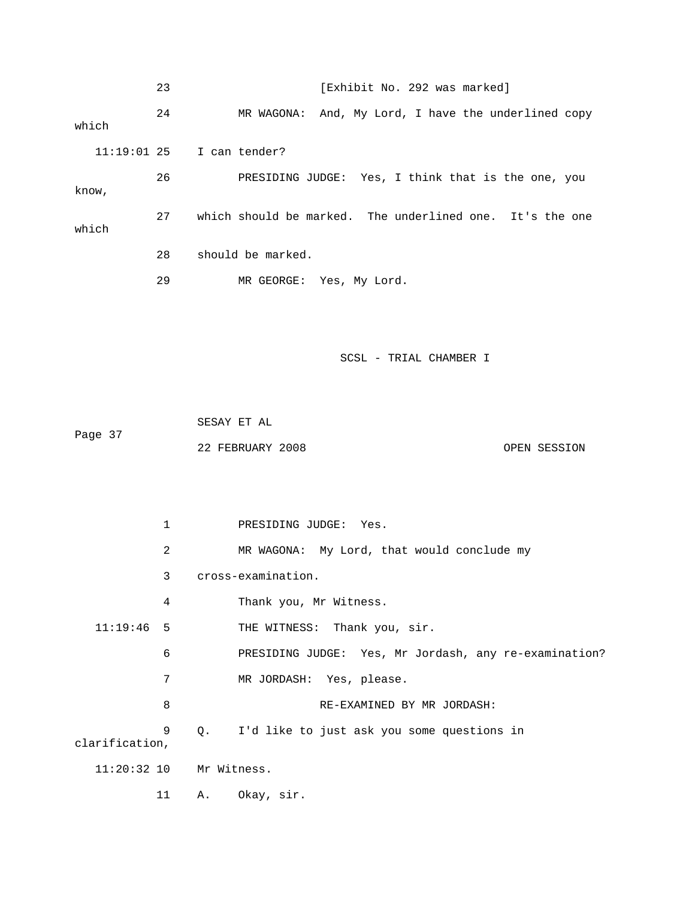|       | 23 | [Exhibit No. 292 was marked]                             |
|-------|----|----------------------------------------------------------|
| which | 24 | MR WAGONA: And, My Lord, I have the underlined copy      |
|       |    | $11:19:01$ 25 I can tender?                              |
| know, | 26 | PRESIDING JUDGE: Yes, I think that is the one, you       |
| which | 27 | which should be marked. The underlined one. It's the one |
|       | 28 | should be marked.                                        |
|       | 29 | MR GEORGE: Yes, My Lord.                                 |

 SESAY ET AL Page 37 22 FEBRUARY 2008 OPEN SESSION

 1 PRESIDING JUDGE: Yes. 2 MR WAGONA: My Lord, that would conclude my 3 cross-examination. 4 Thank you, Mr Witness. 11:19:46 5 THE WITNESS: Thank you, sir. 6 PRESIDING JUDGE: Yes, Mr Jordash, any re-examination? 8 RE-EXAMINED BY MR JORDASH: 9 Q. I'd like to just ask you some questions in 11 A. Okay, sir. 7 MR JORDASH: Yes, please. clarification, 11:20:32 10 Mr Witness.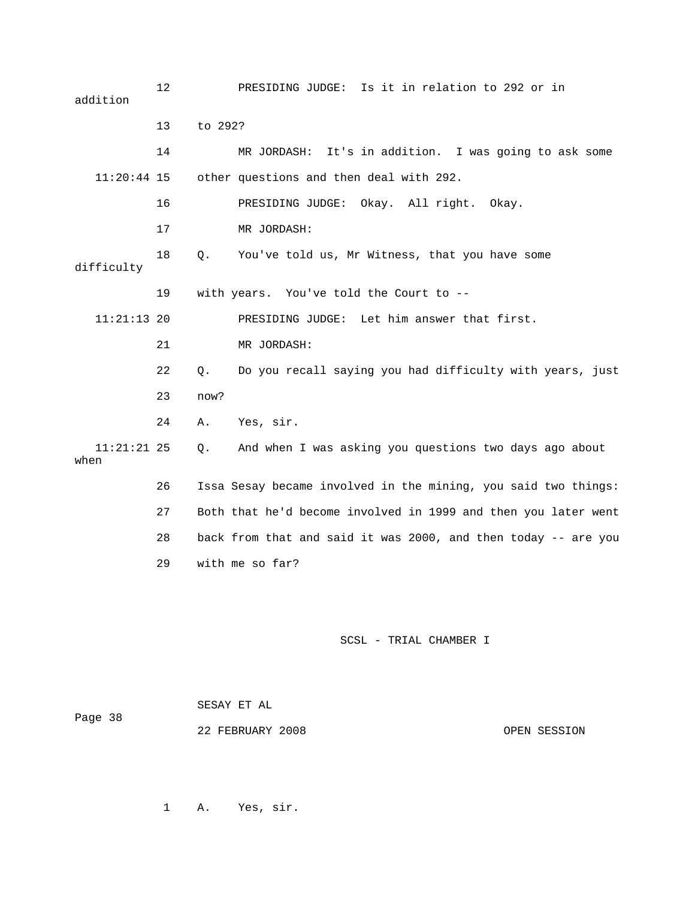12 PRESIDING JUDGE: Is it in relation to 292 or in 13 to 292? 14 MR JORDASH: It's in addition. I was going to ask some 16 PRESIDING JUDGE: Okay. All right. Okay. 17 MR JORDASH: 11:21:13 20 PRESIDING JUDGE: Let him answer that first. 21 MR JORDASH: 23 now? 24 A. Yes, sir. And when I was asking you questions two days ago about 26 Issa Sesay became involved in the mining, you said two things: 27 Both that he'd become involved in 1999 and then you later went 28 back from that and said it was 2000, and then today -- are you addition 11:20:44 15 other questions and then deal with 292. 18 Q. You've told us, Mr Witness, that you have some difficulty 19 with years. You've told the Court to -- 22 Q. Do you recall saying you had difficulty with years, just  $11:21:21$  25 Q. when 29 with me so far?

#### SCSL - TRIAL CHAMBER I

| Page 38 | SESAY ET AL      |  |              |
|---------|------------------|--|--------------|
|         | 22 FEBRUARY 2008 |  | OPEN SESSION |

1 A. Yes, sir.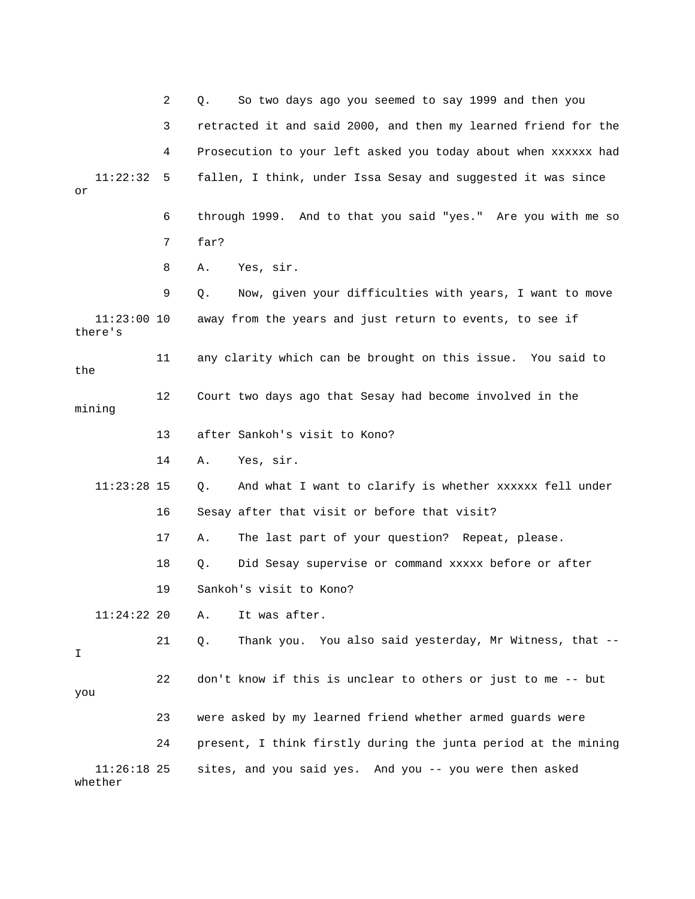|                          | 2  | So two days ago you seemed to say 1999 and then you<br>Q.      |
|--------------------------|----|----------------------------------------------------------------|
|                          | 3  | retracted it and said 2000, and then my learned friend for the |
|                          | 4  | Prosecution to your left asked you today about when xxxxxx had |
| 11:22:32<br>or           | 5  | fallen, I think, under Issa Sesay and suggested it was since   |
|                          | 6  | through 1999. And to that you said "yes." Are you with me so   |
|                          | 7  | far?                                                           |
|                          | 8  | Yes, sir.<br>Α.                                                |
|                          | 9  | Now, given your difficulties with years, I want to move<br>Q.  |
| $11:23:00$ 10<br>there's |    | away from the years and just return to events, to see if       |
| the                      | 11 | any clarity which can be brought on this issue. You said to    |
| mining                   | 12 | Court two days ago that Sesay had become involved in the       |
|                          | 13 | after Sankoh's visit to Kono?                                  |
|                          | 14 | Yes, sir.<br>Α.                                                |
| $11:23:28$ 15            |    | And what I want to clarify is whether xxxxxx fell under<br>Q.  |
|                          | 16 | Sesay after that visit or before that visit?                   |
|                          | 17 | The last part of your question? Repeat, please.<br>Α.          |
|                          | 18 | Did Sesay supervise or command xxxxx before or after<br>Q.     |
|                          | 19 | Sankoh's visit to Kono?                                        |
| 11:24:22 20              |    | It was after.<br>Α.                                            |
| I.                       | 21 | Thank you. You also said yesterday, Mr Witness, that --<br>Q.  |
| you                      | 22 | don't know if this is unclear to others or just to me -- but   |
|                          | 23 | were asked by my learned friend whether armed guards were      |
|                          | 24 | present, I think firstly during the junta period at the mining |
| $11:26:18$ 25<br>whether |    | sites, and you said yes. And you -- you were then asked        |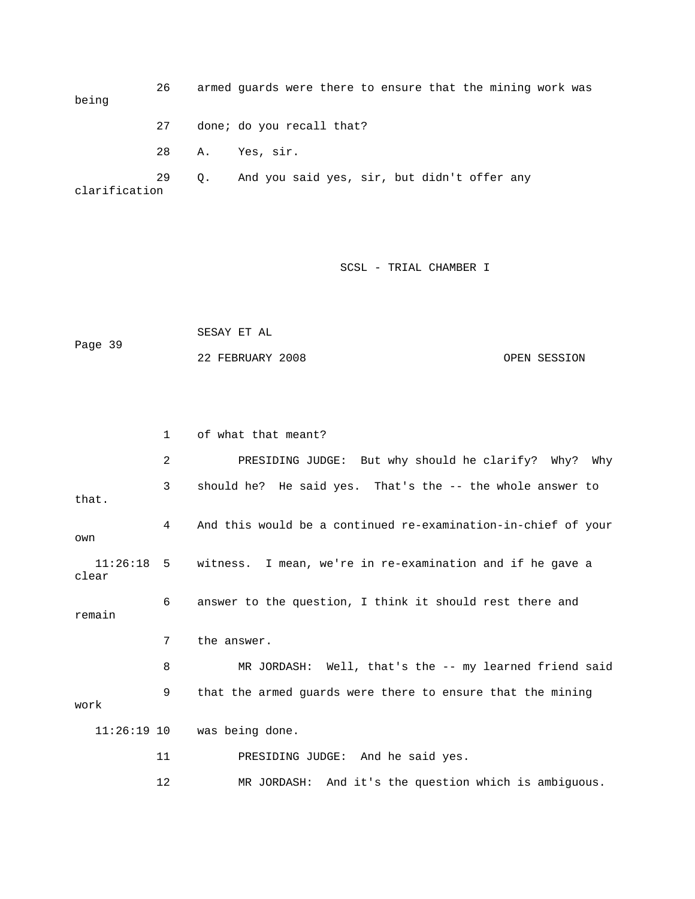26 armed guards were there to ensure that the mining work was being 27 done; do you recall that? 28 A. Yes, sir. 29 Q. And you said yes, sir, but didn't offer any clarification

SCSL - TRIAL CHAMBER I

 SESAY ET AL Page 39 22 FEBRUARY 2008 OPEN SESSION

 1 of what that meant? 2 PRESIDING JUDGE: But why should he clarify? Why? Why 3 should he? He said yes. That's the -- the whole answer to that. 4 And this would be a continued re-examination-in-chief of your own 11:26:18 5 witness. I mean, we're in re-examination and if he gave a clear 6 answer to the question, I think it should rest there and remain 7 the answer. 8 MR JORDASH: Well, that's the -- my learned friend said 9 that the armed guards were there to ensure that the mining work 11:26:19 10 was being done. 11 PRESIDING JUDGE: And he said yes. 12 MR JORDASH: And it's the question which is ambiguous.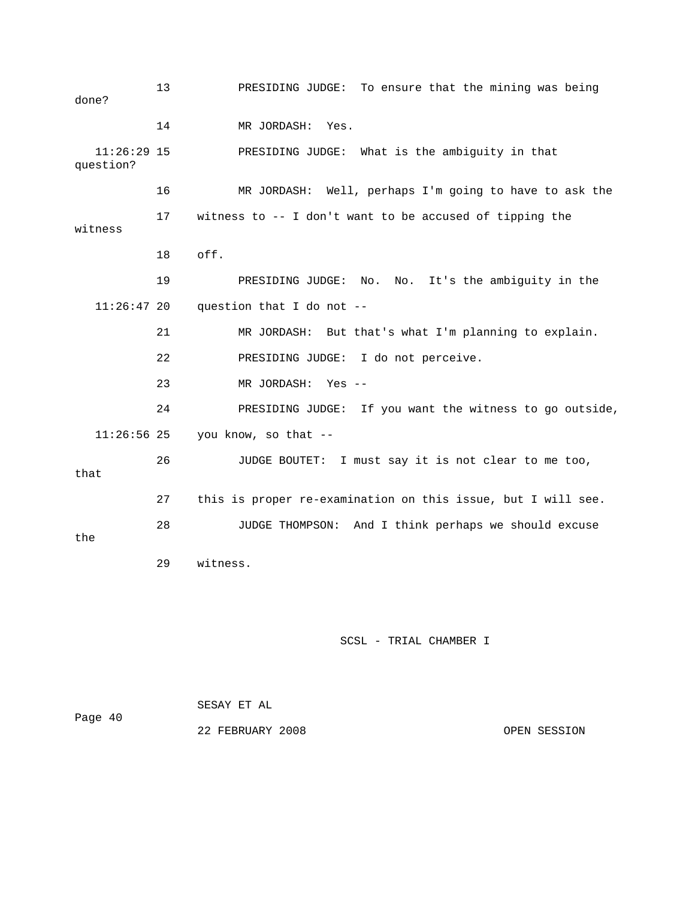13 PRESIDING JUDGE: To ensure that the mining was being done? 14 MR JORDASH: Yes. 11:26:29 15 PRESIDING JUDGE: What is the ambiguity in that question? 16 MR JORDASH: Well, perhaps I'm going to have to ask the 17 witness to -- I don't want to be accused of tipping the witness 18 off. 19 PRESIDING JUDGE: No. No. It's the ambiguity in the  $11:26:47$  20 question that I do not -- 21 MR JORDASH: But that's what I'm planning to explain. 22 PRESIDING JUDGE: I do not perceive. 23 MR JORDASH: Yes -- 24 PRESIDING JUDGE: If you want the witness to go outside, 11:26:56 25 you know, so that -- 26 JUDGE BOUTET: I must say it is not clear to me too, that 27 this is proper re-examination on this issue, but I will see. 28 JUDGE THOMPSON: And I think perhaps we should excuse the 29 witness.

## SCSL - TRIAL CHAMBER I

|         | SESAY ET AL      |  |              |
|---------|------------------|--|--------------|
| Page 40 |                  |  |              |
|         | 22 FEBRUARY 2008 |  | OPEN SESSION |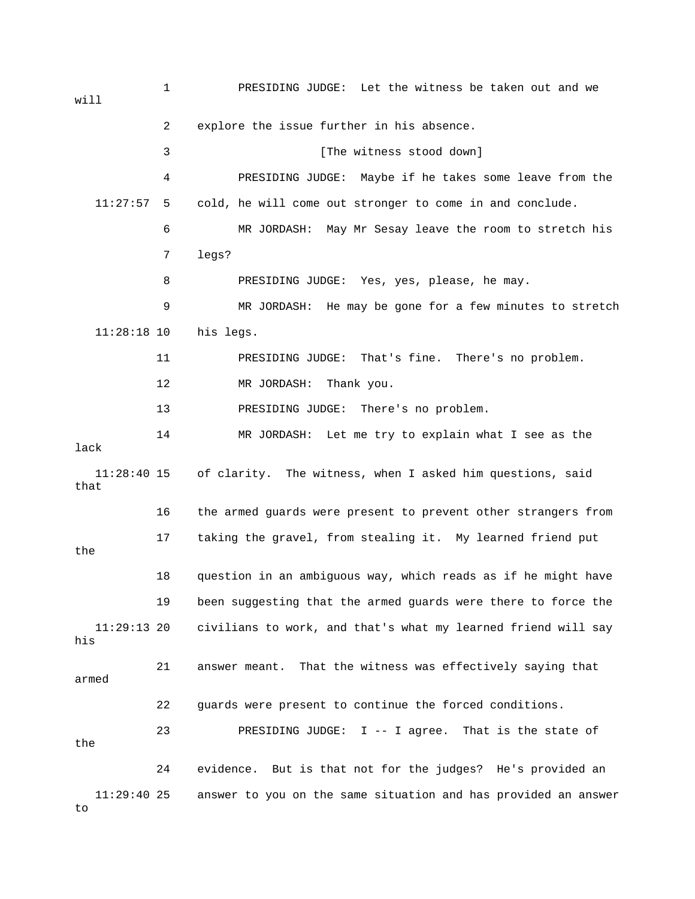1 PRESIDING JUDGE: Let the witness be taken out and we will 2 explore the issue further in his absence. 3 [The witness stood down] 4 PRESIDING JUDGE: Maybe if he takes some leave from the 11:27:57 5 cold, he will come out stronger to come in and conclude. 6 MR JORDASH: May Mr Sesay leave the room to stretch his 7 legs? 8 PRESIDING JUDGE: Yes, yes, please, he may. 9 MR JORDASH: He may be gone for a few minutes to stretch 11:28:18 10 his legs. 11 PRESIDING JUDGE: That's fine. There's no problem. 12 MR JORDASH: Thank you. 13 PRESIDING JUDGE: There's no problem. 14 MR JORDASH: Let me try to explain what I see as the lack 11:28:40 15 of clarity. The witness, when I asked him questions, said that 16 the armed guards were present to prevent other strangers from 17 taking the gravel, from stealing it. My learned friend put the 18 question in an ambiguous way, which reads as if he might have 19 been suggesting that the armed guards were there to force the 11:29:13 20 civilians to work, and that's what my learned friend will say his 21 answer meant. That the witness was effectively saying that armed 22 guards were present to continue the forced conditions. 23 PRESIDING JUDGE: I -- I agree. That is the state of the 24 evidence. But is that not for the judges? He's provided an 11:29:40 25 answer to you on the same situation and has provided an answer to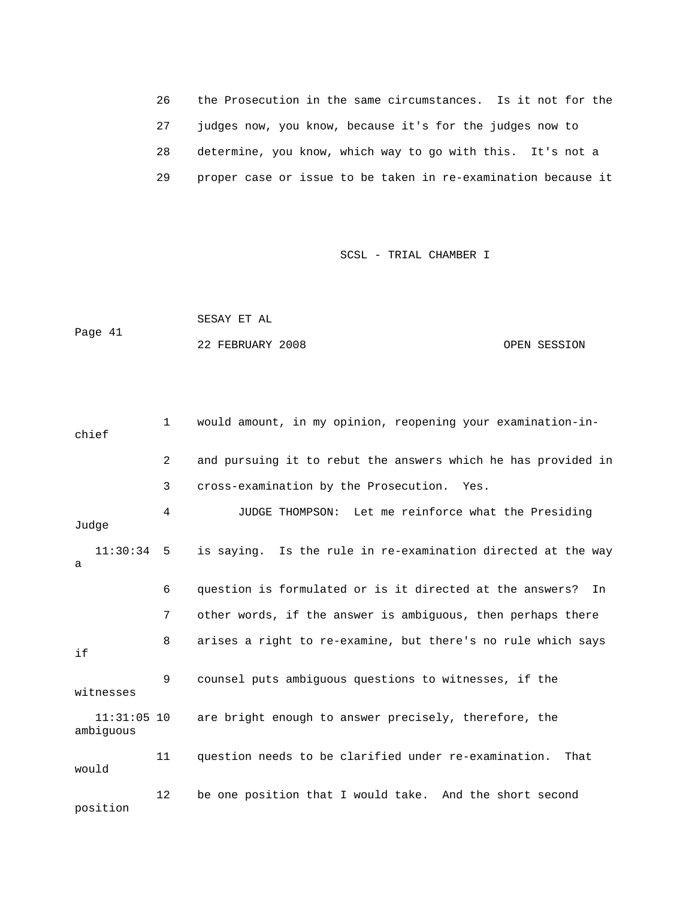26 the Prosecution in the same circumstances. Is it not for the 27 judges now, you know, because it's for the judges now to 28 determine, you know, which way to go with this. It's not a 29 proper case or issue to be taken in re-examination because it

#### SCSL - TRIAL CHAMBER I

```
 SESAY ET AL 
Page 41 
             22 FEBRUARY 2008 OPEN SESSION
```

| chief                      | $\mathbf{1}$   | would amount, in my opinion, reopening your examination-in-    |
|----------------------------|----------------|----------------------------------------------------------------|
|                            | $\overline{2}$ | and pursuing it to rebut the answers which he has provided in  |
|                            | 3              | cross-examination by the Prosecution. Yes.                     |
| Judge                      | 4              | JUDGE THOMPSON: Let me reinforce what the Presiding            |
| $11:30:34$ 5<br>a          |                | is saying. Is the rule in re-examination directed at the way   |
|                            | 6              | question is formulated or is it directed at the answers?<br>In |
|                            | 7              | other words, if the answer is ambiguous, then perhaps there    |
| if                         | 8              | arises a right to re-examine, but there's no rule which says   |
| witnesses                  | 9              | counsel puts ambiguous questions to witnesses, if the          |
| $11:31:05$ 10<br>ambiguous |                | are bright enough to answer precisely, therefore, the          |
| would                      | 11             | question needs to be clarified under re-examination.<br>That   |
| position                   | 12             | be one position that I would take. And the short second        |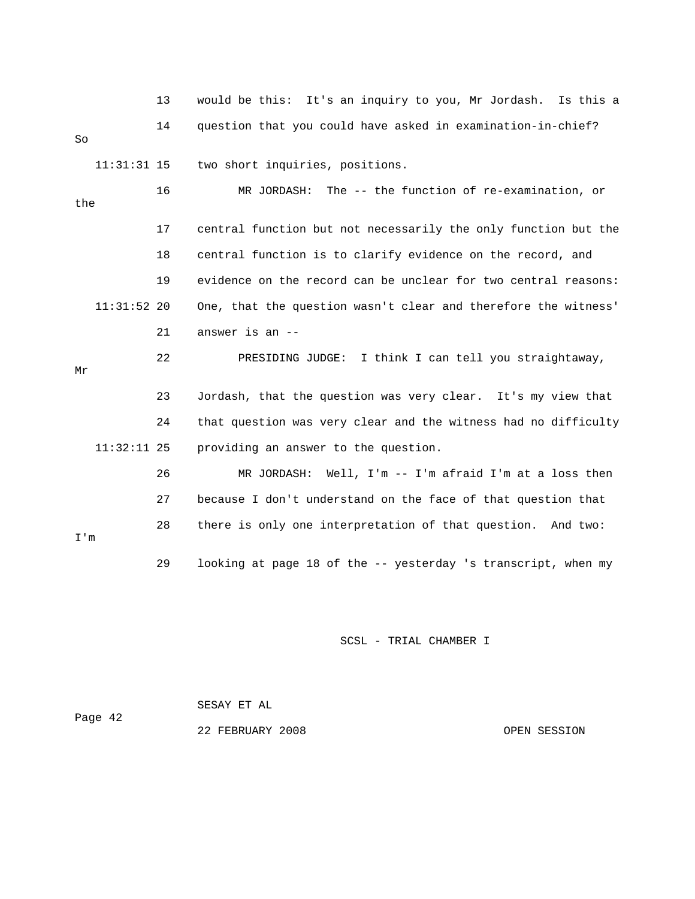|     |               | 13 | would be this: It's an inquiry to you, Mr Jordash.<br>Is this a |
|-----|---------------|----|-----------------------------------------------------------------|
| So  |               | 14 | question that you could have asked in examination-in-chief?     |
|     | $11:31:31$ 15 |    | two short inquiries, positions.                                 |
| the |               | 16 | MR JORDASH: The -- the function of re-examination, or           |
|     |               | 17 | central function but not necessarily the only function but the  |
|     |               | 18 | central function is to clarify evidence on the record, and      |
|     |               | 19 | evidence on the record can be unclear for two central reasons:  |
|     | $11:31:52$ 20 |    | One, that the question wasn't clear and therefore the witness'  |
|     |               | 21 | answer is an --                                                 |
| Mr  |               | 22 | PRESIDING JUDGE: I think I can tell you straightaway,           |
|     |               | 23 | Jordash, that the question was very clear. It's my view that    |
|     |               | 24 | that question was very clear and the witness had no difficulty  |
|     | $11:32:11$ 25 |    | providing an answer to the question.                            |
|     |               | 26 | MR JORDASH: Well, I'm -- I'm afraid I'm at a loss then          |
|     |               | 27 | because I don't understand on the face of that question that    |
| I'm |               | 28 | there is only one interpretation of that question. And two:     |
|     |               | 29 | looking at page 18 of the -- yesterday 's transcript, when my   |

 SESAY ET AL Page 42 22 FEBRUARY 2008 OPEN SESSION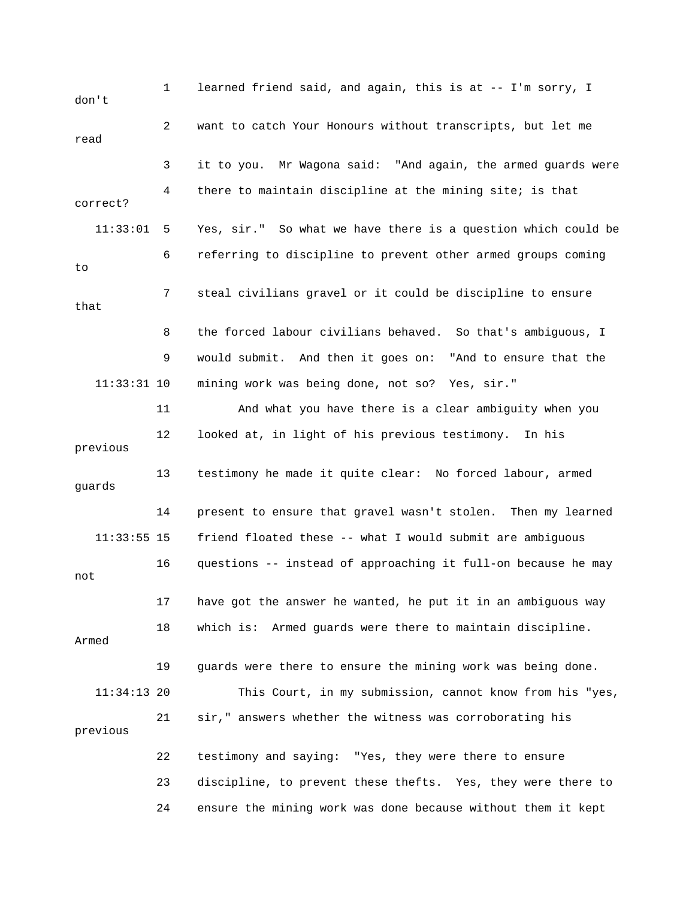1 learned friend said, and again, this is at -- I'm sorry, I don't 2 want to catch Your Honours without transcripts, but let me read 3 it to you. Mr Wagona said: "And again, the armed guards were 4 there to maintain discipline at the mining site; is that correct? 11:33:01 5 Yes, sir." So what we have there is a question which could be 6 referring to discipline to prevent other armed groups coming to 7 steal civilians gravel or it could be discipline to ensure that 8 the forced labour civilians behaved. So that's ambiguous, I 9 would submit. And then it goes on: "And to ensure that the 11:33:31 10 mining work was being done, not so? Yes, sir." 11 And what you have there is a clear ambiguity when you 12 looked at, in light of his previous testimony. In his previous 13 testimony he made it quite clear: No forced labour, armed guards 14 present to ensure that gravel wasn't stolen. Then my learned 11:33:55 15 friend floated these -- what I would submit are ambiguous 16 questions -- instead of approaching it full-on because he may not 17 have got the answer he wanted, he put it in an ambiguous way 18 which is: Armed guards were there to maintain discipline. Armed 19 guards were there to ensure the mining work was being done. 11:34:13 20 This Court, in my submission, cannot know from his "yes, 21 sir," answers whether the witness was corroborating his previous 22 testimony and saying: "Yes, they were there to ensure 23 discipline, to prevent these thefts. Yes, they were there to 24 ensure the mining work was done because without them it kept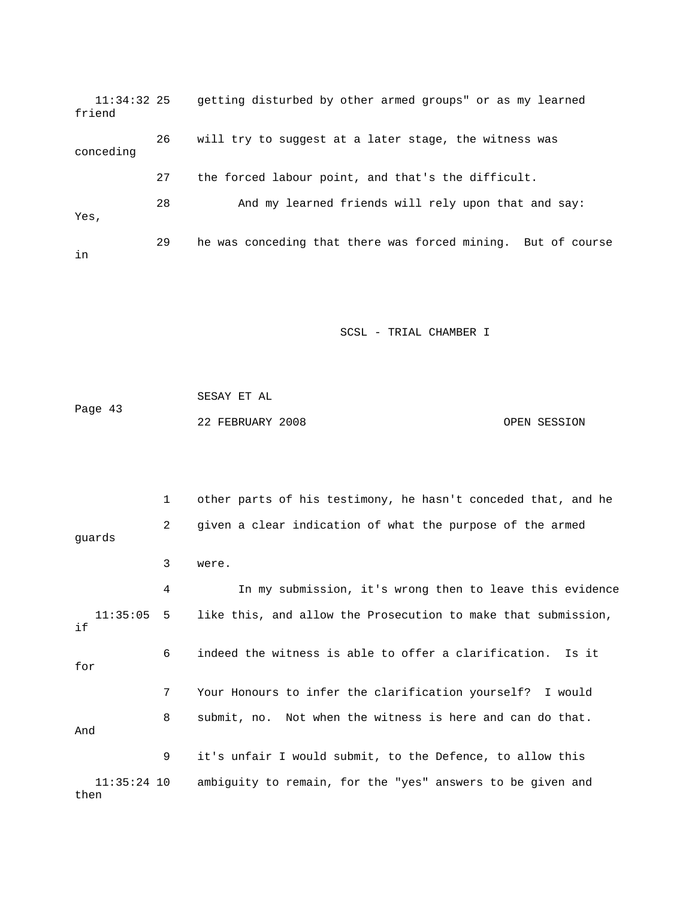11:34:32 25 getting disturbed by other armed groups" or as my learned friend 26 will try to suggest at a later stage, the witness was conceding 27 the forced labour point, and that's the difficult. 28 And my learned friends will rely upon that and say: Yes, 29 he was conceding that there was forced mining. But of course in

SCSL - TRIAL CHAMBER I

 SESAY ET AL Page 43 22 FEBRUARY 2008 OPEN SESSION

 1 other parts of his testimony, he hasn't conceded that, and he 2 given a clear indication of what the purpose of the armed guards 3 were. 4 In my submission, it's wrong then to leave this evidence 11:35:05 5 like this, and allow the Prosecution to make that submission, if 6 indeed the witness is able to offer a clarification. Is it for 7 Your Honours to infer the clarification yourself? I would 8 submit, no. Not when the witness is here and can do that. And 9 it's unfair I would submit, to the Defence, to allow this 11:35:24 10 ambiguity to remain, for the "yes" answers to be given and then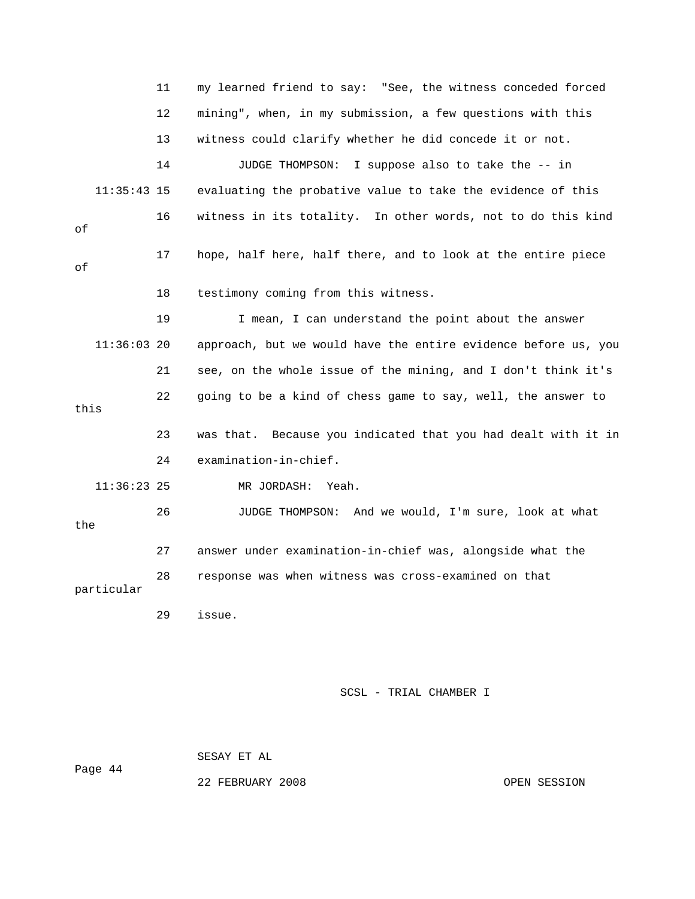11 my learned friend to say: "See, the witness conceded forced 12 mining", when, in my submission, a few questions with this 13 witness could clarify whether he did concede it or not. 14 JUDGE THOMPSON: I suppose also to take the -- in 11:35:43 15 evaluating the probative value to take the evidence of this 16 witness in its totality. In other words, not to do this kind of 17 hope, half here, half there, and to look at the entire piece of 18 testimony coming from this witness. 19 I mean, I can understand the point about the answer 11:36:03 20 approach, but we would have the entire evidence before us, you 21 see, on the whole issue of the mining, and I don't think it's 22 going to be a kind of chess game to say, well, the answer to this 23 was that. Because you indicated that you had dealt with it in 24 examination-in-chief. 11:36:23 25 MR JORDASH: Yeah. 26 JUDGE THOMPSON: And we would, I'm sure, look at what the 27 answer under examination-in-chief was, alongside what the 28 response was when witness was cross-examined on that particular 29 issue. SCSL - TRIAL CHAMBER I

SESAY ET AL

Page 44

22 FEBRUARY 2008 OPEN SESSION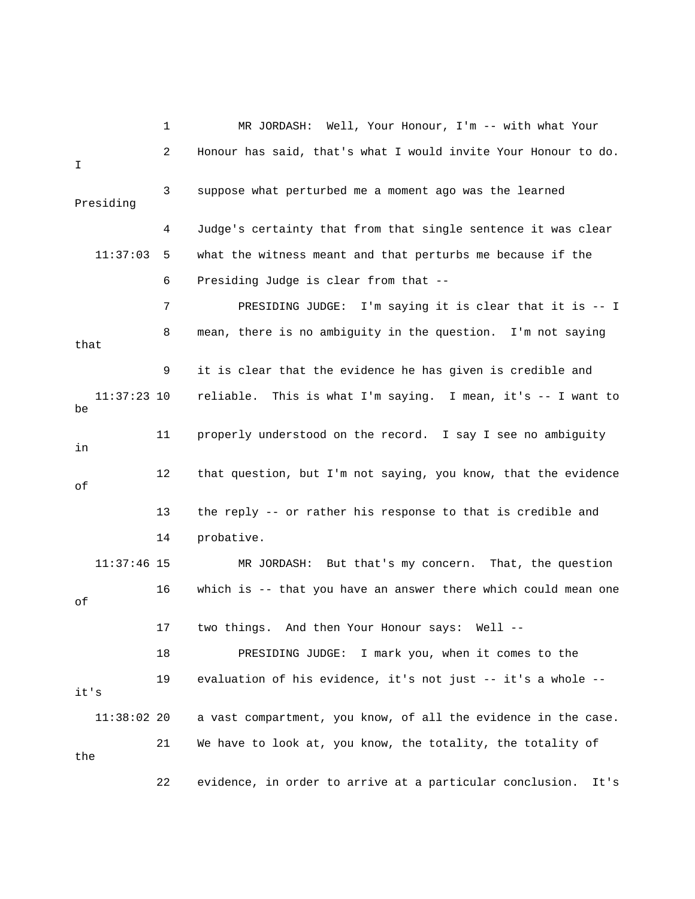|                     | 1  | MR JORDASH: Well, Your Honour, I'm -- with what Your             |
|---------------------|----|------------------------------------------------------------------|
| I                   | 2  | Honour has said, that's what I would invite Your Honour to do.   |
| Presiding           | 3  | suppose what perturbed me a moment ago was the learned           |
|                     | 4  | Judge's certainty that from that single sentence it was clear    |
| 11:37:03            | 5  | what the witness meant and that perturbs me because if the       |
|                     | 6  | Presiding Judge is clear from that --                            |
|                     | 7  | PRESIDING JUDGE: I'm saying it is clear that it is -- I          |
| that                | 8  | mean, there is no ambiguity in the question. I'm not saying      |
|                     | 9  | it is clear that the evidence he has given is credible and       |
| $11:37:23$ 10<br>be |    | reliable. This is what I'm saying. I mean, it's -- I want to     |
| in                  | 11 | properly understood on the record. I say I see no ambiguity      |
| οf                  | 12 | that question, but I'm not saying, you know, that the evidence   |
|                     | 13 | the reply -- or rather his response to that is credible and      |
|                     | 14 | probative.                                                       |
| $11:37:46$ 15       |    | MR JORDASH: But that's my concern. That, the question            |
| οf                  | 16 | which is -- that you have an answer there which could mean one   |
|                     | 17 | two things. And then Your Honour says:<br>$Well 1 -$             |
|                     | 18 | I mark you, when it comes to the<br>PRESIDING JUDGE:             |
| it's                | 19 | evaluation of his evidence, it's not just -- it's a whole --     |
| $11:38:02$ 20       |    | a vast compartment, you know, of all the evidence in the case.   |
| the                 | 21 | We have to look at, you know, the totality, the totality of      |
|                     | 22 | evidence, in order to arrive at a particular conclusion.<br>It's |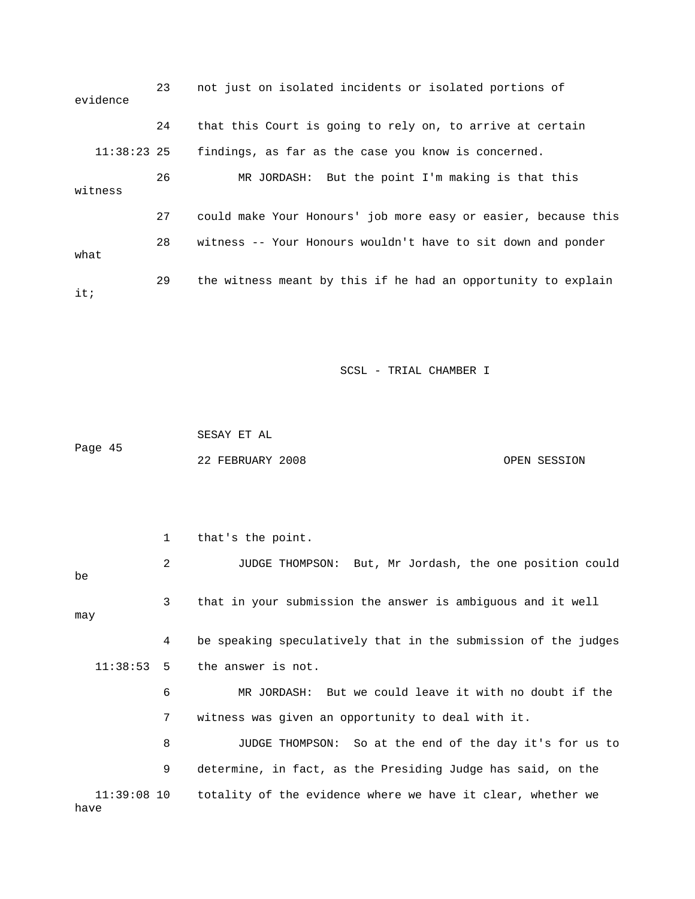| evidence      | 23 | not just on isolated incidents or isolated portions of         |
|---------------|----|----------------------------------------------------------------|
|               | 24 | that this Court is going to rely on, to arrive at certain      |
| $11:38:23$ 25 |    | findings, as far as the case you know is concerned.            |
| witness       | 26 | MR JORDASH: But the point I'm making is that this              |
|               | 27 | could make Your Honours' job more easy or easier, because this |
| what          | 28 | witness -- Your Honours wouldn't have to sit down and ponder   |
| it:           | 29 | the witness meant by this if he had an opportunity to explain  |

 SESAY ET AL Page 45 22 FEBRUARY 2008 OPEN SESSION

 1 that's the point. 2 JUDGE THOMPSON: But, Mr Jordash, the one position could be 3 that in your submission the answer is ambiguous and it well may 4 be speaking speculatively that in the submission of the judges 11:38:53 5 the answer is not. 6 MR JORDASH: But we could leave it with no doubt if the 7 witness was given an opportunity to deal with it. 8 JUDGE THOMPSON: So at the end of the day it's for us to 9 determine, in fact, as the Presiding Judge has said, on the 11:39:08 10 totality of the evidence where we have it clear, whether we have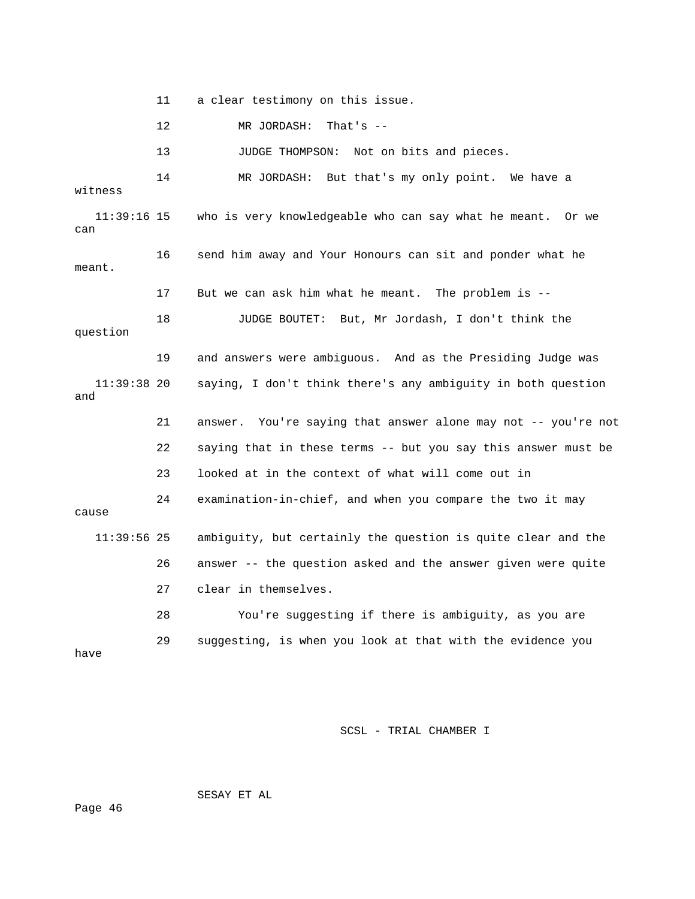11 a clear testimony on this issue.

12 MR JORDASH: That's --

13 JUDGE THOMPSON: Not on bits and pieces.

 14 MR JORDASH: But that's my only point. We have a witness 11:39:16 15 who is very knowledgeable who can say what he meant. Or we can 16 send him away and Your Honours can sit and ponder what he meant. 17 But we can ask him what he meant. The problem is -- 18 JUDGE BOUTET: But, Mr Jordash, I don't think the question 19 and answers were ambiguous. And as the Presiding Judge was 11:39:38 20 saying, I don't think there's any ambiguity in both question and 21 answer. You're saying that answer alone may not -- you're not 22 saying that in these terms -- but you say this answer must be 23 looked at in the context of what will come out in 24 examination-in-chief, and when you compare the two it may cause 11:39:56 25 ambiguity, but certainly the question is quite clear and the 26 answer -- the question asked and the answer given were quite 27 clear in themselves. 28 You're suggesting if there is ambiguity, as you are 29 suggesting, is when you look at that with the evidence you have

SCSL - TRIAL CHAMBER I

SESAY ET AL

Page 46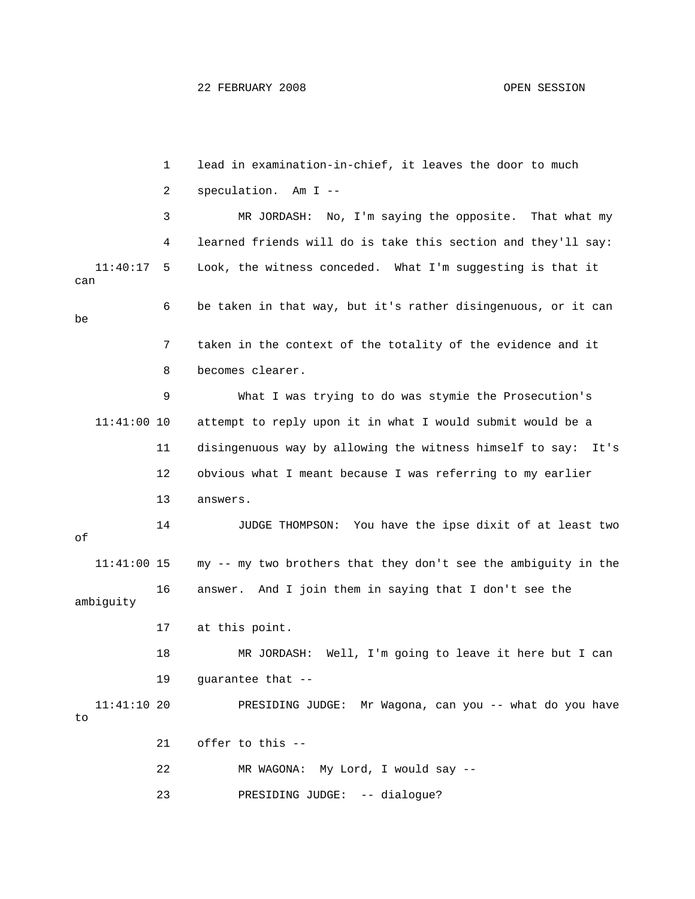1 lead in examination-in-chief, it leaves the door to much 2 speculation. Am I -- 3 MR JORDASH: No, I'm saying the opposite. That what my 4 learned friends will do is take this section and they'll say: 11:40:17 5 Look, the witness conceded. What I'm suggesting is that it can 6 be taken in that way, but it's rather disingenuous, or it can be 7 taken in the context of the totality of the evidence and it 8 becomes clearer. 9 What I was trying to do was stymie the Prosecution's 11:41:00 10 attempt to reply upon it in what I would submit would be a 11 disingenuous way by allowing the witness himself to say: It's 12 obvious what I meant because I was referring to my earlier 13 answers. 14 JUDGE THOMPSON: You have the ipse dixit of at least two of 11:41:00 15 my -- my two brothers that they don't see the ambiguity in the 16 answer. And I join them in saying that I don't see the ambiguity 17 at this point. 18 MR JORDASH: Well, I'm going to leave it here but I can 19 guarantee that -- 11:41:10 20 PRESIDING JUDGE: Mr Wagona, can you -- what do you have to 21 offer to this -- 22 MR WAGONA: My Lord, I would say -- 23 PRESIDING JUDGE: -- dialogue?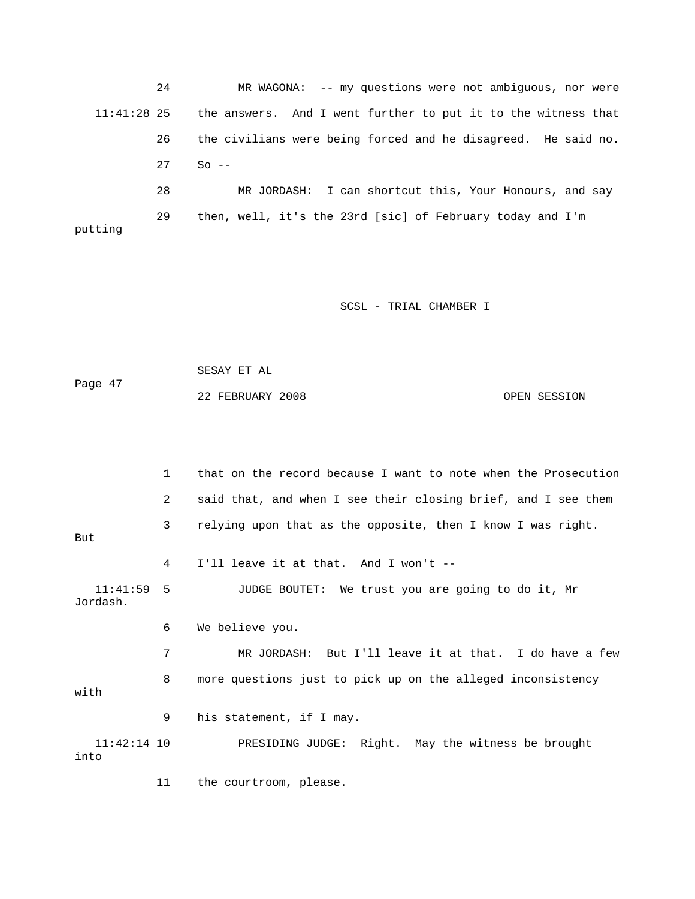24 MR WAGONA: -- my questions were not ambiguous, nor were 11:41:28 25 the answers. And I went further to put it to the witness that 26 the civilians were being forced and he disagreed. He said no. 27 So -- 28 MR JORDASH: I can shortcut this, Your Honours, and say 29 then, well, it's the 23rd [sic] of February today and I'm putting

SCSL - TRIAL CHAMBER I

```
 SESAY ET AL 
Page 47 
             22 FEBRUARY 2008 OPEN SESSION
```
 1 that on the record because I want to note when the Prosecution 2 said that, and when I see their closing brief, and I see them 3 relying upon that as the opposite, then I know I was right. But 4 I'll leave it at that. And I won't -- 11:41:59 5 JUDGE BOUTET: We trust you are going to do it, Mr Jordash. 6 We believe you. 7 MR JORDASH: But I'll leave it at that. I do have a few 8 more questions just to pick up on the alleged inconsistency with 9 his statement, if I may. 11:42:14 10 PRESIDING JUDGE: Right. May the witness be brought into 11 the courtroom, please.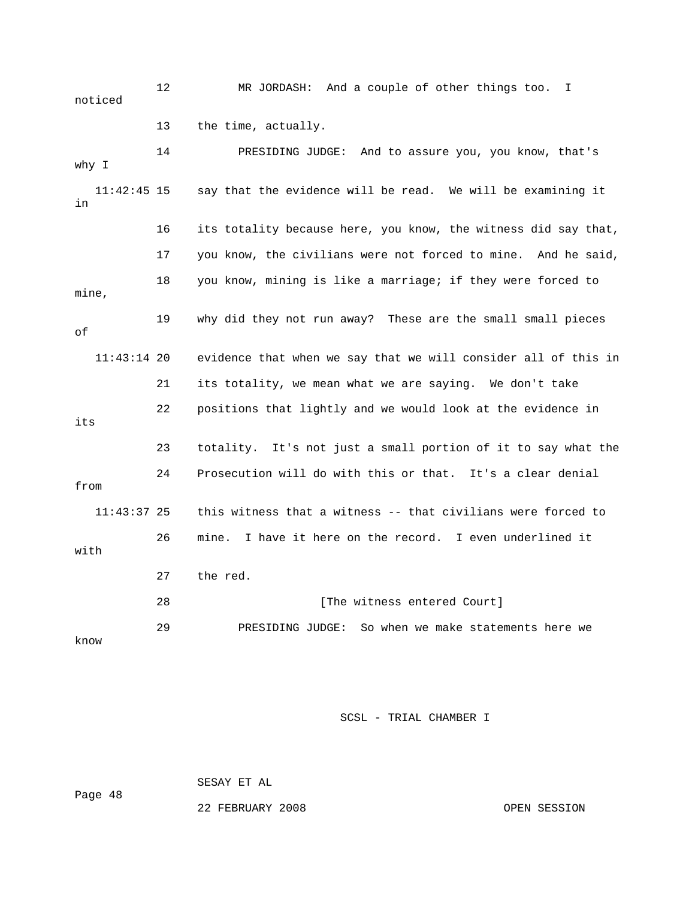12 MR JORDASH: And a couple of other things too. I noticed 13 the time, actually. 14 PRESIDING JUDGE: And to assure you, you know, that's why I 11:42:45 15 say that the evidence will be read. We will be examining it in 16 its totality because here, you know, the witness did say that, 17 you know, the civilians were not forced to mine. And he said, 18 you know, mining is like a marriage; if they were forced to mine, 19 why did they not run away? These are the small small pieces of 11:43:14 20 evidence that when we say that we will consider all of this in 21 its totality, we mean what we are saying. We don't take 22 positions that lightly and we would look at the evidence in its 23 totality. It's not just a small portion of it to say what the 24 Prosecution will do with this or that. It's a clear denial from 11:43:37 25 this witness that a witness -- that civilians were forced to 26 mine. I have it here on the record. I even underlined it with 27 the red. 28 **Example 28** [The witness entered Court] 29 PRESIDING JUDGE: So when we make statements here we know

SCSL - TRIAL CHAMBER I

SESAY ET AL

Page 48

22 FEBRUARY 2008 OPEN SESSION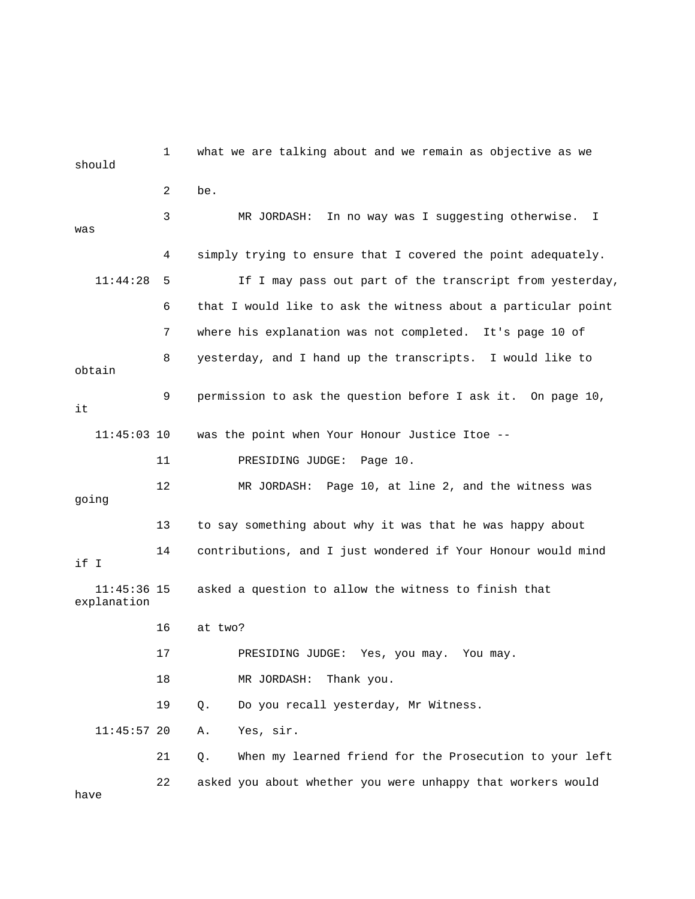1 what we are talking about and we remain as objective as we should 2 be. 3 MR JORDASH: In no way was I suggesting otherwise. I was 4 simply trying to ensure that I covered the point adequately. 11:44:28 5 If I may pass out part of the transcript from yesterday, 6 that I would like to ask the witness about a particular point 7 where his explanation was not completed. It's page 10 of 8 yesterday, and I hand up the transcripts. I would like to obtain 9 permission to ask the question before I ask it. On page 10, it 11:45:03 10 was the point when Your Honour Justice Itoe -- 11 PRESIDING JUDGE: Page 10. 12 MR JORDASH: Page 10, at line 2, and the witness was going 13 to say something about why it was that he was happy about 14 contributions, and I just wondered if Your Honour would mind if I 11:45:36 15 asked a question to allow the witness to finish that explanation 16 at two? 17 PRESIDING JUDGE: Yes, you may. You may. 18 MR JORDASH: Thank you. 19 Q. Do you recall yesterday, Mr Witness. 11:45:57 20 A. Yes, sir. 21 Q. When my learned friend for the Prosecution to your left 22 asked you about whether you were unhappy that workers would

have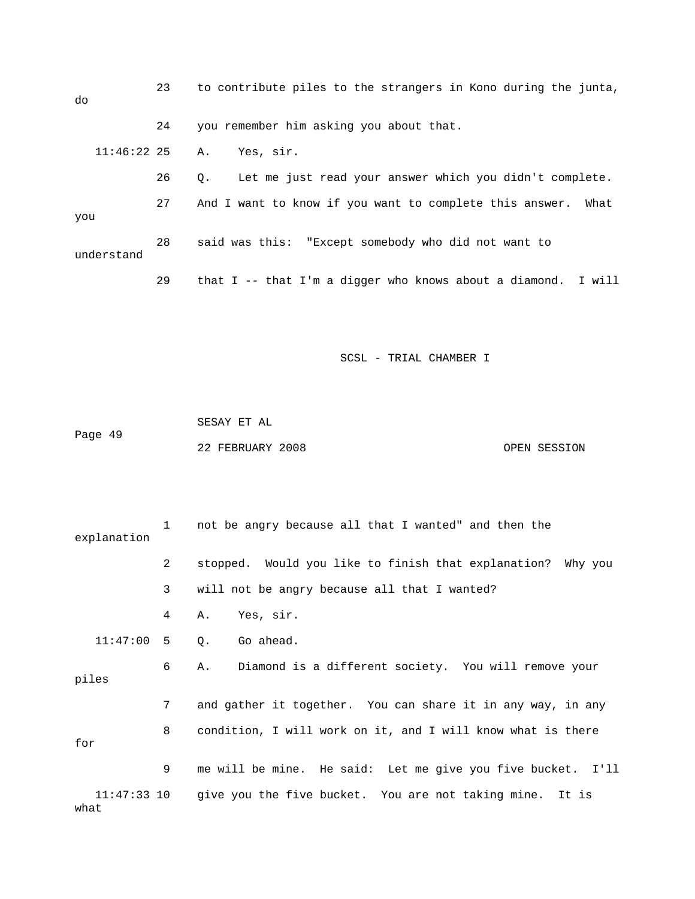23 to contribute piles to the strangers in Kono during the junta, do 24 you remember him asking you about that. 11:46:22 25 A. Yes, sir. 26 Q. Let me just read your answer which you didn't complete. 27 And I want to know if you want to complete this answer. What you 28 said was this: "Except somebody who did not want to understand 29 that I -- that I'm a digger who knows about a diamond. I will

SCSL - TRIAL CHAMBER I

 SESAY ET AL Page 49 22 FEBRUARY 2008 OPEN SESSION

 1 not be angry because all that I wanted" and then the explanation 2 stopped. Would you like to finish that explanation? Why you 3 will not be angry because all that I wanted? 4 A. Yes, sir. 11:47:00 5 Q. Go ahead. 6 A. Diamond is a different society. You will remove your piles 7 and gather it together. You can share it in any way, in any 8 condition, I will work on it, and I will know what is there for 9 me will be mine. He said: Let me give you five bucket. I'll 11:47:33 10 give you the five bucket. You are not taking mine. It is what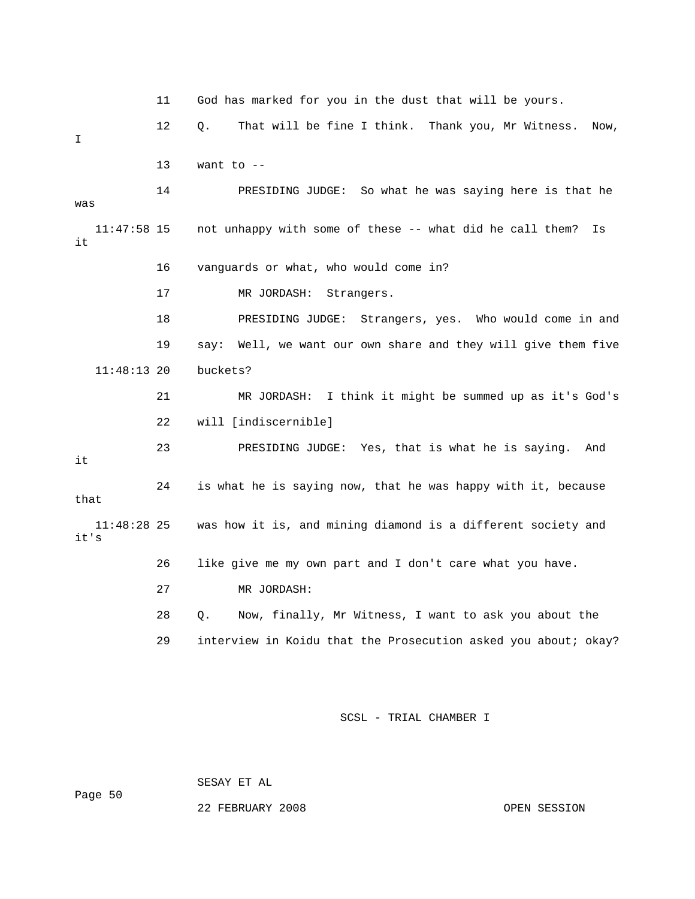|                       | 11 | God has marked for you in the dust that will be yours.          |
|-----------------------|----|-----------------------------------------------------------------|
| I                     | 12 | That will be fine I think. Thank you, Mr Witness.<br>Q.<br>Now, |
|                       | 13 | want to $-$                                                     |
| was                   | 14 | So what he was saying here is that he<br>PRESIDING JUDGE:       |
| $11:47:58$ 15<br>it   |    | not unhappy with some of these -- what did he call them?<br>Is  |
|                       | 16 | vanguards or what, who would come in?                           |
|                       | 17 | MR JORDASH:<br>Strangers.                                       |
|                       | 18 | PRESIDING JUDGE:<br>Strangers, yes. Who would come in and       |
|                       | 19 | say: Well, we want our own share and they will give them five   |
| 11:48:13 20           |    | buckets?                                                        |
|                       | 21 | MR JORDASH: I think it might be summed up as it's God's         |
|                       | 22 | will [indiscernible]                                            |
| it                    | 23 | PRESIDING JUDGE: Yes, that is what he is saying. And            |
| that                  | 24 | is what he is saying now, that he was happy with it, because    |
| $11:48:28$ 25<br>it's |    | was how it is, and mining diamond is a different society and    |
|                       | 26 | like give me my own part and I don't care what you have.        |
|                       | 27 | MR JORDASH:                                                     |
|                       | 28 | Now, finally, Mr Witness, I want to ask you about the<br>О.     |
|                       | 29 | interview in Koidu that the Prosecution asked you about; okay?  |
|                       |    |                                                                 |

SESAY ET AL

Page 50

22 FEBRUARY 2008 OPEN SESSION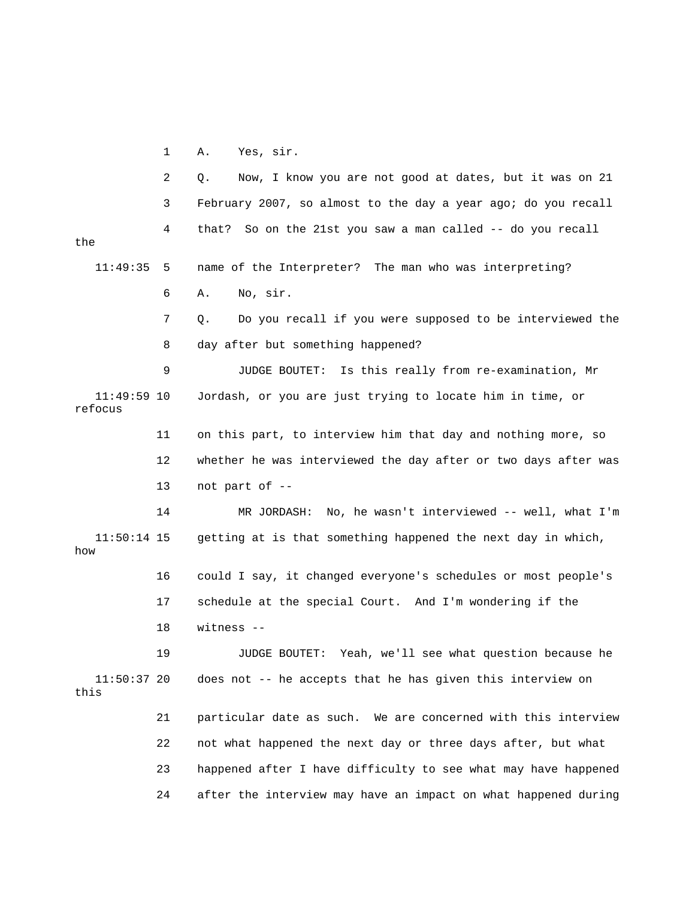1 A. Yes, sir.

|                          | 2  | Now, I know you are not good at dates, but it was on 21<br>Q.  |
|--------------------------|----|----------------------------------------------------------------|
|                          | 3  | February 2007, so almost to the day a year ago; do you recall  |
| the                      | 4  | So on the 21st you saw a man called -- do you recall<br>that?  |
| 11:49:35                 | 5  | name of the Interpreter? The man who was interpreting?         |
|                          | 6  | No, sir.<br>Α.                                                 |
|                          | 7  | Do you recall if you were supposed to be interviewed the<br>Q. |
|                          | 8  | day after but something happened?                              |
|                          | 9  | Is this really from re-examination, Mr<br>JUDGE BOUTET:        |
| $11:49:59$ 10<br>refocus |    | Jordash, or you are just trying to locate him in time, or      |
|                          | 11 | on this part, to interview him that day and nothing more, so   |
|                          | 12 | whether he was interviewed the day after or two days after was |
|                          | 13 | not part of --                                                 |
|                          | 14 | MR JORDASH: No, he wasn't interviewed $--$ well, what I'm      |
| $11:50:14$ 15<br>how     |    | getting at is that something happened the next day in which,   |
|                          | 16 | could I say, it changed everyone's schedules or most people's  |
|                          | 17 | schedule at the special Court. And I'm wondering if the        |
|                          | 18 | witness --                                                     |
|                          | 19 | JUDGE BOUTET: Yeah, we'll see what question because he         |
| $11:50:37$ 20<br>this    |    | does not -- he accepts that he has given this interview on     |
|                          | 21 | particular date as such. We are concerned with this interview  |
|                          | 22 | not what happened the next day or three days after, but what   |
|                          | 23 | happened after I have difficulty to see what may have happened |
|                          | 24 | after the interview may have an impact on what happened during |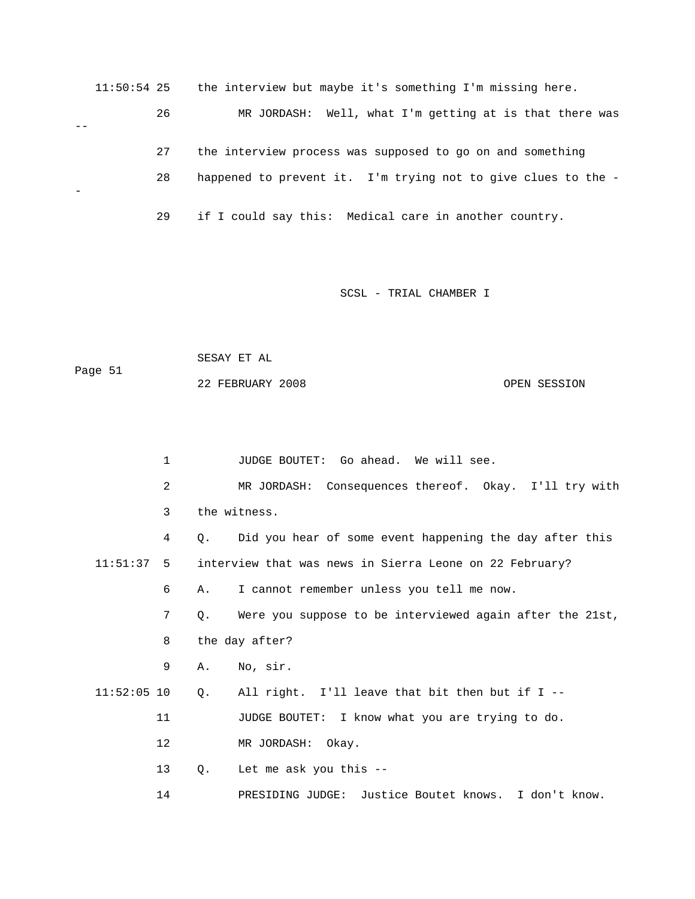11:50:54 25 the interview but maybe it's something I'm missing here. 26 MR JORDASH: Well, what I'm getting at is that there was -- 27 the interview process was supposed to go on and something 28 happened to prevent it. I'm trying not to give clues to the - - 29 if I could say this: Medical care in another country.

SCSL - TRIAL CHAMBER I

 SESAY ET AL Page 51

22 FEBRUARY 2008 OPEN SESSION

 1 JUDGE BOUTET: Go ahead. We will see. 2 MR JORDASH: Consequences thereof. Okay. I'll try with 3 the witness. 4 Q. Did you hear of some event happening the day after this 11:51:37 5 interview that was news in Sierra Leone on 22 February? 6 A. I cannot remember unless you tell me now. 7 Q. Were you suppose to be interviewed again after the 21st, 8 the day after? 9 A. No, sir. 11:52:05 10 Q. All right. I'll leave that bit then but if I -- 11 JUDGE BOUTET: I know what you are trying to do. 12 MR JORDASH: Okay. 13 Q. Let me ask you this -- 14 PRESIDING JUDGE: Justice Boutet knows. I don't know.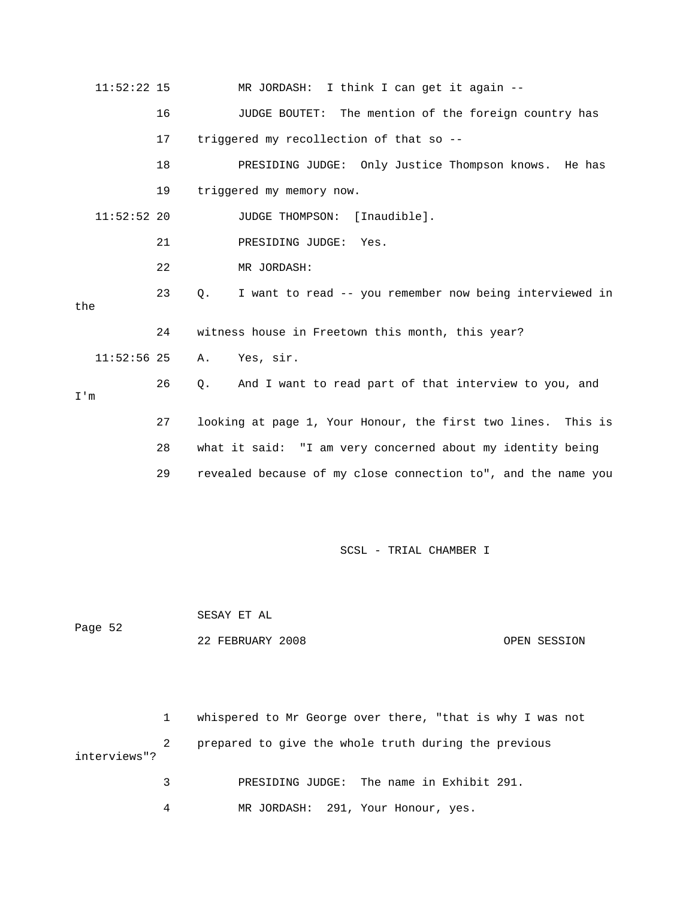| $11:52:22$ 15 |    | MR JORDASH: I think I can get it again --                            |
|---------------|----|----------------------------------------------------------------------|
|               | 16 | JUDGE BOUTET: The mention of the foreign country has                 |
|               | 17 | triggered my recollection of that so --                              |
|               | 18 | PRESIDING JUDGE: Only Justice Thompson knows. He has                 |
|               | 19 | triggered my memory now.                                             |
| $11:52:52$ 20 |    | JUDGE THOMPSON: [Inaudible].                                         |
|               | 21 | PRESIDING JUDGE: Yes.                                                |
|               | 22 | MR JORDASH:                                                          |
| the           | 23 | I want to read -- you remember now being interviewed in<br>$\circ$ . |
|               | 24 | witness house in Freetown this month, this year?                     |
| $11:52:56$ 25 |    | Yes, sir.<br>Α.                                                      |
| I'm           | 26 | And I want to read part of that interview to you, and<br>Q.          |
|               | 27 | looking at page 1, Your Honour, the first two lines. This is         |
|               | 28 | what it said: "I am very concerned about my identity being           |
|               | 29 | revealed because of my close connection to", and the name you        |

 SESAY ET AL Page 52 22 FEBRUARY 2008 OPEN SESSION

 1 whispered to Mr George over there, "that is why I was not PRESIDING JUDGE: The name in Exhibit 291. 2 prepared to give the whole truth during the previous interviews"? 3

4 MR JORDASH: 291, Your Honour, yes.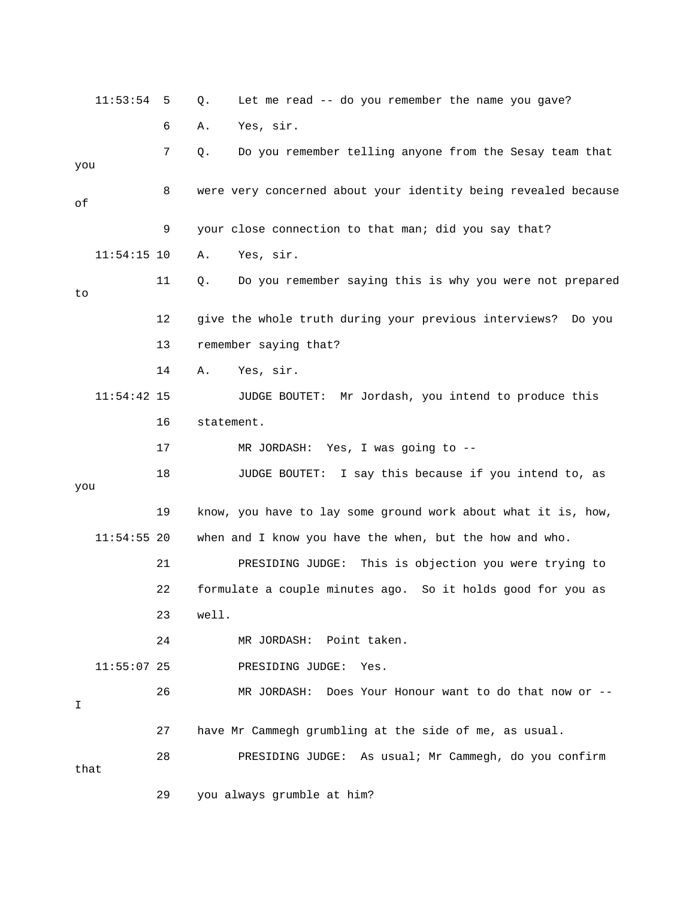|      | 11:53:54      | 5  | Let me read -- do you remember the name you gave?<br>Q.        |
|------|---------------|----|----------------------------------------------------------------|
|      |               | 6  | Yes, sir.<br>Α.                                                |
| you  |               | 7  | Do you remember telling anyone from the Sesay team that<br>Q.  |
| оf   |               | 8  | were very concerned about your identity being revealed because |
|      |               | 9  | your close connection to that man; did you say that?           |
|      | $11:54:15$ 10 |    | Yes, sir.<br>Α.                                                |
| to   |               | 11 | Do you remember saying this is why you were not prepared<br>Q. |
|      |               | 12 | give the whole truth during your previous interviews? Do you   |
|      |               | 13 | remember saying that?                                          |
|      |               | 14 | Α.<br>Yes, sir.                                                |
|      | $11:54:42$ 15 |    | JUDGE BOUTET: Mr Jordash, you intend to produce this           |
|      |               | 16 | statement.                                                     |
|      |               | 17 | MR JORDASH: Yes, I was going to --                             |
| you  |               | 18 | JUDGE BOUTET: I say this because if you intend to, as          |
|      |               | 19 | know, you have to lay some ground work about what it is, how,  |
|      | $11:54:55$ 20 |    | when and I know you have the when, but the how and who.        |
|      |               | 21 | This is objection you were trying to<br>PRESIDING JUDGE:       |
|      |               | 22 | formulate a couple minutes ago. So it holds good for you as    |
|      |               | 23 | well.                                                          |
|      |               | 24 | MR JORDASH: Point taken.                                       |
|      | $11:55:07$ 25 |    | PRESIDING JUDGE:<br>Yes.                                       |
| I    |               | 26 | Does Your Honour want to do that now or --<br>MR JORDASH:      |
|      |               | 27 | have Mr Cammegh grumbling at the side of me, as usual.         |
| that |               | 28 | PRESIDING JUDGE: As usual; Mr Cammegh, do you confirm          |
|      |               | 29 | you always grumble at him?                                     |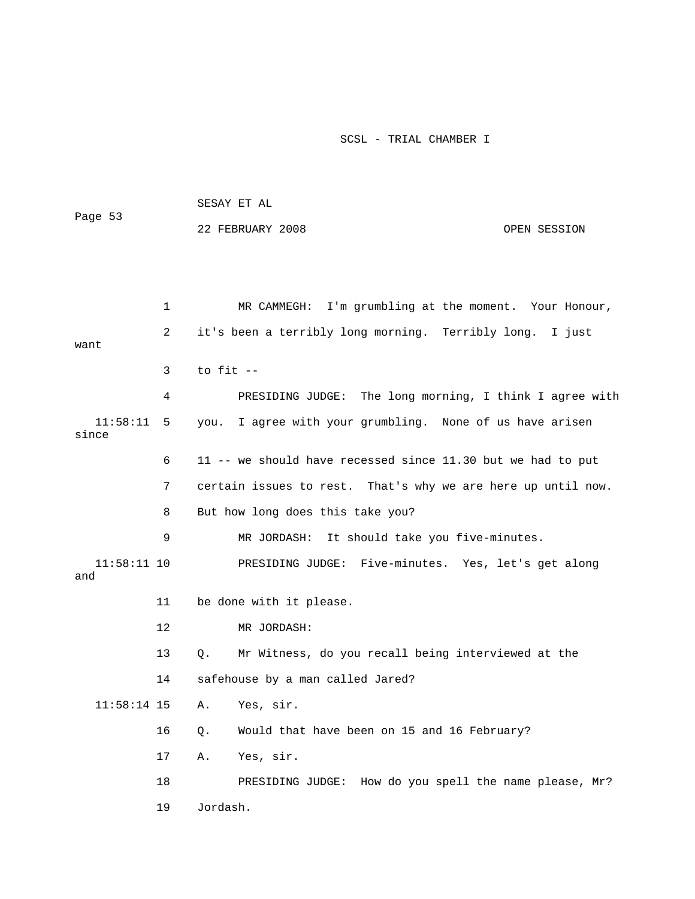| Page 53              |    |             | SESAY ET AL                                                  |              |
|----------------------|----|-------------|--------------------------------------------------------------|--------------|
|                      |    |             | 22 FEBRUARY 2008                                             | OPEN SESSION |
|                      |    |             |                                                              |              |
|                      |    |             |                                                              |              |
|                      | 1  |             | MR CAMMEGH: I'm grumbling at the moment. Your Honour,        |              |
| want                 | 2  |             | it's been a terribly long morning. Terribly long. I just     |              |
|                      | 3  | to fit --   |                                                              |              |
|                      | 4  |             | PRESIDING JUDGE: The long morning, I think I agree with      |              |
| 11:58:11<br>since    | 5  |             | you. I agree with your grumbling. None of us have arisen     |              |
|                      | 6  |             | 11 -- we should have recessed since 11.30 but we had to put  |              |
|                      | 7  |             | certain issues to rest. That's why we are here up until now. |              |
|                      | 8  |             | But how long does this take you?                             |              |
|                      | 9  |             | MR JORDASH: It should take you five-minutes.                 |              |
| $11:58:11$ 10<br>and |    |             | PRESIDING JUDGE: Five-minutes. Yes, let's get along          |              |
|                      | 11 |             | be done with it please.                                      |              |
|                      | 12 |             | MR JORDASH:                                                  |              |
|                      | 13 | $Q_{\star}$ | Mr Witness, do you recall being interviewed at the           |              |
|                      | 14 |             | safehouse by a man called Jared?                             |              |
|                      |    |             | 11:58:14 15 A. Yes, sir.                                     |              |
|                      | 16 | $Q$ .       | Would that have been on 15 and 16 February?                  |              |
|                      | 17 | Α.          | Yes, sir.                                                    |              |
|                      | 18 |             | PRESIDING JUDGE: How do you spell the name please, Mr?       |              |
|                      | 19 | Jordash.    |                                                              |              |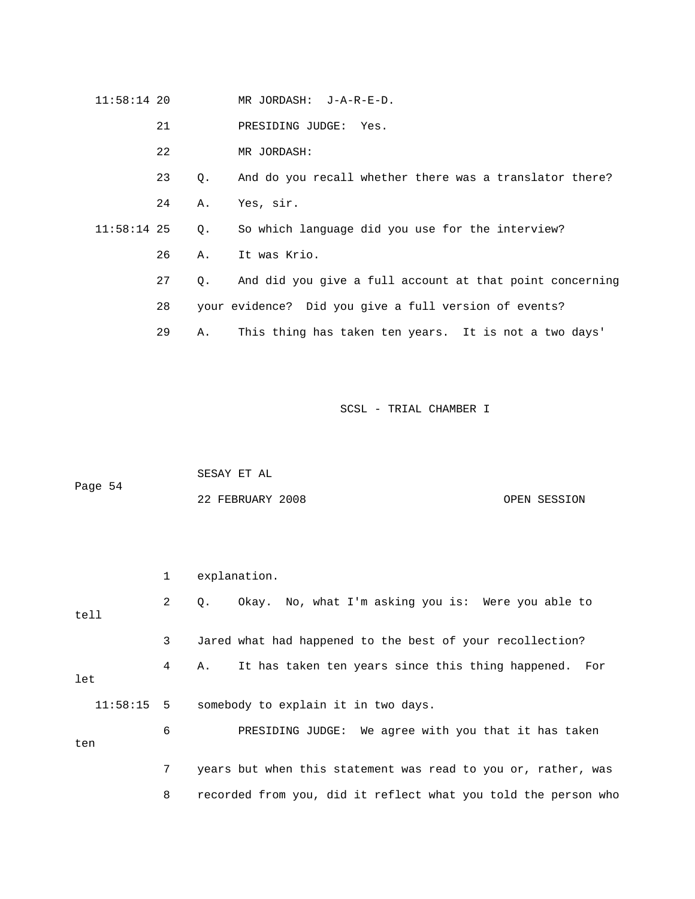$11:58:14$  20 JORDASH: J-A-R-E-D.

21 PRE SIDING JUDGE: Yes.

22 MR JORDASH:

23 Q. And do you recall whether there was a translator there? 24 A. Yes, sir.

 11:58:14 25 Q. So which language did you use for the interview? 26 A. It was Krio.

27 Q. And did you give a full account at that point concerning

28 your evidence? Did you give a full version of events?

29 A. This thing has taken ten years. It is not a two days'

SCSL - TRIAL CHAMBER I

|         | SESAY ET AL      |  |              |
|---------|------------------|--|--------------|
| Page 54 |                  |  |              |
|         | 22 FEBRUARY 2008 |  | OPEN SESSION |

 1 explanation. 2 Q. Okay. No, what I'm asking you is: Were you able to 4 A. It has taken ten years since this thing happened. For 6 PRESIDING JUDGE: We agree with you that it has taken 8 recorded from you, did it reflect what you told the person who tell 3 Jared what had happened to the best of your recollection? let 11:58:15 5 somebody to explain it in two days. ten 7 years but when this statement was read to you or, rather, was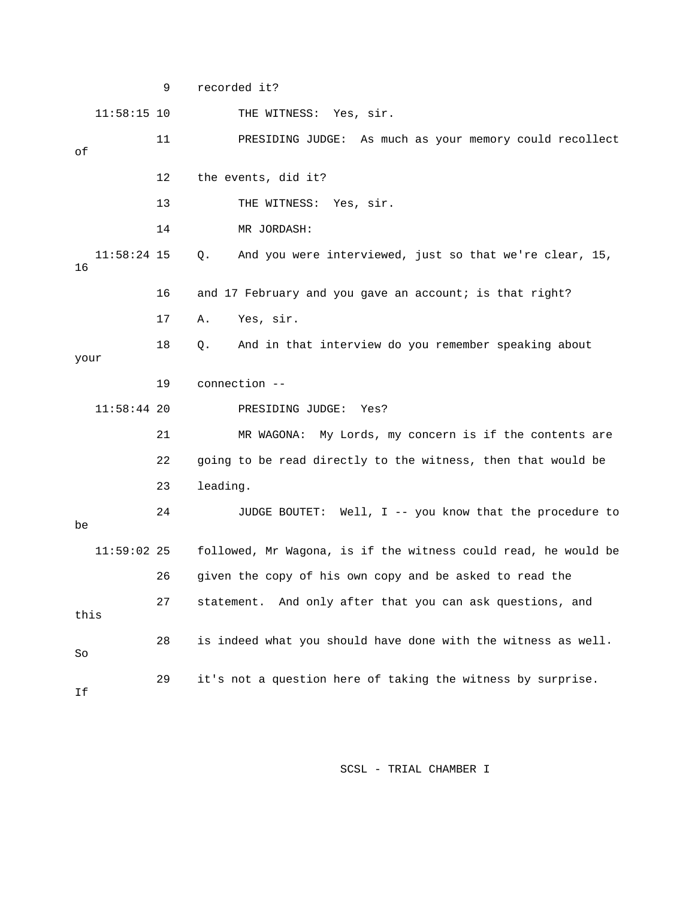9 recorded it? 11:58:15 10 THE WITNESS: Yes, sir. 11 PRESIDING JUDGE: As much as your memory could recollect 13 THE WITNESS: Yes, sir. 14 MR JORDASH: 11:58:24 15 Q. And you were interviewed, just so that we're clear, 15, 17 A. Yes, sir. 18 Q. And in that interview do you remember speaking about PRESIDING JUDGE: Yes? 21 MR WAGONA: My Lords, my concern is if the contents are 22 going to be read directly to the witness, then that would be 24 JUDGE BOUTET: Well, I -- you know that the procedure to 26 given the copy of his own copy and be asked to read the . 28 is indeed what you should have done with the witness as well of 12 the events, did it? 16 16 and 17 February and you gave an account; is that right? your 19 connection --  $11:58:44$  20 23 leading. be 11:59:02 25 followed, Mr Wagona, is if the witness could read, he would be 27 statement. And only after that you can ask questions, and this So 29 it's not a question here of taking the witness by surprise. If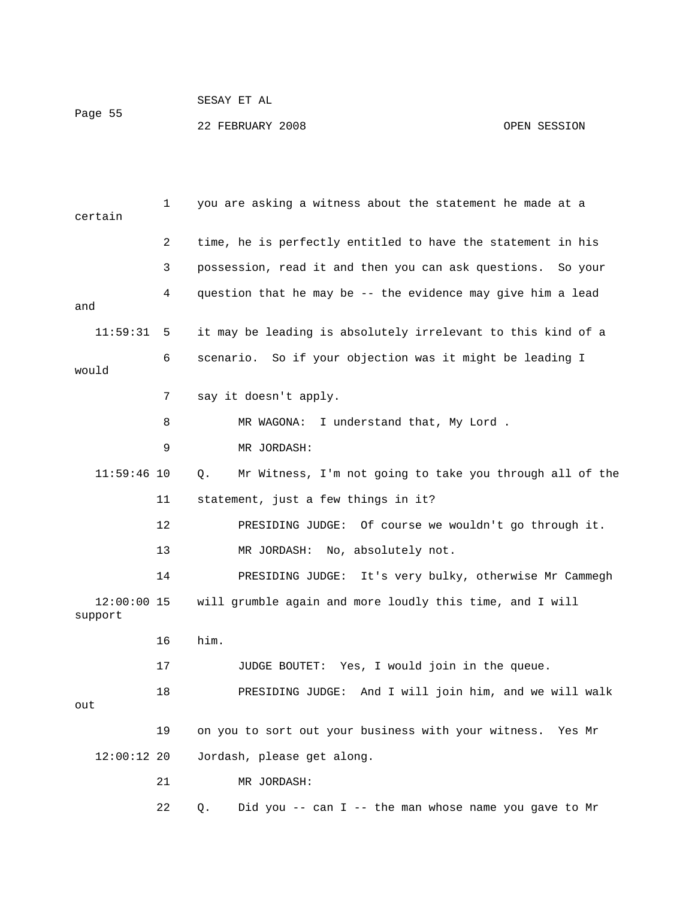### SESAY ET AL Page 55 22 FEBRUARY 2008 OPEN SESSION

 1 you are asking a witness about the statement he made at a certain 3 possession, read it and then you can ask questions. So your 6 scenario. So if your objection was it might be leading I 8 MR WAGONA: I understand that, My Lord . 11:59:46 10 Q. Mr Witness, I'm not going to take you through all of the 11 statement, just a few things in it? 13 MR JORDASH: No, absolutely not. 14 PRESIDING JUDGE: It's very bulky, otherwise Mr Cammegh 12:00:00 15 will grumble again and more loudly this time, and I will 17 JUDGE BOUTET: Yes, I would join in the queue. 18 PRESIDING JUDGE: And I will join him, and we will walk Jordash, please get along. 21 MR JORDASH: 22 Q. Did you -- can I -- the man whose name you gave to Mr 2 time, he is perfectly entitled to have the statement in his 4 question that he may be -- the evidence may give him a lead and 11:59:31 5 it may be leading is absolutely irrelevant to this kind of a would 7 say it doesn't apply. 9 MR JORDASH: 12 PRESIDING JUDGE: Of course we wouldn't go through it. support 16 him. out 19 on you to sort out your business with your witness. Yes Mr  $12:00:12$  20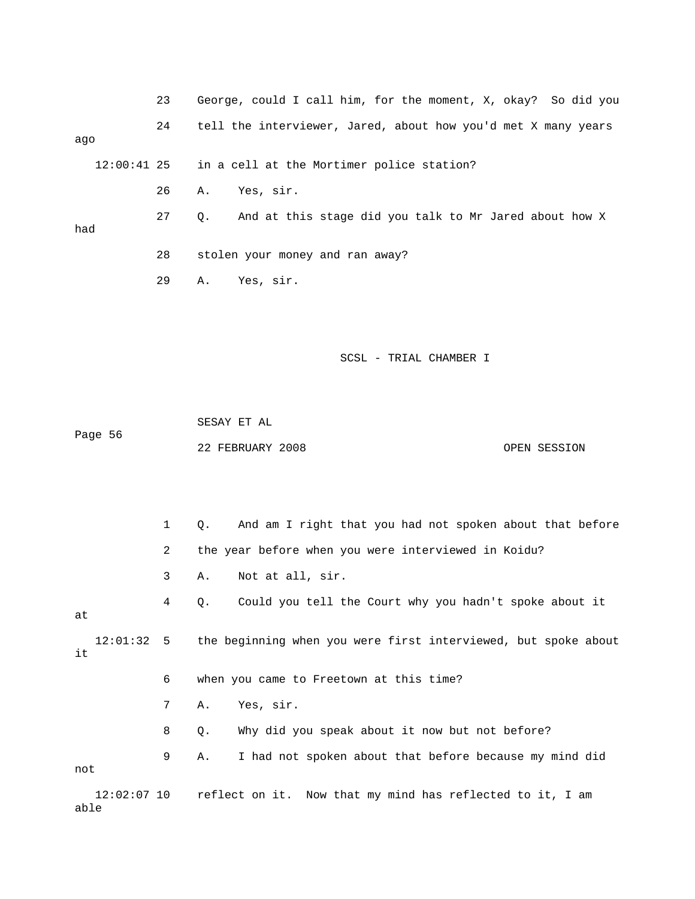|     | 23 | George, could I call him, for the moment, X, okay? So did you |
|-----|----|---------------------------------------------------------------|
| aqo | 24 | tell the interviewer, Jared, about how you'd met X many years |
|     |    | 12:00:41 25 in a cell at the Mortimer police station?         |
|     | 26 | Yes, sir.<br>А.                                               |
| had | 27 | And at this stage did you talk to Mr Jared about how X<br>0.  |
|     | 28 | stolen your money and ran away?                               |
|     | 29 | Yes, sir.<br>Α.                                               |

 SESAY ET AL Page 56 22 FEBRUARY 2008 OPEN SESSION

 1 Q. And am I right that you had not spoken about that before 2 the year before when you were interviewed in Koidu? 3 A. Not at all, sir. 4 Q. Could you tell the Court why you hadn't spoke about it 7 A. Yes, sir. 8 Q. Why did you speak about it now but not before? 9 A. I had not spoken about that before because my mind did at 12:01:32 5 the beginning when you were first interviewed, but spoke about it 6 when you came to Freetown at this time? not 12:02:07 10 reflect on it. Now that my mind has reflected to it, I am able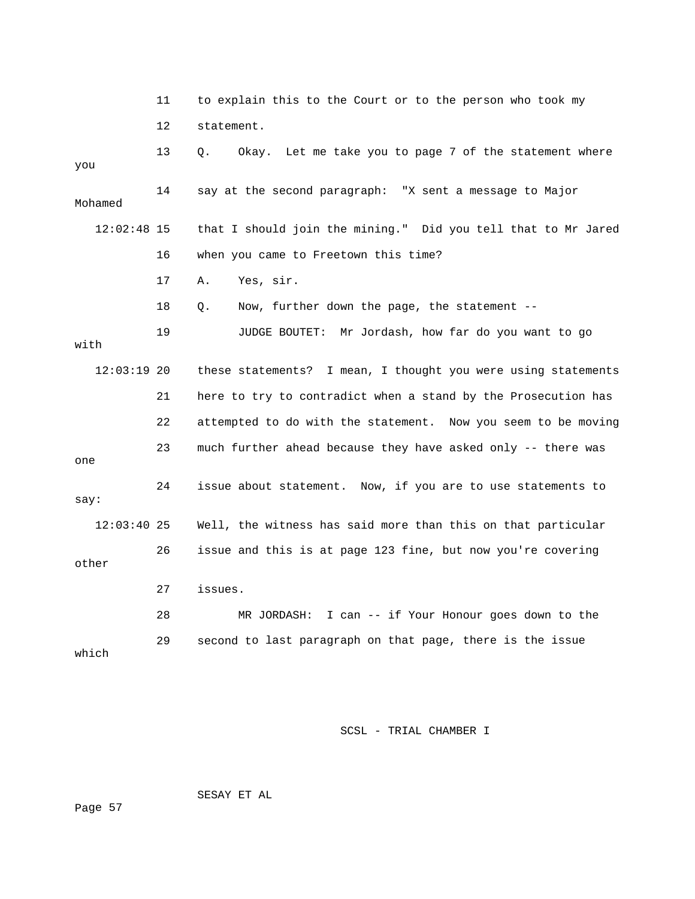|               | 11 | to explain this to the Court or to the person who took my     |
|---------------|----|---------------------------------------------------------------|
|               | 12 | statement.                                                    |
| you           | 13 | Okay. Let me take you to page 7 of the statement where<br>Q.  |
| Mohamed       | 14 | say at the second paragraph: "X sent a message to Major       |
| $12:02:48$ 15 |    | that I should join the mining." Did you tell that to Mr Jared |
|               | 16 | when you came to Freetown this time?                          |
|               | 17 | Yes, sir.<br>Α.                                               |
|               | 18 | Now, further down the page, the statement --<br>Q.            |
| with          | 19 | JUDGE BOUTET: Mr Jordash, how far do you want to go           |
| $12:03:19$ 20 |    | these statements? I mean, I thought you were using statements |
|               | 21 | here to try to contradict when a stand by the Prosecution has |
|               | 22 | attempted to do with the statement. Now you seem to be moving |
| one           | 23 | much further ahead because they have asked only -- there was  |
| say:          | 24 | issue about statement. Now, if you are to use statements to   |
| $12:03:40$ 25 |    | Well, the witness has said more than this on that particular  |
| other         | 26 | issue and this is at page 123 fine, but now you're covering   |
|               | 27 | issues.                                                       |
|               | 28 | MR JORDASH: I can $-$ if Your Honour goes down to the         |
| which         | 29 | second to last paragraph on that page, there is the issue     |

SESAY ET AL

ge 57 Pa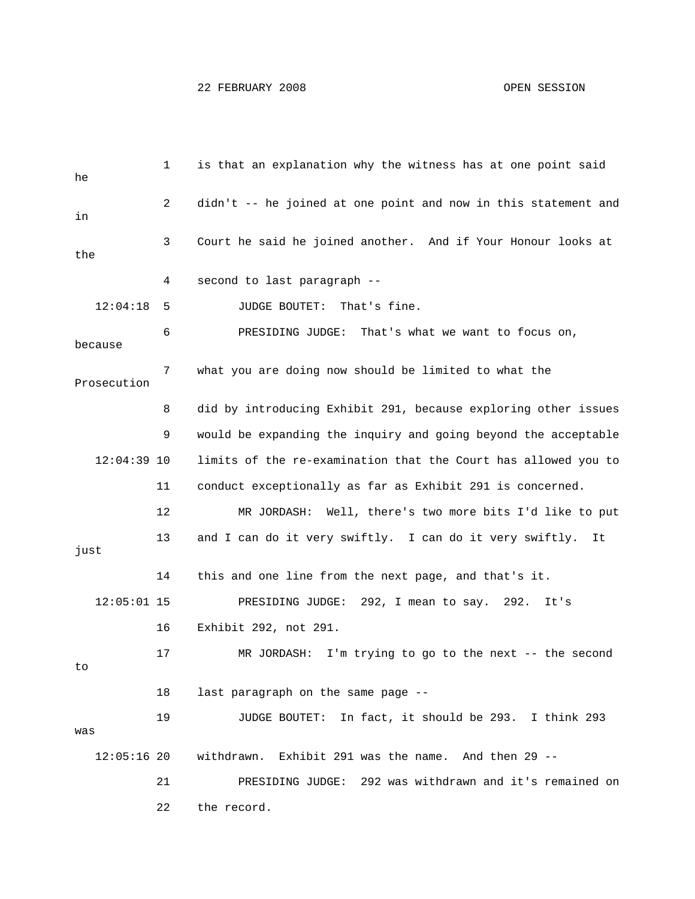| he            | 1  | is that an explanation why the witness has at one point said   |
|---------------|----|----------------------------------------------------------------|
| in            | 2  | didn't -- he joined at one point and now in this statement and |
| the           | 3  | Court he said he joined another. And if Your Honour looks at   |
|               | 4  | second to last paragraph --                                    |
| 12:04:18      | 5  | JUDGE BOUTET:<br>That's fine.                                  |
| because       | 6  | PRESIDING JUDGE: That's what we want to focus on,              |
| Prosecution   | 7  | what you are doing now should be limited to what the           |
|               | 8  | did by introducing Exhibit 291, because exploring other issues |
|               | 9  | would be expanding the inquiry and going beyond the acceptable |
| $12:04:39$ 10 |    | limits of the re-examination that the Court has allowed you to |
|               | 11 | conduct exceptionally as far as Exhibit 291 is concerned.      |
|               | 12 | MR JORDASH: Well, there's two more bits I'd like to put        |
| just          | 13 | and I can do it very swiftly. I can do it very swiftly.<br>It  |
|               | 14 | this and one line from the next page, and that's it.           |
| $12:05:01$ 15 |    | PRESIDING JUDGE: 292, I mean to say. 292.<br>It's              |
|               | 16 | Exhibit 292, not 291.                                          |
| to            | 17 | I'm trying to go to the next -- the second<br>MR JORDASH:      |
|               | 18 | last paragraph on the same page --                             |
| was           | 19 | JUDGE BOUTET: In fact, it should be 293. I think 293           |
| $12:05:16$ 20 |    | Exhibit 291 was the name. And then 29 --<br>withdrawn.         |
|               | 21 | PRESIDING JUDGE: 292 was withdrawn and it's remained on        |
|               | 22 | the record.                                                    |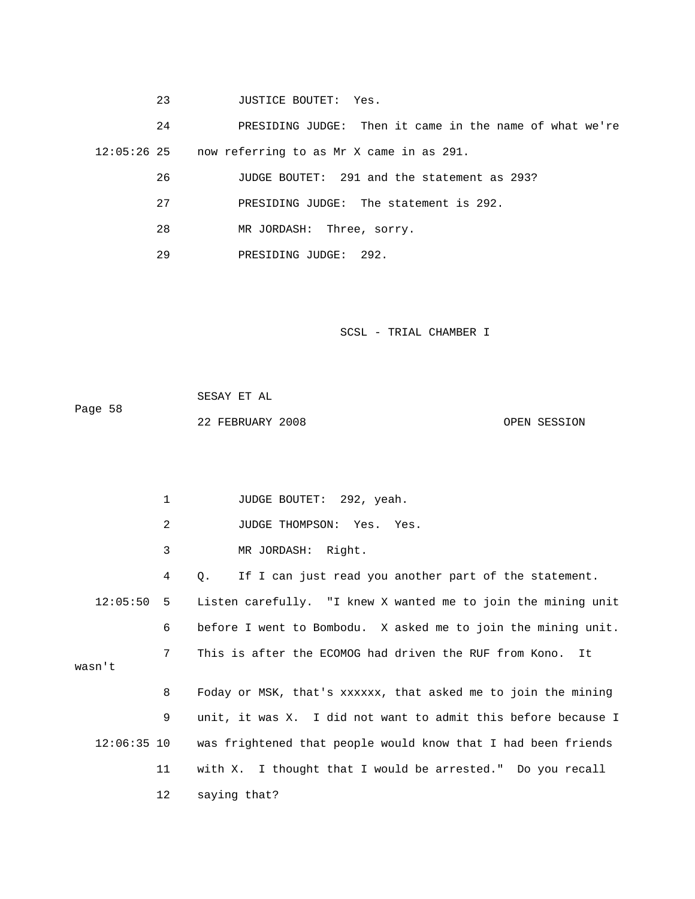23 JUSTICE BOUTET: Yes.

 24 PRESID ING JUDGE: Then it came in the name of what we're 12:05:26 25 now referring to as Mr X came in as 291.

26 JUDGE BOUTET: 291 and the statement as 293?

- 27 PRESIDING JUDGE: The statement is 292.
- 28 MR JORDASH: Three, sorry.

1 JUDGE BOUTET: 292, yeah.

29 PRESIDING JUDGE: 292.

| Page 58 | SESAY ET AL      |  |              |
|---------|------------------|--|--------------|
|         | 22 FEBRUARY 2008 |  | OPEN SESSION |

|               | 2  | JUDGE THOMPSON: Yes. Yes.                                     |
|---------------|----|---------------------------------------------------------------|
|               | 3  | MR JORDASH: Right.                                            |
|               | 4  | If I can just read you another part of the statement.<br>Q.   |
| 12:05:50      | 5  | Listen carefully. "I knew X wanted me to join the mining unit |
|               | 6  | before I went to Bombodu. X asked me to join the mining unit. |
| wasn't        | 7  | This is after the ECOMOG had driven the RUF from Kono. It     |
|               | 8  | Foday or MSK, that's xxxxxx, that asked me to join the mining |
|               | 9  | unit, it was X. I did not want to admit this before because I |
| $12:06:35$ 10 |    | was frightened that people would know that I had been friends |
|               | 11 | with X. I thought that I would be arrested." Do you recall    |
|               | 12 | saying that?                                                  |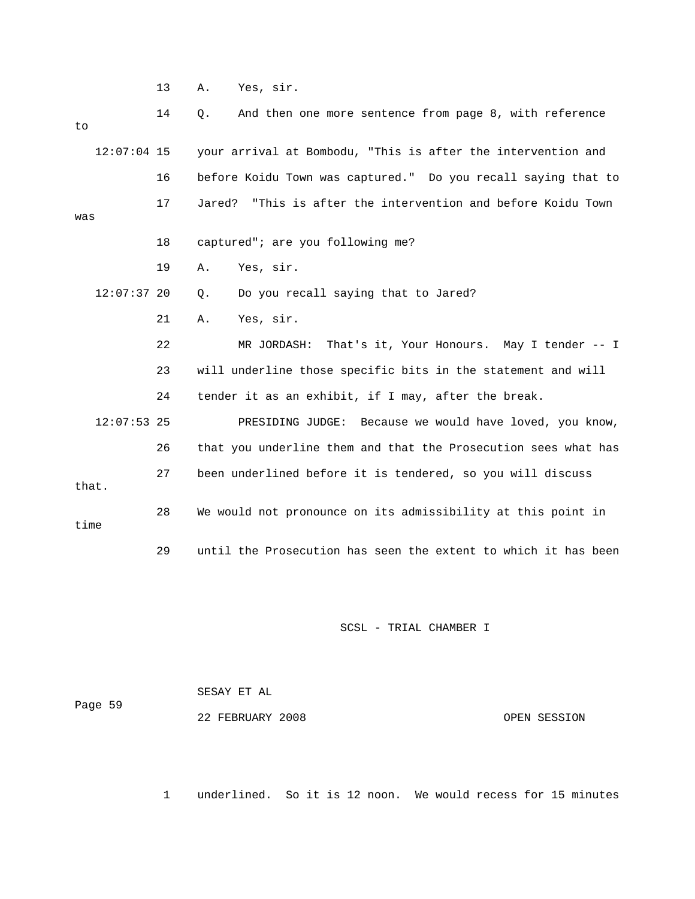13 A. Yes, sir.

| to    |               | 14 | And then one more sentence from page 8, with reference<br>Q.    |
|-------|---------------|----|-----------------------------------------------------------------|
|       | $12:07:04$ 15 |    | your arrival at Bombodu, "This is after the intervention and    |
|       |               | 16 | before Koidu Town was captured." Do you recall saying that to   |
| was   |               | 17 | "This is after the intervention and before Koidu Town<br>Jared? |
|       |               | 18 | captured"; are you following me?                                |
|       |               | 19 | Yes, sir.<br>Α.                                                 |
|       | $12:07:37$ 20 |    | Do you recall saying that to Jared?<br>$\circ$ .                |
|       |               | 21 | Yes, sir.<br>Α.                                                 |
|       |               | 22 | That's it, Your Honours. May I tender -- I<br>MR JORDASH:       |
|       |               | 23 | will underline those specific bits in the statement and will    |
|       |               | 24 | tender it as an exhibit, if I may, after the break.             |
|       | $12:07:53$ 25 |    | PRESIDING JUDGE: Because we would have loved, you know,         |
|       |               | 26 | that you underline them and that the Prosecution sees what has  |
| that. |               | 27 | been underlined before it is tendered, so you will discuss      |
| time  |               | 28 | We would not pronounce on its admissibility at this point in    |
|       |               | 29 | until the Prosecution has seen the extent to which it has been  |

SCSL - TRIAL CHAMBER I

 SESAY ET AL Page 59 22 FEBRUARY 2008 OPEN SESSION

1 underlined. So it is 12 noon. We would recess for 15 minutes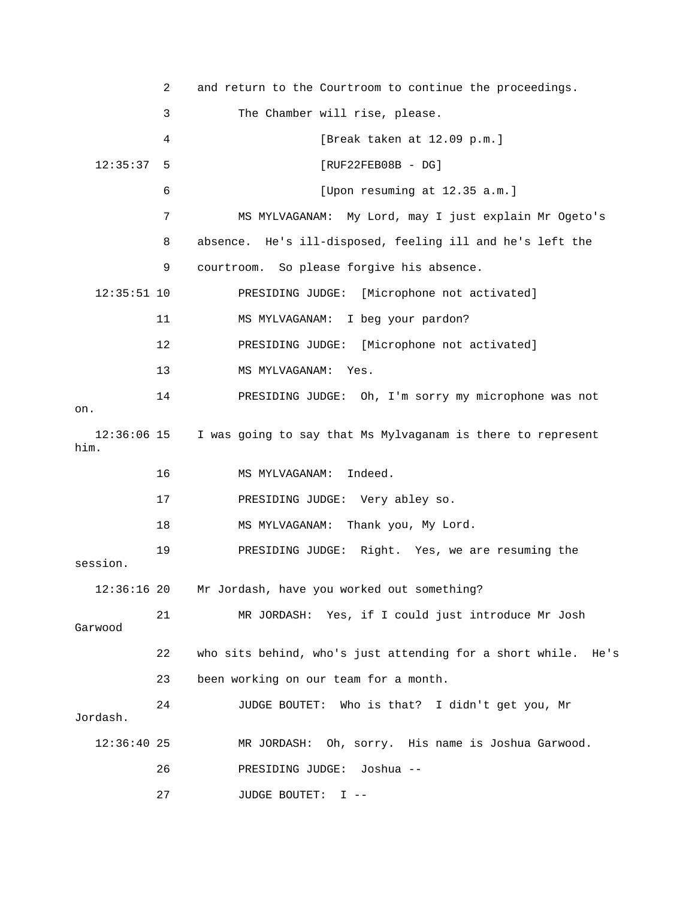|                       | 2  | and return to the Courtroom to continue the proceedings.      |
|-----------------------|----|---------------------------------------------------------------|
|                       | 3  | The Chamber will rise, please.                                |
|                       | 4  | [Break taken at 12.09 p.m.]                                   |
| 12:35:37              | 5  | $[RUF22FEB08B - DG]$                                          |
|                       | 6  | [Upon resuming at 12.35 a.m.]                                 |
|                       | 7  | MS MYLVAGANAM: My Lord, may I just explain Mr Ogeto's         |
|                       | 8  | absence. He's ill-disposed, feeling ill and he's left the     |
|                       | 9  | courtroom. So please forgive his absence.                     |
| $12:35:51$ 10         |    | PRESIDING JUDGE: [Microphone not activated]                   |
|                       | 11 | MS MYLVAGANAM: I beg your pardon?                             |
|                       | 12 | PRESIDING JUDGE: [Microphone not activated]                   |
|                       | 13 | MS MYLVAGANAM: Yes.                                           |
| on.                   | 14 | PRESIDING JUDGE: Oh, I'm sorry my microphone was not          |
| $12:36:06$ 15<br>him. |    | I was going to say that Ms Mylvaganam is there to represent   |
|                       | 16 | Indeed.<br>MS MYLVAGANAM:                                     |
|                       | 17 | PRESIDING JUDGE: Very abley so.                               |
|                       | 18 | MS MYLVAGANAM: Thank you, My Lord.                            |
| session.              | 19 | PRESIDING JUDGE: Right. Yes, we are resuming the              |
| 12:36:1620            |    | Mr Jordash, have you worked out something?                    |
| Garwood               | 21 | MR JORDASH: Yes, if I could just introduce Mr Josh            |
|                       | 22 | who sits behind, who's just attending for a short while. He's |
|                       | 23 | been working on our team for a month.                         |
| Jordash.              | 24 | JUDGE BOUTET:<br>Who is that? I didn't get you, Mr            |
| $12:36:40$ 25         |    | MR JORDASH: Oh, sorry. His name is Joshua Garwood.            |
|                       | 26 | Joshua --<br>PRESIDING JUDGE:                                 |
|                       | 27 | <b>JUDGE BOUTET:</b><br>$I - -$                               |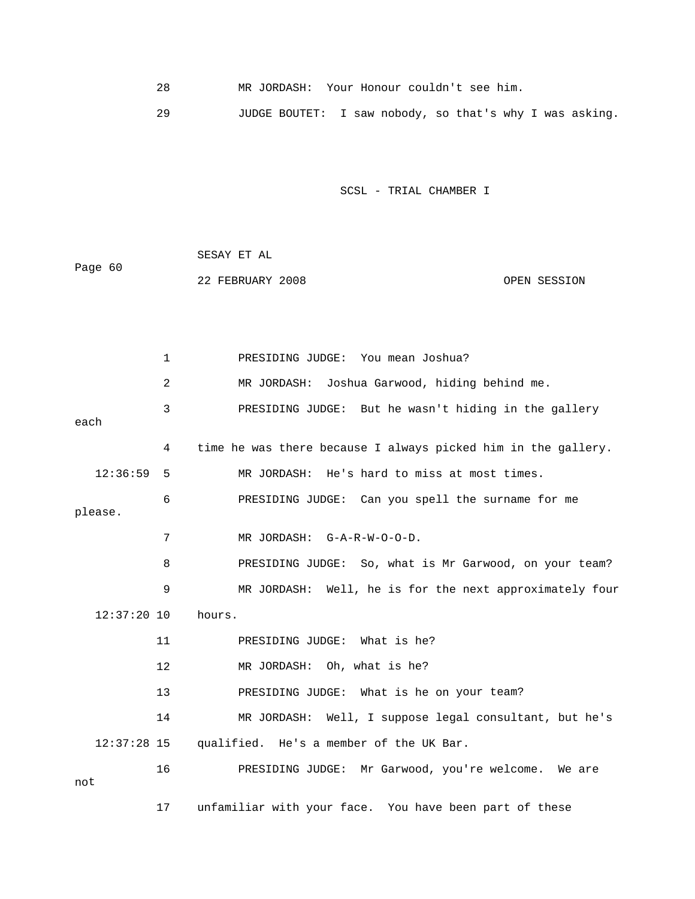28 MR JORDASH: Your Honour couldn't see him.

29 JUDGE BOUTET: I saw nobody, so that's why I was asking.

| Page 60 | SESAY ET AL      |              |
|---------|------------------|--------------|
|         | 22 FEBRUARY 2008 | OPEN SESSION |

|         |               | $\mathbf{1}$ | PRESIDING JUDGE: You mean Joshua?                             |
|---------|---------------|--------------|---------------------------------------------------------------|
|         |               | 2            | MR JORDASH: Joshua Garwood, hiding behind me.                 |
| each    |               | 3            | PRESIDING JUDGE: But he wasn't hiding in the gallery          |
|         |               |              |                                                               |
|         |               | 4            | time he was there because I always picked him in the gallery. |
|         | 12:36:59      | 5            | MR JORDASH: He's hard to miss at most times.                  |
| please. |               | 6            | PRESIDING JUDGE: Can you spell the surname for me             |
|         |               | 7            | MR JORDASH: G-A-R-W-O-O-D.                                    |
|         |               | 8            | PRESIDING JUDGE: So, what is Mr Garwood, on your team?        |
|         |               | 9            | MR JORDASH: Well, he is for the next approximately four       |
|         | $12:37:20$ 10 |              | hours.                                                        |
|         |               | 11           | PRESIDING JUDGE: What is he?                                  |
|         |               | $12 \,$      | MR JORDASH: Oh, what is he?                                   |
|         |               | 13           | PRESIDING JUDGE: What is he on your team?                     |
|         |               | 14           | MR JORDASH: Well, I suppose legal consultant, but he's        |
|         | $12:37:28$ 15 |              | qualified. He's a member of the UK Bar.                       |
| not     |               | 16           | PRESIDING JUDGE: Mr Garwood, you're welcome. We are           |
|         |               | 17           | unfamiliar with your face. You have been part of these        |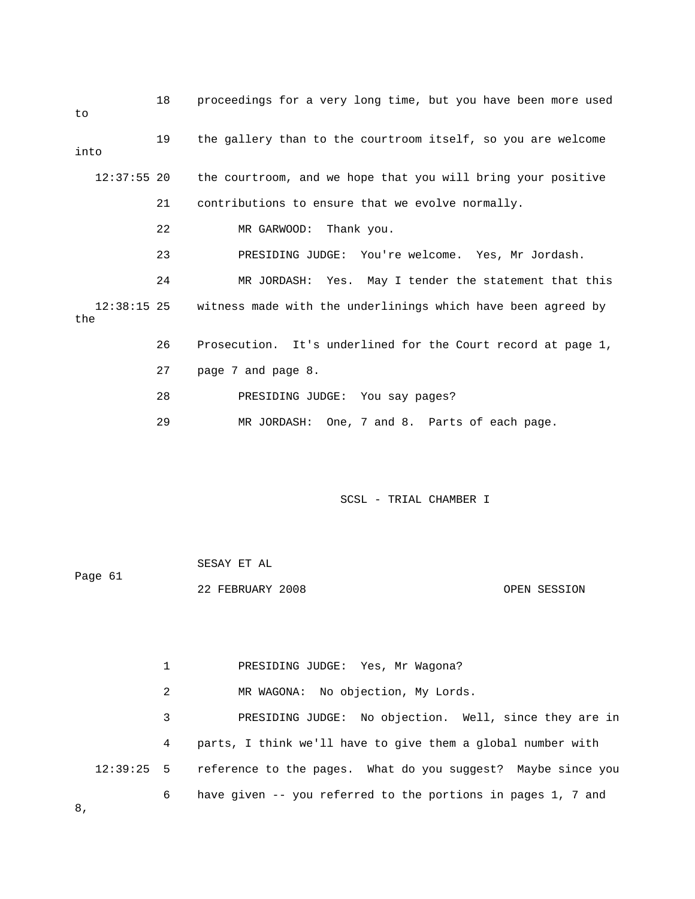| to            | 18 | proceedings for a very long time, but you have been more used            |
|---------------|----|--------------------------------------------------------------------------|
| into          | 19 | the gallery than to the courtroom itself, so you are welcome             |
| $12:37:55$ 20 |    | the courtroom, and we hope that you will bring your positive             |
|               | 21 | contributions to ensure that we evolve normally.                         |
|               | 22 | MR GARWOOD: Thank you.                                                   |
|               | 23 | PRESIDING JUDGE: You're welcome. Yes, Mr Jordash.                        |
|               | 24 | MR JORDASH: Yes. May I tender the statement that this                    |
| the           |    | 12:38:15 25 witness made with the underlinings which have been agreed by |
|               | 26 | Prosecution. It's underlined for the Court record at page 1,             |
|               | 27 | page 7 and page 8.                                                       |
|               | 28 | PRESIDING JUDGE: You say pages?                                          |
|               | 29 | MR JORDASH: One, 7 and 8. Parts of each page.                            |

Page 61 22 FEBRUARY 2008 OPEN SESSION SESAY ET AL

2 MR WAGONA: No objection, My Lords.

1 PRESIDING JUDGE: Yes, Mr Wagona?

3 PRESIDING JUDGE: No objection. Well, since they are in 4 parts, I think we'll have to give them a global number with 12:39:25 5 reference to the pages. What do you suggest? Maybe since you 6 have given -- you referred to the portions in pages 1, 7 and

8,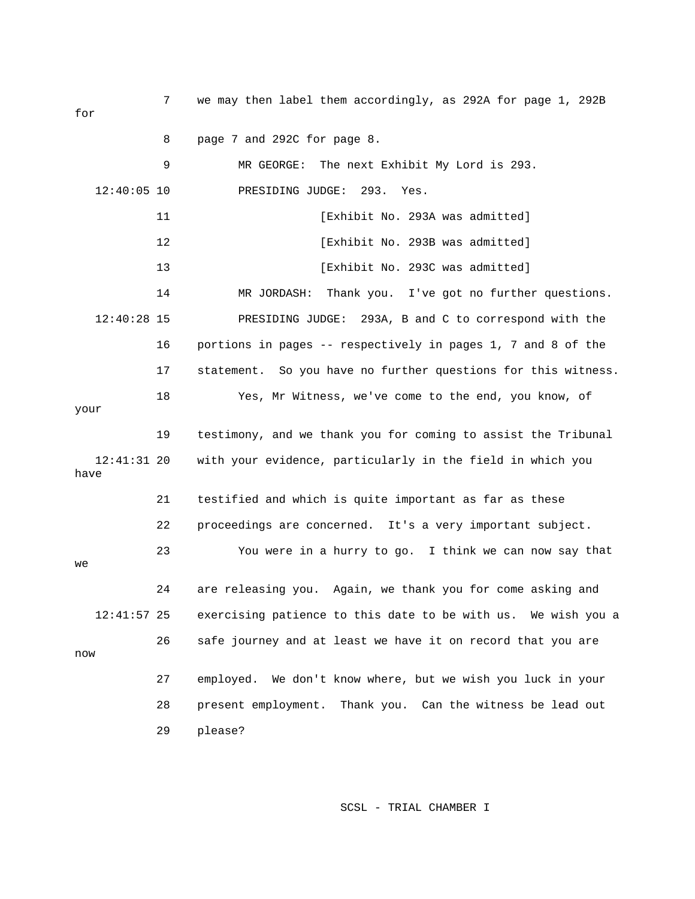7 we may then label them accordingly, as 292A for page 1, 292B for 8 page 7 and 292C for page 8. 9 MR GEORGE: The next Exhibit My Lord is 293. 12:40:05 10 PRESIDING JUDGE: 293. Yes. was admitted] 12 [Exhibit No. 293B 14 MR JORDASH: Thank you. I've got no further questions. 12:40:28 15 PRESIDING JUDGE: 293A, B and C to correspond with the 19 testimony, and we thank you for coming to assist the Tribunal with your evidence, particularly in the field in which you have 21 testified and which is quite important as far as these 23 You were in a hurry to go. I think we can now say that 24 are releasing you. Again, we thank you for come asking and exercising patience to this date to be with us. We wish you a w no 28 present employment. Thank you. Can the witness be lead out 11 **Interval in the U.S. Exhibit No. 293A was admitted**] 13 [Exhibit No. 293C was admitted] 16 portions in pages -- respectively in pages 1, 7 and 8 of the 17 statement. So you have no further questions for this witness. 18 Yes, Mr Witness, we've come to the end, you know, of your  $12:41:31$  20 22 proceedings are concerned. It's a very important subject. we  $12:41:57$  25 26 safe journey and at least we have it on record that you are 27 employed. We don't know where, but we wish you luck in your 29 please?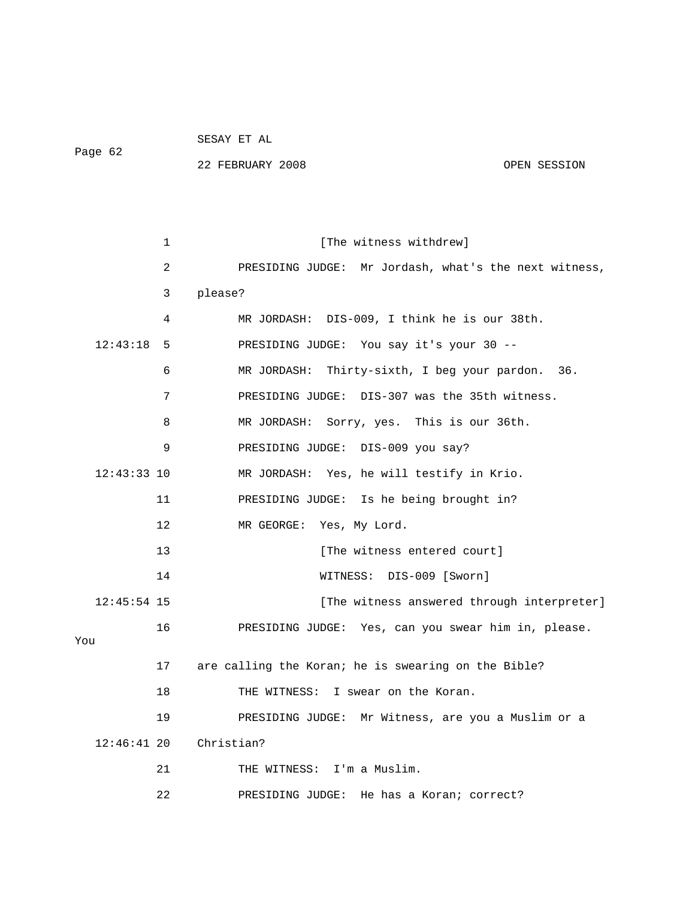Page 62

SESAY ET AL

22 FEBRUARY 2008 OPEN SESSION

1 [The witness withdrew] 2 PRESIDING JUDGE: Mr Jordash, what's the next witness, PRESIDING JUDGE: You say it's your 30 --6 MR JORDASH: Thirty-sixth, I beg your pardon. 36. 7 PRESIDING JUDGE: DIS-307 was the 35th witness. 11 PRESIDING JUDGE: Is he being brought in? 09 [Sworn] 14 WITNESS: DIS-0 12:45:54 15 [The witness answered through interpreter] m in, please. 16 PRESIDING JUDGE: Yes, can you swear hi 17 are calling the Koran; he is swearing on the Bible? 18 THE WITNESS: I swear on the Koran. or a 19 PRESIDING JUDGE: Mr Witness, are you a Muslim 22 **DRESIDING JUDGE:** He has a Koran; correct? 3 please? 4 MR JORDASH: DIS-009, I think he is our 38th.  $12:43:18$  5 8 MR JORDASH: Sorry, yes. This is our 36th. 9 PRESIDING JUDGE: DIS-009 you say? 12:43:33 10 MR JORDASH: Yes, he will testify in Krio. 12 MR GEORGE: Yes, My Lord. 13 **I** [The witness entered court] You 12:46:41 20 Christian? 21 THE WITNESS: I'm a Muslim.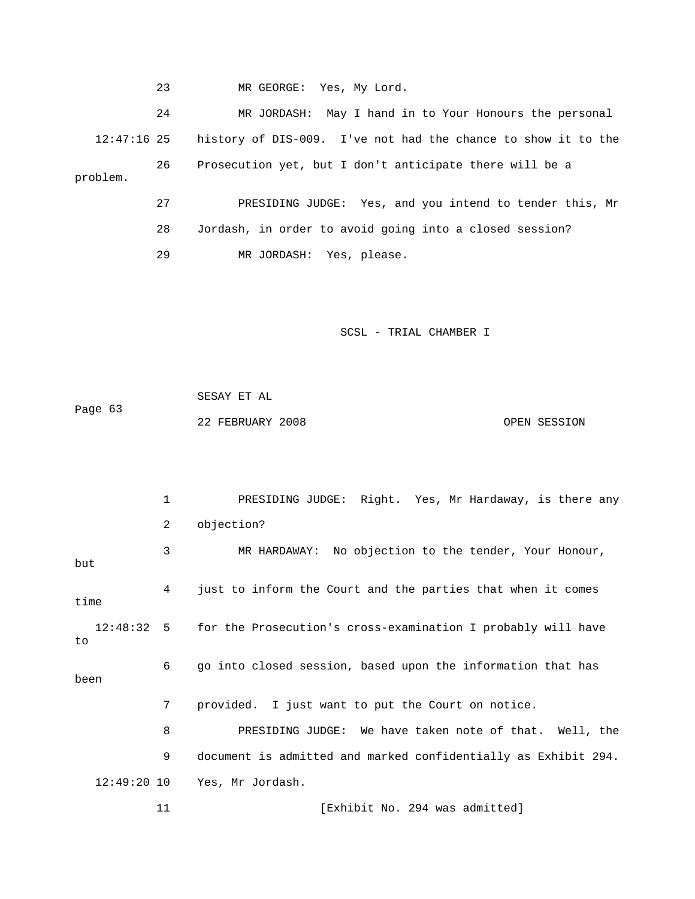23 MR GEORGE: Yes, My Lord.

 24 MR JORDASH: May I hand in to Your Honours the personal 12:47:16 25 history of DIS-009. I've not had the chance to show it to the 27 PRESIDING JUDGE: Yes, and you intend to tender this, Mr 28 Jordash, in order to avoid going into a closed session? 26 Prosecution yet, but I don't anticipate there will be a problem.

29 MR JORDASH: Yes, please.

#### SCSL - TRIAL CHAMBER I

 SESAY ET AL Page 63 22 FEBRUARY 2008 OPEN SESSION

 1 PRESIDING JUDGE: Right. Yes, Mr Hardaway, is there any 2 objection? 4 just to inform the Court and the parties that when it comes 12:48:32 5 for the Prosecution's cross-examination I probably will have 6 go into closed session, based upon the information that has 7 provided. I just want to put the Court on notice. 8 PRESIDING JUDGE: We have taken note of that. Well, the 9 document is admitted and marked confidentially as Exhibit 294. 3 MR HARDAWAY: No objection to the tender, Your Honour, but time to been 12:49:20 10 Yes, Mr Jordash. 11 **Interval Exhibit No. 294 was admitted**]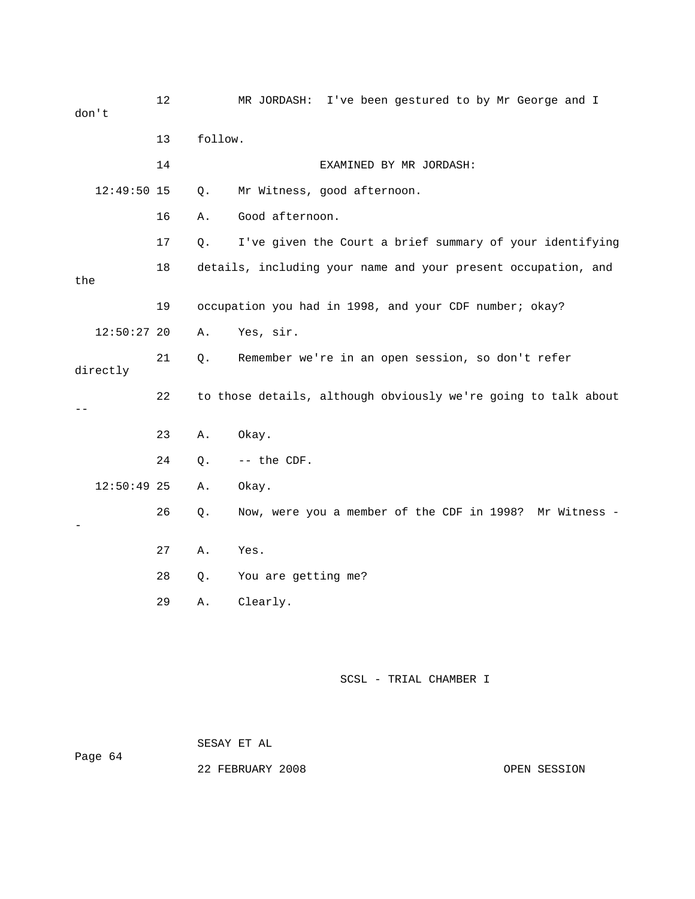| don't         | 12 |         | MR JORDASH:<br>I've been gestured to by Mr George and I        |
|---------------|----|---------|----------------------------------------------------------------|
|               | 13 | follow. |                                                                |
|               | 14 |         | EXAMINED BY MR JORDASH:                                        |
| $12:49:50$ 15 |    | Q.      | Mr Witness, good afternoon.                                    |
|               | 16 | Α.      | Good afternoon.                                                |
|               | 17 | Q.      | I've given the Court a brief summary of your identifying       |
| the           | 18 |         | details, including your name and your present occupation, and  |
|               | 19 |         | occupation you had in 1998, and your CDF number; okay?         |
| $12:50:27$ 20 |    | Α.      | Yes, sir.                                                      |
| directly      | 21 | Q.      | Remember we're in an open session, so don't refer              |
|               | 22 |         | to those details, although obviously we're going to talk about |
|               | 23 | Α.      | Okay.                                                          |
|               | 24 | $Q$ .   | -- the CDF.                                                    |
| $12:50:49$ 25 |    | Α.      | Okay.                                                          |
|               | 26 | Q.      | Now, were you a member of the CDF in 1998? Mr Witness -        |
|               | 27 | Α.      | Yes.                                                           |
|               | 28 | Q.      | You are getting me?                                            |
|               | 29 | Α.      | Clearly.                                                       |
|               |    |         |                                                                |

 SESAY ET AL Page 64

22 FEBRUARY 2008 OPEN SESSION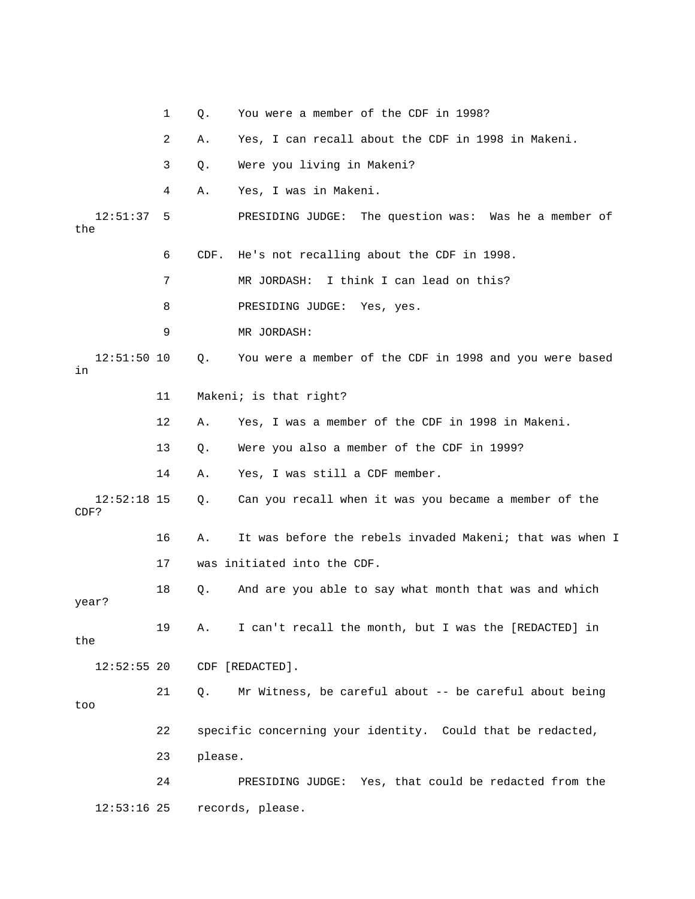|                       | 1  | Q.      | You were a member of the CDF in 1998?                      |
|-----------------------|----|---------|------------------------------------------------------------|
|                       | 2  | Α.      | Yes, I can recall about the CDF in 1998 in Makeni.         |
|                       | 3  | Q.      | Were you living in Makeni?                                 |
|                       | 4  | Α.      | Yes, I was in Makeni.                                      |
| 12:51:37<br>the       | 5  |         | PRESIDING JUDGE: The question was: Was he a member of      |
|                       | 6  | CDF.    | He's not recalling about the CDF in 1998.                  |
|                       | 7  |         | I think I can lead on this?<br>MR JORDASH:                 |
|                       | 8  |         | PRESIDING JUDGE:<br>Yes, yes.                              |
|                       | 9  |         | MR JORDASH:                                                |
| $12:51:50$ 10<br>in   |    | Q.      | You were a member of the CDF in 1998 and you were based    |
|                       | 11 |         | Makeni; is that right?                                     |
|                       | 12 | Α.      | Yes, I was a member of the CDF in 1998 in Makeni.          |
|                       | 13 | Q.      | Were you also a member of the CDF in 1999?                 |
|                       | 14 | Α.      | Yes, I was still a CDF member.                             |
| $12:52:18$ 15<br>CDF? |    | Q.      | Can you recall when it was you became a member of the      |
|                       | 16 | Α.      | It was before the rebels invaded Makeni; that was when I   |
|                       | 17 |         | was initiated into the CDF.                                |
| year?                 | 18 | Q.      | And are you able to say what month that was and which      |
| the                   | 19 | Α.      | I can't recall the month, but I was the [REDACTED] in      |
| $12:52:55$ 20         |    |         | CDF [REDACTED].                                            |
| too                   | 21 | Q.      | Mr Witness, be careful about -- be careful about being     |
|                       | 22 |         | specific concerning your identity. Could that be redacted, |
|                       | 23 | please. |                                                            |
|                       | 24 |         | PRESIDING JUDGE: Yes, that could be redacted from the      |
| $12:53:16$ 25         |    |         | records, please.                                           |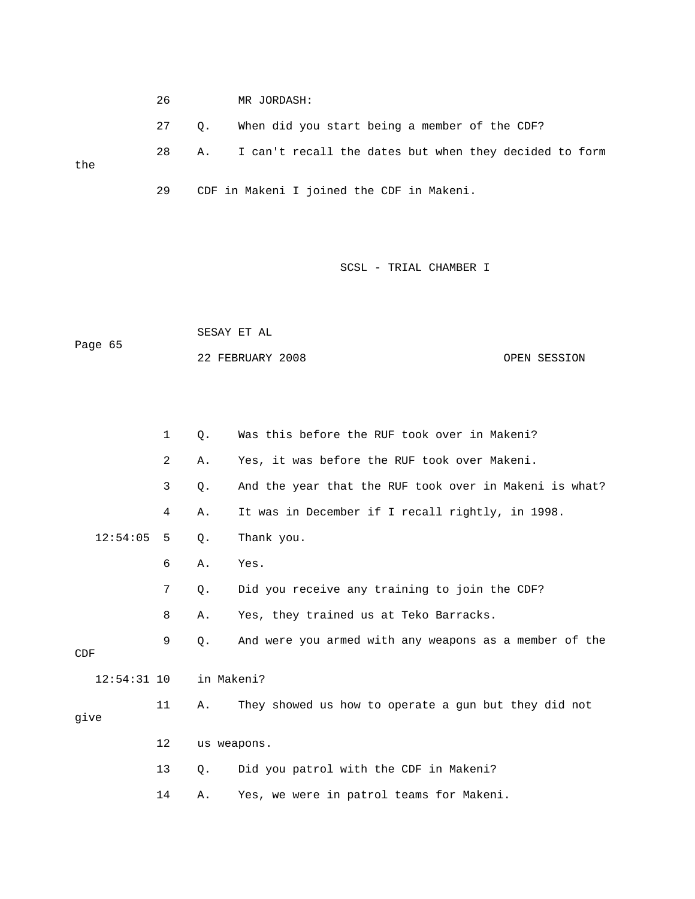26 MR JORDASH: 28 A. I can't recall the dates but when they decided to form the 29 CDF in Makeni I joined the CDF in Makeni. 27 Q. When did you start being a member of the CDF?

SCSL - TRIAL CHAMBER I

 22 FEBRUARY 2008 OPEN SESSION SESAY ET AL Page 65

|      |               | $\mathbf{1}$   | $\circ$ .  | Was this before the RUF took over in Makeni?           |
|------|---------------|----------------|------------|--------------------------------------------------------|
|      |               | $\overline{2}$ | Α.         | Yes, it was before the RUF took over Makeni.           |
|      |               | 3              | $Q$ .      | And the year that the RUF took over in Makeni is what? |
|      |               | 4              | Α.         | It was in December if I recall rightly, in 1998.       |
|      | 12:54:05      | 5              | Q.         | Thank you.                                             |
|      |               | 6              | Α.         | Yes.                                                   |
|      |               | 7              | $Q$ .      | Did you receive any training to join the CDF?          |
|      |               | 8              | Α.         | Yes, they trained us at Teko Barracks.                 |
| CDF  |               | 9              | $Q$ .      | And were you armed with any weapons as a member of the |
|      | $12:54:31$ 10 |                | in Makeni? |                                                        |
| give |               | 11             | Α.         | They showed us how to operate a gun but they did not   |
|      |               | 12             |            | us weapons.                                            |
|      |               | 13             | $Q$ .      | Did you patrol with the CDF in Makeni?                 |
|      |               | 14             | Α.         | Yes, we were in patrol teams for Makeni.               |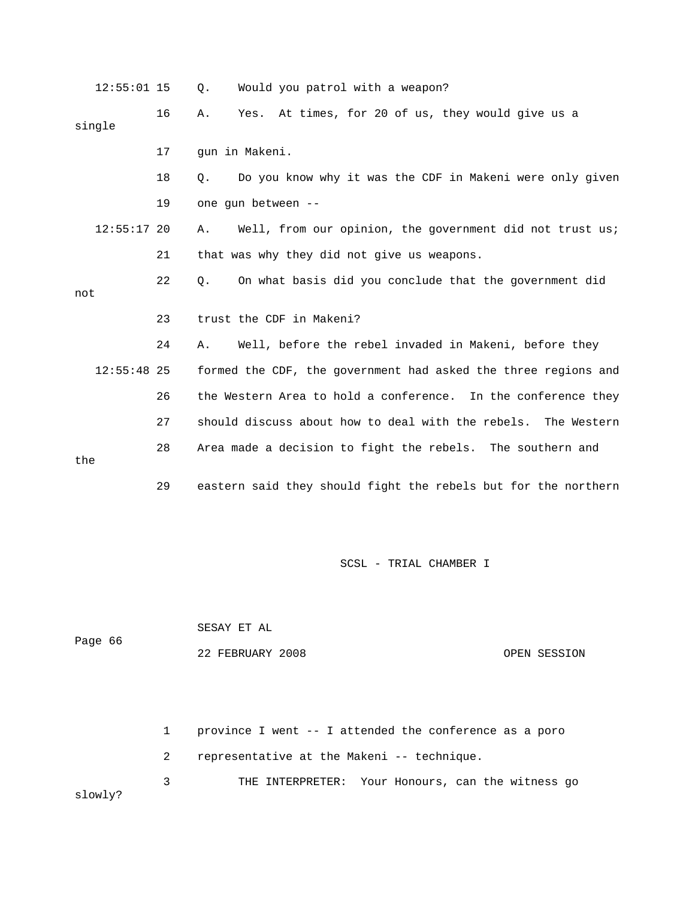|     | $12:55:01$ 15 |    | Would you patrol with a weapon?<br>Q.                            |
|-----|---------------|----|------------------------------------------------------------------|
|     | single        | 16 | At times, for 20 of us, they would give us a<br>Yes.<br>Α.       |
|     |               | 17 | qun in Makeni.                                                   |
|     |               | 18 | Do you know why it was the CDF in Makeni were only given<br>Ο.   |
|     |               | 19 | one qun between --                                               |
|     | $12:55:17$ 20 |    | Well, from our opinion, the government did not trust us;<br>Α.   |
|     |               | 21 | that was why they did not give us weapons.                       |
| not |               | 22 | On what basis did you conclude that the government did<br>$Q$ .  |
|     |               | 23 | trust the CDF in Makeni?                                         |
|     |               | 24 | Well, before the rebel invaded in Makeni, before they<br>Α.      |
|     | $12:55:48$ 25 |    | formed the CDF, the government had asked the three regions and   |
|     |               | 26 | the Western Area to hold a conference. In the conference they    |
|     |               | 27 | should discuss about how to deal with the rebels.<br>The Western |
| the |               | 28 | Area made a decision to fight the rebels. The southern and       |
|     |               | 29 | eastern said they should fight the rebels but for the northern   |

|         | SESAY ET AL      |              |
|---------|------------------|--------------|
| Page 66 |                  |              |
|         | 22 FEBRUARY 2008 | OPEN SESSION |

 2 representative at the Makeni -- technique. 3 THE INTERPRETER: Your Honours, can the witness go owly? 1 province I went -- I attended the conference as a poro sl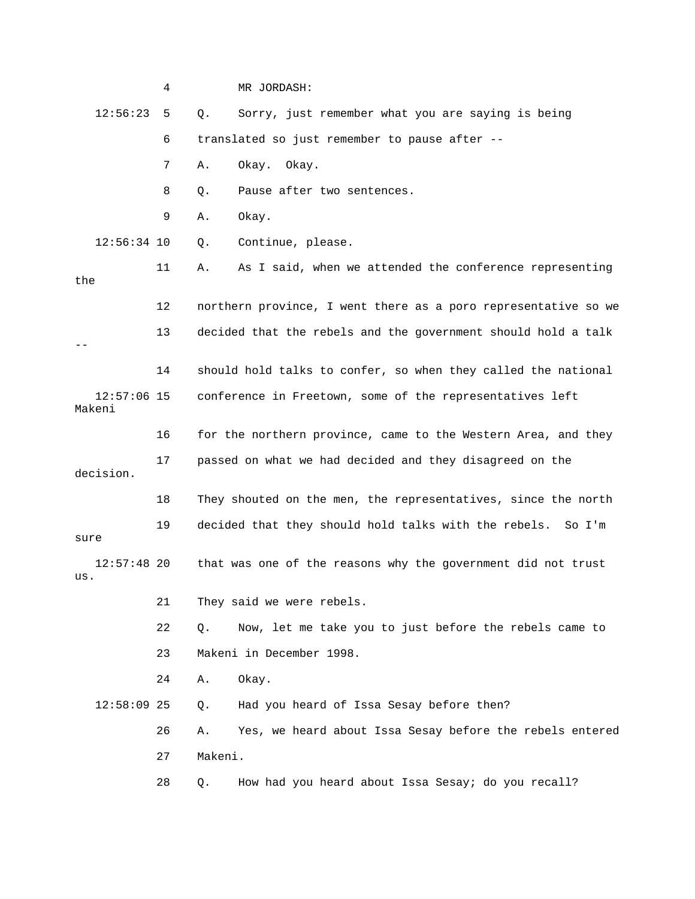|                         | 4  | MR JORDASH:                                                     |
|-------------------------|----|-----------------------------------------------------------------|
| 12:56:23                | 5  | Sorry, just remember what you are saying is being<br>Q.         |
|                         | 6  | translated so just remember to pause after --                   |
|                         | 7  | Okay. Okay.<br>Α.                                               |
|                         | 8  | Pause after two sentences.<br>Q.                                |
|                         | 9  | Okay.<br>Α.                                                     |
| $12:56:34$ 10           |    | Continue, please.<br>Q.                                         |
| the                     | 11 | As I said, when we attended the conference representing<br>Α.   |
|                         | 12 | northern province, I went there as a poro representative so we  |
|                         | 13 | decided that the rebels and the government should hold a talk   |
|                         | 14 | should hold talks to confer, so when they called the national   |
| $12:57:06$ 15<br>Makeni |    | conference in Freetown, some of the representatives left        |
|                         | 16 | for the northern province, came to the Western Area, and they   |
| decision.               | 17 | passed on what we had decided and they disagreed on the         |
|                         | 18 | They shouted on the men, the representatives, since the north   |
| sure                    | 19 | decided that they should hold talks with the rebels.<br>So I'm  |
| $12:57:48$ 20<br>us.    |    | that was one of the reasons why the government did not trust    |
|                         | 21 | They said we were rebels.                                       |
|                         | 22 | Now, let me take you to just before the rebels came to<br>$Q$ . |
|                         | 23 | Makeni in December 1998.                                        |
|                         | 24 | Okay.<br>Α.                                                     |
| $12:58:09$ 25           |    | Had you heard of Issa Sesay before then?<br>Q.                  |
|                         | 26 | Yes, we heard about Issa Sesay before the rebels entered<br>Α.  |
|                         | 27 | Makeni.                                                         |
|                         | 28 | How had you heard about Issa Sesay; do you recall?<br>Q.        |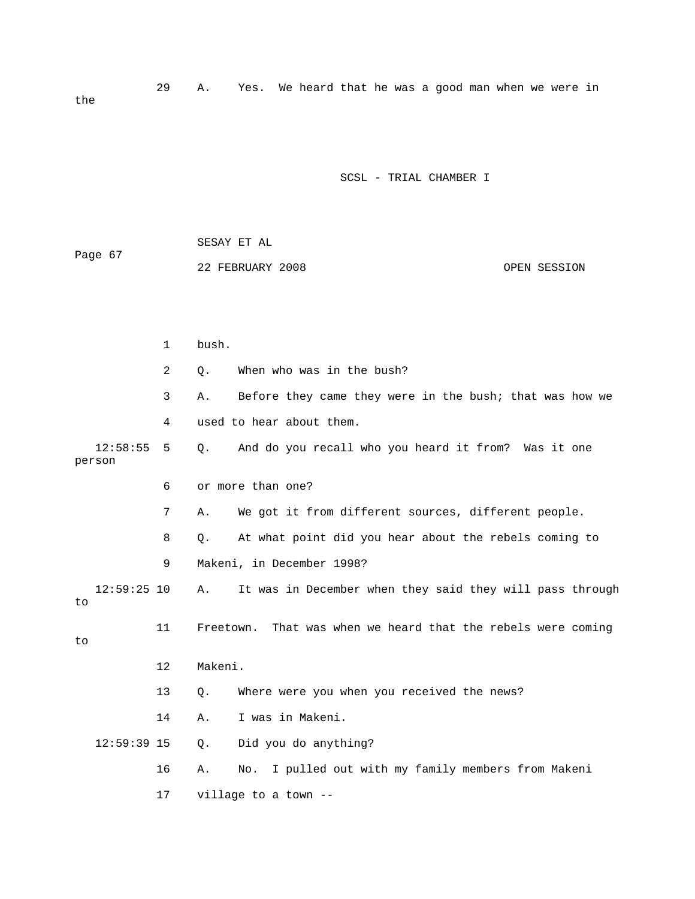29 A. Yes. We heard that he was a good man when we were in the

SCSL - TRIAL CHAMBER I

 SESAY ET AL 22 FEBRUARY 2008 OPEN SESSION 2 Q. When who was in the bush? 3 A. Before they came they were in the bush; that was how we 4 used to hear about them. 12:58:55 5 Q. And do you recall who you heard it from? Was it one person 7 A. We got it from different sources, different people. 8 Q. At what point did you hear about the rebels coming to 9 Makeni, in December 1998? 12:59:25 10 A. It was in December when they said they will pass through 11 Freetown. That was when we heard that the rebels were coming 13 Q. Where were you when you received the news? Did you do anything? 16 A. No. I pulled out with my family members from Makeni Page 67 1 bush. 6 or more than one? to to 12 Makeni. 14 A. I was in Makeni.  $12:59:39$  15 Q. 17 village to a town --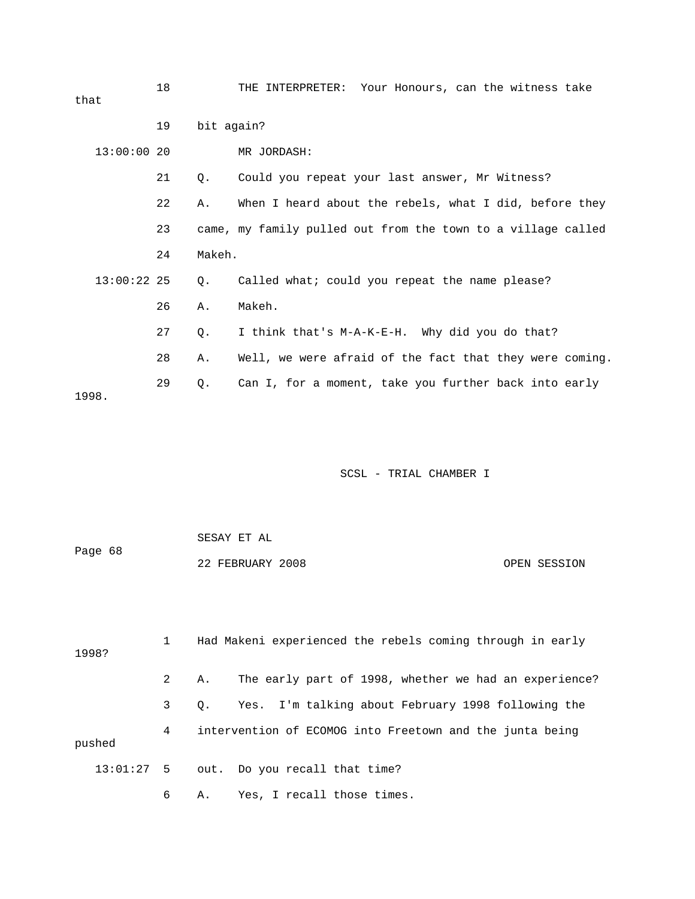| that          | 18 |            | THE INTERPRETER: Your Honours, can the witness take          |
|---------------|----|------------|--------------------------------------------------------------|
|               | 19 | bit again? |                                                              |
| 13:00:0020    |    |            | MR JORDASH:                                                  |
|               | 21 | Q.         | Could you repeat your last answer, Mr Witness?               |
|               | 22 | Α.         | When I heard about the rebels, what I did, before they       |
|               | 23 |            | came, my family pulled out from the town to a village called |
|               | 24 | Makeh.     |                                                              |
| $13:00:22$ 25 |    | Q.         | Called what; could you repeat the name please?               |
|               | 26 | Α.         | Makeh.                                                       |
|               | 27 | $Q$ .      | I think that's M-A-K-E-H. Why did you do that?               |
|               | 28 | Α.         | Well, we were afraid of the fact that they were coming.      |
| 1998.         | 29 | $Q$ .      | Can I, for a moment, take you further back into early        |

 SESAY ET AL OPEN SESSION Page 68 22 FEBRUARY 2008

1998? 2 A. The early part of 1998, whether we had an experience? 3 Q. Yes. I'm talking about February 1998 following the 4 intervention of ECOMOG into Freetown and the junta being pushed 1 Had Makeni experienced the rebels coming through in early 13:01:27 5 out. Do you recall that time? 6 A. Yes, I recall those times.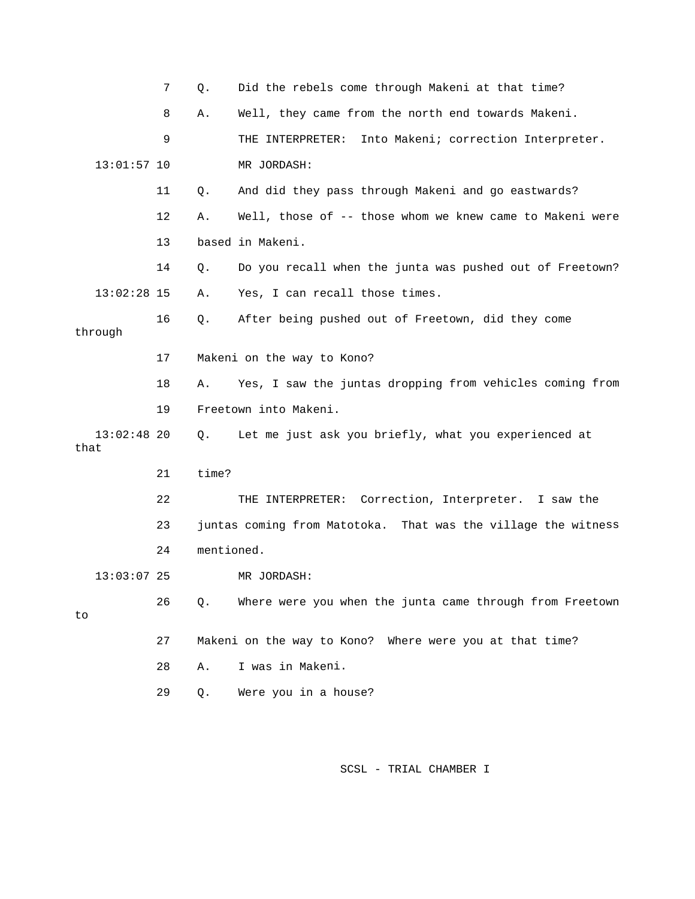|                       | 7  | Q.         | Did the rebels come through Makeni at that time?              |
|-----------------------|----|------------|---------------------------------------------------------------|
|                       | 8  | Α.         | Well, they came from the north end towards Makeni.            |
|                       | 9  |            | Into Makeni; correction Interpreter.<br>THE INTERPRETER:      |
| $13:01:57$ 10         |    |            | MR JORDASH:                                                   |
|                       | 11 | Q.         | And did they pass through Makeni and go eastwards?            |
|                       | 12 | Α.         | Well, those of -- those whom we knew came to Makeni were      |
|                       | 13 |            | based in Makeni.                                              |
|                       | 14 | Q.         | Do you recall when the junta was pushed out of Freetown?      |
| $13:02:28$ 15         |    | Α.         | Yes, I can recall those times.                                |
| through               | 16 | Q.         | After being pushed out of Freetown, did they come             |
|                       | 17 |            | Makeni on the way to Kono?                                    |
|                       | 18 | Α.         | Yes, I saw the juntas dropping from vehicles coming from      |
|                       | 19 |            | Freetown into Makeni.                                         |
| $13:02:48$ 20<br>that |    | Q.         | Let me just ask you briefly, what you experienced at          |
|                       | 21 | time?      |                                                               |
|                       | 22 |            | THE INTERPRETER: Correction, Interpreter. I saw the           |
|                       | 23 |            | juntas coming from Matotoka. That was the village the witness |
|                       | 24 | mentioned. |                                                               |
| $13:03:07$ 25         |    |            | MR JORDASH:                                                   |
| to                    | 26 | Q.         | Where were you when the junta came through from Freetown      |
|                       | 27 |            | Makeni on the way to Kono? Where were you at that time?       |
|                       | 28 | Α.         | I was in Makeni.                                              |
|                       | 29 | Q.         | Were you in a house?                                          |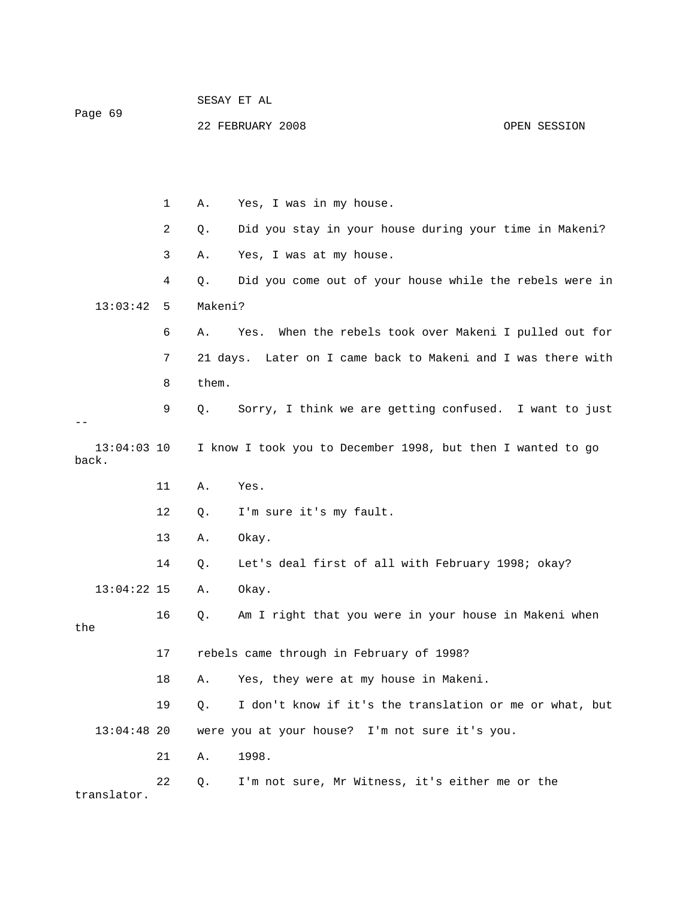| Page 69                |    |          | SESAY ET AL                                                 |              |
|------------------------|----|----------|-------------------------------------------------------------|--------------|
|                        |    |          | 22 FEBRUARY 2008                                            | OPEN SESSION |
|                        |    |          |                                                             |              |
|                        |    |          |                                                             |              |
|                        | 1  | Α.       | Yes, I was in my house.                                     |              |
|                        | 2  | Q.       | Did you stay in your house during your time in Makeni?      |              |
|                        | 3  | Α.       | Yes, I was at my house.                                     |              |
|                        | 4  | Q.       | Did you come out of your house while the rebels were in     |              |
| 13:03:42               | 5  | Makeni?  |                                                             |              |
|                        | 6  | Α.       | When the rebels took over Makeni I pulled out for<br>Yes.   |              |
|                        | 7  | 21 days. | Later on I came back to Makeni and I was there with         |              |
|                        | 8  | them.    |                                                             |              |
|                        | 9  | Q.       | Sorry, I think we are getting confused. I want to just      |              |
| $13:04:03$ 10<br>back. |    |          | I know I took you to December 1998, but then I wanted to go |              |
|                        | 11 | Α.       | Yes.                                                        |              |
|                        | 12 | Q.       | I'm sure it's my fault.                                     |              |
|                        | 13 | Α.       | Okay.                                                       |              |
|                        | 14 | Q.       | Let's deal first of all with February 1998; okay?           |              |
| $13:04:22$ 15          |    | Α.       | Okay.                                                       |              |
|                        | 16 | Q.       | Am I right that you were in your house in Makeni when       |              |
| the                    |    |          |                                                             |              |
|                        | 17 |          | rebels came through in February of 1998?                    |              |
|                        | 18 | Α.       | Yes, they were at my house in Makeni.                       |              |
|                        | 19 | $Q$ .    | I don't know if it's the translation or me or what, but     |              |
| $13:04:48$ 20          |    |          | were you at your house? I'm not sure it's you.              |              |
|                        | 21 | Α.       | 1998.                                                       |              |
| translator.            | 22 | Q.       | I'm not sure, Mr Witness, it's either me or the             |              |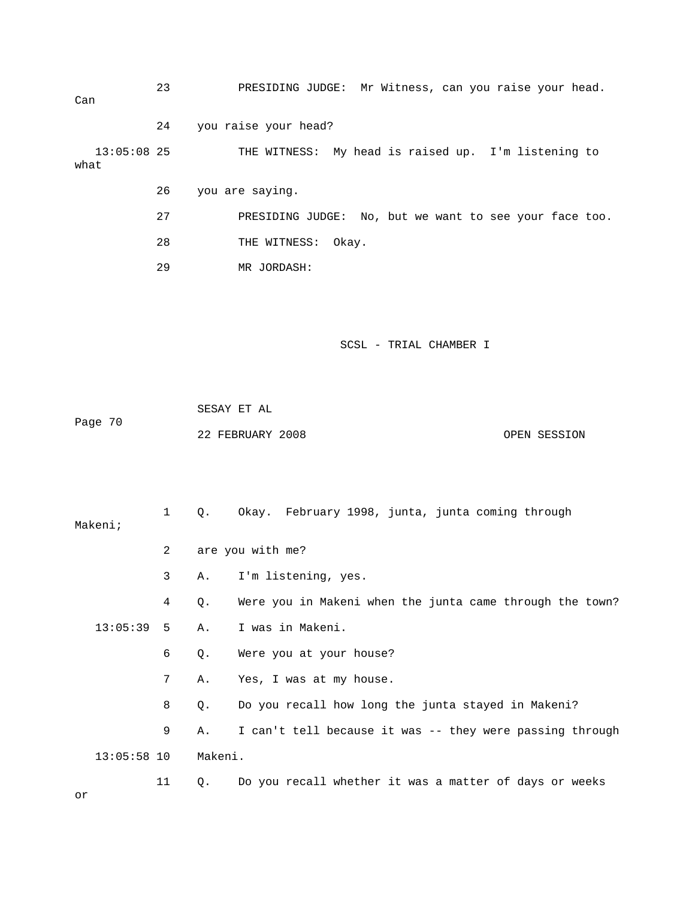23 PRESIDING JUDGE: Mr Witness, can you raise your head. 24 you raise your head? THE WITNESS: My head is raised up. I'm listening to what 26 you are saying. No, but we want to see your face too. 27 PRESIDING JUDGE: 29 MR JORDASH: SCSL - TRIAL CHAMBER I SESAY ET AL Page 70 OPEN SESSION 1 Q. Okay. February 1998, junta, junta coming through 2 are you with me? 3 A. I'm listening, yes. 4 Q. Were you in Makeni when the junta came through the town? 13:05:39 5 A. I was in Makeni. 6 Q. Were you at your house? 7 A. Yes, I was at my house. 8 Q. Do you recall how long the junta stayed in Makeni? 9 A. I can't tell because it was -- they were passing through 11 Q. Do you recall whether it was a matter of days or weeks Can  $13:05:08$  25 28 THE WITNESS: Okay. 22 FEBRUARY 2008 Makeni; 13:05:58 10 Makeni. or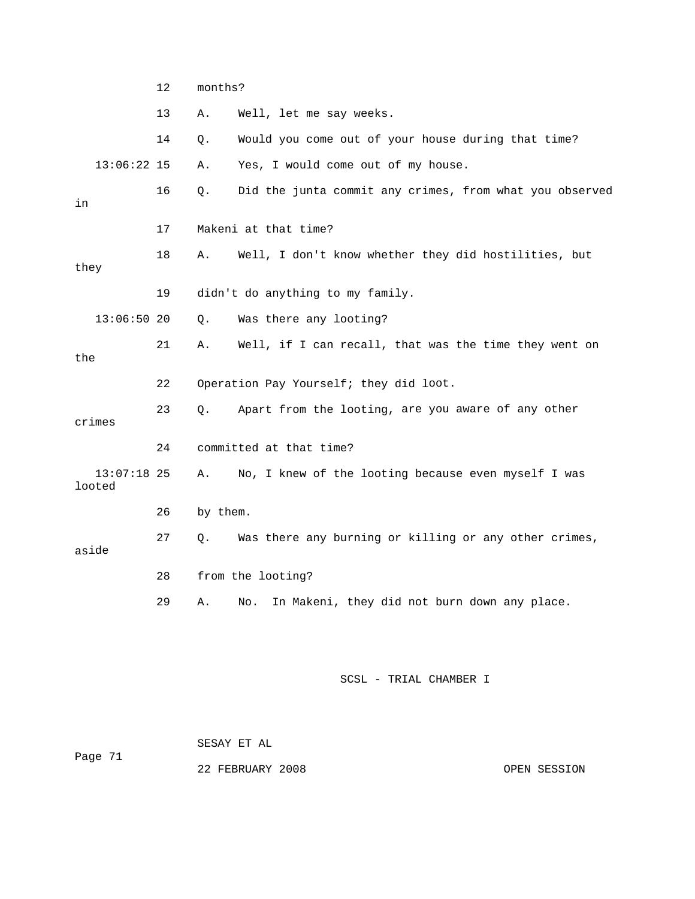|       |                         | 12 |          | months?                                                 |  |  |
|-------|-------------------------|----|----------|---------------------------------------------------------|--|--|
|       |                         | 13 | Α.       | Well, let me say weeks.                                 |  |  |
|       |                         | 14 | Q.       | Would you come out of your house during that time?      |  |  |
|       | $13:06:22$ 15           |    | Α.       | Yes, I would come out of my house.                      |  |  |
| in    |                         | 16 | Q.       | Did the junta commit any crimes, from what you observed |  |  |
|       |                         | 17 |          | Makeni at that time?                                    |  |  |
| they  |                         | 18 | Α.       | Well, I don't know whether they did hostilities, but    |  |  |
|       |                         | 19 |          | didn't do anything to my family.                        |  |  |
|       | 13:06:5020              |    | Q.       | Was there any looting?                                  |  |  |
| the   |                         | 21 | Α.       | Well, if I can recall, that was the time they went on   |  |  |
|       |                         | 22 |          | Operation Pay Yourself; they did loot.                  |  |  |
|       | crimes                  | 23 | О.       | Apart from the looting, are you aware of any other      |  |  |
|       |                         | 24 |          | committed at that time?                                 |  |  |
|       | $13:07:18$ 25<br>looted |    | Α.       | No, I knew of the looting because even myself I was     |  |  |
|       |                         | 26 | by them. |                                                         |  |  |
| aside |                         | 27 | О.       | Was there any burning or killing or any other crimes,   |  |  |
|       |                         | 28 |          | from the looting?                                       |  |  |
|       |                         | 29 | Α.       | In Makeni, they did not burn down any place.<br>No.     |  |  |
|       |                         |    |          |                                                         |  |  |

 SESAY ET AL ge 71 Pa

OPEN SESSION

22 FEBRUARY 2008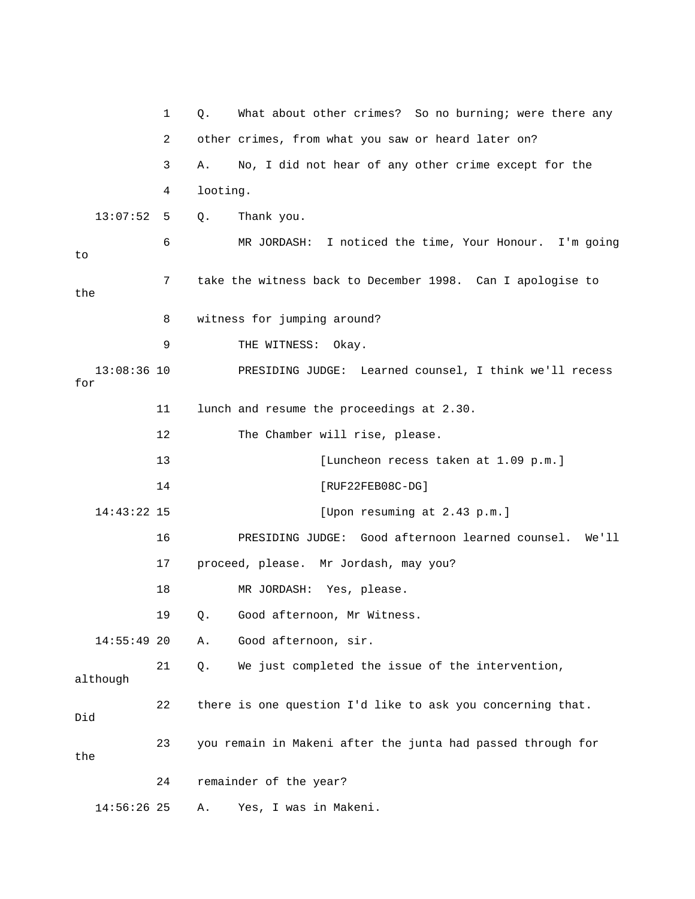|                      | 1  | What about other crimes? So no burning; were there any<br>Q. |
|----------------------|----|--------------------------------------------------------------|
|                      | 2  | other crimes, from what you saw or heard later on?           |
|                      | 3  | No, I did not hear of any other crime except for the<br>Α.   |
|                      | 4  | looting.                                                     |
| 13:07:52             | 5  | Q.<br>Thank you.                                             |
| to                   | 6  | MR JORDASH: I noticed the time, Your Honour. I'm going       |
| the                  | 7  | take the witness back to December 1998. Can I apologise to   |
|                      | 8  | witness for jumping around?                                  |
|                      | 9  | THE WITNESS:<br>Okay.                                        |
| $13:08:36$ 10<br>for |    | PRESIDING JUDGE: Learned counsel, I think we'll recess       |
|                      | 11 | lunch and resume the proceedings at 2.30.                    |
|                      | 12 | The Chamber will rise, please.                               |
|                      | 13 | [Luncheon recess taken at 1.09 p.m.]                         |
|                      | 14 | $[RUF22FEB08C-DG]$                                           |
| $14:43:22$ 15        |    | [Upon resuming at 2.43 p.m.]                                 |
|                      | 16 | PRESIDING JUDGE: Good afternoon learned counsel. We'll       |
|                      | 17 | proceed, please. Mr Jordash, may you?                        |
|                      | 18 | MR JORDASH: Yes, please.                                     |
|                      | 19 | Q. Good afternoon, Mr Witness.                               |
| $14:55:49$ 20        |    | Good afternoon, sir.<br>Α.                                   |
| although             | 21 | We just completed the issue of the intervention,<br>Q.       |
| Did                  | 22 | there is one question I'd like to ask you concerning that.   |
| the                  | 23 | you remain in Makeni after the junta had passed through for  |
|                      | 24 | remainder of the year?                                       |
| 14:56:26 25          |    | Yes, I was in Makeni.<br>Α.                                  |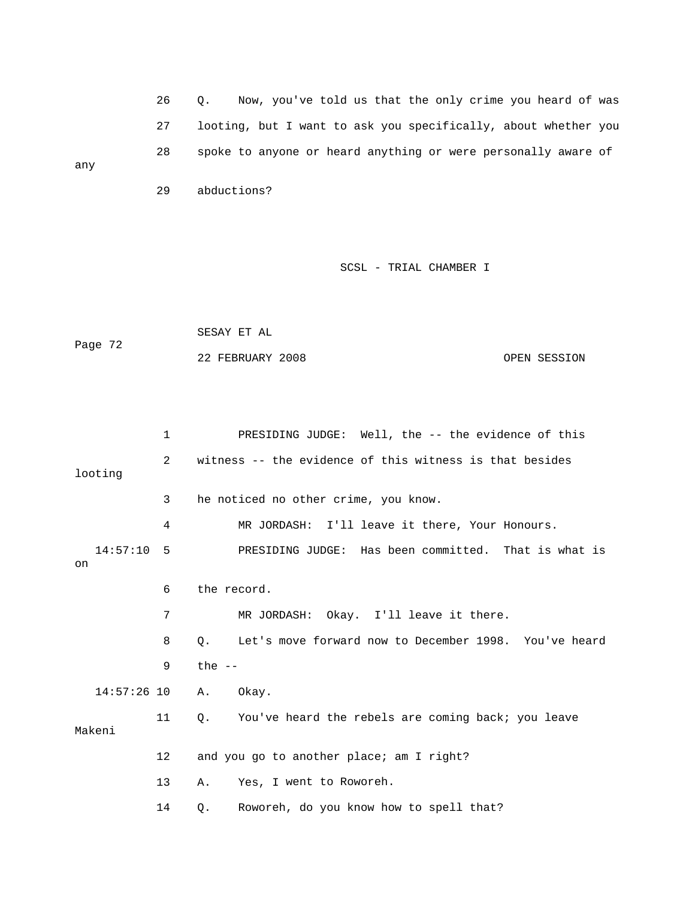26 Q. Now, you've told us that the only crime you heard of wa s 27 looting, but I want to ask you specifically, about whether you 28 spoke to anyone or heard anything or were personally aware of any

29 abductions?

### SCSL - TRIAL CHAMBER I

```
 SESAY ET AL 
Page 72
                                                                      OPEN SESSION 
                    22 FEBRUARY 2008
```
 1 PRESIDING JUDGE: Well, the -- the evidence of this 2 witness -- the evidence of this witness is that besides looting 3 he noticed no other crime, you know. 14:57:10 5 PRESIDING JUDGE: Has been committed. That is what is 9 the -- 14:57:26 10 A. Okay. 11 Q. You've heard the rebels are coming back; you leave 12 and you go to another place; am I right? 13 A. Yes, I went to Roworeh. 14 Q. Roworeh, do you know how to spell that? 4 MR JORDASH: I'll leave it there, Your Honours. on 6 the record. 7 MR JORDASH: Okay. I'll leave it there. 8 Q. Let's move forward now to December 1998. You've heard Makeni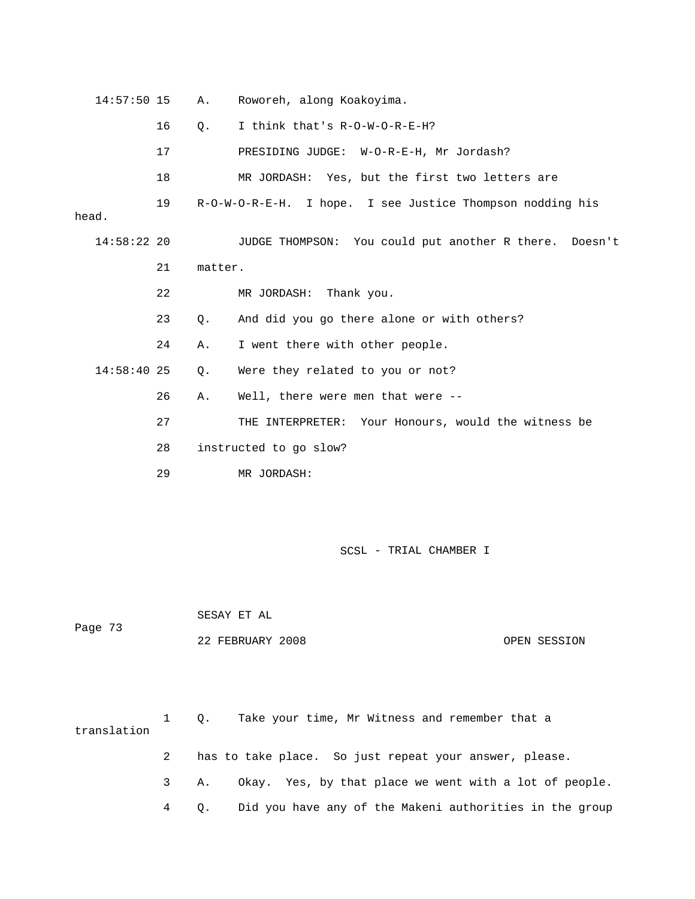| $14:57:50$ 15 |    | Α.      | Roworeh, along Koakoyima.                                 |
|---------------|----|---------|-----------------------------------------------------------|
|               | 16 | Q.      | I think that's R-O-W-O-R-E-H?                             |
|               | 17 |         | PRESIDING JUDGE: W-O-R-E-H, Mr Jordash?                   |
|               | 18 |         | MR JORDASH: Yes, but the first two letters are            |
| head.         | 19 |         | R-O-W-O-R-E-H. I hope. I see Justice Thompson nodding his |
| 14:58:22 20   |    |         | JUDGE THOMPSON: You could put another R there. Doesn't    |
|               | 21 | matter. |                                                           |
|               | 22 |         | MR JORDASH: Thank you.                                    |
|               | 23 | Q.      | And did you go there alone or with others?                |
|               | 24 | А.      | I went there with other people.                           |
| $14:58:40$ 25 |    | Q.      | Were they related to you or not?                          |
|               | 26 | Α.      | Well, there were men that were --                         |
|               | 27 |         | THE INTERPRETER: Your Honours, would the witness be       |
|               | 28 |         | instructed to go slow?                                    |
|               | 29 |         | MR JORDASH:                                               |
|               |    |         |                                                           |

 SESAY ET AL Page 73 22 FEBRUARY 2008 OPEN SESSION

translation 3 A. Okay. Yes, by that place we went with a lot of people. 4 Q. Did you have any of the Makeni authorities in the group 1 Q. Take your time, Mr Witness and remember that a 2 has to take place. So just repeat your answer, please.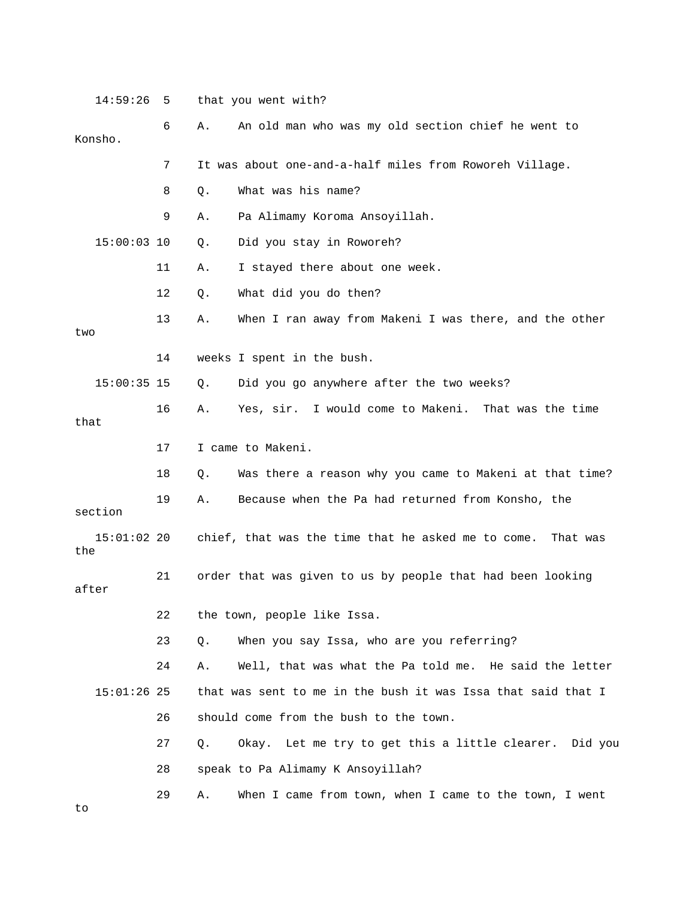14:59:26 5 that you went with? 7 It was about one-and-a-half miles from Roworeh Village. 8 Q. What was his name? Q. Did you stay in Roworeh? 12 Q. What did you do then? 13 A. When I ran away from Makeni I was there, and the other 14 weeks I spent in the bush. 15:00:35 15 Q. Did you go anywhere after the two weeks? 17 I came to Makeni. 18 Q. Was there a reason why you came to Makeni at that time? 19 A. Because when the Pa had returned from Konsho, the 15:01:02 20 chief, that was the time that he asked me to come. That was after 22 the town, people like Issa. 24 A. Well, that was what the Pa told me. He said the letter that was sent to me in the bush it was Issa that said that I 26 should come from the bush to the town. 27 Q. Okay. Let me try to get this a little clearer. Did you 6 A. An old man who was my old section chief he went to Konsho. 9 A. Pa Alimamy Koroma Ansoyillah. 15:00: 11 A. I stayed there about one week. two 16 A. Yes, sir. I would come to Makeni. That was the time that section the 21 order that was given to us by people that had been looking 23 Q. When you say Issa, who are you referring?  $15:01:26$  25 28 speak to Pa Alimamy K Ansoyillah? 29 A. When I came from town, when I came to the town, I went to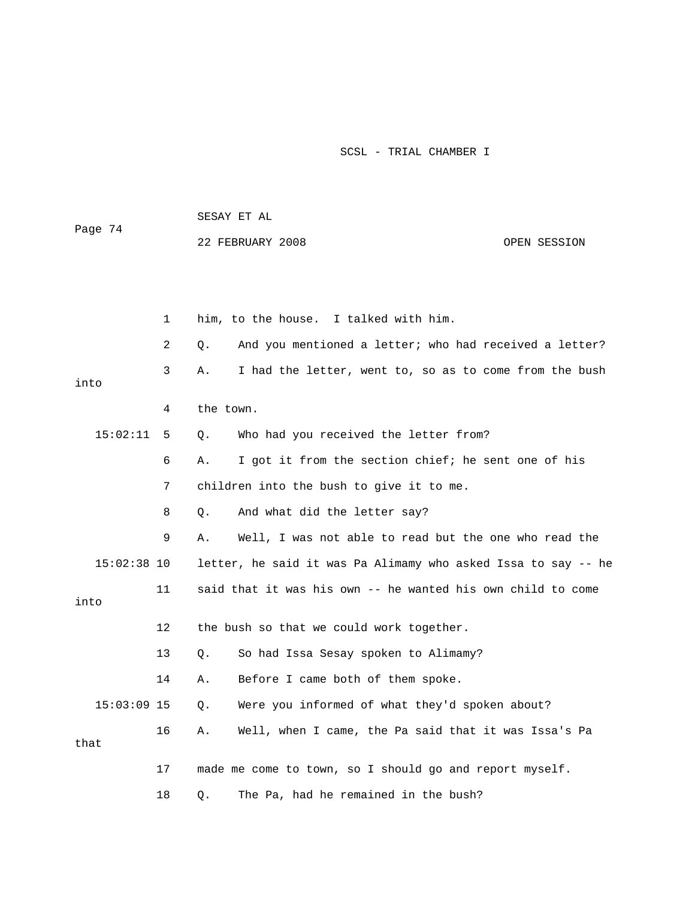|               |    | SESAY ET AL |                                                               |              |  |
|---------------|----|-------------|---------------------------------------------------------------|--------------|--|
| Page 74       |    |             | 22 FEBRUARY 2008                                              | OPEN SESSION |  |
|               |    |             |                                                               |              |  |
|               |    |             |                                                               |              |  |
|               | 1  |             | him, to the house. I talked with him.                         |              |  |
|               | 2  | Q.          | And you mentioned a letter; who had received a letter?        |              |  |
| into          | 3  | Α.          | I had the letter, went to, so as to come from the bush        |              |  |
|               | 4  | the town.   |                                                               |              |  |
| 15:02:11      | 5  | Q.          | Who had you received the letter from?                         |              |  |
|               | 6  | Α.          | I got it from the section chief; he sent one of his           |              |  |
|               | 7  |             | children into the bush to give it to me.                      |              |  |
|               | 8  | Q.          | And what did the letter say?                                  |              |  |
|               | 9  | Α.          | Well, I was not able to read but the one who read the         |              |  |
| $15:02:38$ 10 |    |             | letter, he said it was Pa Alimamy who asked Issa to say -- he |              |  |
| into          | 11 |             | said that it was his own -- he wanted his own child to come   |              |  |
|               | 12 |             | the bush so that we could work together.                      |              |  |
|               | 13 | Q.          | So had Issa Sesay spoken to Alimamy?                          |              |  |
|               | 14 | Α.          | Before I came both of them spoke.                             |              |  |
| $15:03:09$ 15 |    | Q.          | Were you informed of what they'd spoken about?                |              |  |
| that          | 16 | Α.          | Well, when I came, the Pa said that it was Issa's Pa          |              |  |
|               | 17 |             | made me come to town, so I should go and report myself.       |              |  |
|               | 18 | Q.          | The Pa, had he remained in the bush?                          |              |  |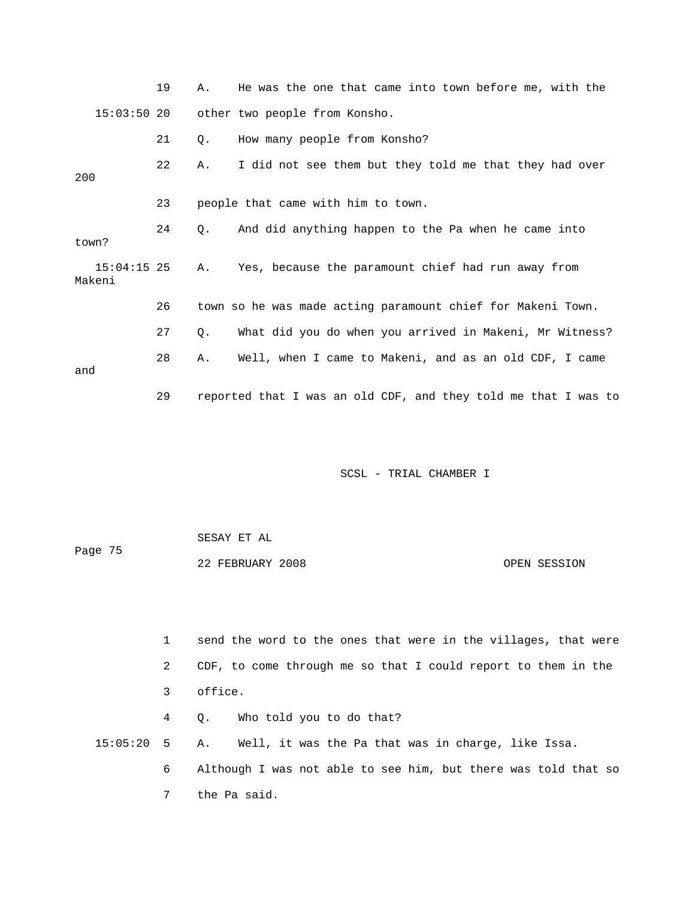|                         | 19 | Α.        | He was the one that came into town before me, with the         |
|-------------------------|----|-----------|----------------------------------------------------------------|
| $15:03:50$ 20           |    |           | other two people from Konsho.                                  |
|                         | 21 | $\circ$ . | How many people from Konsho?                                   |
| 200                     | 22 | Α.        | I did not see them but they told me that they had over         |
|                         | 23 |           | people that came with him to town.                             |
| town?                   | 24 | 0.        | And did anything happen to the Pa when he came into            |
| $15:04:15$ 25<br>Makeni |    | Α.        | Yes, because the paramount chief had run away from             |
|                         | 26 |           | town so he was made acting paramount chief for Makeni Town.    |
|                         | 27 | Q.        | What did you do when you arrived in Makeni, Mr Witness?        |
| and                     | 28 | Α.        | Well, when I came to Makeni, and as an old CDF, I came         |
|                         | 29 |           | reported that I was an old CDF, and they told me that I was to |

| Page 75 | SESAY ET AL      |              |
|---------|------------------|--------------|
|         | 22 FEBRUARY 2008 | OPEN SESSION |

|                 |   | send the word to the ones that were in the villages, that were |
|-----------------|---|----------------------------------------------------------------|
|                 | 2 | CDF, to come through me so that I could report to them in the  |
|                 | 3 | office.                                                        |
|                 | 4 | Q. Who told you to do that?                                    |
| $15:05:20$ 5 A. |   | Well, it was the Pa that was in charge, like Issa.             |
|                 | 6 | Although I was not able to see him, but there was told that so |
|                 |   | the Pa said.                                                   |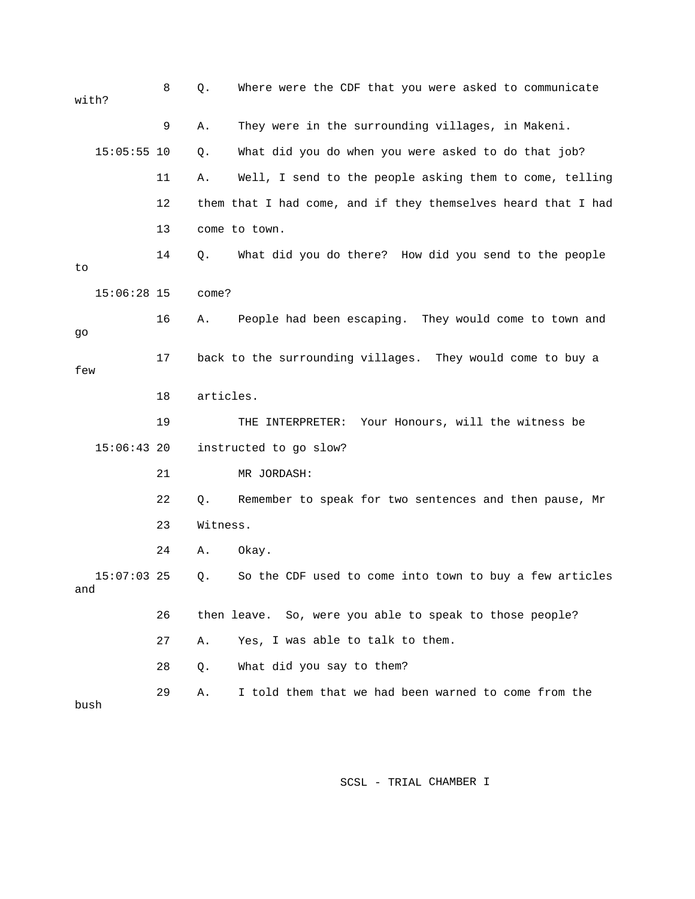| with? |               | 8  | Q.        | Where were the CDF that you were asked to communicate         |
|-------|---------------|----|-----------|---------------------------------------------------------------|
|       |               | 9  | Α.        | They were in the surrounding villages, in Makeni.             |
|       | $15:05:55$ 10 |    | Q.        | What did you do when you were asked to do that job?           |
|       |               | 11 | Α.        | Well, I send to the people asking them to come, telling       |
|       |               | 12 |           | them that I had come, and if they themselves heard that I had |
|       |               | 13 |           | come to town.                                                 |
| to    |               | 14 | Q.        | What did you do there? How did you send to the people         |
|       | $15:06:28$ 15 |    | come?     |                                                               |
| go    |               | 16 | Α.        | People had been escaping. They would come to town and         |
| few   |               | 17 |           | back to the surrounding villages. They would come to buy a    |
|       |               | 18 | articles. |                                                               |
|       |               | 19 |           | THE INTERPRETER:<br>Your Honours, will the witness be         |
|       | $15:06:43$ 20 |    |           | instructed to go slow?                                        |
|       |               | 21 |           | MR JORDASH:                                                   |
|       |               | 22 | Q.        | Remember to speak for two sentences and then pause, Mr        |
|       |               | 23 | Witness.  |                                                               |
|       |               | 24 | Α.        | Okay.                                                         |
| and   | $15:07:03$ 25 |    | Q.        | So the CDF used to come into town to buy a few articles       |
|       |               | 26 |           | then leave. So, were you able to speak to those people?       |
|       |               | 27 | Α.        | Yes, I was able to talk to them.                              |
|       |               | 28 | Q.        | What did you say to them?                                     |
| bush  |               | 29 | Α.        | I told them that we had been warned to come from the          |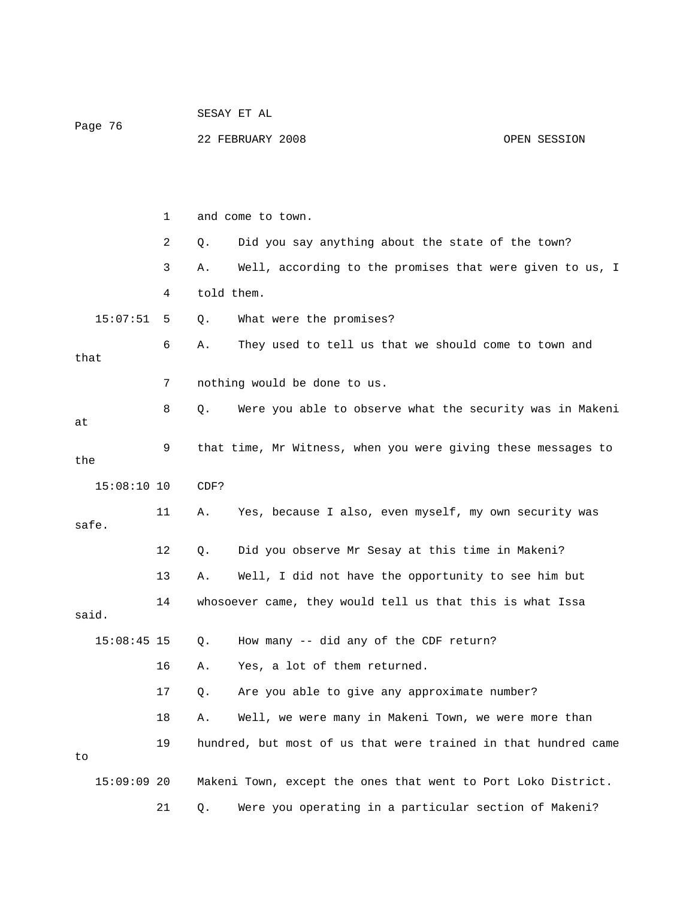| Page 76       |    | SESAY ET AL |                                                                |              |  |
|---------------|----|-------------|----------------------------------------------------------------|--------------|--|
|               |    |             | 22 FEBRUARY 2008                                               | OPEN SESSION |  |
|               |    |             |                                                                |              |  |
|               |    |             |                                                                |              |  |
|               | 1  |             | and come to town.                                              |              |  |
|               | 2  | Q.          | Did you say anything about the state of the town?              |              |  |
|               | 3  | Α.          | Well, according to the promises that were given to us, I       |              |  |
|               | 4  | told them.  |                                                                |              |  |
| 15:07:51      | 5  | Q.          | What were the promises?                                        |              |  |
| that          | 6  | Α.          | They used to tell us that we should come to town and           |              |  |
|               | 7  |             | nothing would be done to us.                                   |              |  |
| at            | 8  | $Q$ .       | Were you able to observe what the security was in Makeni       |              |  |
| the           | 9  |             | that time, Mr Witness, when you were giving these messages to  |              |  |
| $15:08:10$ 10 |    | CDF?        |                                                                |              |  |
| safe.         | 11 | Α.          | Yes, because I also, even myself, my own security was          |              |  |
|               | 12 | Q.          | Did you observe Mr Sesay at this time in Makeni?               |              |  |
|               | 13 | Α.          | Well, I did not have the opportunity to see him but            |              |  |
| said.         | 14 |             | whosoever came, they would tell us that this is what Issa      |              |  |
| $15:08:45$ 15 |    | Q.          | How many -- did any of the CDF return?                         |              |  |
|               | 16 | Α.          | Yes, a lot of them returned.                                   |              |  |
|               | 17 | Q.          | Are you able to give any approximate number?                   |              |  |
|               | 18 | Α.          | Well, we were many in Makeni Town, we were more than           |              |  |
| to            | 19 |             | hundred, but most of us that were trained in that hundred came |              |  |
| $15:09:09$ 20 |    |             | Makeni Town, except the ones that went to Port Loko District.  |              |  |
|               | 21 | Q.          | Were you operating in a particular section of Makeni?          |              |  |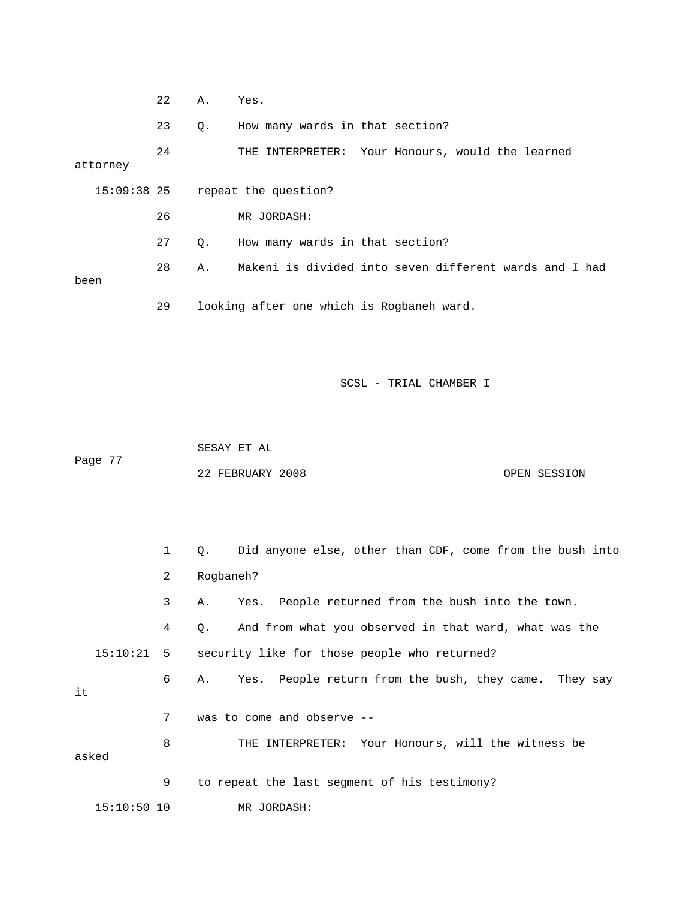|               | 22 | Α. | Yes.                                                   |
|---------------|----|----|--------------------------------------------------------|
|               | 23 | Q. | How many wards in that section?                        |
| attorney      | 24 |    | THE INTERPRETER: Your Honours, would the learned       |
| $15:09:38$ 25 |    |    | repeat the question?                                   |
|               | 26 |    | MR JORDASH:                                            |
|               | 27 | О. | How many wards in that section?                        |
| been          | 28 | Α. | Makeni is divided into seven different wards and I had |
|               | 29 |    | looking after one which is Rogbaneh ward.              |

Page 77 22 FEBRUARY 2008 OPEN SESSION SESAY ET AL

 1 Q. Did anyone else, other than CDF, come from the bush into 4 Q. And from what you observed in that ward, what was the 15:10:21 5 security like for those people who returned? 7 was to come and observe -- 8 THE INTERPRETER: Your Honours, will the witness be 15:10:50 10 MR JORDASH: 2 Rogbaneh? 3 A. Yes. People returned from the bush into the town. 6 A. Yes. People return from the bush, they came. They say it asked 9 to repeat the last segment of his testimony?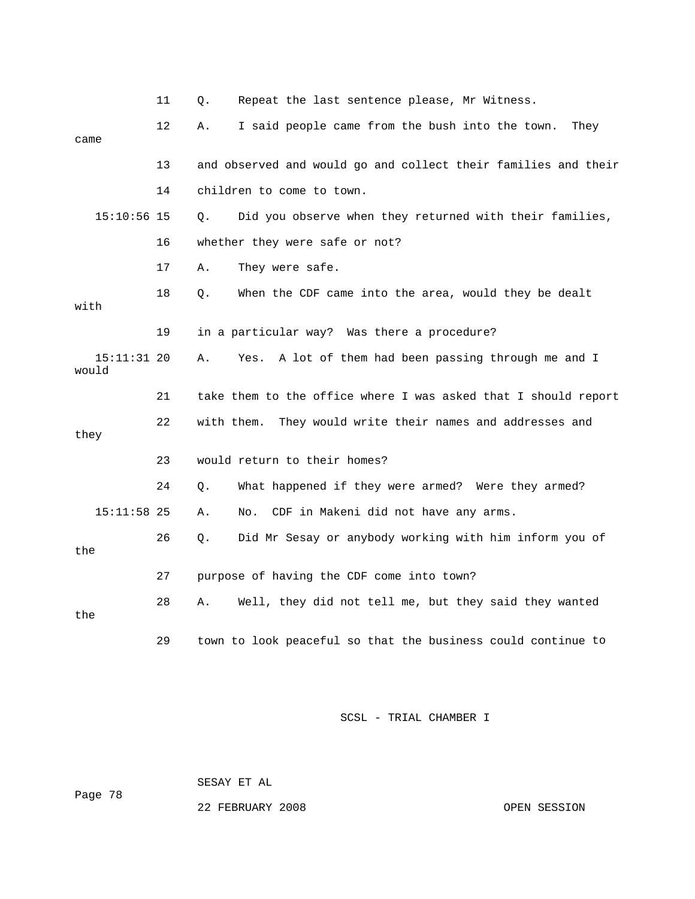|                        | 11 | Repeat the last sentence please, Mr Witness.<br>Q.             |
|------------------------|----|----------------------------------------------------------------|
| came                   | 12 | I said people came from the bush into the town.<br>They<br>Α.  |
|                        | 13 | and observed and would go and collect their families and their |
|                        | 14 | children to come to town.                                      |
| $15:10:56$ 15          |    | Did you observe when they returned with their families,<br>Q.  |
|                        | 16 | whether they were safe or not?                                 |
|                        | 17 | They were safe.<br>Α.                                          |
| with                   | 18 | When the CDF came into the area, would they be dealt<br>Q.     |
|                        | 19 | in a particular way? Was there a procedure?                    |
| $15:11:31$ 20<br>would |    | A lot of them had been passing through me and I<br>Α.<br>Yes.  |
|                        | 21 | take them to the office where I was asked that I should report |
| they                   | 22 | They would write their names and addresses and<br>with them.   |
|                        | 23 | would return to their homes?                                   |
|                        | 24 | What happened if they were armed? Were they armed?<br>Q.       |
| $15:11:58$ 25          |    | CDF in Makeni did not have any arms.<br>Α.<br>No.              |
| the                    | 26 | Did Mr Sesay or anybody working with him inform you of<br>Q.   |
|                        | 27 | purpose of having the CDF come into town?                      |
| the                    | 28 | Well, they did not tell me, but they said they wanted<br>Α.    |
|                        | 29 | town to look peaceful so that the business could continue to   |

SESAY ET AL

Page 78

22 FEBRUARY 2008 OPEN SESSION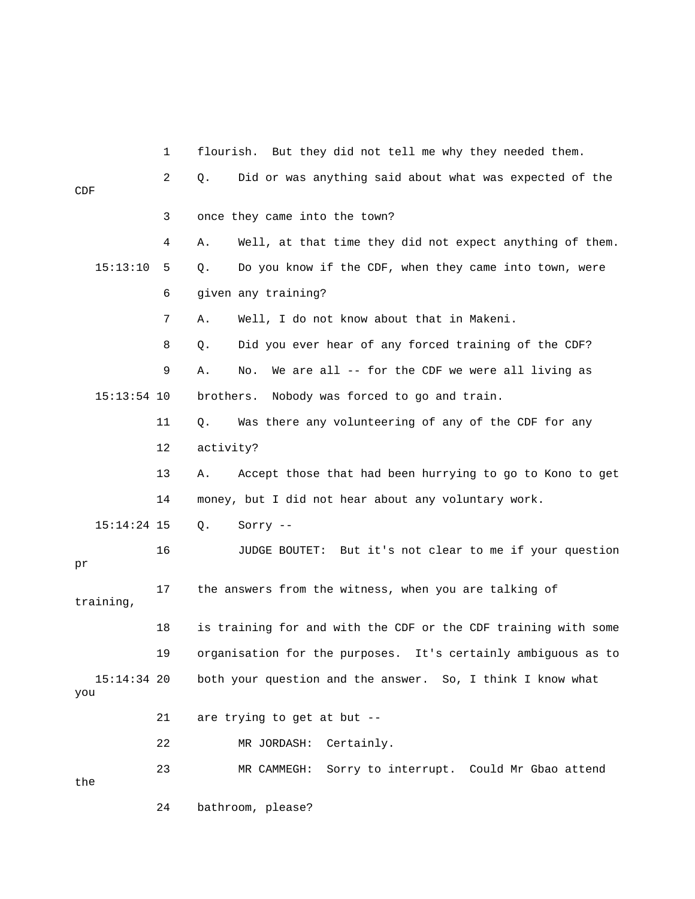1 flourish. But they did not tell me why they needed them. 2 Q. Did or was anything said about what was expected of the  $\mathsf{CDF}$ 4 A. Well, at that time they did not expect anything of them. 15:13:10 5 Q. Do you know if the CDF, when they came into town, were 6 given any training? 9 A. No. We are all -- for the CDF we were all living as 15:13:54 10 brothers. Nobody was forced to go and train. 11 Q. Was there any volunteering of any of the CDF for any 13 A. Accept those that had been hurrying to go to Kono to get 14 money, but I did not hear about any voluntary work. 16 JUDGE BOUTET: But it's not clear to me if your question 18 is training for and with the CDF or the CDF training with some 19 organisation for the purposes. It's certainly ambiguous as to 15:14:34 20 both your question and the answer. So, I think I know what 22 MR JORDASH: Certainly. 23 MR CAMMEGH: Sorry to interrupt. Could Mr Gbao attend the 24 bathroom, please? 3 once they came into the town? 7 A. Well, I do not know about that in Makeni. 8 Q. Did you ever hear of any forced training of the CDF? 12 activity? 15:14:24 15 Q. Sorry - pr 17 the answers from the witness, when you are talking of training, you 21 are trying to get at but --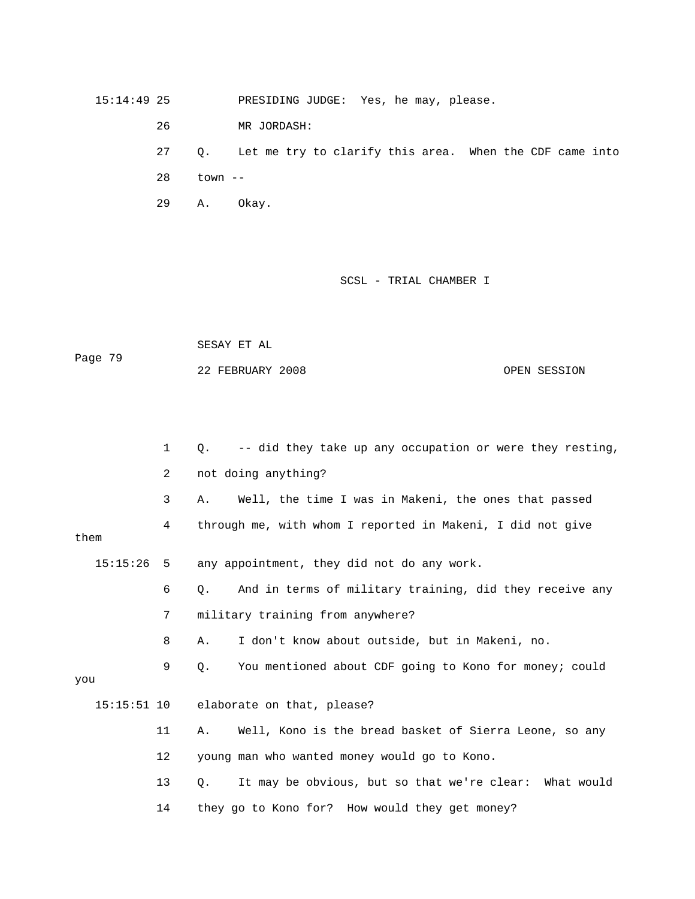15:14:49 25 PRESIDING JUDGE: Yes, he may, please.

26 MR JORDASH:

27 Q. Let me try to clarify this area. When the CDF came into

28 town --

29 A. Okay.

SCSL - TRIAL CHAMBER I

SESAY ET AL Page 79 OPEN SESSION 22 FEBRUARY 2

1 Q. -- did they take up any occupation or were they resting, 2 not doing anything? 3 A. Well, the time I was in Makeni, the ones that passed 15:15:26 5 any appointment, they did not do any work. 6 Q. And in terms of military training, did they receive any 8 A. I don't know about outside, but in Makeni, no. elaborate on that, please? 11 A. Well, Kono is the bread basket of Sierra Leone, so any 13 Q. It may be obvious, but so that we're clear: What would 4 through me, with whom I reported in Makeni, I did not give them 7 military training from anywhere? 9 Q. You mentioned about CDF going to Kono for money; could you  $15:15:51$  10 12 young man who wanted money would go to Kono. 14 they go to Kono for? How would they get money?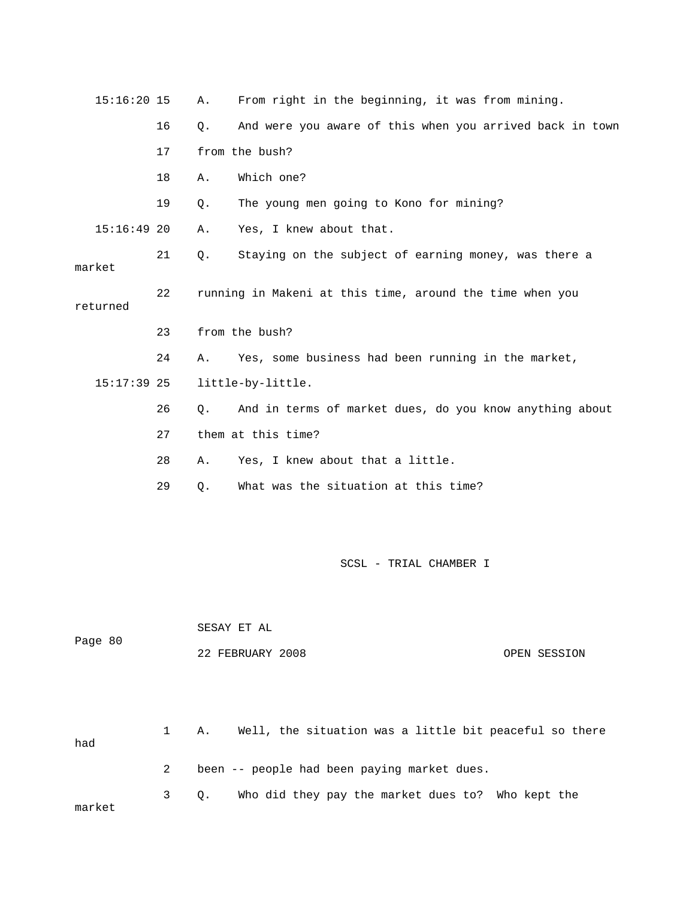| $15:16:20$ 15 |    | Α.    | From right in the beginning, it was from mining.         |
|---------------|----|-------|----------------------------------------------------------|
|               | 16 | Q.    | And were you aware of this when you arrived back in town |
|               | 17 |       | from the bush?                                           |
|               | 18 | Α.    | Which one?                                               |
|               | 19 | Q.    | The young men going to Kono for mining?                  |
| $15:16:49$ 20 |    | Α.    | Yes, I knew about that.                                  |
| market        | 21 | Q.    | Staying on the subject of earning money, was there a     |
| returned      | 22 |       | running in Makeni at this time, around the time when you |
|               | 23 |       | from the bush?                                           |
|               | 24 | Α.    | Yes, some business had been running in the market,       |
| $15:17:39$ 25 |    |       | little-by-little.                                        |
|               | 26 | $Q$ . | And in terms of market dues, do you know anything about  |
|               | 27 |       | them at this time?                                       |
|               | 28 | Α.    | Yes, I knew about that a little.                         |
|               | 29 | Q.    | What was the situation at this time?                     |
|               |    |       |                                                          |
|               |    |       | SCSL - TRIAL CHAMBER I                                   |
|               |    |       |                                                          |
| Page 80       |    |       | SESAY ET AL                                              |
|               |    |       | 22 FEBRUARY 2008<br>OPEN SESSION                         |
|               |    |       |                                                          |
|               | 1  | Α.    | Well, the situation was a little bit peaceful so there   |

- had
- 2 been -- people had been paying market dues.

 3 Q. Who did they pay the market dues to? Who kept the market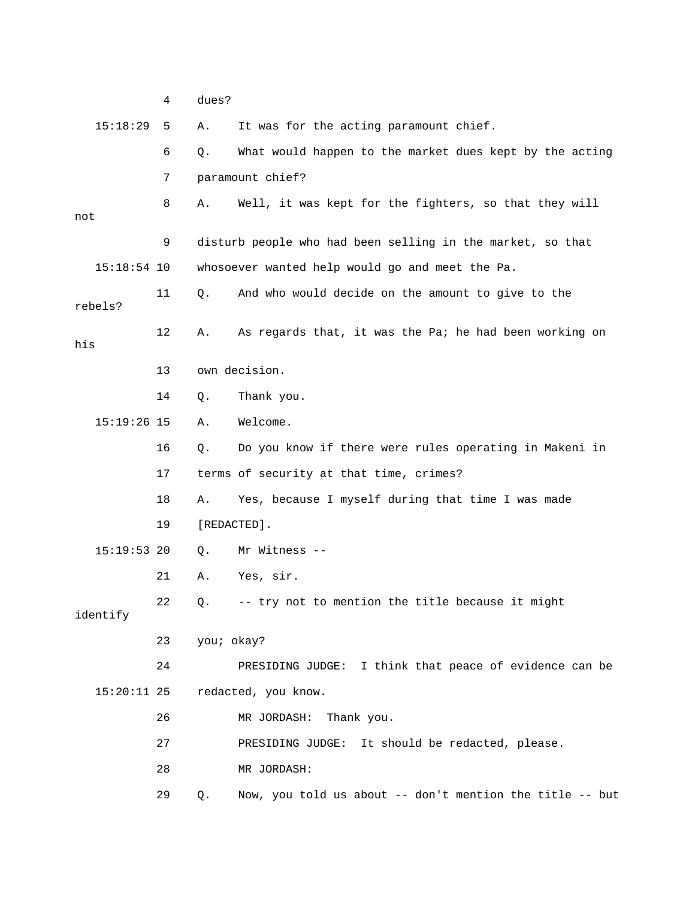15:18:29 5 A. It was for the acting paramount chief. 6 Q. What would happen to the market dues kept by the acting 8 A. Well, it was kept for the fighters, so that they will 9 disturb people who had been selling in the market, so that whosoever wanted help would go and meet the Pa. And who would decide on the amount to give to the bels? re 15:19:26 15 A. Welcome. 16 Q. Do you know if there were rules operating in Makeni in 17 terms of security at that time, crimes? 18 A. Yes, because I myself during that time I was made 19 [REDACTED]. 0. Mr Witness --22 Q. -- try not to mention the title because it might identify 24 PRESIDING JUDGE: I think that peace of evidence can be 15:20:11 25 redacted, you know. 27 PRESIDING JUDGE: It should be redacted, please. 28 MR JORDASH: 7 paramount chief? not 15:18 11 Q. A 12 A. As regards that, it was the Pa; he had been working on his 13 own decision. 14 Q. Thank you.  $15:19:53$  20 21 A. Yes, sir. 23 you; okay? 26 MR JORDASH: Thank you.

29 Q. Now, you told us about -- don't mention the title -- but

4 dues?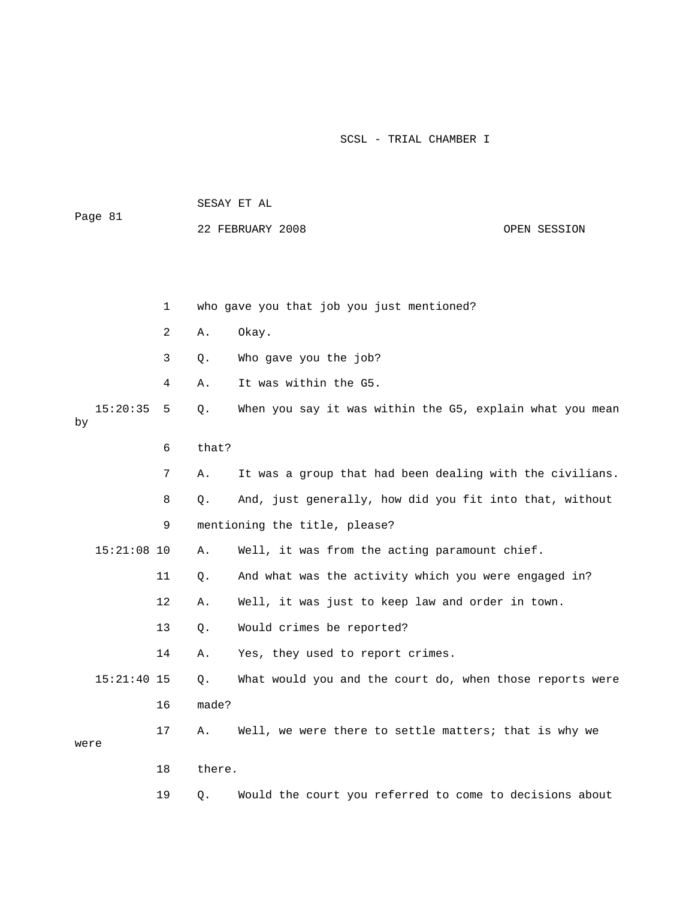| Page 81 |               |    | SESAY ET AL      |                                                          |  |  |  |
|---------|---------------|----|------------------|----------------------------------------------------------|--|--|--|
|         |               |    | 22 FEBRUARY 2008 | OPEN SESSION                                             |  |  |  |
|         |               |    |                  |                                                          |  |  |  |
|         |               |    |                  |                                                          |  |  |  |
|         |               | 1  |                  | who gave you that job you just mentioned?                |  |  |  |
|         |               | 2  | Α.               | Okay.                                                    |  |  |  |
|         |               | 3  | Q.               | Who gave you the job?                                    |  |  |  |
|         |               | 4  | Α.               | It was within the G5.                                    |  |  |  |
|         | 15:20:35      | 5  | Q.               | When you say it was within the G5, explain what you mean |  |  |  |
| by      |               |    |                  |                                                          |  |  |  |
|         |               | 6  | that?            |                                                          |  |  |  |
|         |               | 7  | Α.               | It was a group that had been dealing with the civilians. |  |  |  |
|         |               | 8  | Q.               | And, just generally, how did you fit into that, without  |  |  |  |
|         |               | 9  |                  | mentioning the title, please?                            |  |  |  |
|         | $15:21:08$ 10 |    | Α.               | Well, it was from the acting paramount chief.            |  |  |  |
|         |               | 11 | Q.               | And what was the activity which you were engaged in?     |  |  |  |
|         |               | 12 | Α.               | Well, it was just to keep law and order in town.         |  |  |  |
|         |               | 13 | Q.               | Would crimes be reported?                                |  |  |  |
|         |               | 14 | Α.               | Yes, they used to report crimes.                         |  |  |  |
|         | $15:21:40$ 15 |    | Q.               | What would you and the court do, when those reports were |  |  |  |
|         |               | 16 | made?            |                                                          |  |  |  |
|         |               | 17 | Α.               | Well, we were there to settle matters; that is why we    |  |  |  |
| were    |               |    |                  |                                                          |  |  |  |
|         |               | 18 | there.           |                                                          |  |  |  |
|         |               | 19 | Q.               | Would the court you referred to come to decisions about  |  |  |  |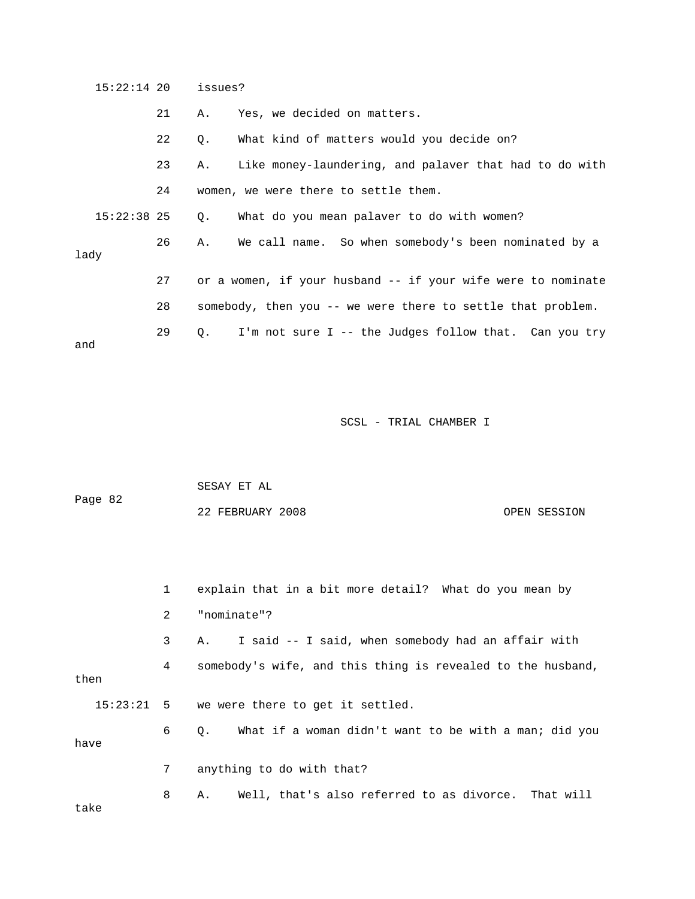|      | $15:22:14$ 20 |    | issues? |                                                              |
|------|---------------|----|---------|--------------------------------------------------------------|
|      |               | 21 | Α.      | Yes, we decided on matters.                                  |
|      |               | 22 | Q.      | What kind of matters would you decide on?                    |
|      |               | 23 | Α.      | Like money-laundering, and palaver that had to do with       |
|      |               | 24 |         | women, we were there to settle them.                         |
|      | $15:22:38$ 25 |    | $Q$ .   | What do you mean palaver to do with women?                   |
| lady |               | 26 | А.      | We call name. So when somebody's been nominated by a         |
|      |               | 27 |         | or a women, if your husband -- if your wife were to nominate |
|      |               | 28 |         | somebody, then you -- we were there to settle that problem.  |
| and  |               | 29 |         | Q. I'm not sure I -- the Judges follow that. Can you try     |

| Page 82 | SESAY ET AL      |              |
|---------|------------------|--------------|
|         | 22 FEBRUARY 2008 | OPEN SESSION |

|      | $\mathbf{1}$ | explain that in a bit more detail? What do you mean by             |
|------|--------------|--------------------------------------------------------------------|
|      | 2            | "nominate"?                                                        |
|      | $\mathbf{3}$ | A. I said -- I said, when somebody had an affair with              |
| then | 4            | somebody's wife, and this thing is revealed to the husband,        |
|      |              | $15:23:21$ 5 we were there to get it settled.                      |
| have | 6            | What if a woman didn't want to be with a man; did you<br>$\circ$ . |
|      | $7^{\circ}$  | anything to do with that?                                          |
|      | 8            | A. Well, that's also referred to as divorce. That will             |

take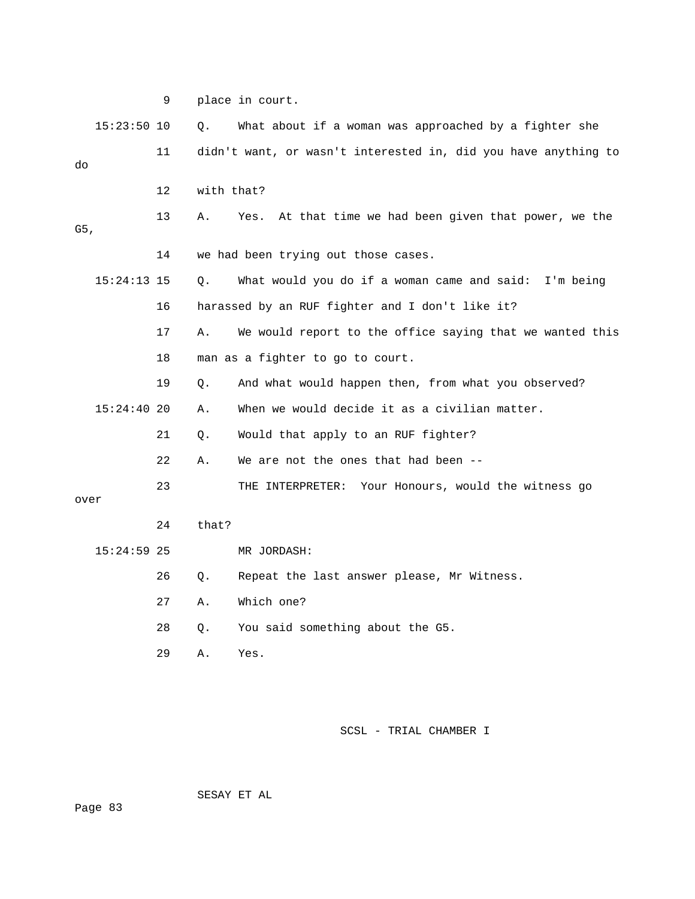|      |               | 9       |            | place in court.                                                |
|------|---------------|---------|------------|----------------------------------------------------------------|
|      | $15:23:50$ 10 |         | Q.         | What about if a woman was approached by a fighter she          |
| do   |               | 11      |            | didn't want, or wasn't interested in, did you have anything to |
|      |               | $12 \,$ | with that? |                                                                |
| G5,  |               | 13      | Α.         | At that time we had been given that power, we the<br>Yes.      |
|      |               | 14      |            | we had been trying out those cases.                            |
|      | $15:24:13$ 15 |         | Q.         | What would you do if a woman came and said: I'm being          |
|      |               | 16      |            | harassed by an RUF fighter and I don't like it?                |
|      |               | 17      | Α.         | We would report to the office saying that we wanted this       |
|      |               | 18      |            | man as a fighter to go to court.                               |
|      |               | 19      | Q.         | And what would happen then, from what you observed?            |
|      | $15:24:40$ 20 |         | Α.         | When we would decide it as a civilian matter.                  |
|      |               | 21      | Q.         | Would that apply to an RUF fighter?                            |
|      |               | 22      | Α.         | We are not the ones that had been --                           |
| over |               | 23      |            | THE INTERPRETER: Your Honours, would the witness go            |
|      |               | 24      | that?      |                                                                |
|      | $15:24:59$ 25 |         |            | MR JORDASH:                                                    |
|      |               | 26      | Q.         | Repeat the last answer please, Mr Witness.                     |
|      |               | 27      | Α.         | Which one?                                                     |
|      |               | 28      | О.         | You said something about the G5.                               |
|      |               | 29      | Α.         | Yes.                                                           |

SESAY ET AL

Page 83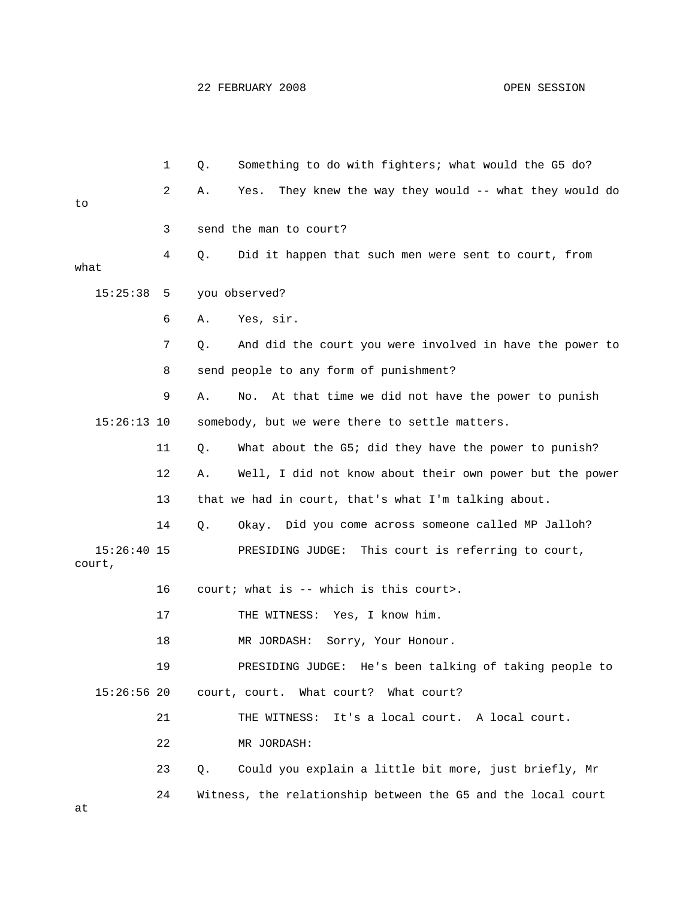|      |                         | 1  | Q. | Something to do with fighters; what would the G5 do?         |
|------|-------------------------|----|----|--------------------------------------------------------------|
| to   |                         | 2  | Α. | They knew the way they would -- what they would do<br>Yes.   |
|      |                         |    |    |                                                              |
|      |                         | 3  |    | send the man to court?                                       |
| what |                         | 4  | Q. | Did it happen that such men were sent to court, from         |
|      | 15:25:38                | 5  |    | you observed?                                                |
|      |                         | 6  | Α. | Yes, sir.                                                    |
|      |                         | 7  | Q. | And did the court you were involved in have the power to     |
|      |                         | 8  |    | send people to any form of punishment?                       |
|      |                         | 9  | Α. | At that time we did not have the power to punish<br>No.      |
|      | $15:26:13$ 10           |    |    | somebody, but we were there to settle matters.               |
|      |                         | 11 | Q. | What about the G5; did they have the power to punish?        |
|      |                         | 12 | Α. | Well, I did not know about their own power but the power     |
|      |                         | 13 |    | that we had in court, that's what I'm talking about.         |
|      |                         | 14 | Q. | Okay. Did you come across someone called MP Jalloh?          |
|      | $15:26:40$ 15<br>court, |    |    | PRESIDING JUDGE: This court is referring to court,           |
|      |                         | 16 |    | court; what is -- which is this court>.                      |
|      |                         | 17 |    | THE WITNESS: Yes, I know him.                                |
|      |                         | 18 |    | MR JORDASH:<br>Sorry, Your Honour.                           |
|      |                         | 19 |    | PRESIDING JUDGE: He's been talking of taking people to       |
|      | $15:26:56$ 20           |    |    | court, court. What court? What court?                        |
|      |                         | 21 |    | THE WITNESS:<br>It's a local court. A local court.           |
|      |                         | 22 |    | MR JORDASH:                                                  |
|      |                         | 23 | О. | Could you explain a little bit more, just briefly, Mr        |
| at   |                         | 24 |    | Witness, the relationship between the G5 and the local court |
|      |                         |    |    |                                                              |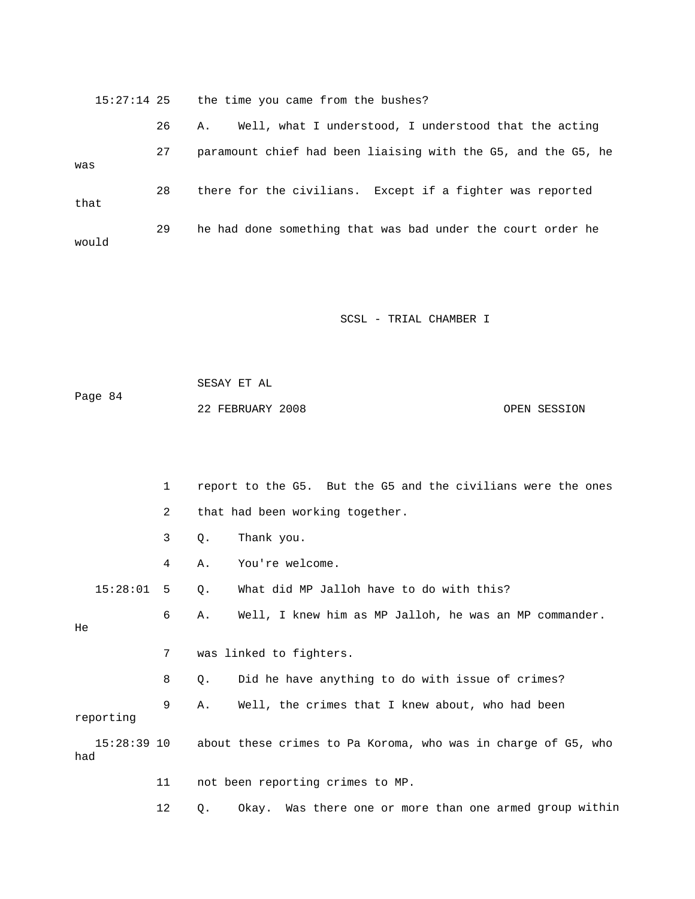15:27:14 25 the time you came from the bushes? 26 A. Well, what I understood, I understood that the acting was 28 there for the civilians. Except if a fighter was reported 29 he had done something that was bad under the court order he would 27 paramount chief had been liaising with the G5, and the G5, he that

SCSL - TRIAL CHAMBER I

 SESAY ET AL Page 84 22 FEBRUARY 2008 OPEN SESSION

 1 report to the G5. But the G5 and the civilians were the ones 2 that had been working together. 4 A. You're welcome. 15:28:01 5 Q. What did MP Jalloh have to do with this? 6 A. Well, I knew him as MP Jalloh, he was an MP commander. 7 was linked to fighters. 8 Q. Did he have anything to do with issue of crimes? 15:28:39 10 about these crimes to Pa Koroma, who was in charge of G5, who 11 not been reporting crimes to MP. 3 Q. Thank you. He 9 A. Well, the crimes that I knew about, who had been reporting had

12 Q. Okay. Was there one or more than one armed group within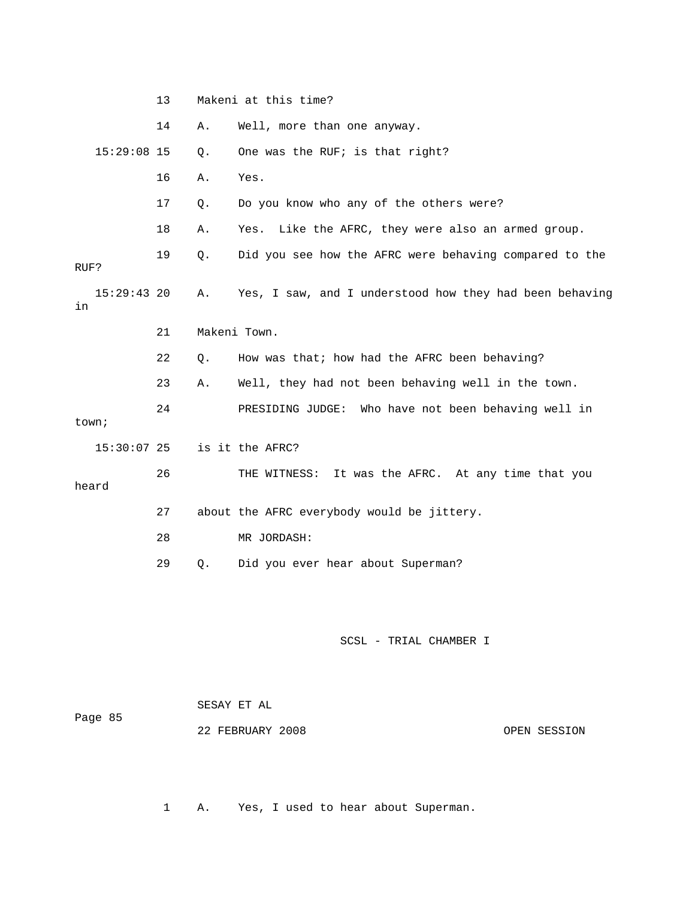|                     | 13 |       | Makeni at this time?                                    |
|---------------------|----|-------|---------------------------------------------------------|
|                     | 14 | Α.    | Well, more than one anyway.                             |
| $15:29:08$ 15       |    | Q.    | One was the RUF; is that right?                         |
|                     | 16 | Α.    | Yes.                                                    |
|                     | 17 | Q.    | Do you know who any of the others were?                 |
|                     | 18 | Α.    | Like the AFRC, they were also an armed group.<br>Yes.   |
| RUF?                | 19 | Q.    | Did you see how the AFRC were behaving compared to the  |
| $15:29:43$ 20<br>in |    | Α.    | Yes, I saw, and I understood how they had been behaving |
|                     | 21 |       | Makeni Town.                                            |
|                     | 22 | $Q$ . | How was that; how had the AFRC been behaving?           |
|                     | 23 | Α.    | Well, they had not been behaving well in the town.      |
| town;               | 24 |       | PRESIDING JUDGE: Who have not been behaving well in     |
| $15:30:07$ 25       |    |       | is it the AFRC?                                         |
| heard               | 26 |       | It was the AFRC. At any time that you<br>THE WITNESS:   |
|                     | 27 |       | about the AFRC everybody would be jittery.              |
|                     | 28 |       | MR JORDASH:                                             |
|                     | 29 | $Q$ . | Did you ever hear about Superman?                       |
|                     |    |       |                                                         |
|                     |    |       | SCSL - TRIAL CHAMBER I<br>SESAY ET AL                   |
|                     |    |       |                                                         |

1 A. Yes, I used to hear about Superman.

22 FEBRUARY 2008

OPEN SESSION

5

Page 8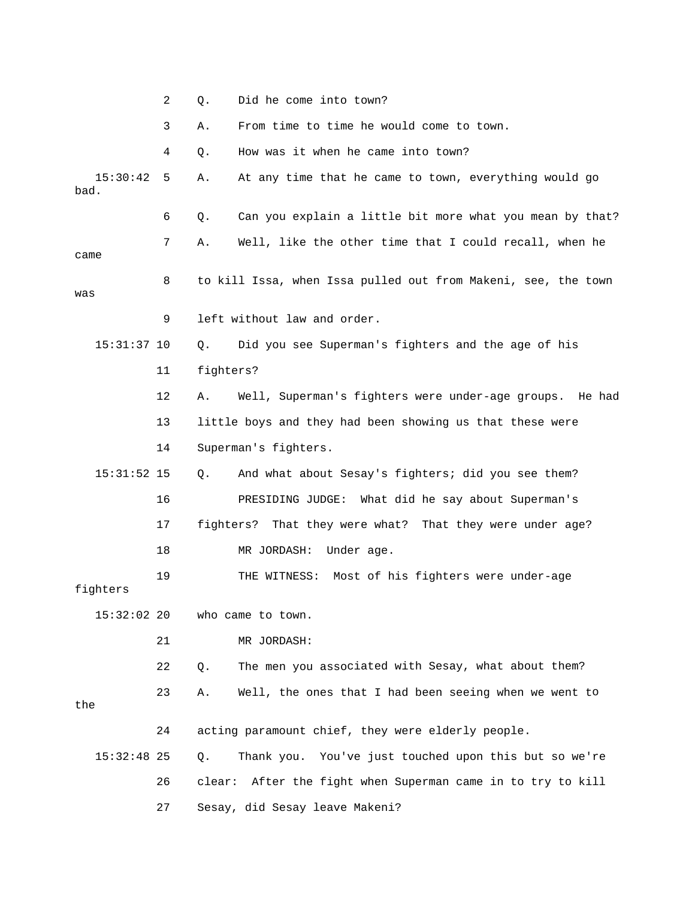|                  | 2  | Did he come into town?<br>Q.                                   |
|------------------|----|----------------------------------------------------------------|
|                  | 3  | From time to time he would come to town.<br>Α.                 |
|                  | 4  | How was it when he came into town?<br>Q.                       |
| 15:30:42<br>bad. | 5  | At any time that he came to town, everything would go<br>Α.    |
|                  | 6  | Can you explain a little bit more what you mean by that?<br>Q. |
| came             | 7  | Well, like the other time that I could recall, when he<br>Α.   |
| was              | 8  | to kill Issa, when Issa pulled out from Makeni, see, the town  |
|                  | 9  | left without law and order.                                    |
| $15:31:37$ 10    |    | Did you see Superman's fighters and the age of his<br>Q.       |
|                  | 11 | fighters?                                                      |
|                  | 12 | Well, Superman's fighters were under-age groups. He had<br>Α.  |
|                  | 13 | little boys and they had been showing us that these were       |
|                  | 14 | Superman's fighters.                                           |
| $15:31:52$ 15    |    | And what about Sesay's fighters; did you see them?<br>Q.       |
|                  | 16 | PRESIDING JUDGE: What did he say about Superman's              |
|                  | 17 | fighters? That they were what? That they were under age?       |
|                  | 18 | Under age.<br>MR JORDASH:                                      |
| fighters         | 19 | Most of his fighters were under-age<br>THE WITNESS:            |
| $15:32:02$ 20    |    | who came to town.                                              |
|                  | 21 | MR JORDASH:                                                    |
|                  | 22 | The men you associated with Sesay, what about them?<br>Q.      |
| the              | 23 | Well, the ones that I had been seeing when we went to<br>Α.    |
|                  | 24 | acting paramount chief, they were elderly people.              |
| $15:32:48$ 25    |    | Thank you. You've just touched upon this but so we're<br>Q.    |
|                  | 26 | clear: After the fight when Superman came in to try to kill    |
|                  | 27 | Sesay, did Sesay leave Makeni?                                 |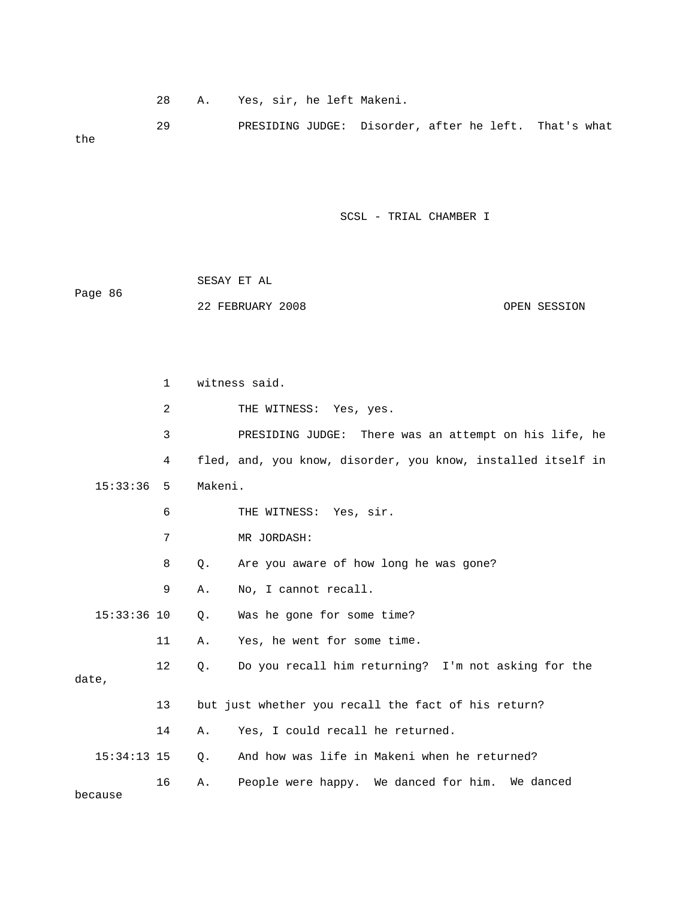28 A. Yes, sir, he left Makeni.

GE: Disorder, after he left. That's what 29 PRESIDING JUD the

|         | SESAY ET AL      |  |              |
|---------|------------------|--|--------------|
| Page 86 |                  |  |              |
|         | 22 FEBRUARY 2008 |  | OPEN SESSION |

|               | $\mathbf{1}$ |         | witness said.                                                |
|---------------|--------------|---------|--------------------------------------------------------------|
|               | 2            |         | THE WITNESS: Yes, yes.                                       |
|               | 3            |         | PRESIDING JUDGE: There was an attempt on his life, he        |
|               | 4            |         | fled, and, you know, disorder, you know, installed itself in |
| 15:33:36      | 5            | Makeni. |                                                              |
|               | 6            |         | THE WITNESS: Yes, sir.                                       |
|               | 7            |         | MR JORDASH:                                                  |
|               | 8            | Q.      | Are you aware of how long he was gone?                       |
|               | 9            | Α.      | No, I cannot recall.                                         |
| $15:33:36$ 10 |              | Q.      | Was he gone for some time?                                   |
|               | 11           | Α.      | Yes, he went for some time.                                  |
| date,         | $12 \,$      | Q.      | Do you recall him returning? I'm not asking for the          |
|               | 13           |         | but just whether you recall the fact of his return?          |
|               | 14           | Α.      | Yes, I could recall he returned.                             |
| $15:34:13$ 15 |              | О.      | And how was life in Makeni when he returned?                 |
| because       | 16           | Α.      | People were happy. We danced for him. We danced              |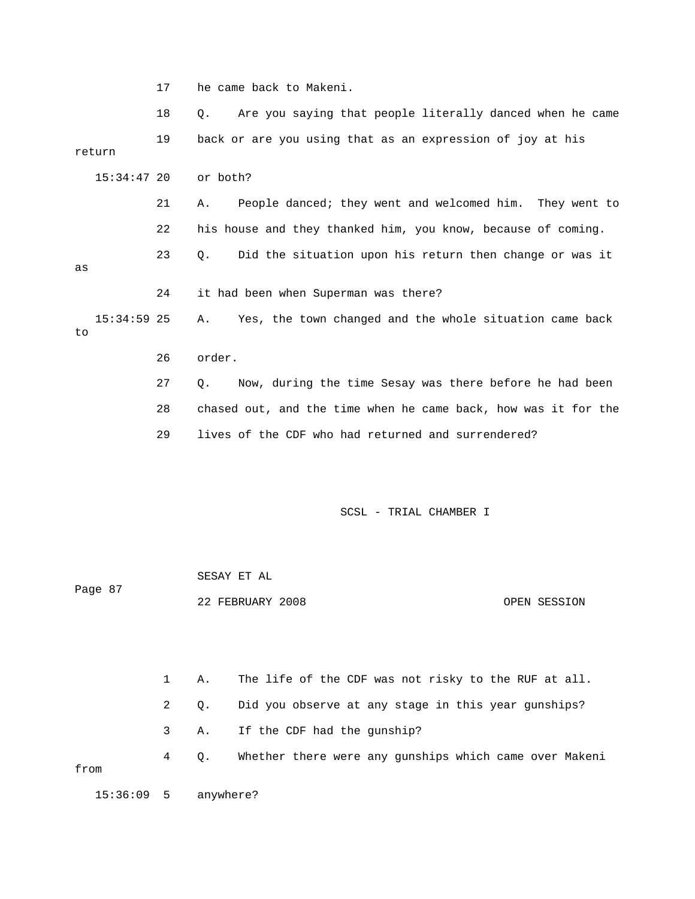17 he came back to Makeni.

 18 Q. Are you saying that people literally danced when he came 21 A. People danced; they went and welcomed him. They went to 22 his house and they thanked him, you know, because of coming. 23 Q. Did the situation upon his return then change or was it 24 it had been when Superman was there? 15:34:59 25 A. Yes, the town changed and the whole situation came back 27 Q. Now, during the time Sesay was there before he had been 29 lives of the CDF who had returned and surrendered? SCSL - TRIAL CHAMBER I SESAY ET AL Page 87 19 back or are you using that as an expression of joy at his return 15:34:47 20 or both? as to 26 order. 28 chased out, and the time when he came back, how was it for the

 1 A. The life of the CDF was not risky to the RUF at all. 2 Q. Did you observe at any stage in this year gunships? 4 Q. Whether there were any gunships which came over Makeni from 3 A. If the CDF had the gunship? 15:36:09 5 anywhere?

22 FEBRUARY 2008 OPEN SESSION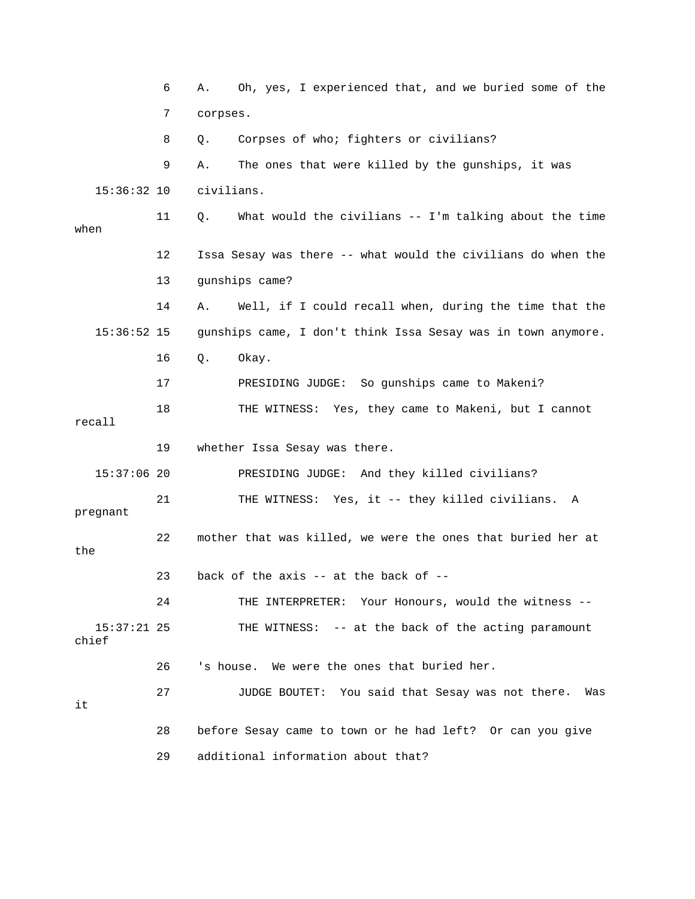6 A. Oh, yes, I experienced that, and we buried some of the 7 corpses. 8 Q. Corpses of who; fighters or civilians? 11 Q. What would the civilians -- I'm talking about the time when 12 Issa Sesay was there -- what would the civilians do when the 13 gunships came? gunships came, I don't think Issa Sesay was in town anymore. TNESS: Yes, they came to Makeni, but I cannot 18 THE WI recall 21 THE WITNESS: Yes, it -- they killed civilians. A pregnant 22 mother that was killed, we were the ones that buried her at  $23$  back of the axis -- at the back of -ss -- 24 THE INTERPRETER: Your Honours, would the witne 26 State: Ne were the ones that buried her. 27 JUDGE BOUTET: You said that Sesay was not there. Was 28 before Sesay came to town or he had left? Or can you give 9 A. The ones that were killed by the gunships, it was 15:36:32 10 civilians. 14 A. Well, if I could recall when, during the time that the  $15:36:52$  15 16 Q. Okay. 17 PRESIDING JUDGE: So gunships came to Makeni? 19 whether Issa Sesay was there. 15:37:06 20 PRESIDING JUDGE: And they killed civilians? the 15:37:21 25 THE WITNESS: -- at the back of the acting paramount chief it 29 additional information about that?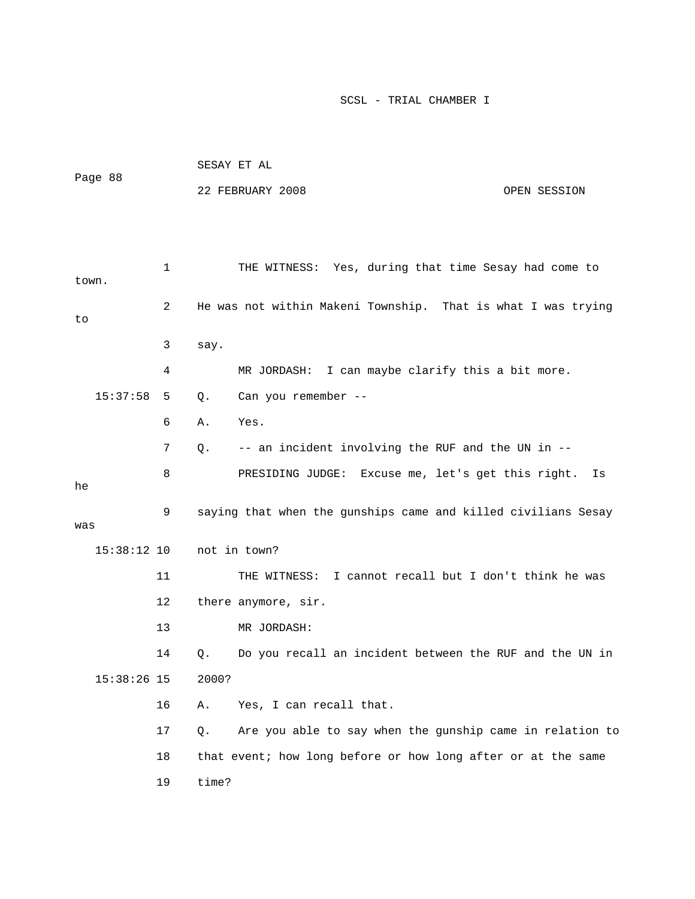| Page 88       |    |       | SESAY ET AL                                                   |              |
|---------------|----|-------|---------------------------------------------------------------|--------------|
|               |    |       | 22 FEBRUARY 2008                                              | OPEN SESSION |
|               |    |       |                                                               |              |
|               |    |       |                                                               |              |
| town.         | 1  |       | THE WITNESS: Yes, during that time Sesay had come to          |              |
| to            | 2  |       | He was not within Makeni Township. That is what I was trying  |              |
|               | 3  | say.  |                                                               |              |
|               | 4  |       | MR JORDASH: I can maybe clarify this a bit more.              |              |
| 15:37:58      | 5  | Q.    | Can you remember --                                           |              |
|               | 6  | Α.    | Yes.                                                          |              |
|               | 7  | Q.    | -- an incident involving the RUF and the UN in --             |              |
| he            | 8  |       | PRESIDING JUDGE: Excuse me, let's get this right.             | Is           |
| was           | 9  |       | saying that when the gunships came and killed civilians Sesay |              |
| $15:38:12$ 10 |    |       | not in town?                                                  |              |
|               | 11 |       | THE WITNESS: I cannot recall but I don't think he was         |              |
|               | 12 |       | there anymore, sir.                                           |              |
|               | 13 |       | MR JORDASH:                                                   |              |
|               | 14 | Q.    | Do you recall an incident between the RUF and the UN in       |              |
| $15:38:26$ 15 |    | 2000? |                                                               |              |
|               | 16 | Α.    | Yes, I can recall that.                                       |              |
|               | 17 | Q.    | Are you able to say when the gunship came in relation to      |              |
|               | 18 |       | that event; how long before or how long after or at the same  |              |
|               | 19 | time? |                                                               |              |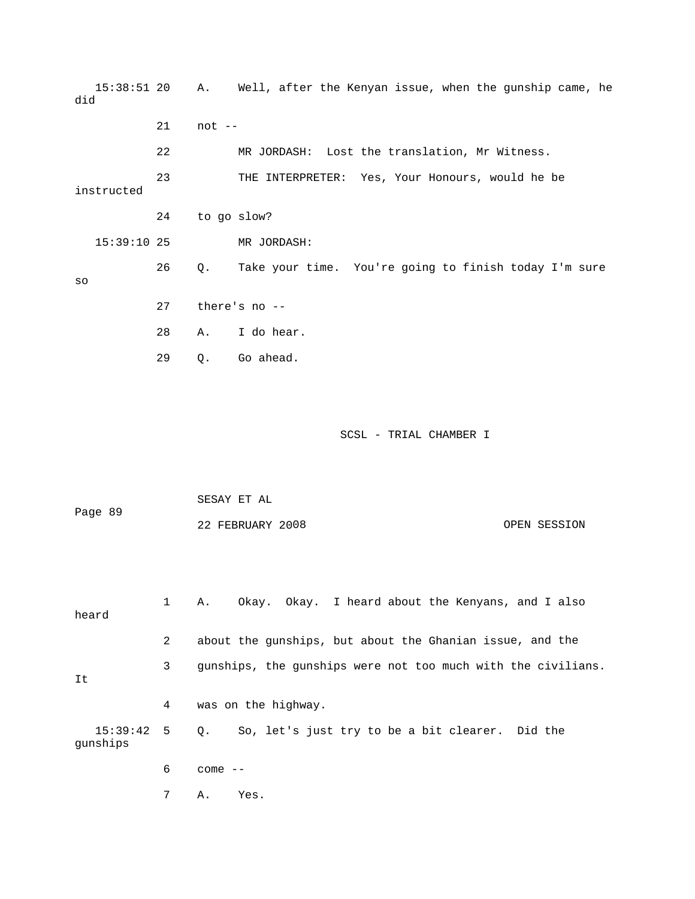15:38:51 20 A. Well, after the Kenyan issue, when the gunship came, he 22 MR JORDASH: Lost the translation, Mr Witness. our Honours, would he be 23 THE INTERPRETER: Yes, Y Take your time. You're going to finish today I'm sure 27 there's no -- 28 A. I do hear. SCSL - TRIAL CHAMBER I SESAY ET AL OPEN SESSION 1 A. Okay. Okay. I heard about the Kenyans, and I also heard 2 about the gunships, but about the Ghanian issue, and the 3 gunships, the gunships were not too much with the civilians. did 21 not - instructed 24 to go slow? 15:39:10 25 MR JORDASH: 26 Q. so 29 Q. Go ahead. Page 89 22 FEBRUARY 20

gunships It 4 was on the highway. 15:39:42 5 Q. So, let's just try to be a bit clearer. Did the

6 come --

7 A. Yes.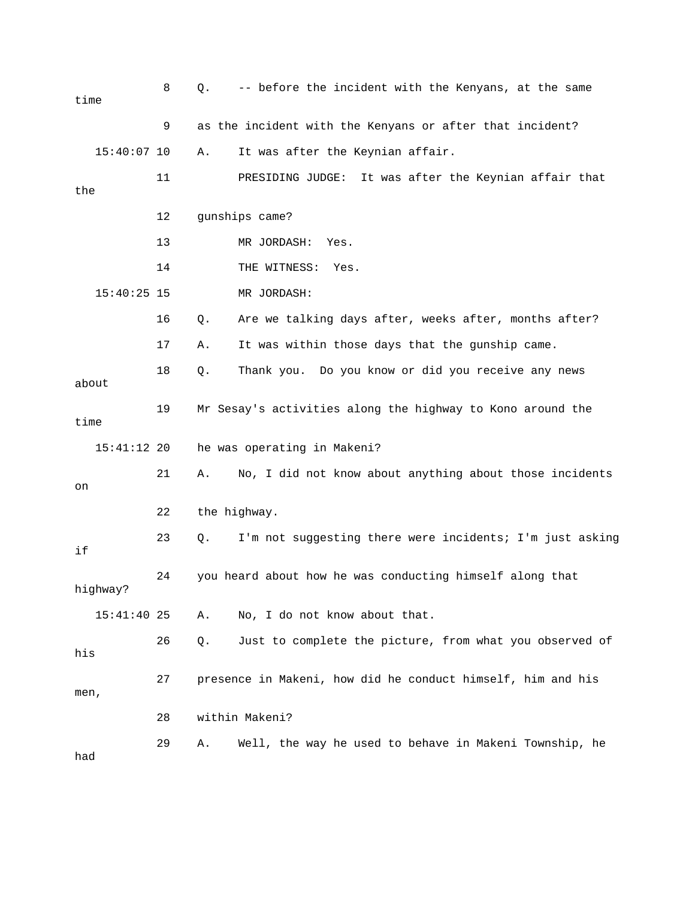| time  |               | 8  | $Q$ . | -- before the incident with the Kenyans, at the same        |
|-------|---------------|----|-------|-------------------------------------------------------------|
|       |               | 9  |       | as the incident with the Kenyans or after that incident?    |
|       | $15:40:07$ 10 |    | Α.    | It was after the Keynian affair.                            |
| the   |               | 11 |       | It was after the Keynian affair that<br>PRESIDING JUDGE:    |
|       |               | 12 |       | gunships came?                                              |
|       |               | 13 |       | MR JORDASH:<br>Yes.                                         |
|       |               | 14 |       | THE WITNESS:<br>Yes.                                        |
|       | $15:40:25$ 15 |    |       | MR JORDASH:                                                 |
|       |               | 16 | $Q$ . | Are we talking days after, weeks after, months after?       |
|       |               | 17 | Α.    | It was within those days that the gunship came.             |
| about |               | 18 | Q.    | Thank you. Do you know or did you receive any news          |
| time  |               | 19 |       | Mr Sesay's activities along the highway to Kono around the  |
|       | $15:41:12$ 20 |    |       | he was operating in Makeni?                                 |
| on    |               | 21 | Α.    | No, I did not know about anything about those incidents     |
|       |               | 22 |       | the highway.                                                |
| if    |               | 23 | Q.    | I'm not suggesting there were incidents; I'm just asking    |
|       | highway?      | 24 |       | you heard about how he was conducting himself along that    |
|       | $15:41:40$ 25 |    | Α.    | No, I do not know about that.                               |
| his   |               | 26 | Q.    | Just to complete the picture, from what you observed of     |
| men,  |               | 27 |       | presence in Makeni, how did he conduct himself, him and his |
|       |               | 28 |       | within Makeni?                                              |
| had   |               | 29 | Α.    | Well, the way he used to behave in Makeni Township, he      |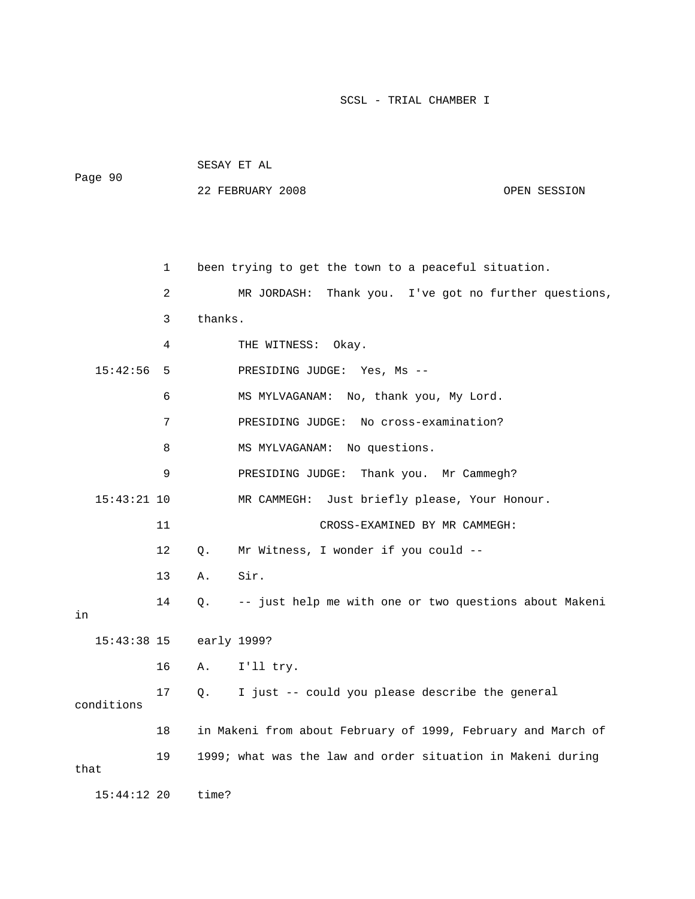| Page 90 | SESAY ET AL      |              |
|---------|------------------|--------------|
|         | 22 FEBRUARY 2008 | OPEN SESSION |

|               | 1  |         | been trying to get the town to a peaceful situation.         |
|---------------|----|---------|--------------------------------------------------------------|
|               | 2  |         | MR JORDASH:<br>Thank you. I've got no further questions,     |
|               | 3  | thanks. |                                                              |
|               | 4  |         | THE WITNESS:<br>Okay.                                        |
| 15:42:56      | 5  |         | PRESIDING JUDGE: Yes, Ms --                                  |
|               | 6  |         | MS MYLVAGANAM:<br>No, thank you, My Lord.                    |
|               | 7  |         | No cross-examination?<br>PRESIDING JUDGE:                    |
|               | 8  |         | MS MYLVAGANAM:<br>No questions.                              |
|               | 9  |         | Thank you. Mr Cammegh?<br>PRESIDING JUDGE:                   |
| $15:43:21$ 10 |    |         | MR CAMMEGH: Just briefly please, Your Honour.                |
|               | 11 |         | CROSS-EXAMINED BY MR CAMMEGH:                                |
|               | 12 | Q.      | Mr Witness, I wonder if you could --                         |
|               | 13 | Α.      | Sir.                                                         |
| in            | 14 | О.      | -- just help me with one or two questions about Makeni       |
| $15:43:38$ 15 |    |         | early 1999?                                                  |
|               | 16 | Α.      | I'll try.                                                    |
| conditions    | 17 | Q.      | I just -- could you please describe the general              |
|               | 18 |         | in Makeni from about February of 1999, February and March of |
| that          | 19 |         | 1999; what was the law and order situation in Makeni during  |
| $15:44:12$ 20 |    | time?   |                                                              |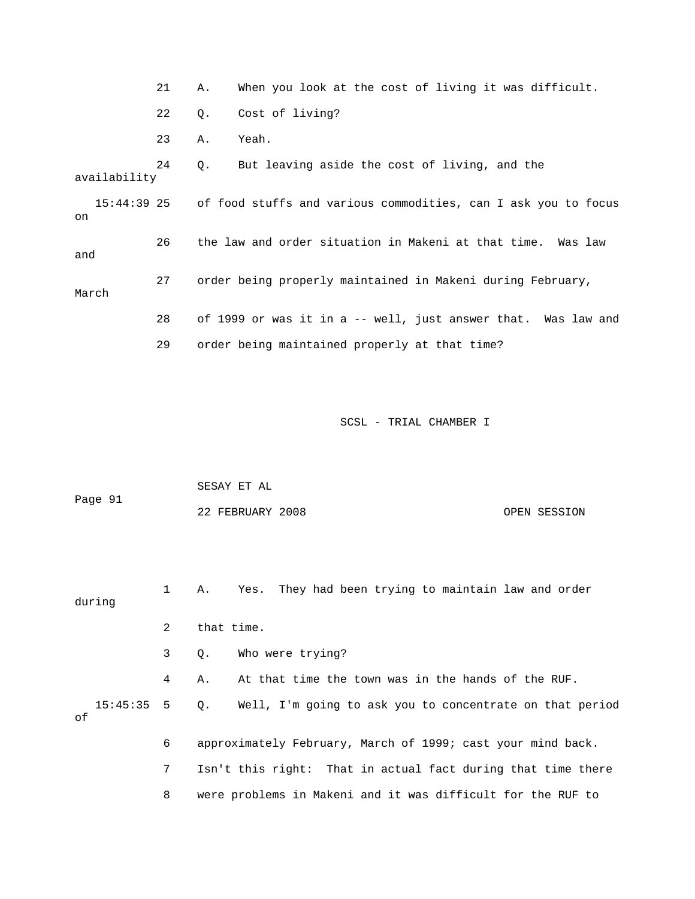|              |                                                                            | 21 | Α.        | When you look at the cost of living it was difficult.         |  |  |
|--------------|----------------------------------------------------------------------------|----|-----------|---------------------------------------------------------------|--|--|
|              |                                                                            | 22 | Q.        | Cost of living?                                               |  |  |
|              |                                                                            | 23 | Α.        | Yeah.                                                         |  |  |
|              | availability                                                               | 24 | $\circ$ . | But leaving aside the cost of living, and the                 |  |  |
| on           | 15:44:39 25 of food stuffs and various commodities, can I ask you to focus |    |           |                                                               |  |  |
| and<br>March |                                                                            | 26 |           | the law and order situation in Makeni at that time. Was law   |  |  |
|              |                                                                            | 27 |           | order being properly maintained in Makeni during February,    |  |  |
|              |                                                                            | 28 |           | of 1999 or was it in a -- well, just answer that. Was law and |  |  |
|              |                                                                            | 29 |           | order being maintained properly at that time?                 |  |  |
|              |                                                                            |    |           |                                                               |  |  |

| Page 91 | SESAY ET AL      |              |
|---------|------------------|--------------|
|         | 22 FEBRUARY 2008 | OPEN SESSION |

 1 A. Yes. They had been trying to maintain law and order during 2 that time. 3 Q. Who were trying? 4 A. At that time the town was in the hands of the RUF. 15:45:35 5 Q. Well, I'm going to ask you to concentrate on that period 6 approximately February, March of 1999; cast your mind back. 7 Isn't this right: That in actual fact during that time there 8 were problems in Makeni and it was difficult for the RUF to of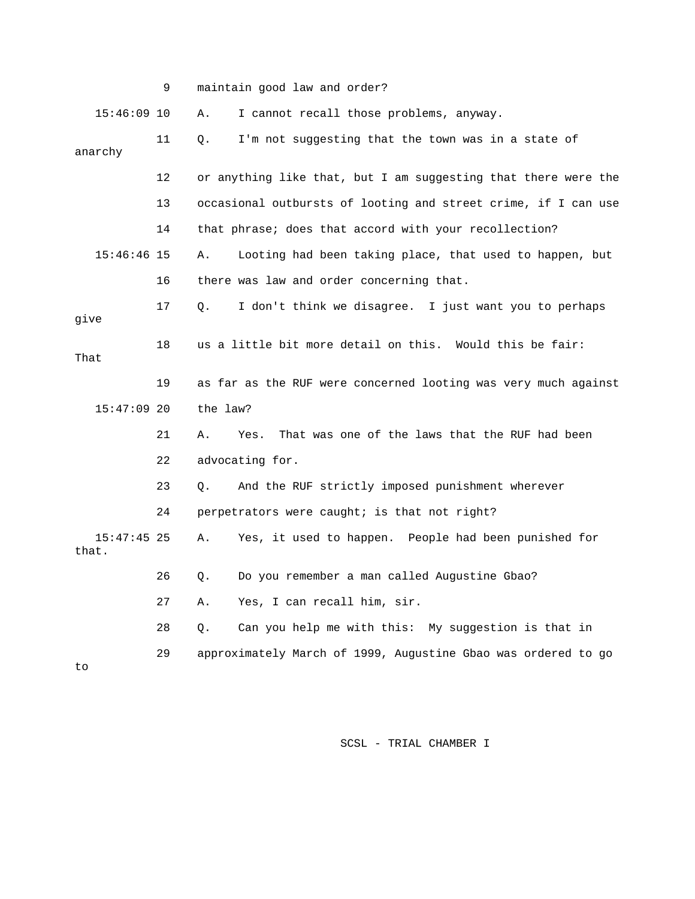|                        | 9  | maintain good law and order?                                       |
|------------------------|----|--------------------------------------------------------------------|
| $15:46:09$ 10          |    | Α.<br>I cannot recall those problems, anyway.                      |
| anarchy                | 11 | I'm not suggesting that the town was in a state of<br>Q.           |
|                        | 12 | or anything like that, but I am suggesting that there were the     |
|                        | 13 | occasional outbursts of looting and street crime, if I can use     |
|                        | 14 | that phrase; does that accord with your recollection?              |
| $15:46:46$ 15          |    | Looting had been taking place, that used to happen, but<br>Α.      |
|                        | 16 | there was law and order concerning that.                           |
| give                   | 17 | I don't think we disagree. I just want you to perhaps<br>$\circ$ . |
| That                   | 18 | us a little bit more detail on this. Would this be fair:           |
|                        | 19 | as far as the RUF were concerned looting was very much against     |
| $15:47:09$ 20          |    | the law?                                                           |
|                        | 21 | That was one of the laws that the RUF had been<br>Α.<br>Yes.       |
|                        | 22 | advocating for.                                                    |
|                        | 23 | And the RUF strictly imposed punishment wherever<br>Q.             |
|                        | 24 | perpetrators were caught; is that not right?                       |
| $15:47:45$ 25<br>that. |    | Yes, it used to happen. People had been punished for<br>Α.         |
|                        | 26 | Do you remember a man called Augustine Gbao?<br>Q.                 |
|                        | 27 | Yes, I can recall him, sir.<br>Α.                                  |
|                        | 28 | Can you help me with this: My suggestion is that in<br>Q.          |
|                        | 29 | approximately March of 1999, Augustine Gbao was ordered to go      |

to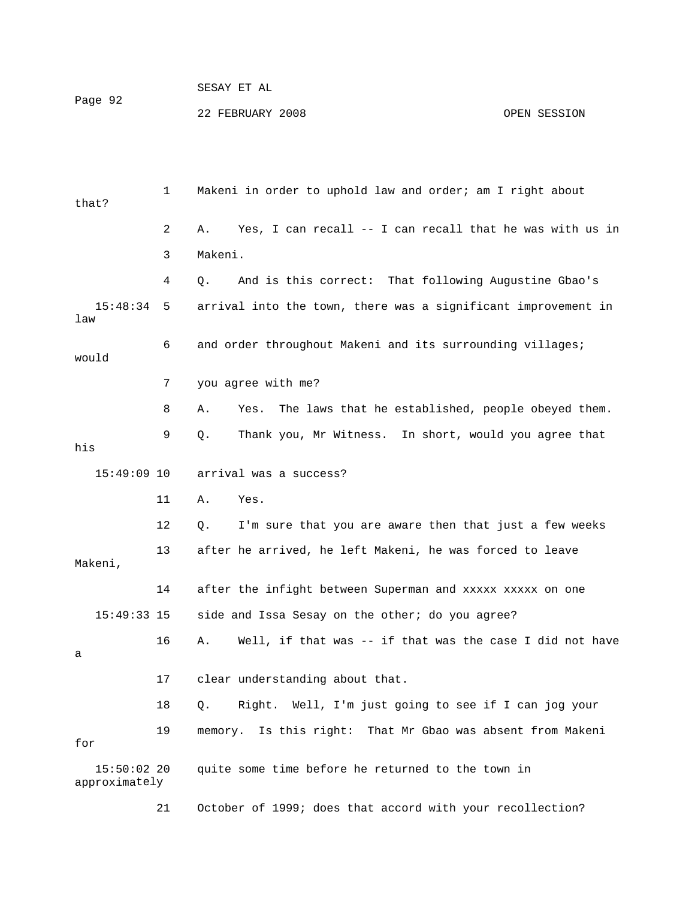## SESAY ET AL 22 FEBRUARY 2008 OPEN SESSION Page 92

 1 Makeni in order to uphold law and order; am I right about that? 2 A. Yes, I can recall -- I can recall that he was with us in 3 Makeni. 4 Q. And is this correct: That following Augustine Gbao's 6 and order throughout Makeni and its surrounding villages; would 7 you agree with me? 8 A. Yes. The laws that he established, people obeyed them. 9 Q. Thank you, Mr Witness. In short, would you agree that arrival was a success? 13 after he arrived, he left Makeni, he was forced to leave 14 after the infight between Superman and xxxxx xxxxx on one 15:49:33 15 side and Issa Sesay on the other; do you agree? 17 clear understanding about that. 18 Q. Right. Well, I'm just going to see if I can jog your 19 memory. Is this right: That Mr Gbao was absent from Makeni approximately 15:48:34 5 arrival into the town, there was a significant improvement in law his  $15:49:09$  10 11 A. Yes. 12 Q. I'm sure that you are aware then that just a few weeks Makeni, 16 A. Well, if that was -- if that was the case I did not have a for 15:50:02 20 quite some time before he returned to the town in 21 October of 1999; does that accord with your recollection?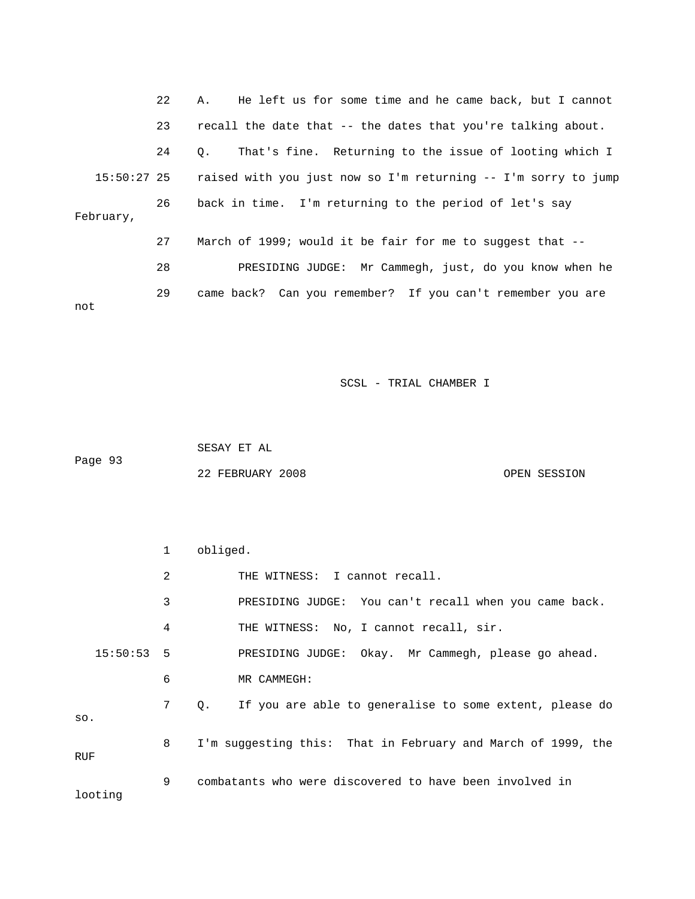22 A. He left us for some time and he came back, but I cannot 24 Q. That's fine. Returning to the issue of looting which I 15:50:27 25 raised with you just now so I'm returning -- I'm sorry to jump 26 back in time. I'm returning to the period of let's say 27 March of 1999; would it be fair for me to suggest that -- PRESIDING JUDGE: Mr Cammegh, just, do you know when he e 29 came back? Can you remember? If you can't remember you ar not 23 recall the date that -- the dates that you're talking about. February, 28

SCSL - TRIAL CHAMBER I

 SESAY ET AL 22 FEBRUARY 2008 OPEN SESSION Page 93

 1 obliged. 2 THE WITNESS: I cannot recall. 3 BRESIDING JUDGE: You can't recall when you came back. 4 THE WITNESS: No, I cannot recall, sir. 15:50:53 5 PRESIDING JUDGE: Okay. Mr Cammegh, please go ahead. 7 Q. If you are able to generalise to some extent, please do . so 8 I'm suggesting this: That in February and March of 1999, the RUF 9 combatants who were discovered to have been involved in 6 MR CAMMEGH: looting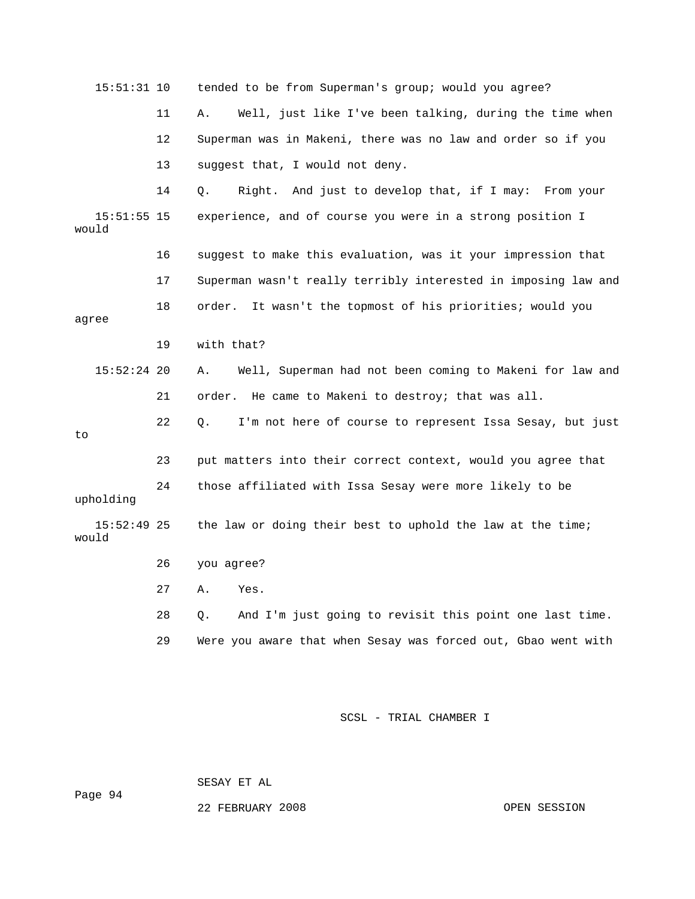15:51:31 10 tended to be from Superman's group; would you agree? 11 A. Well, just like I've been talking, during the time when 13 suggest that, I would not deny. 16 suggest to make this evaluation, was it your impression that 17 Superman wasn't really terribly interested in imposing law and 18 order. It wasn't the topmost of his priorities; would you agree 19 with that? 15:52:24 20 A. Well, Superman had not been coming to Makeni for law and 21 order. He came to Makeni to destroy; that was all. 22 Q. I'm not here of course to represent Issa Sesay, but just 23 put matters into their correct context, would you agree that 28 Q. And I'm just going to revisit this point one last time. 12 Superman was in Makeni, there was no law and order so if you 14 Q. Right. And just to develop that, if I may: From your 15:51:55 15 experience, and of course you were in a strong position I would to 24 those affiliated with Issa Sesay were more likely to be upholding 15:52:49 25 the law or doing their best to uphold the law at the time; would 26 you agree? 27 A. Yes. 29 Were you aware that when Sesay was forced out, Gbao went with

SCSL - TRIAL CHAMBER I

SESAY ET AL

Page 94

22 FEBRUARY 2008

OPEN SESSION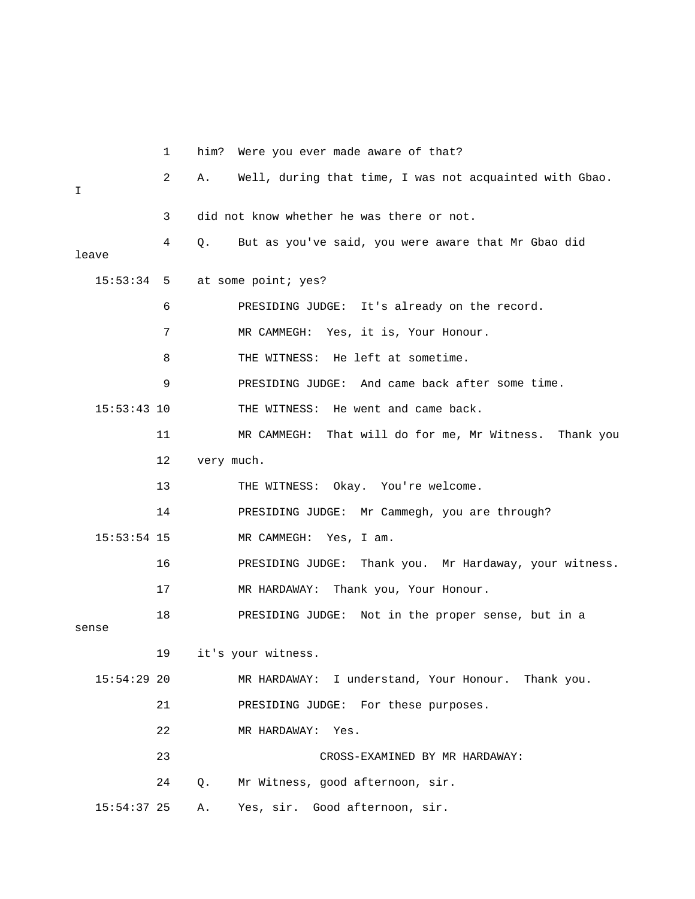1 him? Were you ever made aware of that? 2 A. Well, during that time, I was not acquainted with Gbao. 4 Q. But as you've said, you were aware that Mr Gbao did leave 7 MR CAMMEGH: Yes, it is, Your Honour. 8 THE WITNESS: He left at sometime. 9 PRESIDING JUDGE: And came back after some time. 11 MR CAMMEGH: That will do for me, Mr Witness. Thank you 12 very much. 14 PRESIDING JUDGE: Mr Cammegh, you are through? ay, your witness. 16 PRESIDING JUDGE: Thank you. Mr Hardaw . 17 MR HARDAWAY: Thank you, Your Honour 18 PRESIDING JUDGE: Not in the proper sense, but in a sense 19 it's your witness. 21 PRESIDING JUDGE: For these purposes. 22 MR HARDAWAY: Yes. 24 Q. Mr Witness, good afternoon, sir. 15:54:37 25 A. Yes, sir. Good afternoon, sir.  $\mathsf{T}$  3 did not know whether he was there or not. 15:53:34 5 at some point; yes? 6 PRESIDING JUDGE: It's already on the record. 15:53:43 10 THE WITNESS: He went and came back. 13 THE WITNESS: Okay. You're welcome. 15:53:54 15 MR CAMMEGH: Yes, I am. 15:54:29 20 MR HARDAWAY: I understand, Your Honour. Thank you. 23 CROSS-EXAMINED BY MR HARDAWAY: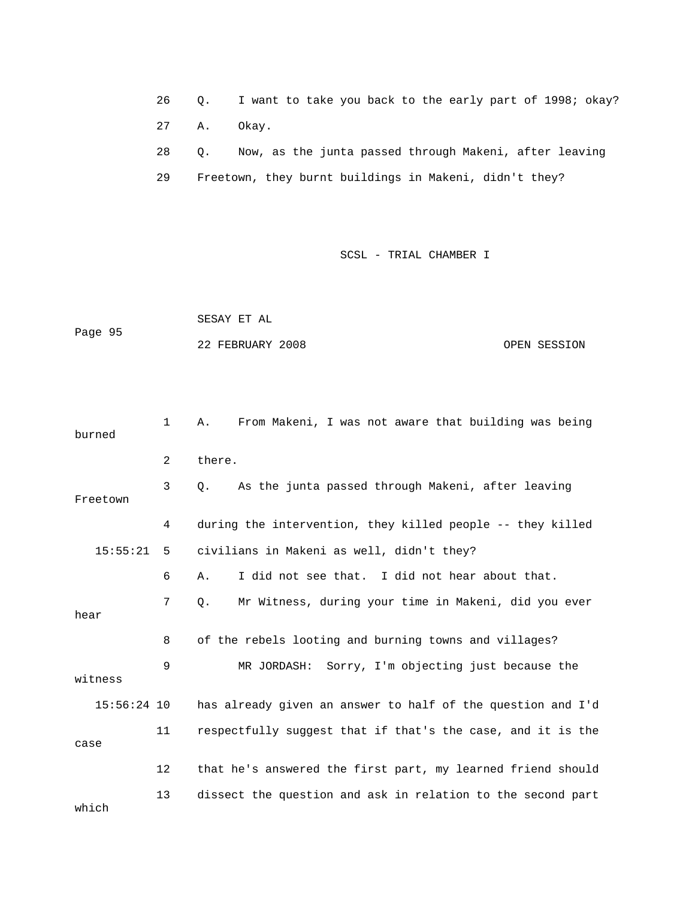26 Q. I want to take you back to the early part of 1998; o kay? 27 A. Okay. 28 Q. Now, as the junta passed through Makeni, after leaving 29 Freetown, they burnt buildings in Makeni, didn't they?

|         | SESAY ET AL      |              |
|---------|------------------|--------------|
| Page 95 |                  |              |
|         | 22 FEBRUARY 2008 | OPEN SESSION |

| burned        | $\mathbf{1}$ | From Makeni, I was not aware that building was being<br>Α.  |
|---------------|--------------|-------------------------------------------------------------|
|               | 2            | there.                                                      |
| Freetown      | 3            | As the junta passed through Makeni, after leaving<br>Q.     |
|               | 4            | during the intervention, they killed people -- they killed  |
| 15:55:21      | 5            | civilians in Makeni as well, didn't they?                   |
|               | 6            | I did not see that. I did not hear about that.<br>Α.        |
| hear          | 7            | Mr Witness, during your time in Makeni, did you ever<br>Q.  |
|               | 8            | of the rebels looting and burning towns and villages?       |
| witness       | 9            | MR JORDASH: Sorry, I'm objecting just because the           |
| $15:56:24$ 10 |              | has already given an answer to half of the question and I'd |
| case          | 11           | respectfully suggest that if that's the case, and it is the |
|               | 12           | that he's answered the first part, my learned friend should |
| which         | 13           | dissect the question and ask in relation to the second part |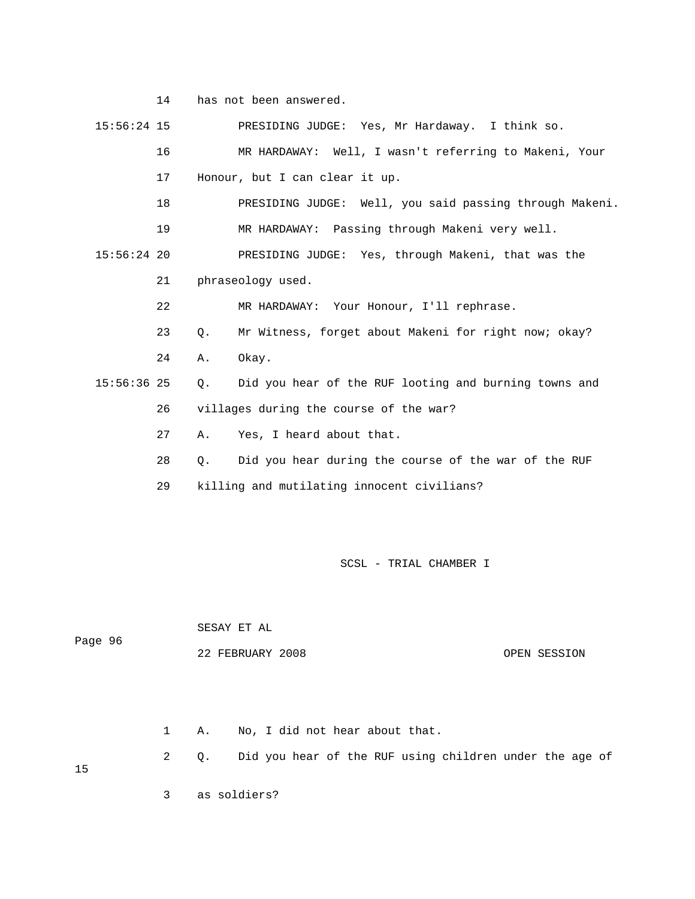14 has not been answered.

 15:56:24 15 PRESIDING JUDGE: Yes, Mr Hardaway. I think so. 16 MR HARDAWAY: Well, I wasn't referring to Makeni, Your 17 Honour, but I can clear it up. . 18 PRESIDING JUDGE: Well, you said passing through Makeni 21 phraseology used. 22 MR HARDAWAY: Your Honour, I'll rephrase. 23 Q. Mr Witness, forget about Makeni for right now; okay? 26 villages during the course of the war? 28 Q. Did you hear during the course of the war of the RUF 19 MR HARDAWAY: Passing through Makeni very well. 15:56:24 20 PRESIDING JUDGE: Yes, through Makeni, that was the 24 A. Okay. 15:56:36 25 Q. Did you hear of the RUF looting and burning towns and 27 A. Yes, I heard about that. 29 killing and mutilating innocent civilians?

SCSL - TRIAL CHAMBER I

 SESAY ET AL 22 FEBRUARY 2008 OPEN SESSION Page 96

1 A. No, I did not hear about that.

2 Q. Did you hear of the RUF using children under the age of

15

3 as soldiers?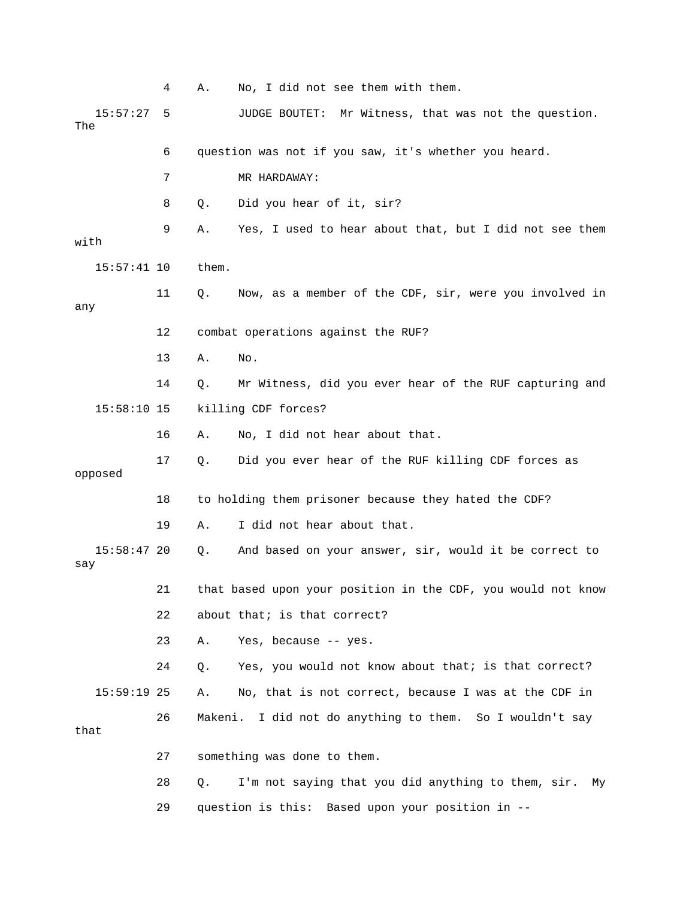4 A. No, I did not see them with them. 15:57:27 5 JUDGE BOUTET: Mr Witness, that was not the question. 7 MR HARDAWAY: 8 0. Did you hear of it, sir? 9 A. Yes, I used to hear about that, but I did not see them with 5:57:41 10 them. 1 11 Q. Now, as a member of the CDF, sir, were you involved in any 13 A. No. 14 Q. Mr Witness, did you ever hear of the RUF capturing and 16 A. No, I did not hear about that. opposed 18 to holding them prisoner because they hated the CDF? 15:58:47 20 Q. And based on your answer, sir, would it be correct to 21 that based upon your position in the CDF, you would not know 23 A. Yes, because -- yes. 24 Q. Yes, you would not know about that; is that correct? 26 Makeni. I did not do anything to them. So I wouldn't say 29 question is this: Based upon your position in -- The 6 question was not if you saw, it's whether you heard. 12 combat operations against the RUF? 15:58:10 15 killing CDF forces? 17 Q. Did you ever hear of the RUF killing CDF forces as 19 A. I did not hear about that. say 22 about that; is that correct? 15:59:19 25 A. No, that is not correct, because I was at the CDF in that 27 something was done to them. 28 Q. I'm not saying that you did anything to them, sir. My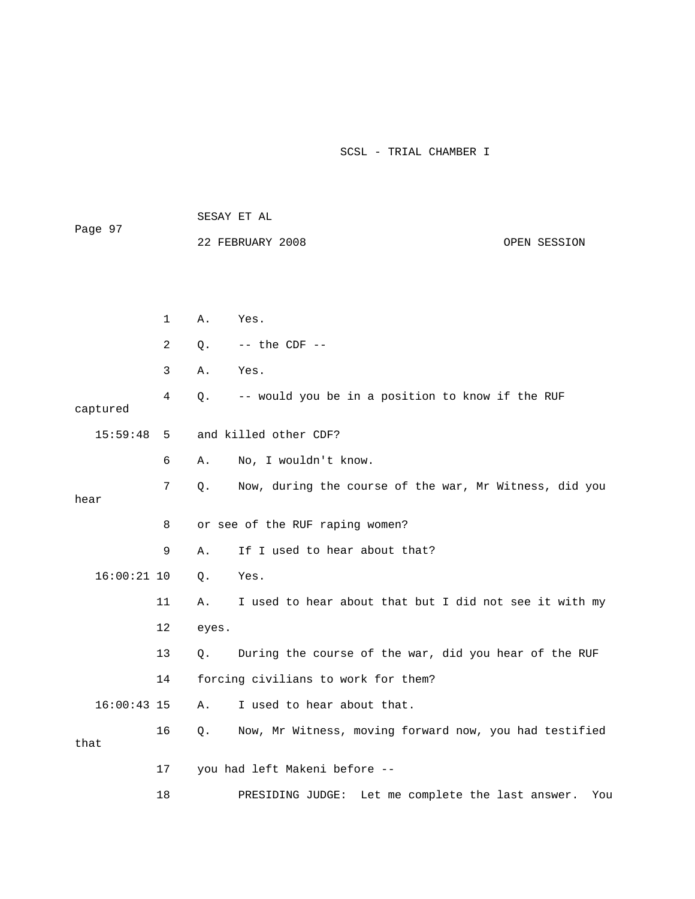|               |                |       | SESAY ET AL                                            |              |  |  |
|---------------|----------------|-------|--------------------------------------------------------|--------------|--|--|
| Page 97       |                |       | 22 FEBRUARY 2008                                       | OPEN SESSION |  |  |
|               |                |       |                                                        |              |  |  |
|               |                |       |                                                        |              |  |  |
|               | 1              | Α.    | Yes.                                                   |              |  |  |
|               | $\overline{2}$ | Q.    | $--$ the CDF $--$                                      |              |  |  |
|               | 3              | Α.    | Yes.                                                   |              |  |  |
| captured      | 4              | Q.    | -- would you be in a position to know if the RUF       |              |  |  |
| 15:59:48      | 5              |       | and killed other CDF?                                  |              |  |  |
|               | 6              | Α.    | No, I wouldn't know.                                   |              |  |  |
| hear          | 7              | Q.    | Now, during the course of the war, Mr Witness, did you |              |  |  |
|               | 8              |       | or see of the RUF raping women?                        |              |  |  |
|               | 9              | Α.    | If I used to hear about that?                          |              |  |  |
| $16:00:21$ 10 |                | Q.    | Yes.                                                   |              |  |  |
|               | 11             | Α.    | I used to hear about that but I did not see it with my |              |  |  |
|               | 12             | eyes. |                                                        |              |  |  |
|               | 13             | Q.    | During the course of the war, did you hear of the RUF  |              |  |  |
|               | 14             |       | forcing civilians to work for them?                    |              |  |  |
| $16:00:43$ 15 |                | Α.    | I used to hear about that.                             |              |  |  |
| that          | 16             | Q.    | Now, Mr Witness, moving forward now, you had testified |              |  |  |
|               | 17             |       | you had left Makeni before --                          |              |  |  |
|               | 18             |       | Let me complete the last answer.<br>PRESIDING JUDGE:   | You          |  |  |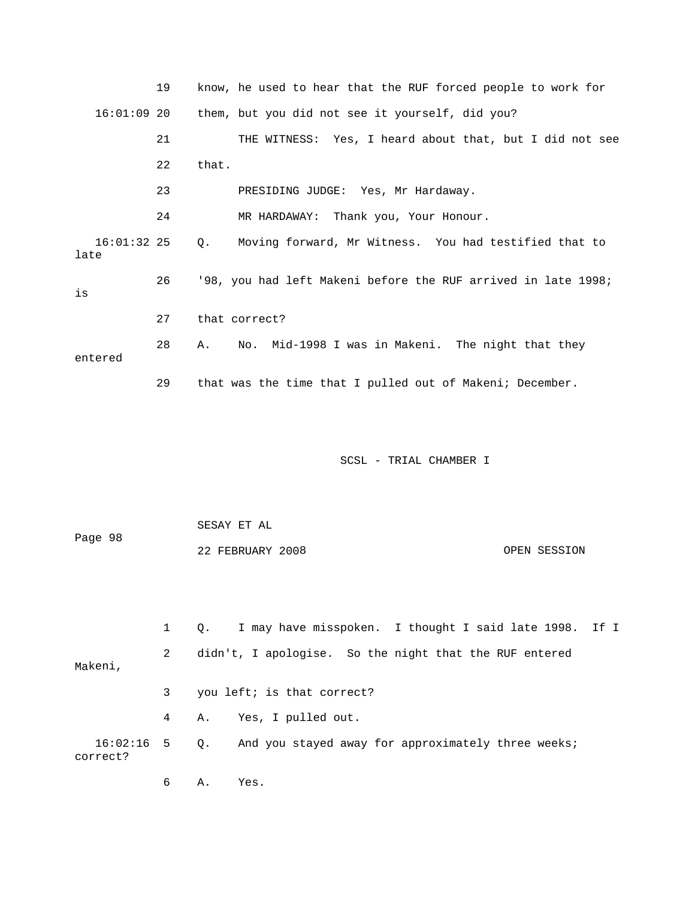|                       | 19           | know, he used to hear that the RUF forced people to work for    |
|-----------------------|--------------|-----------------------------------------------------------------|
| $16:01:09$ 20         |              | them, but you did not see it yourself, did you?                 |
|                       | 21           | THE WITNESS: Yes, I heard about that, but I did not see         |
|                       | 22           | that.                                                           |
|                       | 23           | PRESIDING JUDGE: Yes, Mr Hardaway.                              |
|                       | 24           | MR HARDAWAY: Thank you, Your Honour.                            |
| $16:01:32$ 25<br>late |              | Moving forward, Mr Witness. You had testified that to<br>Q.     |
| is                    | 26           | '98, you had left Makeni before the RUF arrived in late 1998;   |
|                       | 27           | that correct?                                                   |
| entered               | 28           | Mid-1998 I was in Makeni. The night that they<br>Α.<br>No.      |
|                       | 29           | that was the time that I pulled out of Makeni; December.        |
|                       |              |                                                                 |
|                       |              | SCSL - TRIAL CHAMBER I                                          |
|                       |              |                                                                 |
| Page 98               |              | SESAY ET AL                                                     |
|                       |              | 22 FEBRUARY 2008<br>OPEN SESSION                                |
|                       |              |                                                                 |
|                       | $\mathbf{1}$ | I may have misspoken. I thought I said late 1998.<br>If I<br>Q. |
| Makeni,               | 2            | didn't, I apologise. So the night that the RUF entered          |
|                       | 3            | you left; is that correct?                                      |
|                       | 4            | Yes, I pulled out.<br>Α.                                        |
| 16:02:16<br>correct?  | 5            | And you stayed away for approximately three weeks;<br>$Q$ .     |
|                       | 6            | Α.<br>Yes.                                                      |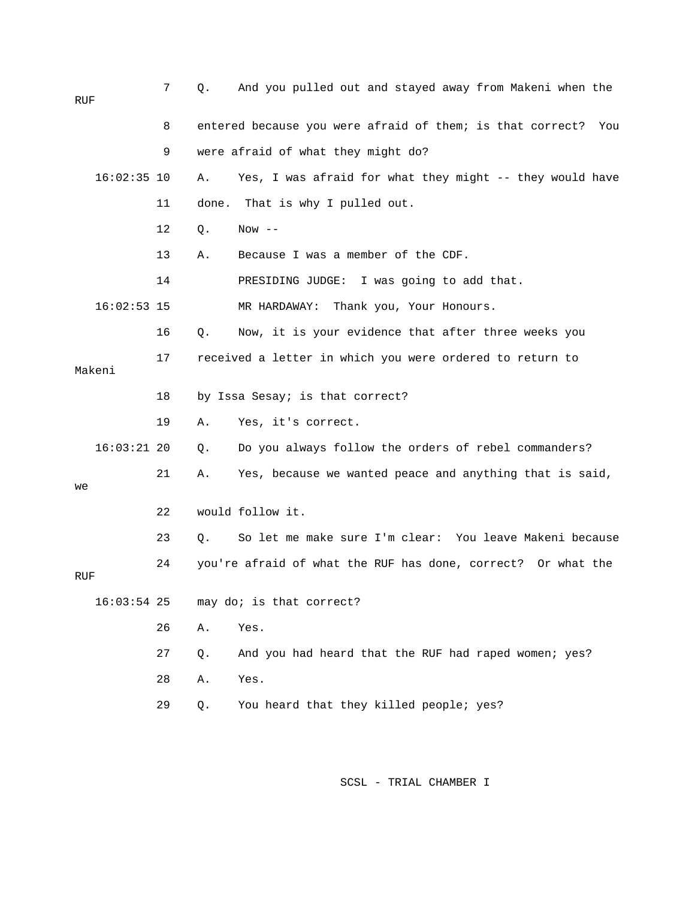| RUF    |               | 7  | Q.    | And you pulled out and stayed away from Makeni when the          |
|--------|---------------|----|-------|------------------------------------------------------------------|
|        |               | 8  |       | entered because you were afraid of them; is that correct?<br>You |
|        |               | 9  |       | were afraid of what they might do?                               |
|        | $16:02:35$ 10 |    | Α.    | Yes, I was afraid for what they might -- they would have         |
|        |               | 11 | done. | That is why I pulled out.                                        |
|        |               | 12 | Q.    | $Now --$                                                         |
|        |               | 13 | Α.    | Because I was a member of the CDF.                               |
|        |               | 14 |       | I was going to add that.<br>PRESIDING JUDGE:                     |
|        | $16:02:53$ 15 |    |       | MR HARDAWAY:<br>Thank you, Your Honours.                         |
|        |               | 16 | Q.    | Now, it is your evidence that after three weeks you              |
| Makeni |               | 17 |       | received a letter in which you were ordered to return to         |
|        |               | 18 |       | by Issa Sesay; is that correct?                                  |
|        |               | 19 | Α.    | Yes, it's correct.                                               |
|        | $16:03:21$ 20 |    | Q.    | Do you always follow the orders of rebel commanders?             |
| we     |               | 21 | Α.    | Yes, because we wanted peace and anything that is said,          |
|        |               | 22 |       | would follow it.                                                 |
|        |               | 23 | О.    | So let me make sure I'm clear: You leave Makeni because          |
| RUF    |               | 24 |       | you're afraid of what the RUF has done, correct? Or what the     |
|        | $16:03:54$ 25 |    |       | may do; is that correct?                                         |
|        |               | 26 | Α.    | Yes.                                                             |
|        |               | 27 | Q.    | And you had heard that the RUF had raped women; yes?             |
|        |               | 28 | Α.    | Yes.                                                             |
|        |               | 29 | Q.    | You heard that they killed people; yes?                          |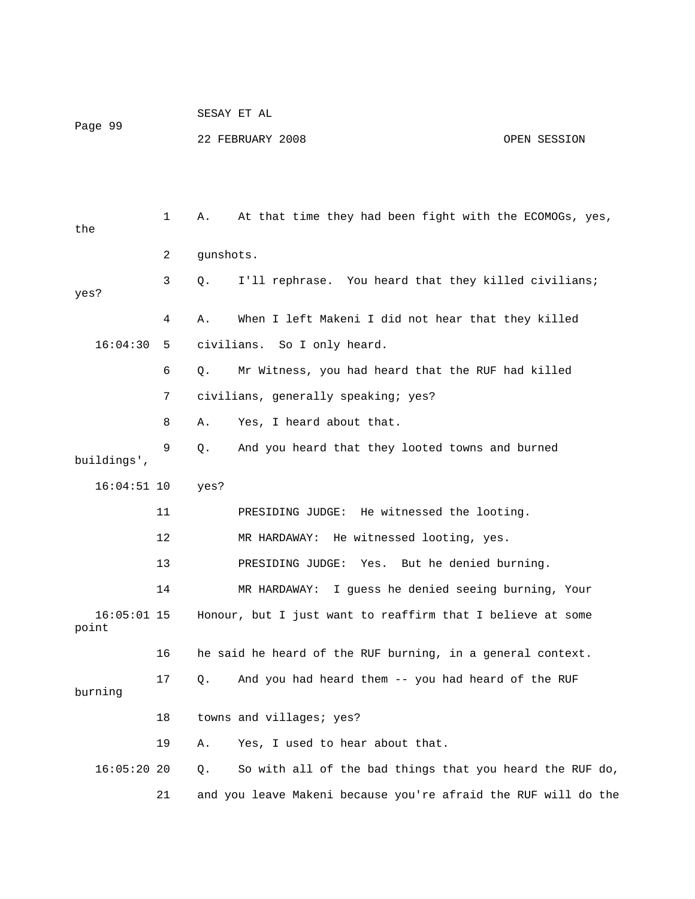| Page 99                |    |           | 22 FEBRUARY 2008                                           | OPEN SESSION |
|------------------------|----|-----------|------------------------------------------------------------|--------------|
|                        |    |           |                                                            |              |
| the                    | 1  | Α.        | At that time they had been fight with the ECOMOGs, yes,    |              |
|                        | 2  | gunshots. |                                                            |              |
| yes?                   | 3  | Q.        | I'll rephrase. You heard that they killed civilians;       |              |
|                        | 4  | Α.        | When I left Makeni I did not hear that they killed         |              |
| 16:04:30               | 5  |           | civilians. So I only heard.                                |              |
|                        | 6  | Q.        | Mr Witness, you had heard that the RUF had killed          |              |
|                        | 7  |           | civilians, generally speaking; yes?                        |              |
|                        | 8  | Α.        | Yes, I heard about that.                                   |              |
| buildings',            | 9  | Q.        | And you heard that they looted towns and burned            |              |
| $16:04:51$ 10          |    | yes?      |                                                            |              |
|                        | 11 |           | PRESIDING JUDGE: He witnessed the looting.                 |              |
|                        | 12 |           | He witnessed looting, yes.<br>MR HARDAWAY:                 |              |
|                        | 13 |           | PRESIDING JUDGE:<br>Yes. But he denied burning.            |              |
|                        | 14 |           | I guess he denied seeing burning, Your<br>MR HARDAWAY:     |              |
| $16:05:01$ 15<br>point |    |           | Honour, but I just want to reaffirm that I believe at some |              |
|                        | 16 |           | he said he heard of the RUF burning, in a general context. |              |
| burning                | 17 | Q.        | And you had heard them -- you had heard of the RUF         |              |
|                        | 18 |           | towns and villages; yes?                                   |              |
|                        | 19 | Α.        | Yes, I used to hear about that.                            |              |
| $16:05:20$ 20          |    | Q.        | So with all of the bad things that you heard the RUF do,   |              |

21 and you leave Makeni because you're afraid the RUF will do the

SESAY ET AL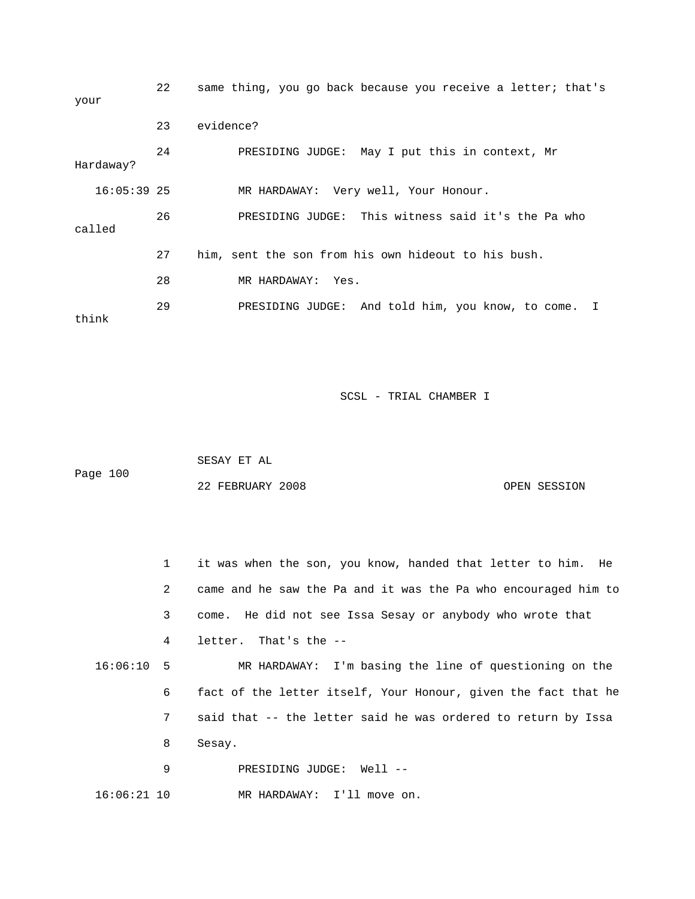| your          | 22 | same thing, you go back because you receive a letter; that's      |
|---------------|----|-------------------------------------------------------------------|
|               | 23 | evidence?                                                         |
| Hardaway?     | 24 | PRESIDING JUDGE: May I put this in context, Mr                    |
| $16:05:39$ 25 |    | MR HARDAWAY: Very well, Your Honour.                              |
| called        | 26 | PRESIDING JUDGE: This witness said it's the Pa who                |
|               | 27 | him, sent the son from his own hideout to his bush.               |
|               | 28 | MR HARDAWAY: Yes.                                                 |
| think         | 29 | PRESIDING JUDGE: And told him, you know, to come.<br>$\mathbb{I}$ |

 SESAY ET AL Page 100 OPEN SESSION 22 FEBRUARY 2008

 1 it was when the son, you know, handed that letter to him. He 2 came and he saw the Pa and it was the Pa who encouraged him to 3 come. He did not see Issa Sesay or anybody who wrote that 16:06:10 5 MR HARDAWAY: I'm basing the line of questioning on the 6 fact of the letter itself, Your Honour, given the fact that he 7 said that -- the letter said he was ordered to return by Issa 8 Sesay. 9 PRESIDING JUDGE: Well -- 4 letter. That's the -- 16:06:21 10 MR HARDAWAY: I'll move on.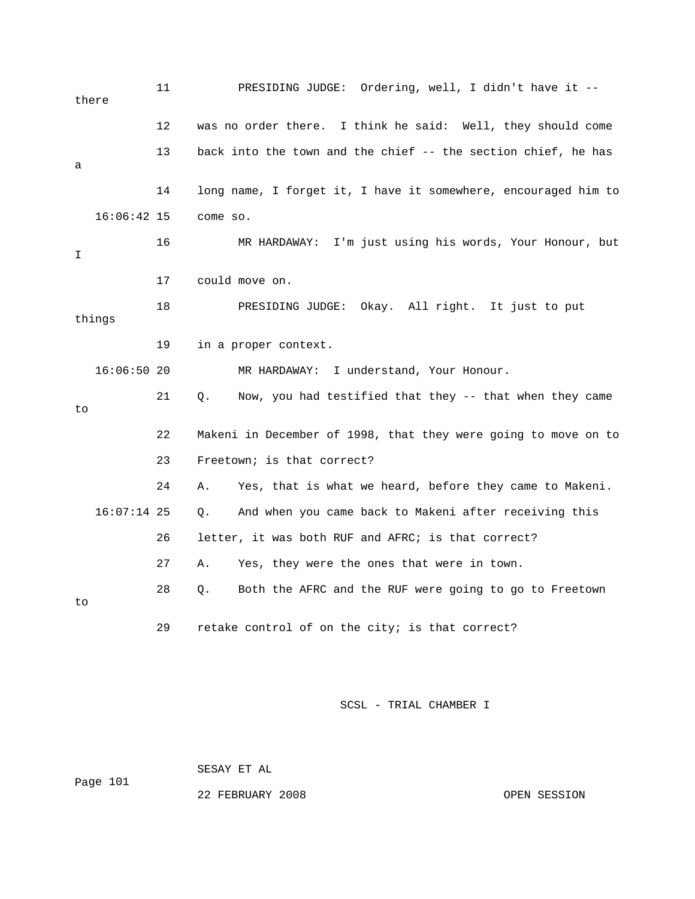11 PRESIDING JUDGE: Ordering, well, I didn't have it - there 12 was no order there. I think he said: Well, they should come 13 back into the town and the chief -- the section chief, he has HARDAWAY: I'm just using his words, Your Honour, but 17 could move on. 18 PRESIDING JUDGE: Okay. All right. It just to put 19 in a proper context. 21 Q. Now, you had testified that they -- that when they came 22 Makeni in December of 1998, that they were going to move on to 23 Freetown; is that correct? And when you came back to Makeni after receiving this 27 A. Yes, they were the ones that were in town. 28 Q. Both the AFRC and the RUF were going to go to Freetown a 14 long name, I forget it, I have it somewhere, encouraged him to 16:06:42 15 come so. 16 MR I things 16:06:50 20 MR HARDAWAY: I understand, Your Honour. to 24 A. Yes, that is what we heard, before they came to Makeni.  $16:07:14$  25 Q. 26 letter, it was both RUF and AFRC; is that correct? to 29 retake control of on the city; is that correct?

SCSL - TRIAL CHAMBER I

Page 101

22 FEBRUARY 2008 OPEN SESSION

SESAY ET AL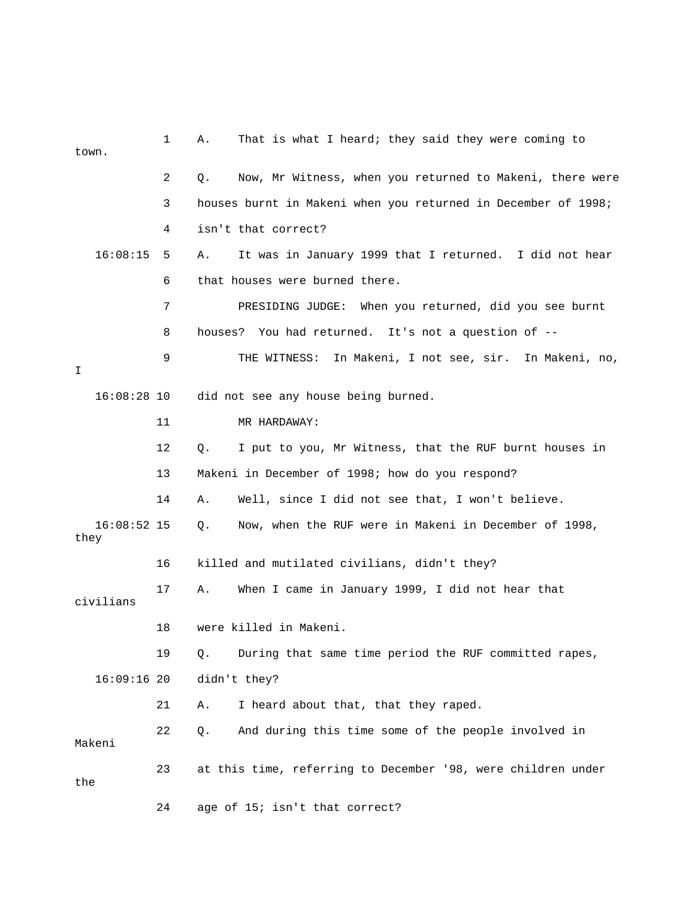| town.     |               | 1  | That is what I heard; they said they were coming to<br>Α.      |
|-----------|---------------|----|----------------------------------------------------------------|
|           |               | 2  | Now, Mr Witness, when you returned to Makeni, there were<br>Q. |
|           |               | 3  | houses burnt in Makeni when you returned in December of 1998;  |
|           |               | 4  | isn't that correct?                                            |
|           | 16:08:15      | 5  | It was in January 1999 that I returned. I did not hear<br>Α.   |
|           |               | 6  | that houses were burned there.                                 |
|           |               | 7  | PRESIDING JUDGE: When you returned, did you see burnt          |
|           |               | 8  | houses? You had returned. It's not a question of --            |
| I.        |               | 9  | THE WITNESS: In Makeni, I not see, sir. In Makeni, no,         |
|           | $16:08:28$ 10 |    | did not see any house being burned.                            |
|           |               | 11 | MR HARDAWAY:                                                   |
|           |               | 12 | I put to you, Mr Witness, that the RUF burnt houses in<br>Q.   |
|           |               | 13 | Makeni in December of 1998; how do you respond?                |
|           |               | 14 | Well, since I did not see that, I won't believe.<br>Α.         |
| they      | $16:08:52$ 15 |    | Now, when the RUF were in Makeni in December of 1998,<br>Q.    |
|           |               | 16 | killed and mutilated civilians, didn't they?                   |
| civilians |               | 17 | When I came in January 1999, I did not hear that<br>Α.         |
|           |               | 18 | were killed in Makeni.                                         |
|           |               | 19 | During that same time period the RUF committed rapes,<br>Q.    |
|           | $16:09:16$ 20 |    | didn't they?                                                   |
|           |               | 21 | I heard about that, that they raped.<br>Α.                     |
| Makeni    |               | 22 | And during this time some of the people involved in<br>Q.      |
| the       |               | 23 | at this time, referring to December '98, were children under   |
|           |               | 24 | age of 15; isn't that correct?                                 |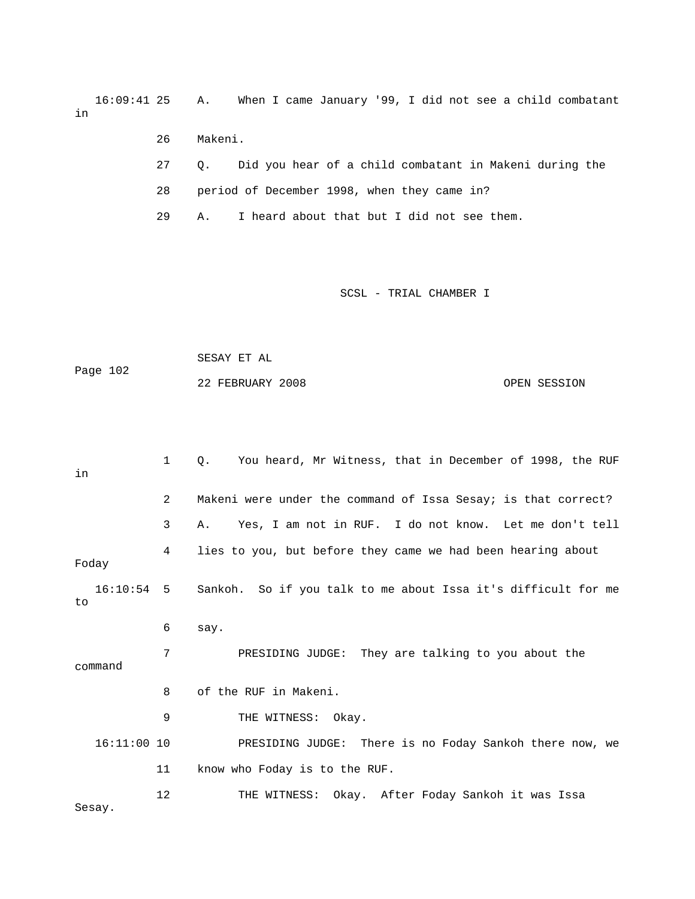16:09:41 25 A. When I came January '99, I did not see a child co mbatant in

- 26 Makeni.
- 27 Q. Did you hear of a child combatant in Makeni during the
- 28 period of December 1998, when they came in?

29 A. I heard about that but I did not see them.

|          | SESAY ET AL      |              |
|----------|------------------|--------------|
| Page 102 |                  |              |
|          | 22 FEBRUARY 2008 | OPEN SESSION |

| in                 | $\mathbf{1}$ | You heard, Mr Witness, that in December of 1998, the RUF<br>$\circ$ . |
|--------------------|--------------|-----------------------------------------------------------------------|
|                    | 2            | Makeni were under the command of Issa Sesay; is that correct?         |
|                    | 3            | Yes, I am not in RUF. I do not know. Let me don't tell<br>Α.          |
| Foday              | 4            | lies to you, but before they came we had been hearing about           |
| $16:10:54$ 5<br>to |              | Sankoh. So if you talk to me about Issa it's difficult for me         |
|                    | 6            | say.                                                                  |
| command            | 7            | PRESIDING JUDGE: They are talking to you about the                    |
|                    | 8            | of the RUF in Makeni.                                                 |
|                    | 9            | THE WITNESS: Okay.                                                    |
| $16:11:00$ 10      |              | PRESIDING JUDGE: There is no Foday Sankoh there now, we               |
|                    | 11           | know who Foday is to the RUF.                                         |
| Sesay.             | 12           | THE WITNESS: Okay. After Foday Sankoh it was Issa                     |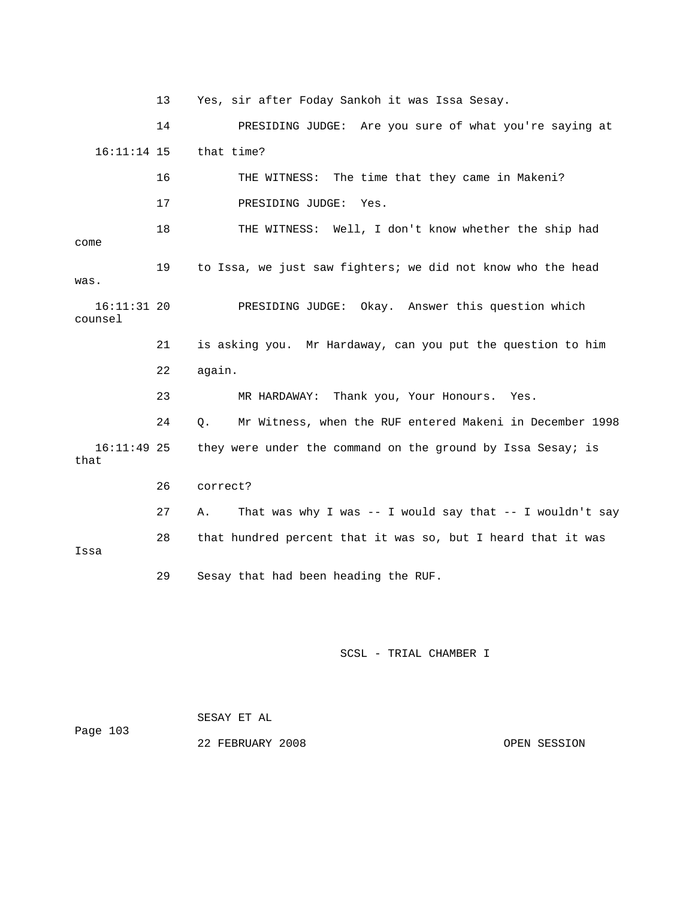13 Yes, sir after Foday Sankoh it was Issa Sesay.

 16:11:14 15 that time? 17 PRESIDING JUDGE: Yes. 18 THE WITNESS: Well, I don't know whether the ship had come 19 to Issa, we just saw fighters; we did not know who the head 16:11:31 20 PRESIDING JUDGE: Okay. Answer this question which counsel 21 is asking you. Mr Hardaway, can you put the question to him 24 Q. Mr Witness, when the RUF entered Makeni in December 1998 16:11:49 25 they were under the command on the ground by Issa Sesay; is that 27 A. That was why I was -- I would say that -- I wouldn't say 14 PRESIDING JUDGE: Are you sure of what you're saying at 16 THE WITNESS: The time that they came in Makeni? was. 22 again. 23 MR HARDAWAY: Thank you, Your Honours. Yes. 26 correct? 28 that hundred percent that it was so, but I heard that it was Issa 29 Sesay that had been heading the RUF.

SCSL - TRIAL CHAMBER I

Page 103 SESAY ET AL

22 FEBRUARY 2008 OPEN SESSION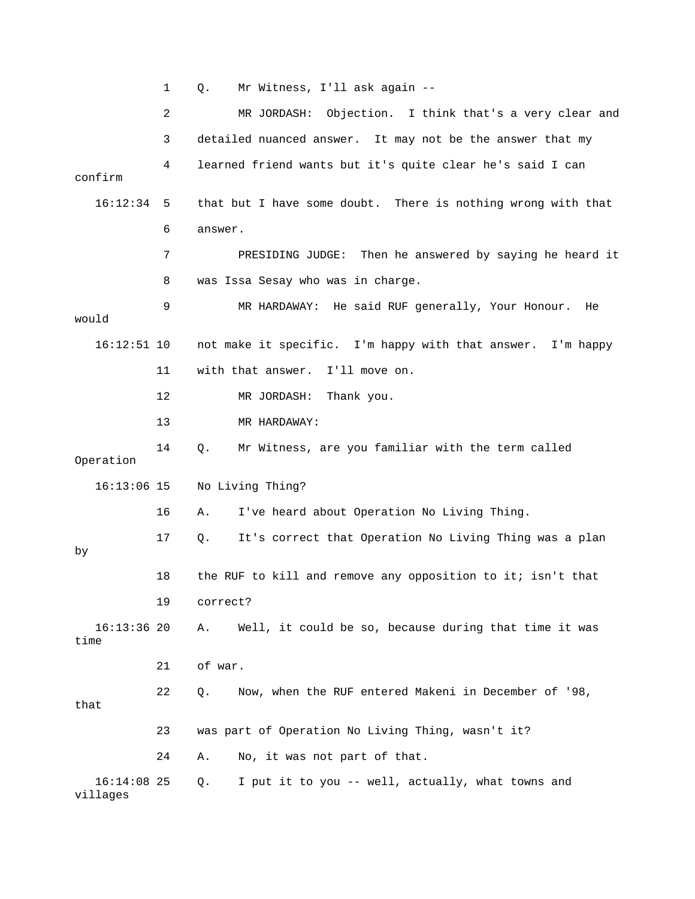1 Q. Mr Witness, I'll ask again -- 2 MR JORDASH: Objection. I think that's a very clear and 3 detailed nuanced answer. It may not be the answer that my 4 learned friend wants but it's quite clear he's said I can confirm 16:12:34 5 that but I have some doubt. There is nothing wrong with that 6 answer. it 7 PRESIDING JUDGE: Then he answered by saying he heard 8 was Issa Sesay who was in charge. 9 MR HARDAWAY: He said RUF generally, Your Honour. He would 16:12:51 10 not make it specific. I'm happy with that answer. I'm happy 16 A. I've heard about Operation No Living Thing. 18 the RUF to kill and remove any opposition to it; isn't that 21 of war. 22 Q. Now, when the RUF entered Makeni in December of '98, 24 A. No, it was not part of that. 16:14:08 25 Q. I put it to you -- well, actually, what towns and 11 with that answer. I'll move on. 12 MR JORDASH: Thank you. 13 MR HARDAWAY: 14 Q. Mr Witness, are you familiar with the term called Operation 16:13:06 15 No Living Thing? 17 Q. It's correct that Operation No Living Thing was a plan by 19 correct? 16:13:36 20 A. Well, it could be so, because during that time it was time that 23 was part of Operation No Living Thing, wasn't it? villages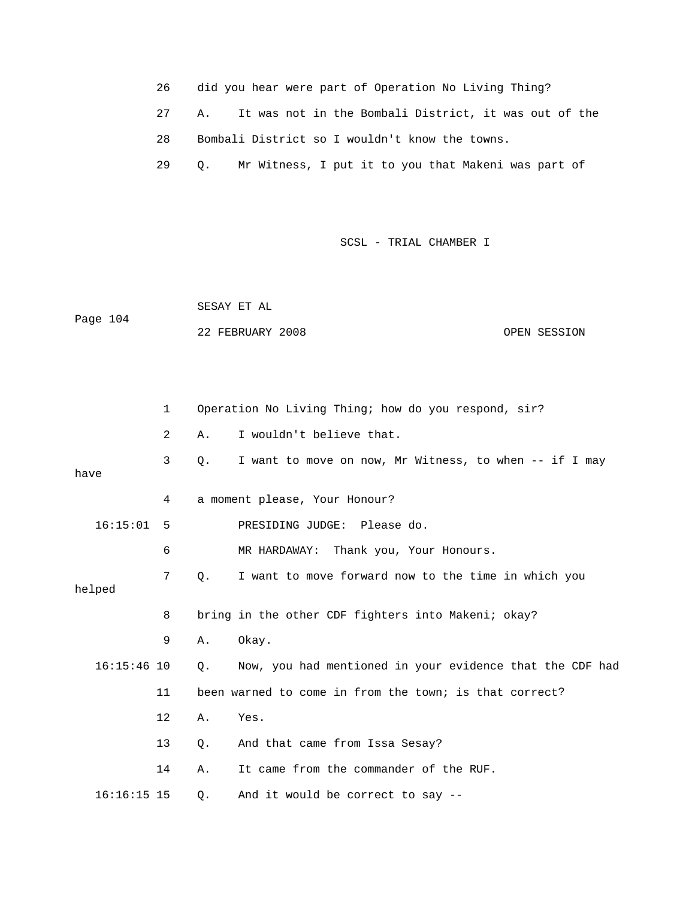- 26 did you hear were part of Operation No Living Thing?
- 27 A. It was not in the Bombali District, it was out of the
- 28 Bombali District so I wouldn't know the towns.
	- 29 Q. Mr Witness, I put it to you that Makeni was part of

Page 104 SESAY ET AL 22 FEBRUARY 2008 OPEN SESSION

|               | $\mathbf{1}$ |           | Operation No Living Thing; how do you respond, sir?      |
|---------------|--------------|-----------|----------------------------------------------------------|
|               | 2            | Α.        | I wouldn't believe that.                                 |
| have          | 3            | Q.        | I want to move on now, Mr Witness, to when -- if I may   |
|               | 4            |           | a moment please, Your Honour?                            |
| 16:15:01      | - 5          |           | PRESIDING JUDGE: Please do.                              |
|               | 6            |           | MR HARDAWAY: Thank you, Your Honours.                    |
| helped        | 7            | $\circ$ . | I want to move forward now to the time in which you      |
|               | 8            |           | bring in the other CDF fighters into Makeni; okay?       |
|               | 9            | Α.        | Okay.                                                    |
| $16:15:46$ 10 |              | Q.        | Now, you had mentioned in your evidence that the CDF had |
|               | 11           |           | been warned to come in from the town; is that correct?   |
|               | 12           | Α.        | Yes.                                                     |
|               | 13           | Q.        | And that came from Issa Sesay?                           |
|               | 14           | Α.        | It came from the commander of the RUF.                   |
| $16:16:15$ 15 |              | $Q$ .     | And it would be correct to say --                        |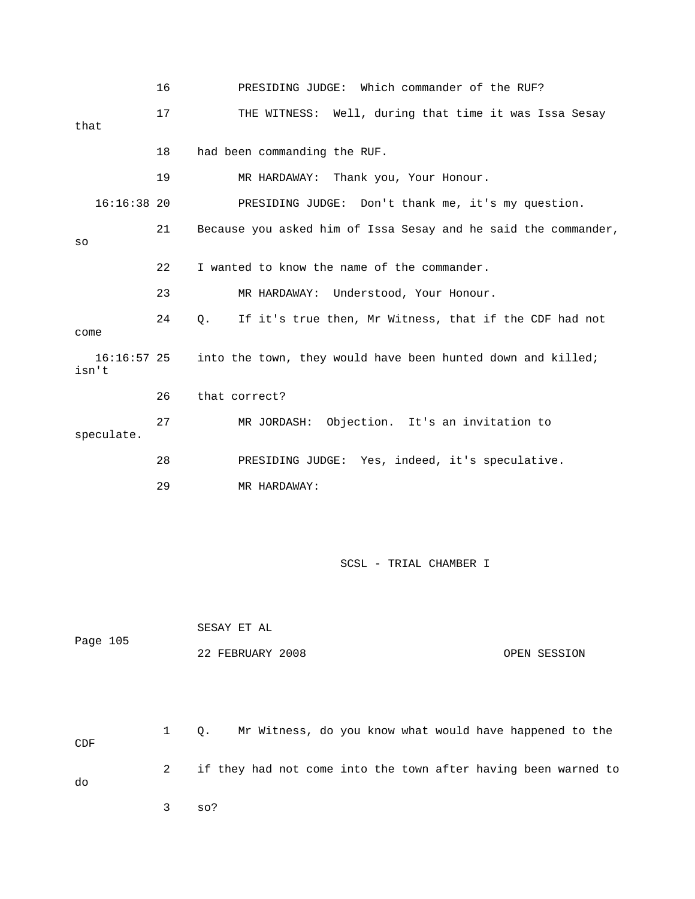16 PRESIDING JUDGE: Which commander of the RUF? 17 THE WITNESS: Well, during that time it was Issa Sesay 18 had been commanding the RUF. 19 MR HARDAWAY: Thank you, Your Honour. 16:16:38 20 PRESIDING JUDGE: Don't thank me, it's my question. 21 Because you asked him of Issa Sesay and he said the commander, 22 I wanted to know the name of the commander. 23 MR HARDAWAY: Understood, Your Honour. 24 Q. If it's true then, Mr Witness, that if the CDF had not 16:16:57 25 into the town, they would have been hunted down and killed; 27 MR JORDASH: Objection. It's an invitation to 28 PRESIDING JUDGE: Yes, indeed, it's speculative. SESAY ET AL 22 FEBRUARY 2008 OPEN SESSION 1 Q. Mr Witness, do you know what would have happened to the  $\mathsf{CDF}$ 2 if they had not come into the town after having been warned to that so come isn't 26 that correct? speculate. 29 MR HARDAWAY: SCSL - TRIAL CHAMBER I Page 105 do

3 so?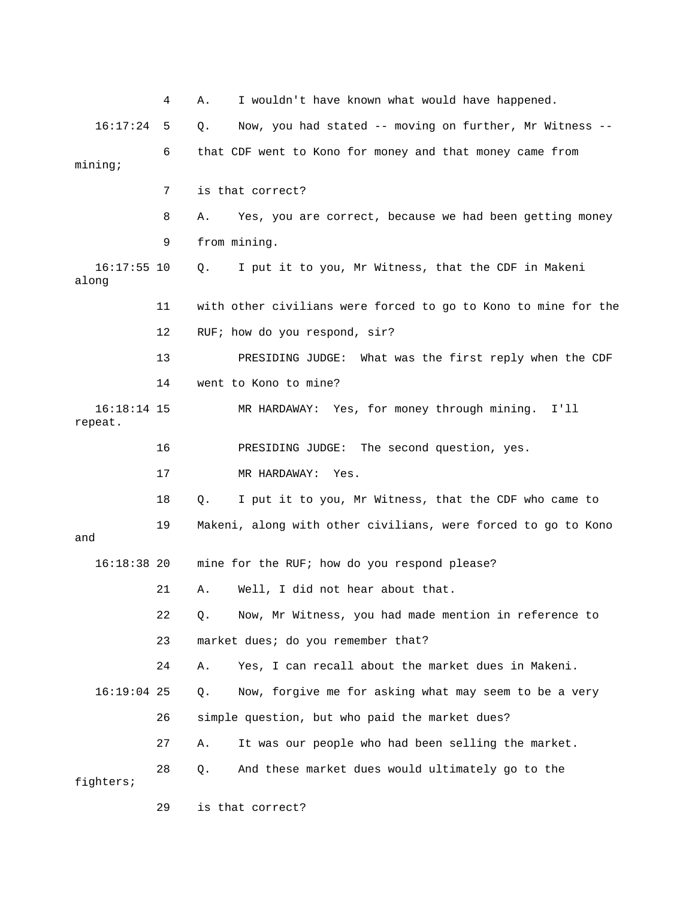|                          | 4  | I wouldn't have known what would have happened.<br>Α.          |
|--------------------------|----|----------------------------------------------------------------|
| 16:17:24                 | 5  | Now, you had stated -- moving on further, Mr Witness --<br>Q.  |
| mining:                  | 6  | that CDF went to Kono for money and that money came from       |
|                          | 7  | is that correct?                                               |
|                          | 8  | Yes, you are correct, because we had been getting money<br>Α.  |
|                          | 9  | from mining.                                                   |
| $16:17:55$ 10<br>along   |    | I put it to you, Mr Witness, that the CDF in Makeni<br>Q.      |
|                          | 11 | with other civilians were forced to go to Kono to mine for the |
|                          | 12 | RUF; how do you respond, sir?                                  |
|                          | 13 | PRESIDING JUDGE: What was the first reply when the CDF         |
|                          | 14 | went to Kono to mine?                                          |
| $16:18:14$ 15<br>repeat. |    | MR HARDAWAY: Yes, for money through mining. I'll               |
|                          | 16 | PRESIDING JUDGE: The second question, yes.                     |
|                          | 17 | MR HARDAWAY: Yes.                                              |
|                          | 18 | I put it to you, Mr Witness, that the CDF who came to<br>Q.    |
| and                      | 19 | Makeni, along with other civilians, were forced to go to Kono  |
| $16:18:38$ 20            |    | mine for the RUF; how do you respond please?                   |
|                          | 21 | Well, I did not hear about that.<br>Α.                         |
|                          | 22 | Now, Mr Witness, you had made mention in reference to<br>Q.    |
|                          | 23 | market dues; do you remember that?                             |
|                          | 24 | Yes, I can recall about the market dues in Makeni.<br>Α.       |
| $16:19:04$ 25            |    | Now, forgive me for asking what may seem to be a very<br>Q.    |
|                          | 26 | simple question, but who paid the market dues?                 |
|                          | 27 | It was our people who had been selling the market.<br>Α.       |
| fighters;                | 28 | And these market dues would ultimately go to the<br>Q.         |
|                          | 29 | is that correct?                                               |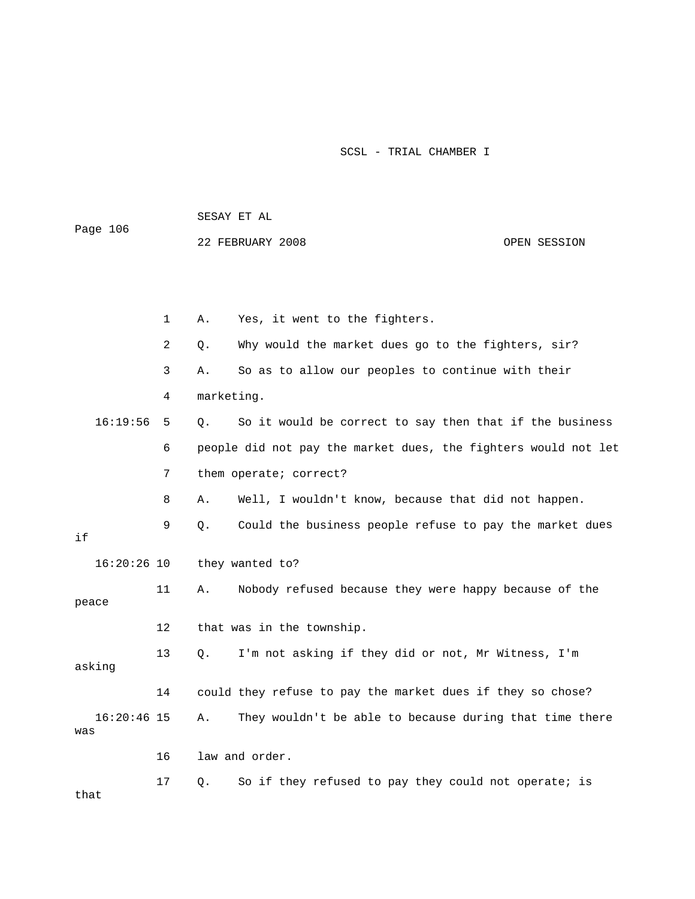| Page 106      |              |            |                                                                |              |
|---------------|--------------|------------|----------------------------------------------------------------|--------------|
|               |              |            | 22 FEBRUARY 2008                                               | OPEN SESSION |
|               |              |            |                                                                |              |
|               |              |            |                                                                |              |
|               |              |            |                                                                |              |
|               | $\mathbf{1}$ | Α.         | Yes, it went to the fighters.                                  |              |
|               | 2            | Q.         | Why would the market dues go to the fighters, sir?             |              |
|               | 3            | Α.         | So as to allow our peoples to continue with their              |              |
|               | 4            | marketing. |                                                                |              |
| 16:19:56      | 5            | Q.         | So it would be correct to say then that if the business        |              |
|               | 6            |            | people did not pay the market dues, the fighters would not let |              |
|               | 7            |            | them operate; correct?                                         |              |
|               | 8            | Α.         | Well, I wouldn't know, because that did not happen.            |              |
|               | 9            | О.         | Could the business people refuse to pay the market dues        |              |
| if            |              |            |                                                                |              |
| $16:20:26$ 10 |              |            | they wanted to?                                                |              |
|               | 11           | Α.         | Nobody refused because they were happy because of the          |              |
| peace         |              |            |                                                                |              |
|               | 12           |            | that was in the township.                                      |              |
| asking        | 13           | Q.         | I'm not asking if they did or not, Mr Witness, I'm             |              |
|               | 14           |            | could they refuse to pay the market dues if they so chose?     |              |
| $16:20:46$ 15 |              | Α.         | They wouldn't be able to because during that time there        |              |
| was           |              |            |                                                                |              |
|               | 16           |            | law and order.                                                 |              |
| that          | 17           | Q.         | So if they refused to pay they could not operate; is           |              |

SESAY ET AL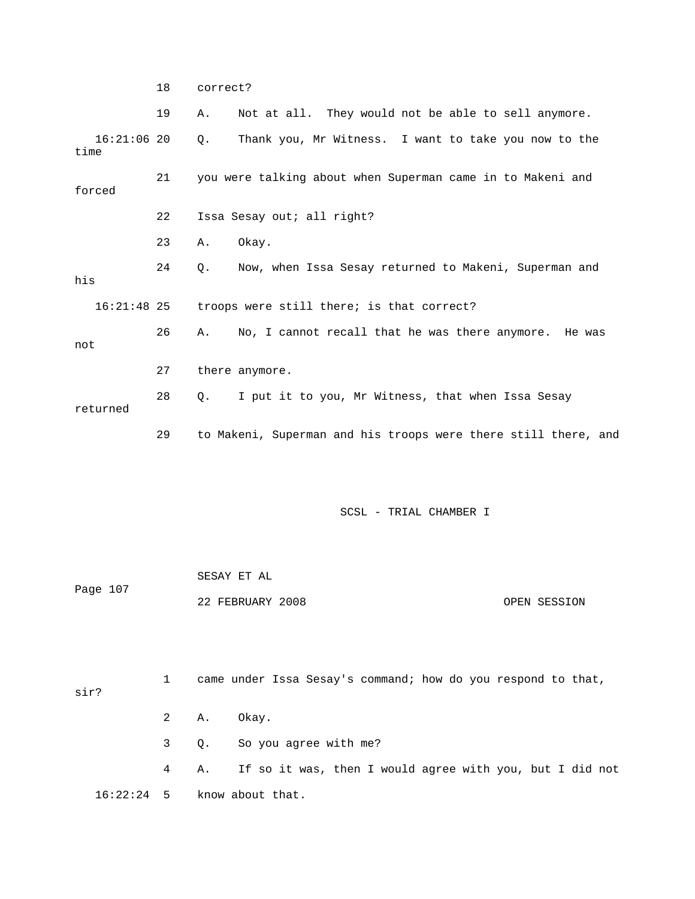18 correct?

|                       | 19 | Α.        | Not at all. They would not be able to sell anymore.            |
|-----------------------|----|-----------|----------------------------------------------------------------|
| $16:21:06$ 20<br>time |    | Q.        | Thank you, Mr Witness. I want to take you now to the           |
| forced                | 21 |           | you were talking about when Superman came in to Makeni and     |
|                       | 22 |           | Issa Sesay out; all right?                                     |
|                       | 23 | Α.        | Okay.                                                          |
| his                   | 24 | $\circ$ . | Now, when Issa Sesay returned to Makeni, Superman and          |
| $16:21:48$ 25         |    |           | troops were still there; is that correct?                      |
| not                   | 26 | Α.        | No, I cannot recall that he was there anymore. He was          |
|                       | 27 |           | there anymore.                                                 |
| returned              | 28 | Q.        | I put it to you, Mr Witness, that when Issa Sesay              |
|                       | 29 |           | to Makeni, Superman and his troops were there still there, and |
|                       |    |           |                                                                |
|                       |    |           | SCSL - TRIAL CHAMBER I                                         |

| Page 107 | SESAY ET AL      |              |
|----------|------------------|--------------|
|          | 22 FEBRUARY 2008 | OPEN SESSION |

| sir?         |      | came under Issa Sesay's command; how do you respond to that, |
|--------------|------|--------------------------------------------------------------|
|              |      | 2 A. Okay.                                                   |
|              |      | 3 Q. So you agree with me?                                   |
|              | 4 A. | If so it was, then I would agree with you, but I did not     |
| $16:22:24$ 5 |      | know about that.                                             |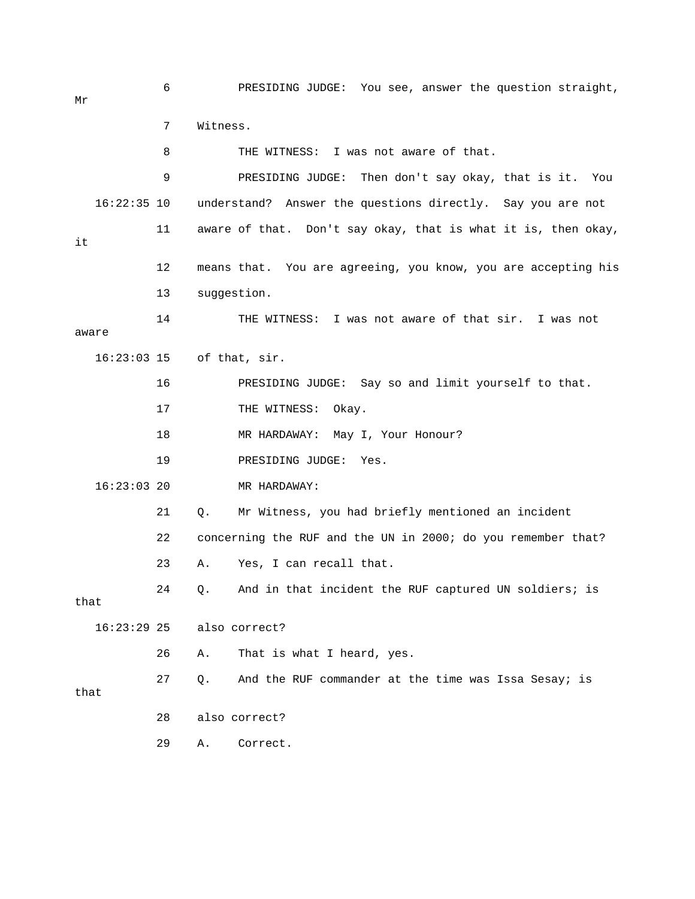6 PRESIDING JUDGE: You see, answer the question straight, 7 Witness. 8 THE WITNESS: I was not aware of that. 9 PRESIDING JUDGE: Then don't say okay, that is it. You 16:22:35 10 understand? Answer the questions directly. Say you are not 11 aware of that. Don't say okay, that is what it is, then okay, 12 means that. You are agreeing, you know, you are accepting his 14 THE WITNESS: I was not aware of that sir. I was not 17 THE WITNESS: Okay. 18 MR HARDAWAY: May I, Your Honour? 23 A. Yes, I can recall that. 24 Q. And in that incident the RUF captured UN soldiers; is 26 A. That is what I heard, yes.  $27 \qquad Q.$  And the RUF commander at the time was Issa Sesay; is Mr it 13 suggestion. aware 16:23:03 15 of that, sir. 16 PRESIDING JUDGE: Say so and limit yourself to that. 19 PRESIDING JUDGE: Yes. 16:23:03 20 MR HARDAWAY: 21 Q. Mr Witness, you had briefly mentioned an incident 22 concerning the RUF and the UN in 2000; do you remember that? that 16:23:29 25 also correct? that 28 also correct? 29 A. Correct.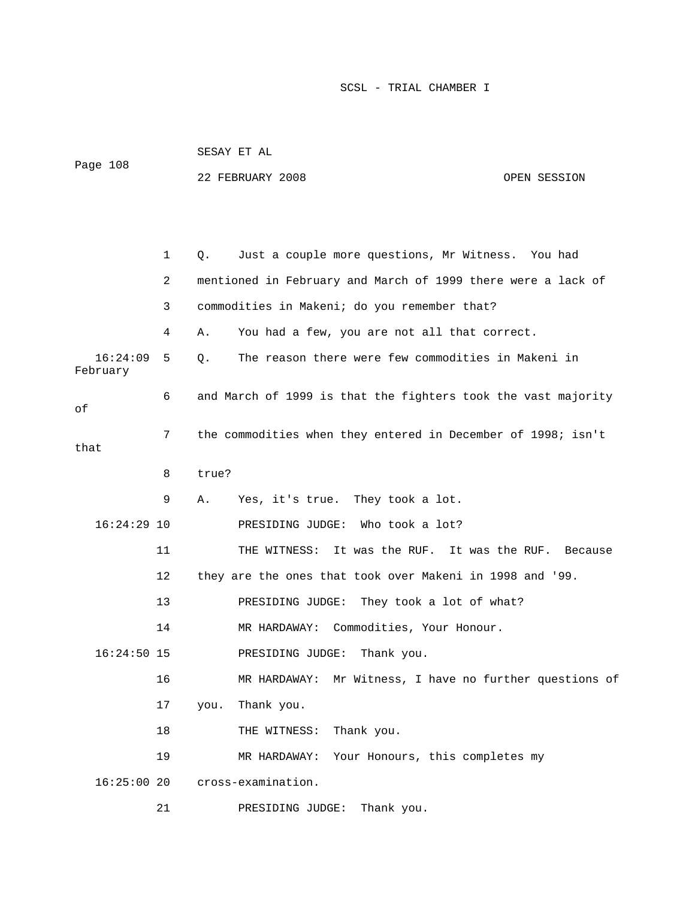|                      |    | SESAY ET AL                                                   |              |
|----------------------|----|---------------------------------------------------------------|--------------|
| Page 108             |    | 22 FEBRUARY 2008                                              | OPEN SESSION |
|                      |    |                                                               |              |
|                      |    |                                                               |              |
|                      | 1  | Just a couple more questions, Mr Witness. You had<br>Q.       |              |
|                      | 2  | mentioned in February and March of 1999 there were a lack of  |              |
|                      | 3  | commodities in Makeni; do you remember that?                  |              |
|                      | 4  | You had a few, you are not all that correct.<br>Α.            |              |
| 16:24:09<br>February | 5  | The reason there were few commodities in Makeni in<br>Q.      |              |
| оf                   | 6  | and March of 1999 is that the fighters took the vast majority |              |
| that                 | 7  | the commodities when they entered in December of 1998; isn't  |              |
|                      | 8  | true?                                                         |              |
|                      | 9  | Yes, it's true. They took a lot.<br>Α.                        |              |
| $16:24:29$ 10        |    | PRESIDING JUDGE: Who took a lot?                              |              |
|                      | 11 | THE WITNESS: It was the RUF. It was the RUF. Because          |              |
|                      | 12 | they are the ones that took over Makeni in 1998 and '99.      |              |
|                      | 13 | They took a lot of what?<br>PRESIDING JUDGE:                  |              |
|                      | 14 | MR HARDAWAY: Commodities, Your Honour.                        |              |
| $16:24:50$ 15        |    | PRESIDING JUDGE: Thank you.                                   |              |
|                      | 16 | MR HARDAWAY: Mr Witness, I have no further questions of       |              |
|                      | 17 | Thank you.<br>you.                                            |              |
|                      | 18 | Thank you.<br>THE WITNESS:                                    |              |
|                      | 19 | Your Honours, this completes my<br>MR HARDAWAY:               |              |
| 16:25:0020           |    | cross-examination.                                            |              |
|                      |    |                                                               |              |

21 PRESIDING JUDGE: Thank you.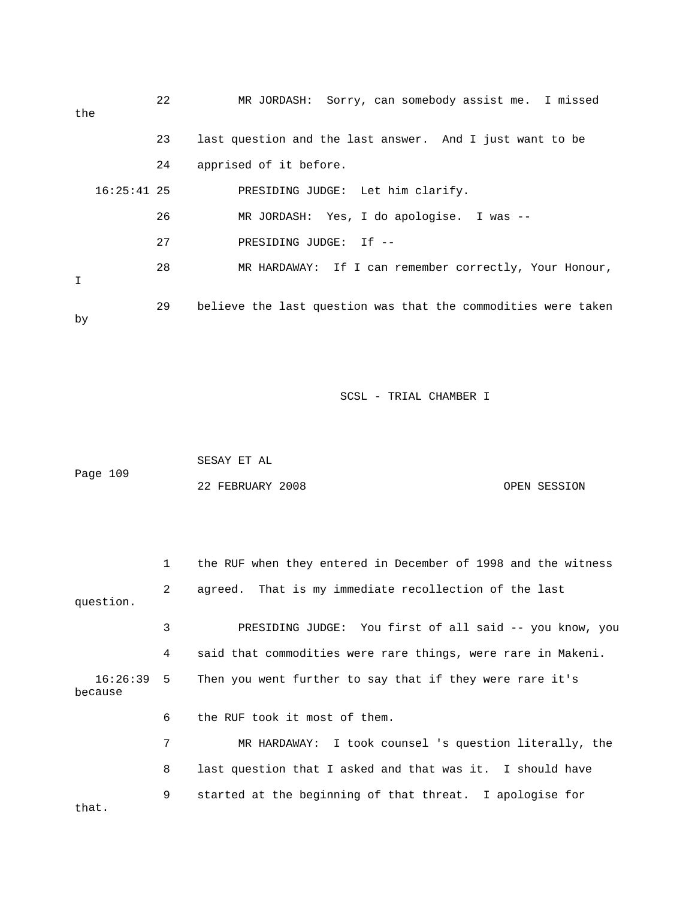| the           | 22 | MR JORDASH: Sorry, can somebody assist me. I missed           |
|---------------|----|---------------------------------------------------------------|
|               | 23 | last question and the last answer. And I just want to be      |
|               | 24 | apprised of it before.                                        |
| $16:25:41$ 25 |    | PRESIDING JUDGE: Let him clarify.                             |
|               | 26 | MR JORDASH: Yes, I do apologise. I was --                     |
|               | 27 | PRESIDING JUDGE: If --                                        |
| I             | 28 | MR HARDAWAY: If I can remember correctly, Your Honour,        |
| by            | 29 | believe the last question was that the commodities were taken |

|          | SESAY ET AL      |              |
|----------|------------------|--------------|
| Page 109 |                  |              |
|          | 22 FEBRUARY 2008 | OPEN SESSION |

1 the RUF when they entered in December of 1998 and the witness 2 agreed. That is my immediate recollection of the last question. 3 PRESIDING JUDGE: You first of all said -- you know, you 4 said that commodities were rare things, were rare in Makeni. 16:26:39 5 Then you went further to say that if they were rare it's because 7 MR HARDAWAY: I took counsel 's question literally, the that. 6 the RUF took it most of them. 8 last question that I asked and that was it. I should have 9 started at the beginning of that threat. I apologise for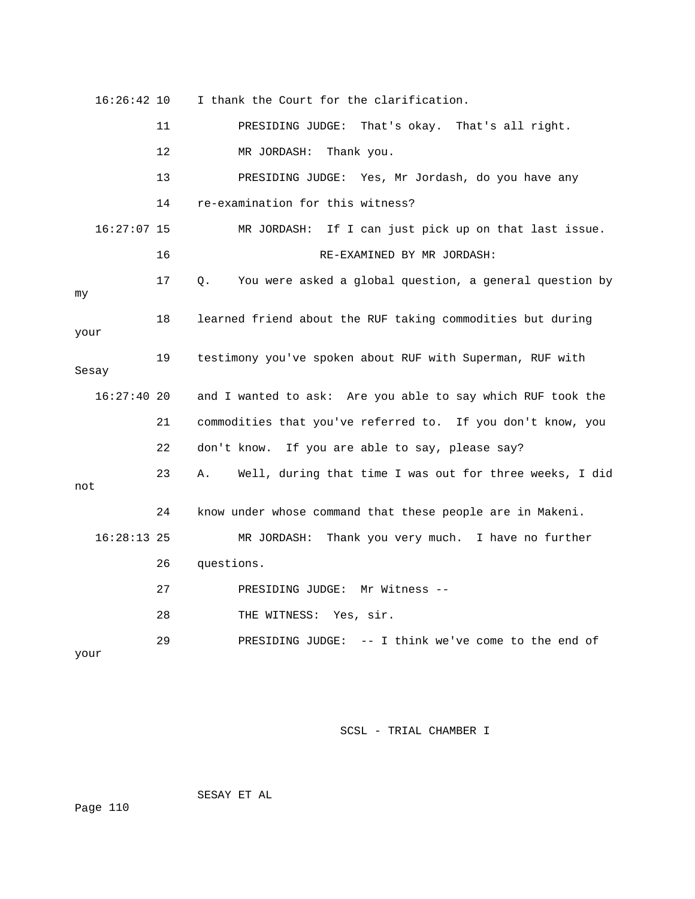| 16:26:42 10   |    | I thank the Court for the clarification.                      |
|---------------|----|---------------------------------------------------------------|
|               | 11 | PRESIDING JUDGE: That's okay. That's all right.               |
|               | 12 | MR JORDASH:<br>Thank you.                                     |
|               | 13 | PRESIDING JUDGE: Yes, Mr Jordash, do you have any             |
|               | 14 | re-examination for this witness?                              |
| 16:27:07 15   |    | MR JORDASH: If I can just pick up on that last issue.         |
|               | 16 | RE-EXAMINED BY MR JORDASH:                                    |
| my            | 17 | You were asked a global question, a general question by<br>О. |
| your          | 18 | learned friend about the RUF taking commodities but during    |
| Sesay         | 19 | testimony you've spoken about RUF with Superman, RUF with     |
| $16:27:40$ 20 |    | and I wanted to ask: Are you able to say which RUF took the   |
|               | 21 | commodities that you've referred to. If you don't know, you   |
|               | 22 | don't know. If you are able to say, please say?               |
| not           | 23 | Well, during that time I was out for three weeks, I did<br>Α. |
|               | 24 | know under whose command that these people are in Makeni.     |
| $16:28:13$ 25 |    | MR JORDASH: Thank you very much. I have no further            |
|               | 26 | questions.                                                    |
|               | 27 | PRESIDING JUDGE: Mr Witness --                                |
|               | 28 | THE WITNESS:<br>Yes, sir.                                     |
| your          | 29 | PRESIDING JUDGE: $-$ - I think we've come to the end of       |

SESAY ET AL

Page 110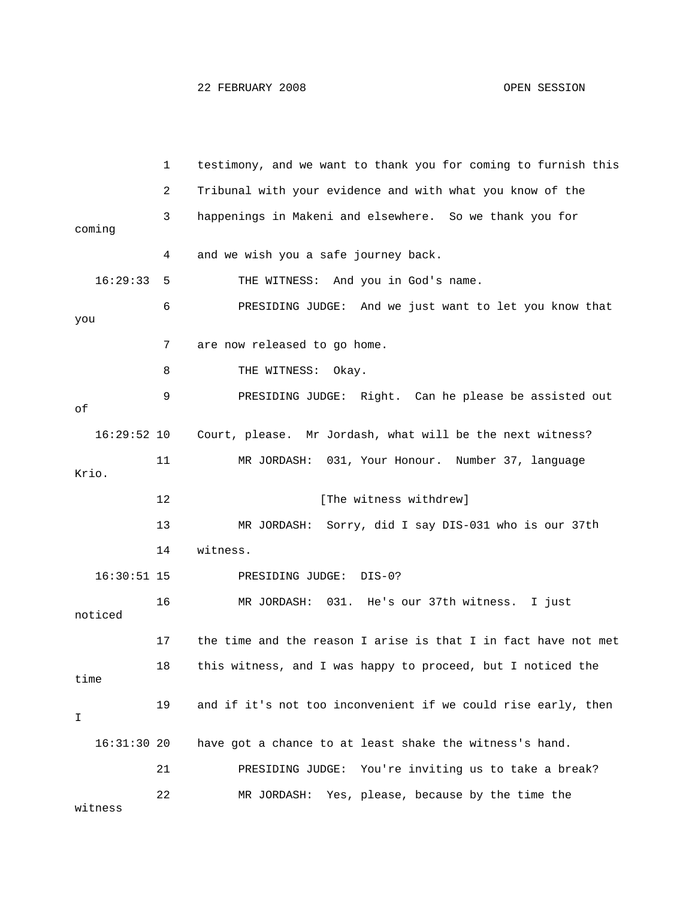1 testimony, and we want to thank you for coming to furnish this 2 Tribunal with your evidence and with what you know of the 4 and we wish you a safe journey back. 16:29:33 5 THE WITNESS: And you in God's name. et you know that 6 PRESIDING JUDGE: And we just want to l you 7 are now released to go home. ut 9 PRESIDING JUDGE: Right. Can he please be assisted o 16:29:52 10 Court, please. Mr Jordash, what will be the next witness? 11 MR JORDASH: 031, Your Honour. Number 37, language 13 MR JORDASH: Sorry, did I say DIS-031 who is our 37th 14 witness. 16:30:51 15 PRESIDING JUDGE: DIS-0? 16 MR JORDASH: 031. He's our 37th witness. I just 17 the time and the reason I arise is that I in fact have not met 18 this witness, and I was happy to proceed, but I noticed the 22 MR JORDASH: Yes, please, because by the time the 3 happenings in Makeni and elsewhere. So we thank you for coming 8 THE WITNESS: Okay. of Krio. 12 **Industry [The witness withdrew]** noticed time 19 and if it's not too inconvenient if we could rise early, then I 16:31:30 20 have got a chance to at least shake the witness's hand. 21 PRESIDING JUDGE: You're inviting us to take a break? witness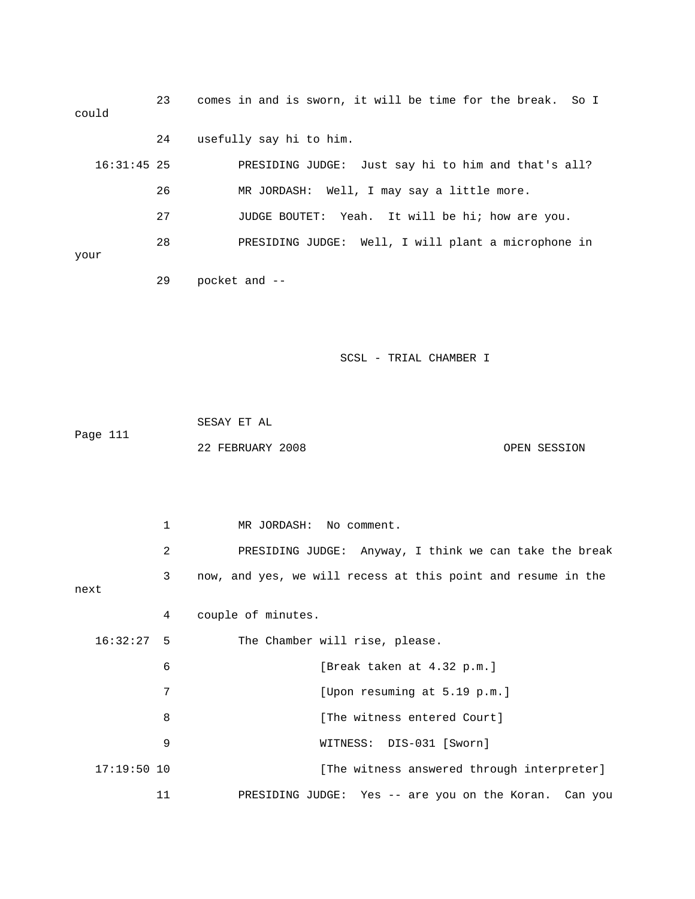| could         | 23 | comes in and is sworn, it will be time for the break. So I |
|---------------|----|------------------------------------------------------------|
|               | 24 | usefully say hi to him.                                    |
| $16:31:45$ 25 |    | Just say hi to him and that's all?<br>PRESIDING JUDGE:     |
|               | 26 | MR JORDASH: Well, I may say a little more.                 |
|               | 27 | JUDGE BOUTET: Yeah. It will be hi; how are you.            |
|               | 28 | PRESIDING JUDGE: Well, I will plant a microphone in        |
| your          |    |                                                            |

- 29 pocket and --
- SCSL TRIAL CHAMBER I

|          | SESAY ET AL      |              |
|----------|------------------|--------------|
| Page 111 |                  |              |
|          | 22 FEBRUARY 2008 | OPEN SESSION |

|               | $\mathbf{1}$ | MR JORDASH: No comment.                                      |
|---------------|--------------|--------------------------------------------------------------|
|               | 2            | PRESIDING JUDGE: Anyway, I think we can take the break       |
| next          | 3            | now, and yes, we will recess at this point and resume in the |
|               | 4            | couple of minutes.                                           |
| $16:32:27$ 5  |              | The Chamber will rise, please.                               |
|               | 6            | [Break taken at 4.32 p.m.]                                   |
|               | 7            | [Upon resuming at 5.19 p.m.]                                 |
|               | 8            | [The witness entered Court]                                  |
|               | 9            | WITNESS: DIS-031 [Sworn]                                     |
| $17:19:50$ 10 |              | [The witness answered through interpreter]                   |
|               | 11           | PRESIDING JUDGE: Yes -- are you on the Koran. Can you        |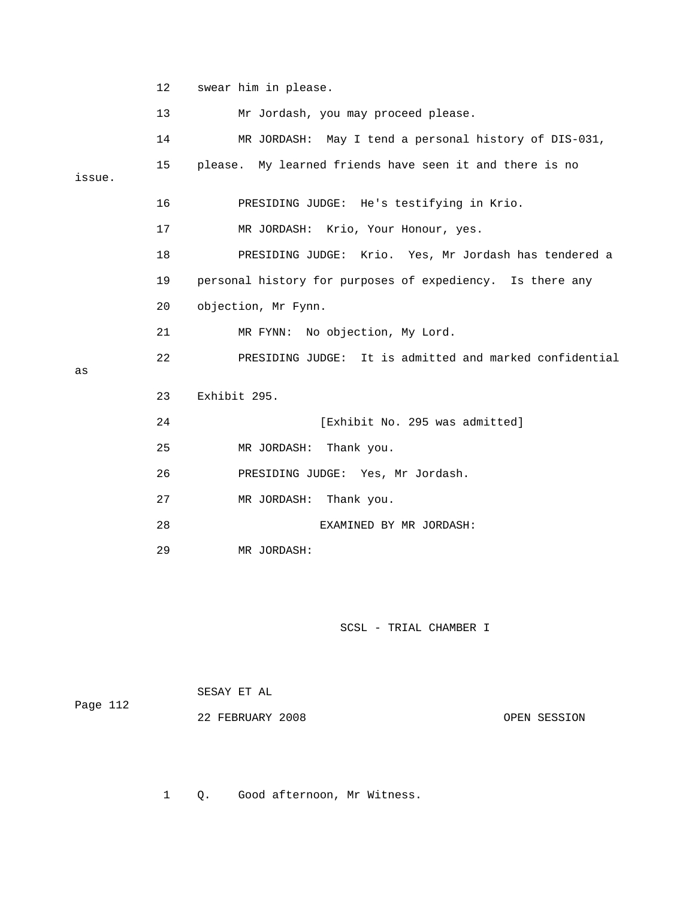```
 12 swear him in please.
```
13 Mr Jordash, you may proceed please.

|        | 14 | MR JORDASH: May I tend a personal history of DIS-031,     |
|--------|----|-----------------------------------------------------------|
| issue. | 15 | please. My learned friends have seen it and there is no   |
|        | 16 | PRESIDING JUDGE: He's testifying in Krio.                 |
|        | 17 | MR JORDASH: Krio, Your Honour, yes.                       |
|        | 18 | PRESIDING JUDGE: Krio. Yes, Mr Jordash has tendered a     |
|        | 19 | personal history for purposes of expediency. Is there any |
|        | 20 | objection, Mr Fynn.                                       |
|        | 21 | MR FYNN: No objection, My Lord.                           |
|        | 22 | PRESIDING JUDGE: It is admitted and marked confidential   |
| as     |    |                                                           |
|        | 23 | Exhibit 295.                                              |
|        | 24 | [Exhibit No. 295 was admitted]                            |
|        | 25 | MR JORDASH: Thank you.                                    |
|        | 26 | PRESIDING JUDGE: Yes, Mr Jordash.                         |
|        | 27 | MR JORDASH: Thank you.                                    |
|        | 28 | EXAMINED BY MR JORDASH:                                   |

29 MR JORDASH:

SCSL - TRIAL CHAMBER I

|          | SESAY ET AL      |              |
|----------|------------------|--------------|
| Page 112 |                  |              |
|          | 22 FEBRUARY 2008 | OPEN SESSION |

1 Q. Good afternoon, Mr Witness.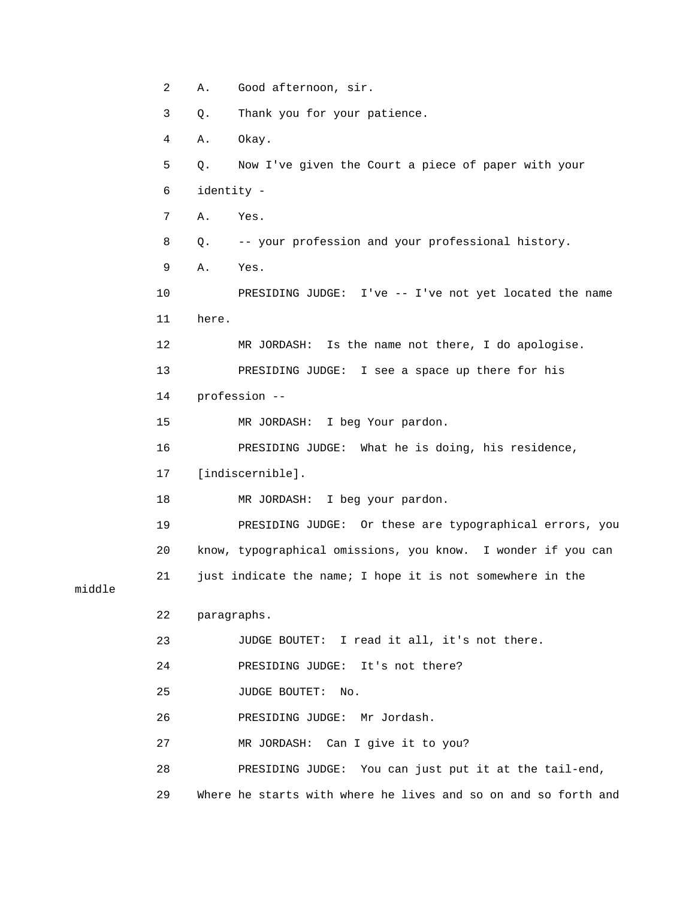```
 2 A. Good afternoon, sir. 
           3 Q. Thank you for your patience. 
           4 A. Okay. 
           5 Q. Now I've given the Court a piece of paper with your 
           6 identity - 
           7 A. Yes. 
           8 Q. -- your profession and your professional history. 
10 PRESIDING JUDGE: I've -- I've not yet located the name
          11 here. 
          12 MR JORDASH: Is the name not there, I do apologise. 
13 PRESIDING JUDGE: I see a space up there for his
15 MR JORDASH: I beg Your pardon.
16 PRESIDING JUDGE: What he is doing, his residence,
18 MR JORDASH: I beg your pardon.
ING JUDGE: Or these are typographical errors, you 
 19 PRESID
20 know, typographical omissions, you know. I wonder if you can
21 just indicate the name; I hope it is not somewhere in the
          22 paragraphs. 
                  JUDGE BOUTET: I read it all, it's not there. 
          24 PRESIDING JUDGE: It's not there? 
          25 JUDGE BOUTET: No. 
G JUDGE: Mr Jordash. 
 26 PRESIDIN
          27 MR JORDASH: Can I give it to you? 
28 PRESIDING JUDGE: You can just put it at the tail-end,
29 Where he starts with where he lives and so on and so forth and
           9 A. Yes. 
          14 profession -- 
          17 [indiscernible]. 
          23
```
middle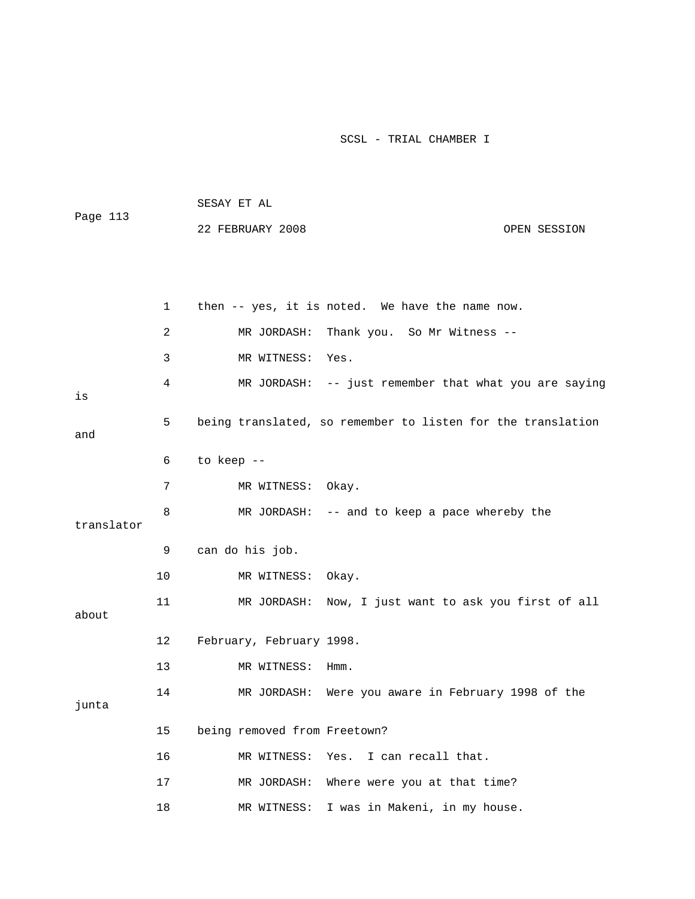|            |    | SESAY ET AL                                                 |
|------------|----|-------------------------------------------------------------|
| Page 113   |    | 22 FEBRUARY 2008<br>OPEN SESSION                            |
|            |    |                                                             |
|            |    |                                                             |
|            | 1  | then -- yes, it is noted. We have the name now.             |
|            | 2  | MR JORDASH:<br>Thank you. So Mr Witness --                  |
|            | 3  | MR WITNESS:<br>Yes.                                         |
|            | 4  | MR JORDASH: -- just remember that what you are saying       |
| is         |    |                                                             |
| and        | 5  | being translated, so remember to listen for the translation |
|            | 6  | to keep --                                                  |
|            |    |                                                             |
|            | 7  | MR WITNESS: Okay.                                           |
| translator | 8  | MR JORDASH: -- and to keep a pace whereby the               |
|            | 9  | can do his job.                                             |
|            | 10 | MR WITNESS:<br>Okay.                                        |
|            | 11 | MR JORDASH: Now, I just want to ask you first of all        |
| about      |    |                                                             |
|            | 12 | February, February 1998.                                    |
|            | 13 | MR WITNESS:<br>Hmm.                                         |
|            | 14 | Were you aware in February 1998 of the<br>MR JORDASH:       |
| junta      |    |                                                             |
|            | 15 | being removed from Freetown?                                |
|            | 16 | I can recall that.<br>MR WITNESS:<br>Yes.                   |
|            | 17 | Where were you at that time?<br>MR JORDASH:                 |
|            | 18 | I was in Makeni, in my house.<br>MR WITNESS:                |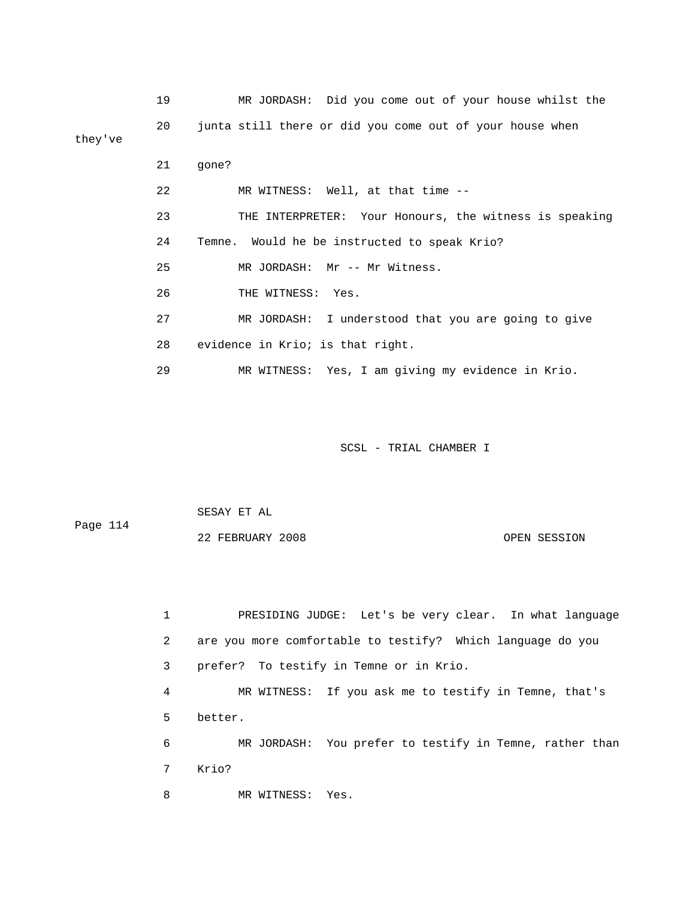|         | 19 | MR JORDASH: Did you come out of your house whilst the    |
|---------|----|----------------------------------------------------------|
| they've | 20 | junta still there or did you come out of your house when |
|         | 21 | qone?                                                    |
|         | 22 | MR WITNESS: Well, at that time --                        |
|         | 23 | THE INTERPRETER: Your Honours, the witness is speaking   |
|         | 24 | Temne. Would he be instructed to speak Krio?             |
|         | 25 | MR JORDASH: Mr -- Mr Witness.                            |
|         | 26 | THE WITNESS: Yes.                                        |
|         | 27 | MR JORDASH: I understood that you are going to give      |
|         | 28 | evidence in Krio; is that right.                         |
|         | 29 | MR WITNESS: Yes, I am giving my evidence in Krio.        |

 SESAY ET AL Page 114

22 FEBRUARY 2008 OPEN SESSION

 1 PRESIDING JUDGE: Let's be very clear. In what language 3 prefer? To testify in Temne or in Krio. 4 MR WITNESS: If you ask me to testify in Temne, that's 5 better. 6 MR JORDASH: You prefer to testify in Temne, rather than 7 Krio? 8 MR WITNESS: Yes. 2 are you more comfortable to testify? Which language do you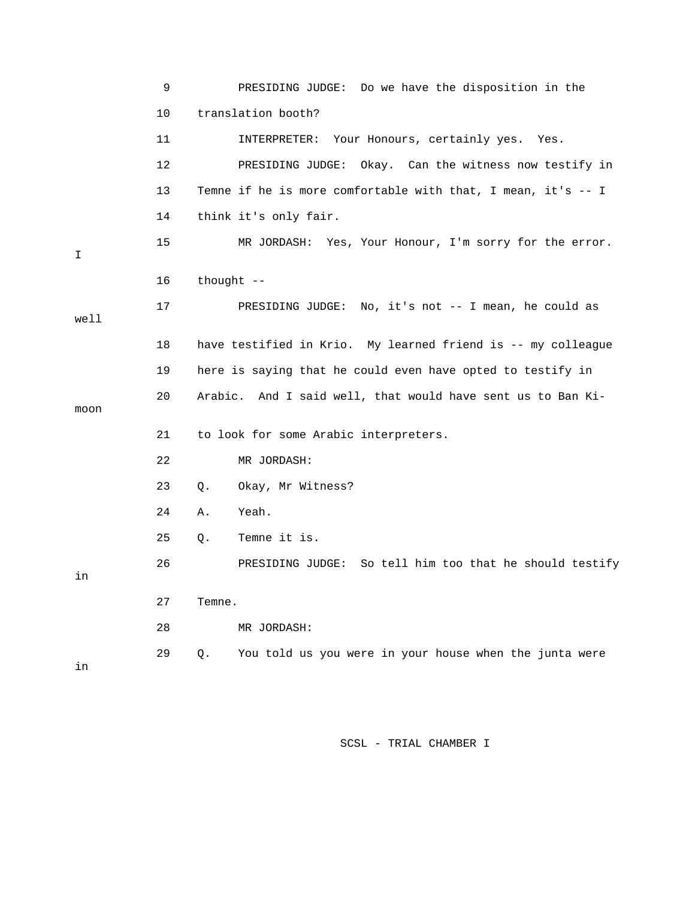|      | 9       | PRESIDING JUDGE: Do we have the disposition in the           |
|------|---------|--------------------------------------------------------------|
|      | 10      | translation booth?                                           |
|      | 11      | INTERPRETER: Your Honours, certainly yes. Yes.               |
|      | $12 \,$ | PRESIDING JUDGE: Okay. Can the witness now testify in        |
|      | 13      | Temne if he is more comfortable with that, I mean, it's -- I |
|      | 14      | think it's only fair.                                        |
| I    | 15      | MR JORDASH: Yes, Your Honour, I'm sorry for the error.       |
|      | 16      | thought $--$                                                 |
| well | 17      | PRESIDING JUDGE: No, it's not -- I mean, he could as         |
|      | 18      | have testified in Krio. My learned friend is -- my colleague |
|      | 19      | here is saying that he could even have opted to testify in   |
| moon | 20      | Arabic. And I said well, that would have sent us to Ban Ki-  |
|      | 21      | to look for some Arabic interpreters.                        |
|      | 22      | MR JORDASH:                                                  |
|      | 23      | Okay, Mr Witness?<br>Q.                                      |
|      | 24      | Yeah.<br>Α.                                                  |
|      | 25      | Temne it is.<br>Q.                                           |
| in   | 26      | PRESIDING JUDGE: So tell him too that he should testify      |
|      | 27      | Temne.                                                       |
|      | 28      | MR JORDASH:                                                  |
| in   | 29      | You told us you were in your house when the junta were<br>Q. |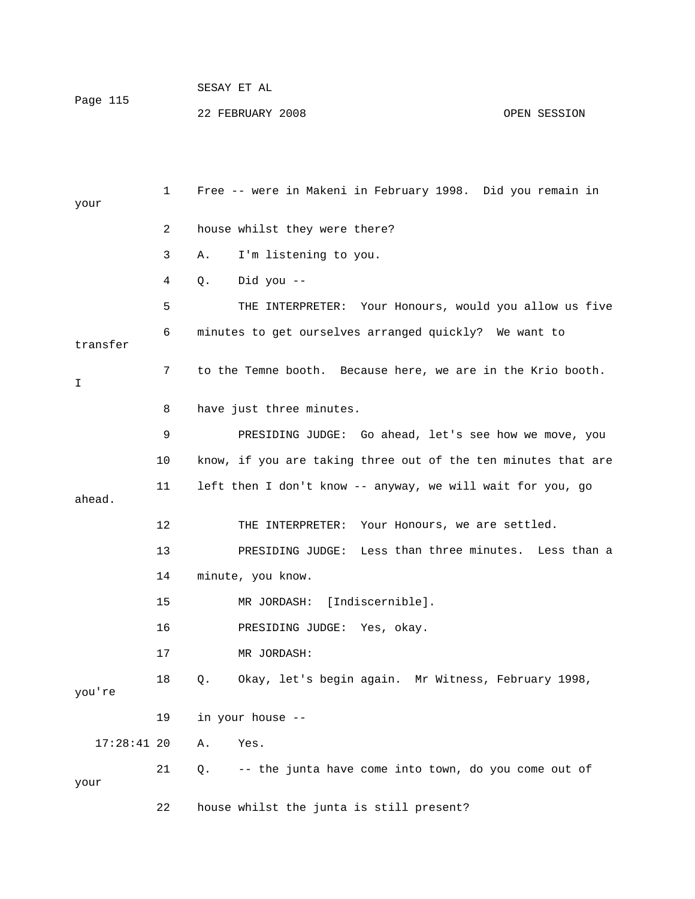| Page 115 | SESAY ET AL      |              |
|----------|------------------|--------------|
|          | 22 FEBRUARY 2008 | OPEN SESSION |

| your          | 1  | Free -- were in Makeni in February 1998. Did you remain in    |
|---------------|----|---------------------------------------------------------------|
|               | 2  | house whilst they were there?                                 |
|               |    |                                                               |
|               | 3  | I'm listening to you.<br>Α.                                   |
|               | 4  | Did you --<br>Q.                                              |
|               | 5  | THE INTERPRETER: Your Honours, would you allow us five        |
| transfer      | 6  | minutes to get ourselves arranged quickly? We want to         |
| I.            | 7  | to the Temne booth. Because here, we are in the Krio booth.   |
|               | 8  | have just three minutes.                                      |
|               | 9  | PRESIDING JUDGE: Go ahead, let's see how we move, you         |
|               | 10 | know, if you are taking three out of the ten minutes that are |
| ahead.        | 11 | left then I don't know -- anyway, we will wait for you, go    |
|               | 12 | THE INTERPRETER:<br>Your Honours, we are settled.             |
|               | 13 | PRESIDING JUDGE: Less than three minutes. Less than a         |
|               | 14 | minute, you know.                                             |
|               | 15 | MR JORDASH: [Indiscernible].                                  |
|               | 16 | PRESIDING JUDGE: Yes, okay.                                   |
|               | 17 | MR JORDASH:                                                   |
| you're        | 18 | Okay, let's begin again. Mr Witness, February 1998,<br>Q.     |
|               | 19 | in your house --                                              |
| $17:28:41$ 20 |    | Yes.<br>Α.                                                    |
| your          | 21 | -- the junta have come into town, do you come out of<br>Q.    |
|               | 22 | house whilst the junta is still present?                      |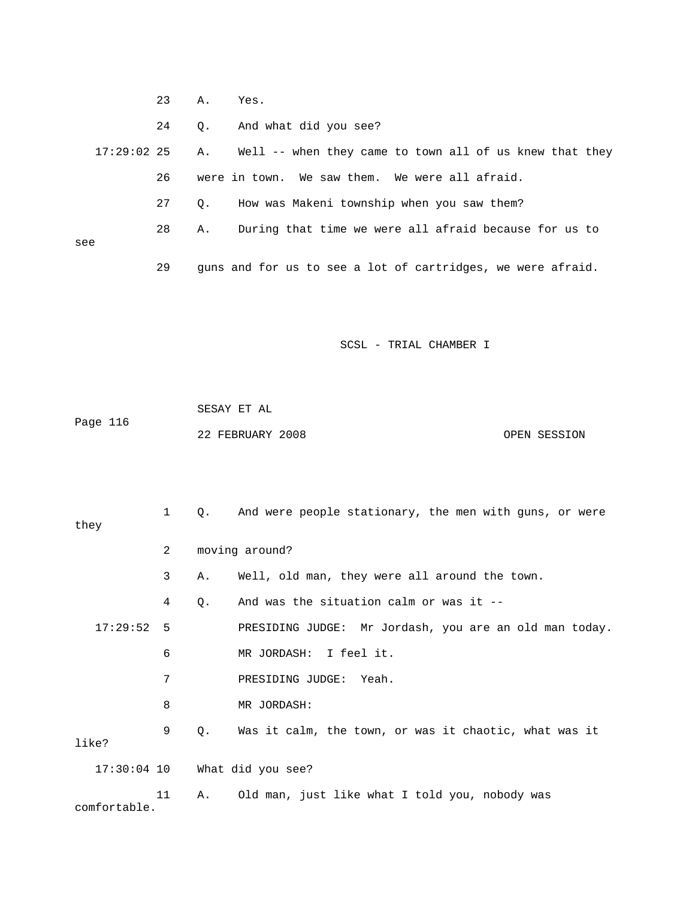23 A. Yes.

24 Q. And what did you see?

 17:29:02 25 A. Well -- when they came to town all of us knew that they 26 were in town. We saw them. We were all afraid. 27 Q. How was Makeni township when you saw them? 28 A. During that time we were all afraid because for us to

see

comfortable.

29 guns and for us to see a lot of cartridges, we were afraid.

SCSL - TRIAL CHAMBER I

 22 FEBRUARY 2008 OPEN SESSION SESAY ET AL Page 116

 1 Q. And were people stationary, the men with guns, or were 2 moving around? 3 A. Well, old man, they were all around the town. 4 Q. And was the situation calm or was it -- 17:29:52 5 PRESIDING JUDGE: Mr Jordash, you are an old man today. 6 MR JORDASH: I feel it. 7 PRESIDING JUDGE: Yeah. like? 17:30:04 10 What did you see? 11 A. Old man, just like what I told you, nobody was they 8 MR JORDASH: 9 Q. Was it calm, the town, or was it chaotic, what was it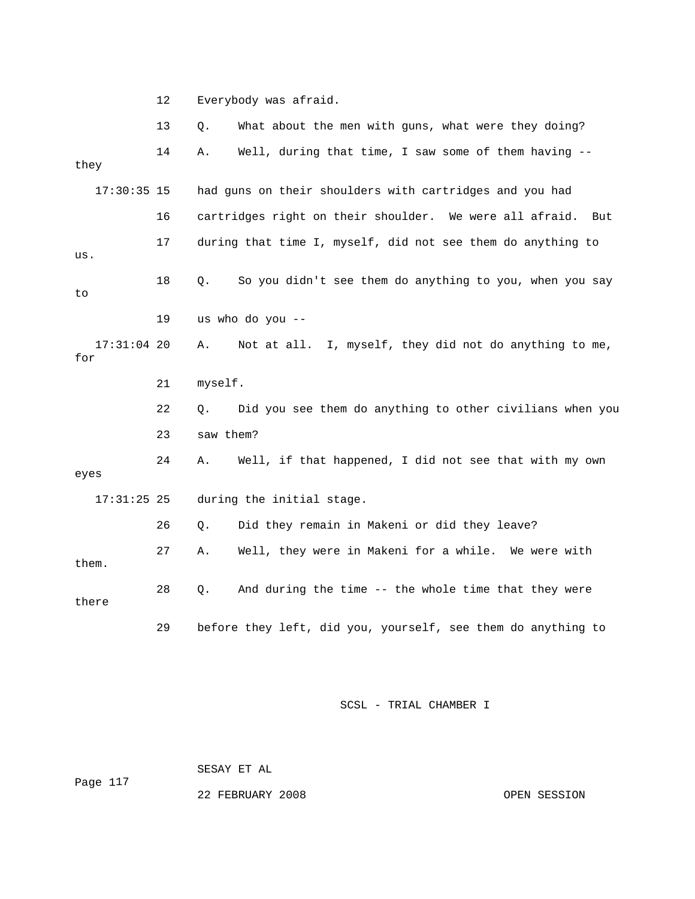12 Everybody was afraid.

|       |               | 13 | Q.        | What about the men with guns, what were they doing?            |
|-------|---------------|----|-----------|----------------------------------------------------------------|
| they  |               | 14 | Α.        | Well, during that time, I saw some of them having --           |
|       | $17:30:35$ 15 |    |           | had guns on their shoulders with cartridges and you had        |
|       |               | 16 |           | cartridges right on their shoulder. We were all afraid.<br>But |
| us.   |               | 17 |           | during that time I, myself, did not see them do anything to    |
| to    |               | 18 | $Q$ .     | So you didn't see them do anything to you, when you say        |
|       |               | 19 |           | us who do you --                                               |
| for   | $17:31:04$ 20 |    | Α.        | Not at all. I, myself, they did not do anything to me,         |
|       |               | 21 | myself.   |                                                                |
|       |               | 22 | Q.        | Did you see them do anything to other civilians when you       |
|       |               | 23 | saw them? |                                                                |
| eyes  |               | 24 | Α.        | Well, if that happened, I did not see that with my own         |
|       | $17:31:25$ 25 |    |           | during the initial stage.                                      |
|       |               | 26 | Ο.        | Did they remain in Makeni or did they leave?                   |
| them. |               | 27 | Α.        | Well, they were in Makeni for a while. We were with            |
|       | there         | 28 | $Q$ .     | And during the time -- the whole time that they were           |
|       |               | 29 |           | before they left, did you, yourself, see them do anything to   |

SCSL - TRIAL CHAMBER I

Page 117 SESAY ET AL

22 FEBRUARY 2008 COPEN SESSION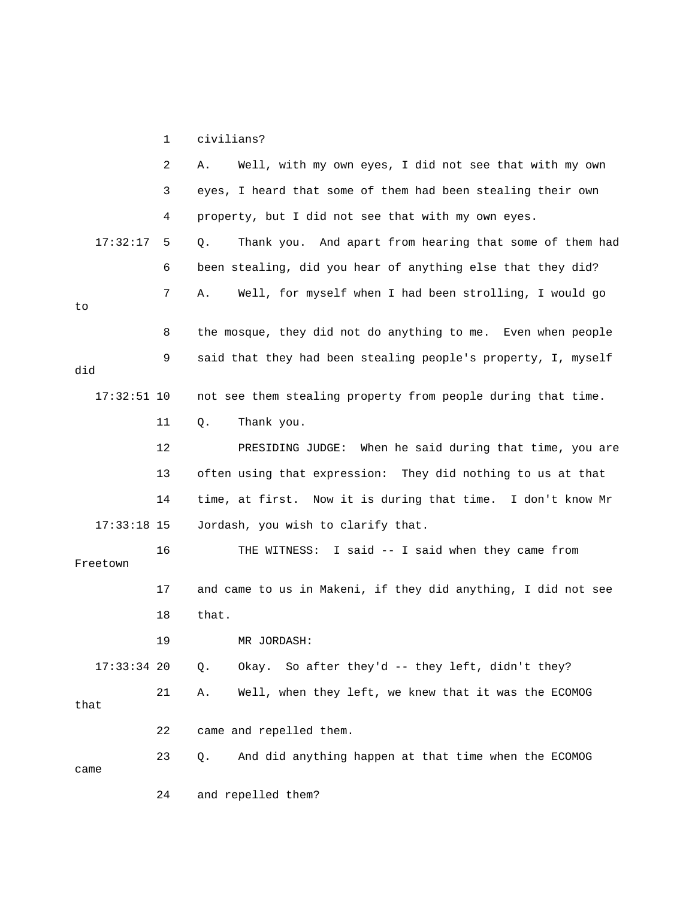1 civilians?

|               | 2  | Well, with my own eyes, I did not see that with my own<br>Α.  |
|---------------|----|---------------------------------------------------------------|
|               | 3  | eyes, I heard that some of them had been stealing their own   |
|               | 4  | property, but I did not see that with my own eyes.            |
| 17:32:17      | 5  | Thank you. And apart from hearing that some of them had<br>Q. |
|               | 6  | been stealing, did you hear of anything else that they did?   |
| to            | 7  | Well, for myself when I had been strolling, I would go<br>Α.  |
|               | 8  | the mosque, they did not do anything to me. Even when people  |
| did           | 9  | said that they had been stealing people's property, I, myself |
| $17:32:51$ 10 |    | not see them stealing property from people during that time.  |
|               | 11 | Thank you.<br>Q.                                              |
|               | 12 | PRESIDING JUDGE: When he said during that time, you are       |
|               | 13 | often using that expression: They did nothing to us at that   |
|               | 14 | time, at first. Now it is during that time. I don't know Mr   |
| $17:33:18$ 15 |    | Jordash, you wish to clarify that.                            |
| Freetown      | 16 | THE WITNESS: I said -- I said when they came from             |
|               | 17 | and came to us in Makeni, if they did anything, I did not see |
|               | 18 | that.                                                         |
|               | 19 | MR JORDASH:                                                   |
| 17:33:34 20   |    | Okay. So after they'd -- they left, didn't they?<br>Q.        |
| that          | 21 | Well, when they left, we knew that it was the ECOMOG<br>Α.    |
|               | 22 | came and repelled them.                                       |
| came          | 23 | And did anything happen at that time when the ECOMOG<br>Q.    |
|               | 24 | and repelled them?                                            |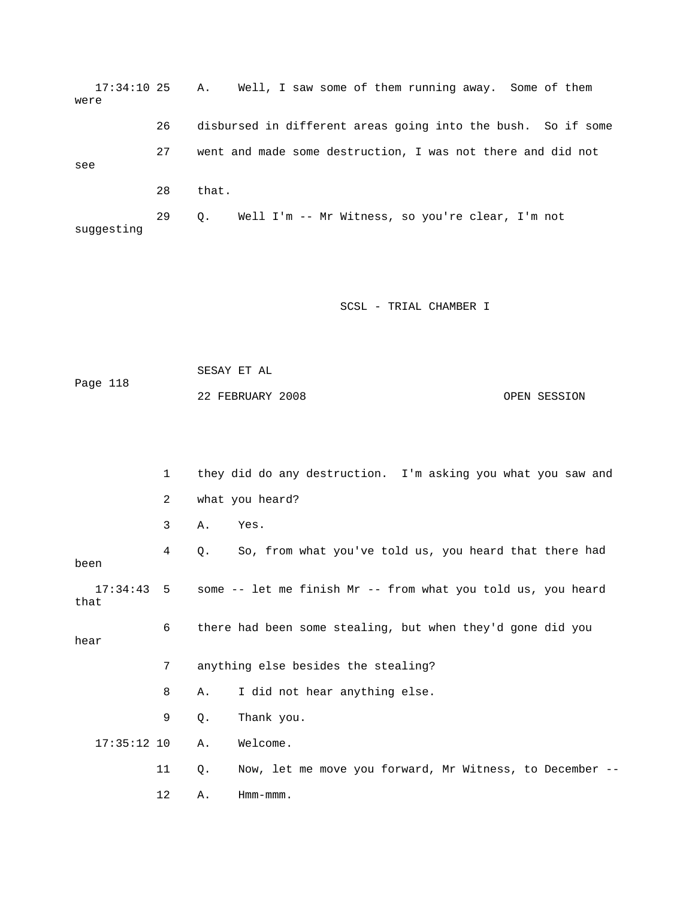17:34:10 25 A. Well, I saw some of them running away. Some of them 26 disbursed in different areas going into the bush. So if some 27 went and made some destruction, I was not there and did not 29 Q. Well I'm -- Mr Witness, so you're clear, I'm not suggesting were see 28 that.

SCSL - TRIAL CHAMBER I

 SESAY ET AL Page 118 OPEN SESSION 22 FEBRUARY 2008

 1 they did do any destruction. I'm asking you what you saw and 2 what you heard? Yes. 4 Q. So, from what you've told us, you heard that there had 17:34:43 5 some -- let me finish Mr -- from what you told us, you heard that 6 there had been some stealing, but when they'd gone did you 7 anything else besides the stealing? 8 A. I did not hear anything else. 17:35:12 10 A. Welcome. 11 Q. Now, let me move you forward, Mr Witness, to December -- 12 A. Hmm-mmm. 3 A. Y been hear 9 Q. Thank you.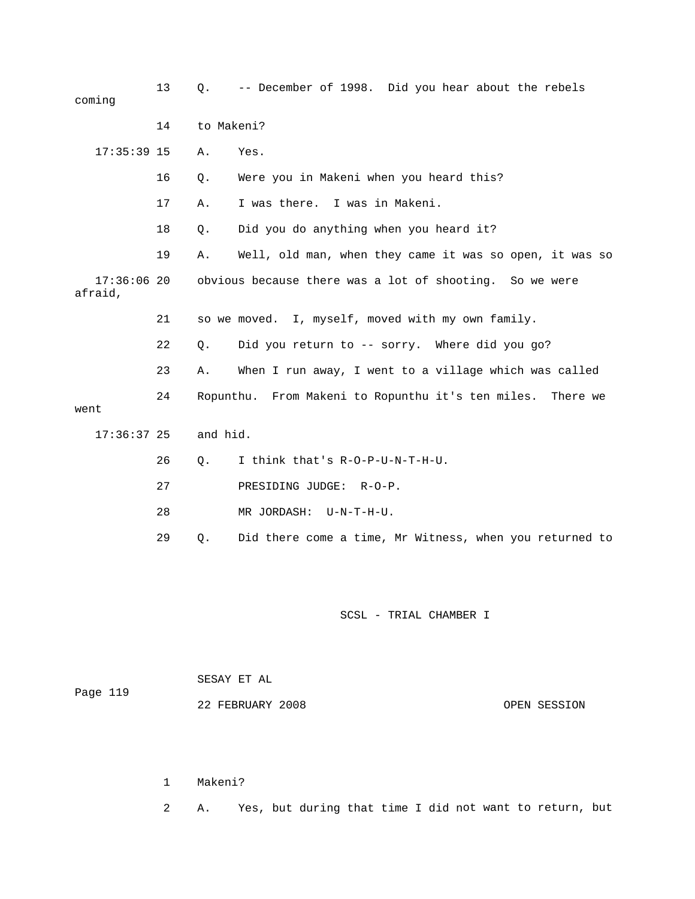| coming                   | 13 | Q.         | -- December of 1998. Did you hear about the rebels         |
|--------------------------|----|------------|------------------------------------------------------------|
|                          | 14 | to Makeni? |                                                            |
| $17:35:39$ 15            |    | Α.         | Yes.                                                       |
|                          | 16 | Q.         | Were you in Makeni when you heard this?                    |
|                          | 17 | Α.         | I was there. I was in Makeni.                              |
|                          | 18 | Q.         | Did you do anything when you heard it?                     |
|                          | 19 | Α.         | Well, old man, when they came it was so open, it was so    |
| $17:36:06$ 20<br>afraid, |    |            | obvious because there was a lot of shooting. So we were    |
|                          | 21 |            | so we moved. I, myself, moved with my own family.          |
|                          | 22 | Q.         | Did you return to -- sorry. Where did you go?              |
|                          | 23 | Α.         | When I run away, I went to a village which was called      |
| went                     | 24 |            | Ropunthu. From Makeni to Ropunthu it's ten miles. There we |
| $17:36:37$ 25            |    | and hid.   |                                                            |
|                          | 26 | О.         | I think that's R-O-P-U-N-T-H-U.                            |
|                          | 27 |            | PRESIDING JUDGE:<br>$R-O-P$ .                              |
|                          | 28 |            | MR JORDASH: U-N-T-H-U.                                     |
|                          | 29 | Q.         | Did there come a time, Mr Witness, when you returned to    |
|                          |    |            |                                                            |
|                          |    |            |                                                            |

 22 FEBRUARY 2008 OPEN SESSION SESAY ET AL Page 119

1 Makeni?

2 A. Yes, but during that time I did not want to return, but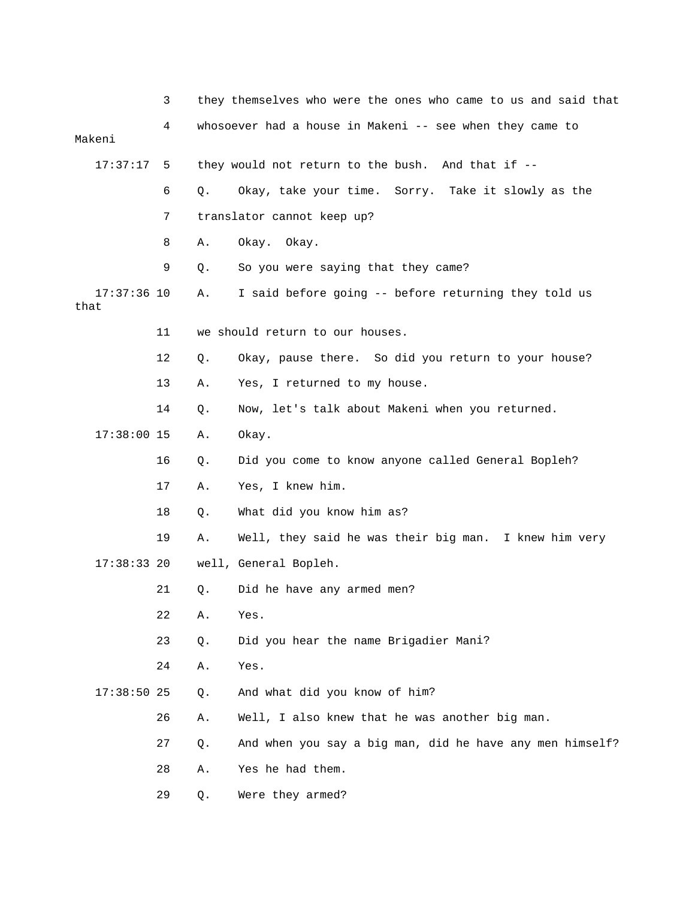|                       | 3  |    | they themselves who were the ones who came to us and said that |
|-----------------------|----|----|----------------------------------------------------------------|
| Makeni                | 4  |    | whosoever had a house in Makeni -- see when they came to       |
| 17:37:17              | 5  |    | they would not return to the bush. And that if --              |
|                       | 6  |    |                                                                |
|                       |    | Q. | Okay, take your time. Sorry. Take it slowly as the             |
|                       | 7  |    | translator cannot keep up?                                     |
|                       | 8  | Α. | Okay. Okay.                                                    |
|                       | 9  | Q. | So you were saying that they came?                             |
| $17:37:36$ 10<br>that |    | Α. | I said before going -- before returning they told us           |
|                       | 11 |    | we should return to our houses.                                |
|                       | 12 | Q. | Okay, pause there. So did you return to your house?            |
|                       | 13 | Α. | Yes, I returned to my house.                                   |
|                       | 14 | Q. | Now, let's talk about Makeni when you returned.                |
| $17:38:00$ 15         |    | Α. | Okay.                                                          |
|                       | 16 | Q. | Did you come to know anyone called General Bopleh?             |
|                       | 17 | Α. | Yes, I knew him.                                               |
|                       | 18 | Q. | What did you know him as?                                      |
|                       | 19 | Α. | Well, they said he was their big man. I knew him very          |
| $17:38:33$ 20         |    |    | well, General Bopleh.                                          |
|                       | 21 | Q. | Did he have any armed men?                                     |
|                       | 22 | Α. | Yes.                                                           |
|                       | 23 | Q. | Did you hear the name Brigadier Mani?                          |
|                       | 24 | Α. | Yes.                                                           |
| $17:38:50$ 25         |    | Q. | And what did you know of him?                                  |
|                       | 26 | Α. | Well, I also knew that he was another big man.                 |
|                       | 27 | Q. | And when you say a big man, did he have any men himself?       |
|                       | 28 | Α. | Yes he had them.                                               |
|                       | 29 | Q. | Were they armed?                                               |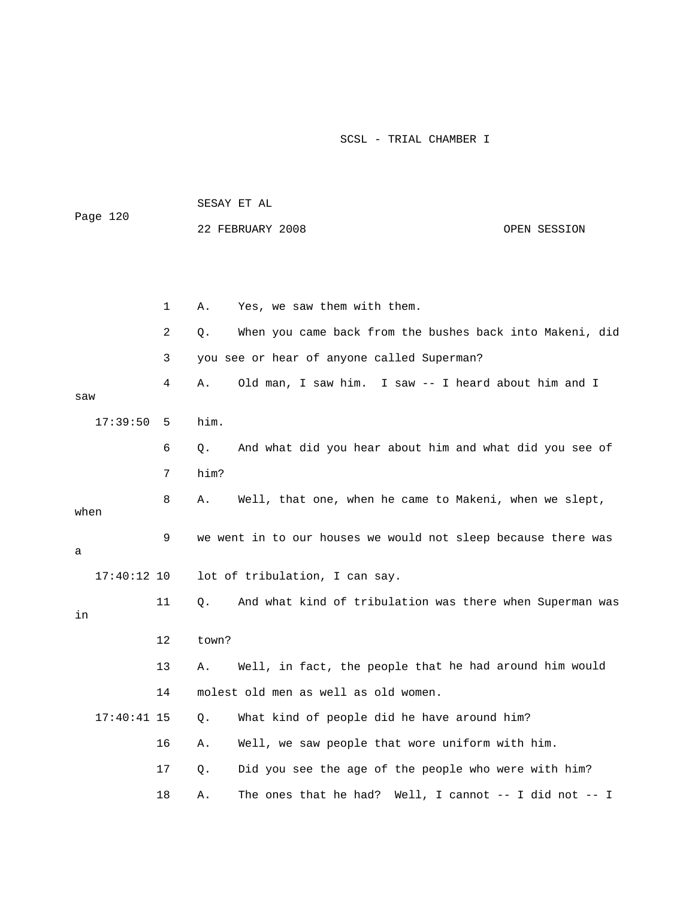| Page 120      |    | SESAY ET AL |                                                               |  |  |
|---------------|----|-------------|---------------------------------------------------------------|--|--|
|               |    |             | 22 FEBRUARY 2008<br>OPEN SESSION                              |  |  |
|               |    |             |                                                               |  |  |
|               |    |             |                                                               |  |  |
|               | 1  | Α.          | Yes, we saw them with them.                                   |  |  |
|               | 2  | Q.          | When you came back from the bushes back into Makeni, did      |  |  |
|               | 3  |             | you see or hear of anyone called Superman?                    |  |  |
|               | 4  | Α.          | Old man, I saw him. I saw -- I heard about him and I          |  |  |
| saw           |    |             |                                                               |  |  |
| 17:39:50      | 5  | him.        |                                                               |  |  |
|               | 6  | $Q$ .       | And what did you hear about him and what did you see of       |  |  |
|               | 7  | him?        |                                                               |  |  |
| when          | 8  | Α.          | Well, that one, when he came to Makeni, when we slept,        |  |  |
|               | 9  |             | we went in to our houses we would not sleep because there was |  |  |
| а             |    |             |                                                               |  |  |
| $17:40:12$ 10 |    |             | lot of tribulation, I can say.                                |  |  |
| in            | 11 | Q.          | And what kind of tribulation was there when Superman was      |  |  |
|               | 12 | town?       |                                                               |  |  |
|               | 13 | Α.          | Well, in fact, the people that he had around him would        |  |  |
|               | 14 |             | molest old men as well as old women.                          |  |  |
| $17:40:41$ 15 |    | Q.          | What kind of people did he have around him?                   |  |  |
|               | 16 | Α.          | Well, we saw people that wore uniform with him.               |  |  |
|               | 17 | Q.          | Did you see the age of the people who were with him?          |  |  |
|               | 18 | Α.          | The ones that he had?<br>Well, I cannot -- I did not -- I     |  |  |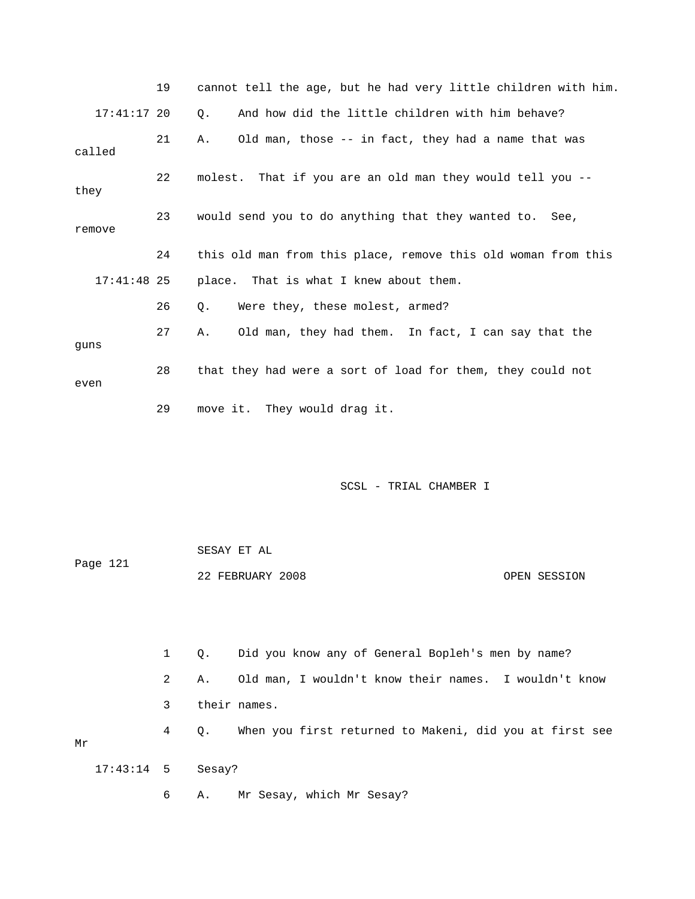|               | 19 | cannot tell the age, but he had very little children with him. |
|---------------|----|----------------------------------------------------------------|
| $17:41:17$ 20 |    | And how did the little children with him behave?<br>$Q$ .      |
| called        | 21 | Old man, those -- in fact, they had a name that was<br>Α.      |
| they          | 22 | molest. That if you are an old man they would tell you --      |
| remove        | 23 | would send you to do anything that they wanted to. See,        |
|               | 24 | this old man from this place, remove this old woman from this  |
| $17:41:48$ 25 |    | place. That is what I knew about them.                         |
|               | 26 | Were they, these molest, armed?<br>Q.                          |
| quns          | 27 | Old man, they had them. In fact, I can say that the<br>Α.      |
| even          | 28 | that they had were a sort of load for them, they could not     |
|               | 29 | move it. They would drag it.                                   |

|          | SESAY ET AL      |              |
|----------|------------------|--------------|
| Page 121 |                  |              |
|          | 22 FEBRUARY 2008 | OPEN SESSION |

 1 Q. Did you know any of General Bopleh's men by name? 2 A. Old man, I wouldn't know their names. I wouldn't know 3 their names. e 4 Q. When you first returned to Makeni, did you at first se 6 A. Mr Sesay, which Mr Sesay? Mr 17:43:14 5 Sesay?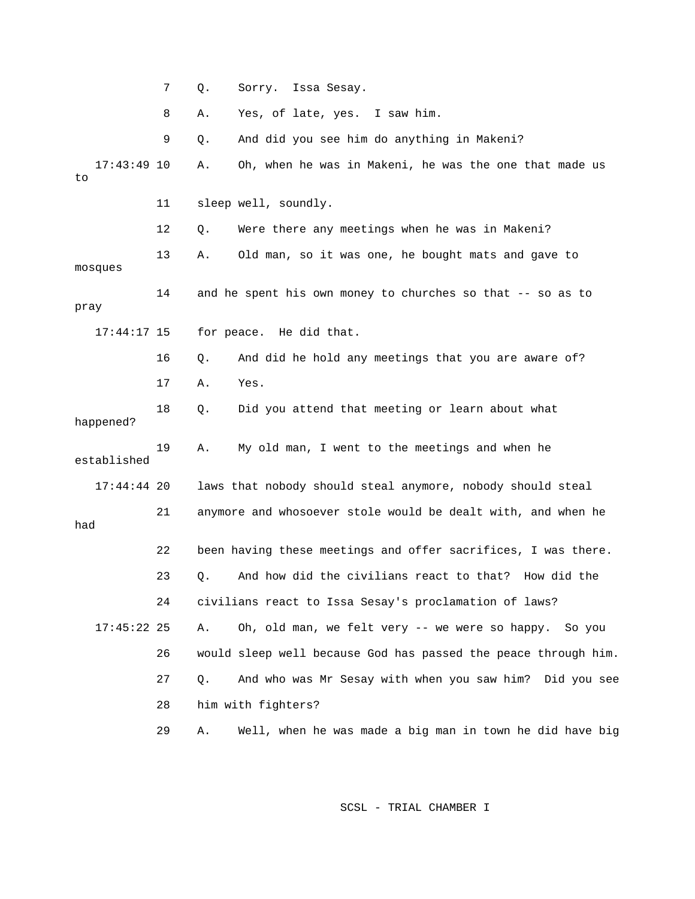7 Q. Sorry. Issa Sesay. 9 Q. And did you see him do anything in Makeni? 17:43:49 10 A. Oh, when he was in Makeni, he was the one that made us 12 Q. Were there any meetings when he was in Makeni? 13 A. Old man, so it was one, he bought mats and gave to sques mo  $17:44:17$   $15$  for peace. He did that. 17 A. Yes. 18 Q. Did you attend that meeting or learn about what 19 A. My old man, I went to the meetings and when he established 17:44:44 20 laws that nobody should steal anymore, nobody should steal 21 anymore and whosoever stole would be dealt with, and when he 22 been having these meetings and offer sacrifices, I was there. 23 Q. And how did the civilians react to that? How did the A. Oh, old man, we felt very -- we were so happy. So you 26 would sleep well because God has passed the peace through him. 27 Q. And who was Mr Sesay with when you saw him? Did you see 28 him with fighters? 29 A. Well, when he was made a big man in town he did have big 8 A. Yes, of late, yes. I saw him. to 11 sleep well, soundly. 14 and he spent his own money to churches so that -- so as to pray 16 Q. And did he hold any meetings that you are aware of? happened? had 24 civilians react to Issa Sesay's proclamation of laws? 17:45:22 25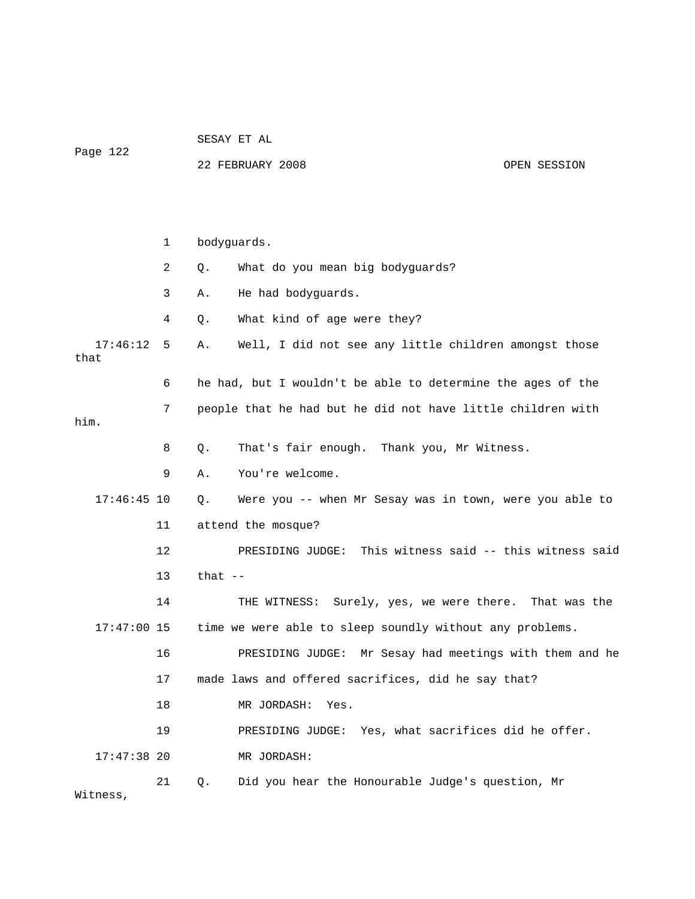SESAY ET AL

Pa ge 122

22 FEBRUARY 2008 OPEN SESSION

 1 bodyguards. 2 Q. What do you mean big bodyguards? 4 Q. What kind of age were they? 17:46:12 5 A. Well, I did not see any little children amongst those 7 people that he had but he did not have little children with him. 8 Q. That's fair enough. Thank you, Mr Witness. 9 A. You're welcome. 17:46:45 10 Q. Were you -- when Mr Sesay was in town, were you able to 12 PRESIDING JUDGE: This witness said -- this witness said 13 that -- 14 THE WITNESS: Surely, yes, we were there. That was the 17:47:00 15 time we were able to sleep soundly without any problems. tings with them and he 16 PRESIDING JUDGE: Mr Sesay had mee 17 made laws and offered sacrifices, did he say that? :47:38 20 MR JORDASH: 21 Q. Did you hear the Honourable Judge's question, Mr 3 A. He had bodyguards. that 6 he had, but I wouldn't be able to determine the ages of the 11 attend the mosque? 18 MR JORDASH: Yes. 19 PRESIDING JUDGE: Yes, what sacrifices did he offer.  $17:47:38$  20 Witness,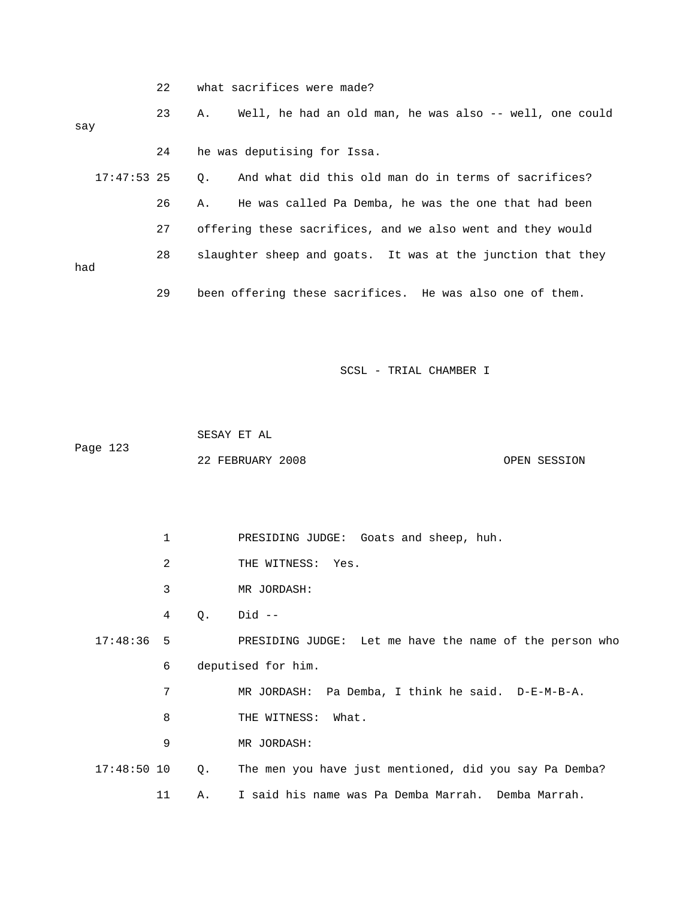|     | 22            | what sacrifices were made?                                        |
|-----|---------------|-------------------------------------------------------------------|
| say | 23            | Well, he had an old man, he was also -- well, one could<br>Α.     |
|     | 24            | he was deputising for Issa.                                       |
|     | $17:47:53$ 25 | And what did this old man do in terms of sacrifices?<br>$\circ$ . |
|     | 26            | He was called Pa Demba, he was the one that had been<br>Α.        |
|     | 27            | offering these sacrifices, and we also went and they would        |
| had | 28            | slaughter sheep and goats. It was at the junction that they       |
|     | 29            | been offering these sacrifices. He was also one of them.          |

 22 FEBRUARY 2008 OPEN SESSION SESAY ET AL Page 123

1 PRESIDING JUDGE: Goats and sheep, huh.

- 2 THE WITNESS: Yes.
- 3 MR JORDASH:

4 Q. Did --

 6 deputised for him. 17:48:36 5 PRESIDING JUDGE: Let me have the name of the person who

7 MR JORDASH: Pa Demba, I think he said. D-E-M-B-A.

- 8 THE WITNESS: What.
- 9 MR JORDASH:
- 17:48:50 10 Q. The men you have just mentioned, did you say Pa Demba? 11 A. I said his name was Pa Demba Marrah. Demba Marrah.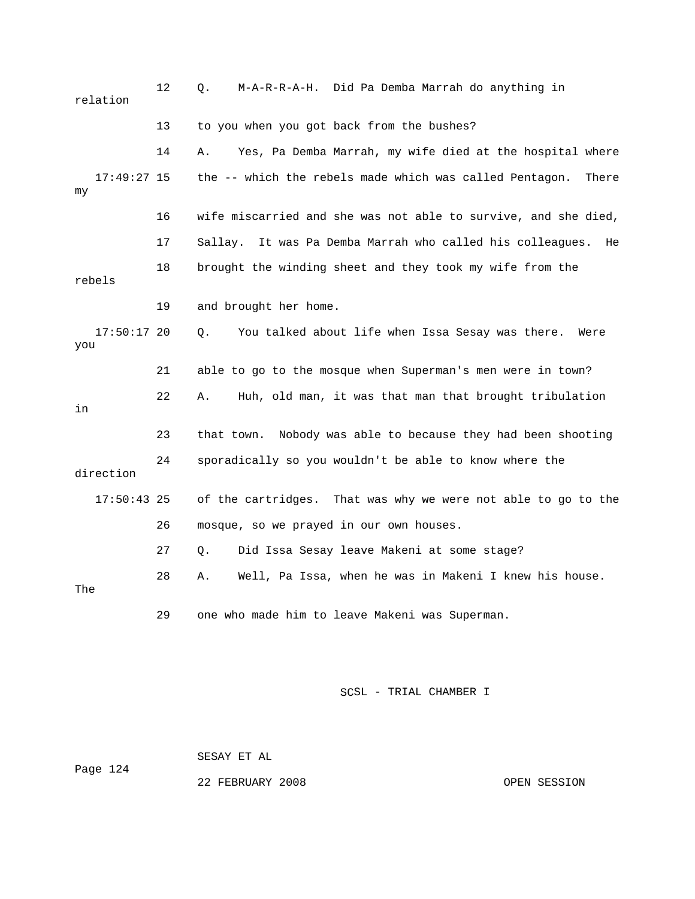| relation             | 12 | M-A-R-R-A-H. Did Pa Demba Marrah do anything in<br>Q.            |
|----------------------|----|------------------------------------------------------------------|
|                      | 13 | to you when you got back from the bushes?                        |
|                      | 14 | Yes, Pa Demba Marrah, my wife died at the hospital where<br>Α.   |
| $17:49:27$ 15<br>my  |    | the -- which the rebels made which was called Pentagon.<br>There |
|                      | 16 | wife miscarried and she was not able to survive, and she died,   |
|                      | 17 | Sallay. It was Pa Demba Marrah who called his colleagues.<br>He  |
| rebels               | 18 | brought the winding sheet and they took my wife from the         |
|                      | 19 | and brought her home.                                            |
| $17:50:17$ 20<br>you |    | You talked about life when Issa Sesay was there.<br>Q.<br>Were   |
|                      | 21 | able to go to the mosque when Superman's men were in town?       |
| in                   | 22 | Huh, old man, it was that man that brought tribulation<br>Α.     |
|                      | 23 | Nobody was able to because they had been shooting<br>that town.  |
| direction            | 24 | sporadically so you wouldn't be able to know where the           |
| $17:50:43$ 25        |    | of the cartridges. That was why we were not able to go to the    |
|                      | 26 | mosque, so we prayed in our own houses.                          |
|                      | 27 | Did Issa Sesay leave Makeni at some stage?<br>Q.                 |
| The                  | 28 | Well, Pa Issa, when he was in Makeni I knew his house.<br>Α.     |
|                      | 29 | one who made him to leave Makeni was Superman.                   |

SESAY ET AL

Page 124

22 FEBRUARY 2008 OPEN SESSION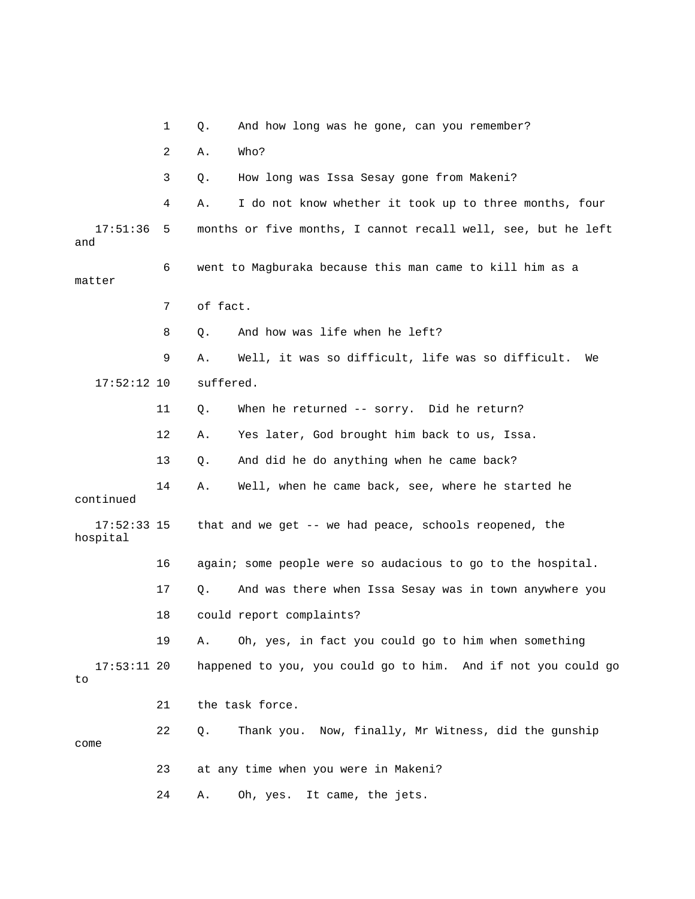1 Q. And how long was he gone, can you remember? 2 A. Who? 3 Q. How long was Issa Sesay gone from Makeni? 4 A. I do not know whether it took up to three months, four 6 went to Magburaka because this man came to kill him as a matter 7 of fact. 9 A. Well, it was so difficult, life was so difficult. We 17:52:12 10 suffered. 13 Q. And did he do anything when he came back? 14 A. Well, when he came back, see, where he started he continued 17:52:33 15 that and we get -- we had peace, schools reopened, the 16 again; some people were so audacious to go to the hospital. 19 A. Oh, yes, in fact you could go to him when something happened to you, you could go to him. And if not you could go 21 the task force. 22 Q. Thank you. Now, finally, Mr Witness, did the gunship 23 at any time when you were in Makeni? 17:51:36 5 months or five months, I cannot recall well, see, but he left and 8 Q. And how was life when he left? 11 Q. When he returned -- sorry. Did he return? 12 A. Yes later, God brought him back to us, Issa. hospital 17 Q. And was there when Issa Sesay was in town anywhere you 18 could report complaints? 17:53:11 20 to come 24 A. Oh, yes. It came, the jets.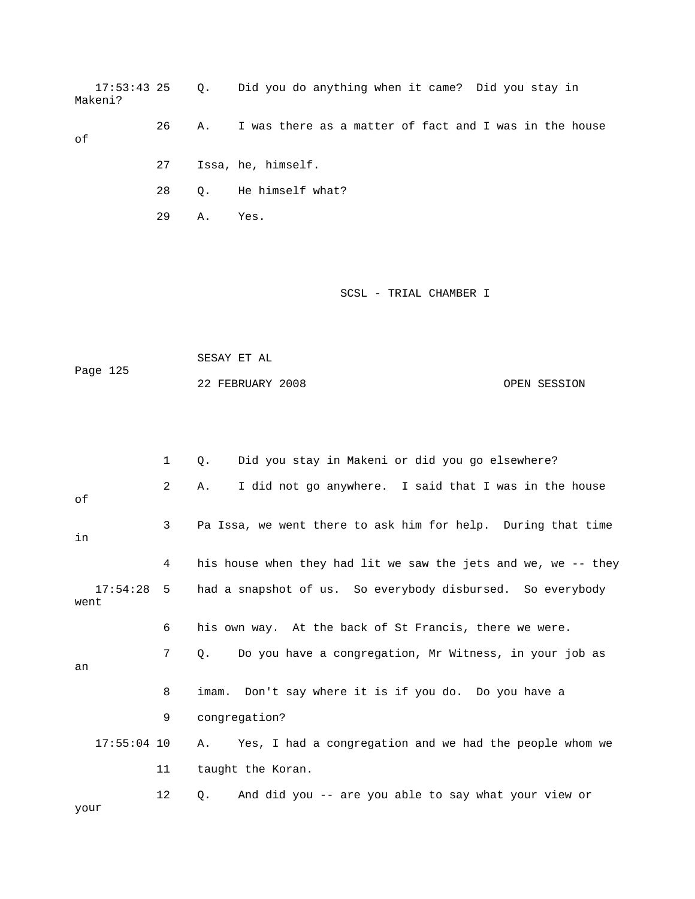17:53:43 25 Q. Did you do anything when it came? Did you stay in 26 A. I was there as a matter of fact and I was in the house 27 Issa, he, himself. 28 Q. He himself what? Makeni? of 29 A. Yes.

|          | SESAY ET AL      |              |
|----------|------------------|--------------|
| Page 125 |                  |              |
|          | 22 FEBRUARY 2008 | OPEN SESSION |

|                  | $\mathbf{1}$      | Did you stay in Makeni or did you go elsewhere?<br>Ο.               |
|------------------|-------------------|---------------------------------------------------------------------|
| оf               | 2                 | I did not go anywhere. I said that I was in the house<br>Α.         |
| in               | 3                 | Pa Issa, we went there to ask him for help. During that time        |
|                  | 4                 | his house when they had lit we saw the jets and we, we -- they      |
| 17:54:28<br>went | 5                 | had a snapshot of us. So everybody disbursed. So everybody          |
|                  | 6                 | his own way. At the back of St Francis, there we were.              |
| an               | $7^{\circ}$       | Do you have a congregation, Mr Witness, in your job as<br>$\circ$ . |
|                  | 8                 | imam. Don't say where it is if you do. Do you have a                |
|                  | 9                 | congregation?                                                       |
| $17:55:04$ 10    |                   | Yes, I had a congregation and we had the people whom we<br>Α.       |
|                  | 11                | taught the Koran.                                                   |
| your             | $12 \overline{ }$ | And did you -- are you able to say what your view or<br>О.          |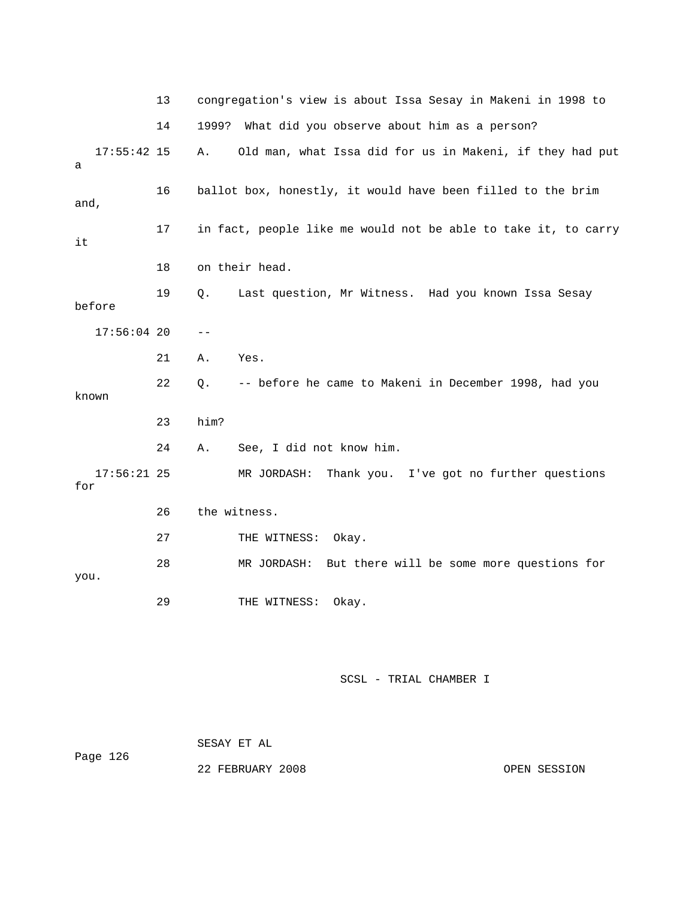|        |               | 13 |              | congregation's view is about Issa Sesay in Makeni in 1998 to   |
|--------|---------------|----|--------------|----------------------------------------------------------------|
|        |               | 14 | 1999?        | What did you observe about him as a person?                    |
| а      | $17:55:42$ 15 |    | Α.           | Old man, what Issa did for us in Makeni, if they had put       |
| and,   |               | 16 |              | ballot box, honestly, it would have been filled to the brim    |
| it     |               | 17 |              | in fact, people like me would not be able to take it, to carry |
|        |               | 18 |              | on their head.                                                 |
| before |               | 19 | Q.           | Last question, Mr Witness. Had you known Issa Sesay            |
|        | $17:56:04$ 20 |    | $- -$        |                                                                |
|        |               | 21 | Α.           | Yes.                                                           |
| known  |               | 22 | Q.           | -- before he came to Makeni in December 1998, had you          |
|        |               | 23 | him?         |                                                                |
|        |               | 24 | Α.           | See, I did not know him.                                       |
| for    | $17:56:21$ 25 |    |              | Thank you. I've got no further questions<br>MR JORDASH:        |
|        |               | 26 | the witness. |                                                                |
|        |               | 27 |              | THE WITNESS:<br>Okay.                                          |
| you.   |               | 28 |              | But there will be some more questions for<br>MR JORDASH:       |
|        |               | 29 |              | THE WITNESS:<br>Okay.                                          |

| Page 126 | SESAY ET AL      |              |
|----------|------------------|--------------|
|          | 22 FEBRUARY 2008 | OPEN SESSION |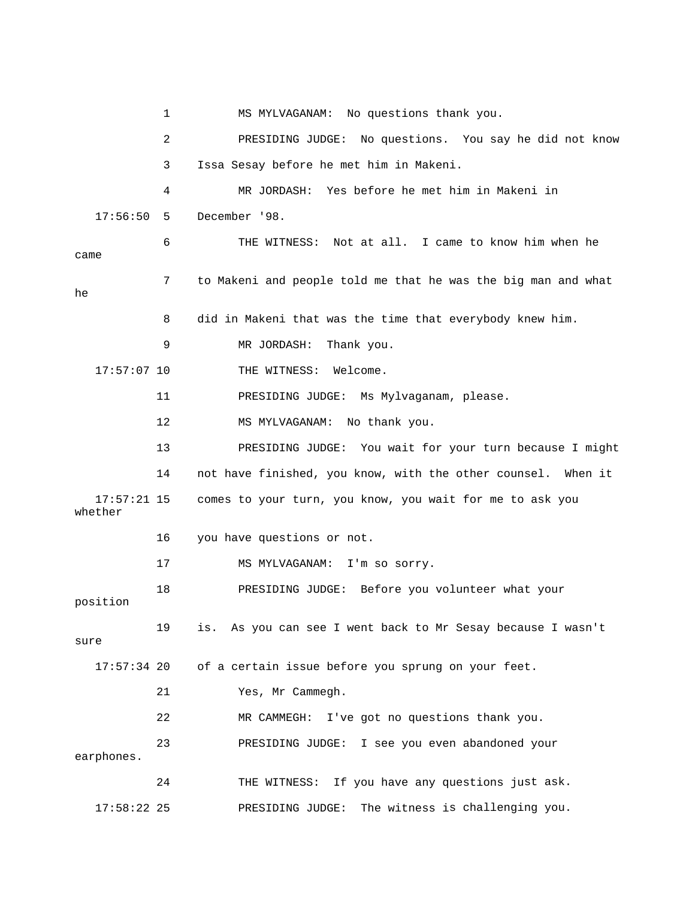1 MS MYLVAGANAM: No questions thank you. 2 PRESIDING JUDGE: No questions. You say he did not know 3 Issa Sesay before he met him in Makeni. 4 MR JORDASH: Yes before he met him in Makeni in 6 THE WITNESS: Not at all. I came to know him when he 7 to Makeni and people told me that he was the big man and what 8 did in Makeni that was the time that everybody knew him. 9 MR JORDASH: Thank you. 17:57:07 10 THE WITNESS: Welcome. 13 PRESIDING JUDGE: You wait for your turn because I might 14 not have finished, you know, with the other counsel. When it 17:57:21 15 comes to your turn, you know, you wait for me to ask you whether 16 you have questions or not. 18 PRESIDING JUDGE: Before you volunteer what your 21 Yes, Mr Cammegh. 23 PRESIDING JUDGE: I see you even abandoned your 24 THE WITNESS: If you have any questions just ask. 17:58:22 25 PRESIDING JUDGE: The witness is challenging you. 17:56:50 5 December '98. came he 11 PRESIDING JUDGE: Ms Mylvaganam, please. 12 MS MYLVAGANAM: No thank you. 17 MS MYLVAGANAM: I'm so sorry. position 19 is. As you can see I went back to Mr Sesay because I wasn't sure 17:57:34 20 of a certain issue before you sprung on your feet. 22 MR CAMMEGH: I've got no questions thank you. earphones.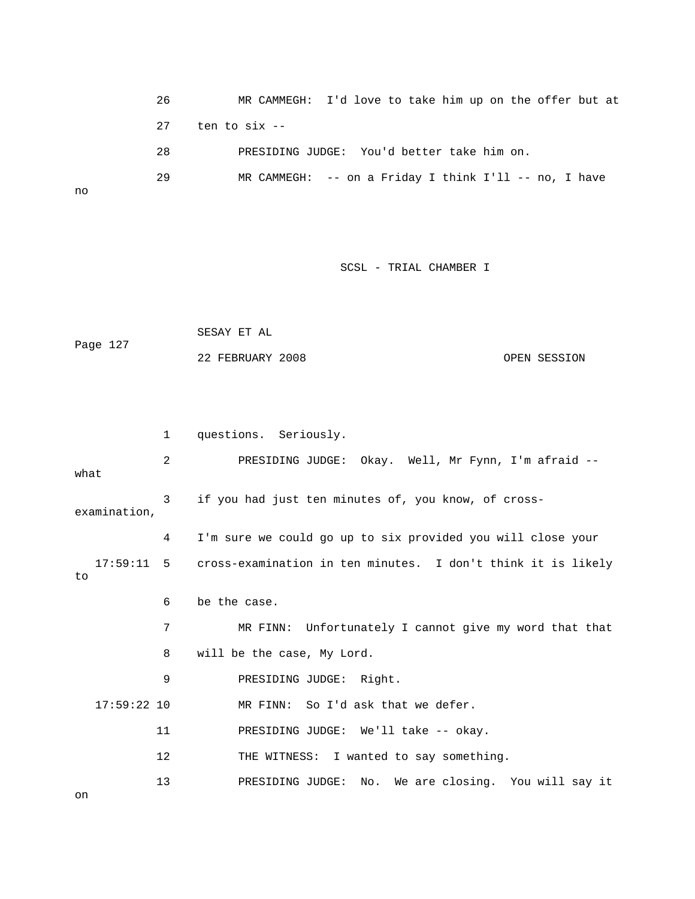| 26  | MR CAMMEGH: I'd love to take him up on the offer but at   |
|-----|-----------------------------------------------------------|
| 2.7 | ten to six --                                             |
| 28  | PRESIDING JUDGE: You'd better take him on.                |
| 29  | MR CAMMEGH: $--$ on a Friday I think I'll $--$ no, I have |

no

SCSL - TRIAL CHAMBER I

```
 22 FEBRUARY 2008 OPEN SESSION 
             SESAY ET AL 
Page 127
```

|               | 1  | questions. Seriously.                                                   |  |
|---------------|----|-------------------------------------------------------------------------|--|
| what          | 2  | PRESIDING JUDGE: Okay. Well, Mr Fynn, I'm afraid --                     |  |
| examination,  | 3  | if you had just ten minutes of, you know, of cross-                     |  |
|               | 4  | I'm sure we could go up to six provided you will close your             |  |
| to            |    | 17:59:11 5 cross-examination in ten minutes. I don't think it is likely |  |
|               | 6  | be the case.                                                            |  |
|               | 7  | MR FINN: Unfortunately I cannot give my word that that                  |  |
|               | 8  | will be the case, My Lord.                                              |  |
|               | 9  | PRESIDING JUDGE: Right.                                                 |  |
| $17:59:22$ 10 |    | MR FINN: So I'd ask that we defer.                                      |  |
|               | 11 | PRESIDING JUDGE: We'll take -- okay.                                    |  |
|               | 12 | THE WITNESS: I wanted to say something.                                 |  |
| on            | 13 | PRESIDING JUDGE: No. We are closing. You will say it                    |  |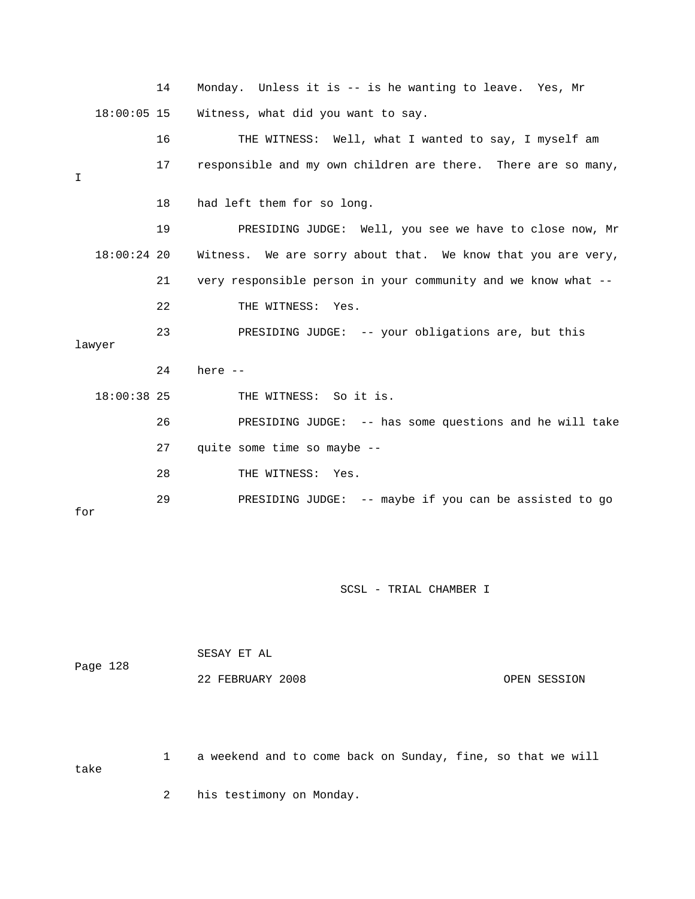|     |               | 14 | Monday. Unless it is -- is he wanting to leave. Yes, Mr       |
|-----|---------------|----|---------------------------------------------------------------|
|     | $18:00:05$ 15 |    | Witness, what did you want to say.                            |
|     |               | 16 | THE WITNESS: Well, what I wanted to say, I myself am          |
| I   |               | 17 | responsible and my own children are there. There are so many, |
|     |               | 18 | had left them for so long.                                    |
|     |               | 19 | PRESIDING JUDGE: Well, you see we have to close now, Mr       |
|     | $18:00:24$ 20 |    | Witness. We are sorry about that. We know that you are very,  |
|     |               | 21 | very responsible person in your community and we know what -- |
|     |               | 22 | THE WITNESS: Yes.                                             |
|     | lawyer        | 23 | PRESIDING JUDGE: -- your obligations are, but this            |
|     |               | 24 | here $--$                                                     |
|     | $18:00:38$ 25 |    | THE WITNESS: So it is.                                        |
|     |               | 26 | PRESIDING JUDGE: -- has some questions and he will take       |
|     |               | 27 | quite some time so maybe --                                   |
|     |               | 28 | THE WITNESS: Yes.                                             |
| for |               | 29 | PRESIDING JUDGE: -- maybe if you can be assisted to go        |

SCSL - TRIAL CHAMBER I

|          | SESAY ET AL      |              |
|----------|------------------|--------------|
| Page 128 |                  |              |
|          | 22 FEBRUARY 2008 | OPEN SESSION |

 1 a weekend and to come back on Sunday, fine, so that we will take

2 his testimony on Monday.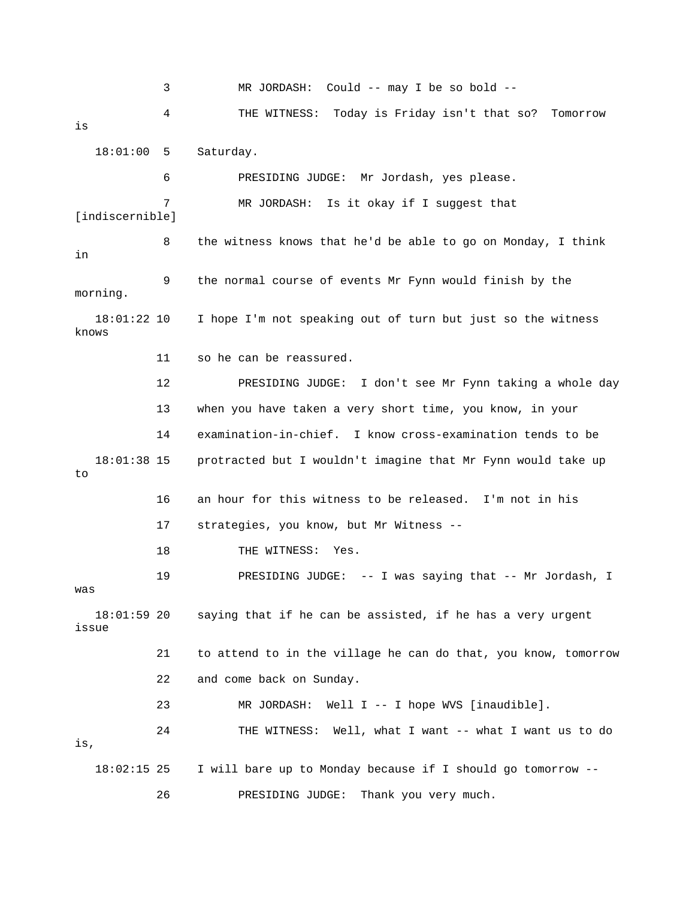3 MR JORDASH: Could -- may I be so bold -- 4 THE WITNESS: Today is Friday isn't that so? Tomorrow 18:01:00 5 Saturday. 6 PRESIDING JUDGE: Mr Jordash, yes please. 7 MR JORDASH: Is it okay if I suggest that [indiscernible] 8 the witness knows that he'd be able to go on Monday, I think 9 the normal course of events Mr Fynn would finish by the morning. 11 so he can be reassured. 12 PRESIDING JUDGE: I don't see Mr Fynn taking a whole day 14 examination-in-chief. I know cross-examination tends to be 18:01:38 15 protracted but I wouldn't imagine that Mr Fynn would take up 16 an hour for this witness to be released. I'm not in his 18 THE WITNESS: Yes. r Jordash, I 19 PRESIDING JUDGE: -- I was saying that -- M was saying that if he can be assisted, if he has a very urgent issue 21 to attend to in the village he can do that, you know, tomorrow 23 MR JORDASH: Well I -- I hope WVS [inaudible]. 24 THE WITNESS: Well, what I want -- what I want us to do , is is in 18:01:22 10 I hope I'm not speaking out of turn but just so the witness knows 13 when you have taken a very short time, you know, in your to 17 strategies, you know, but Mr Witness -- 18:01:59 20 22 and come back on Sunday. 18:02:15 25 I will bare up to Monday because if I should go tomorrow -- 26 PRESIDING JUDGE: Thank you very much.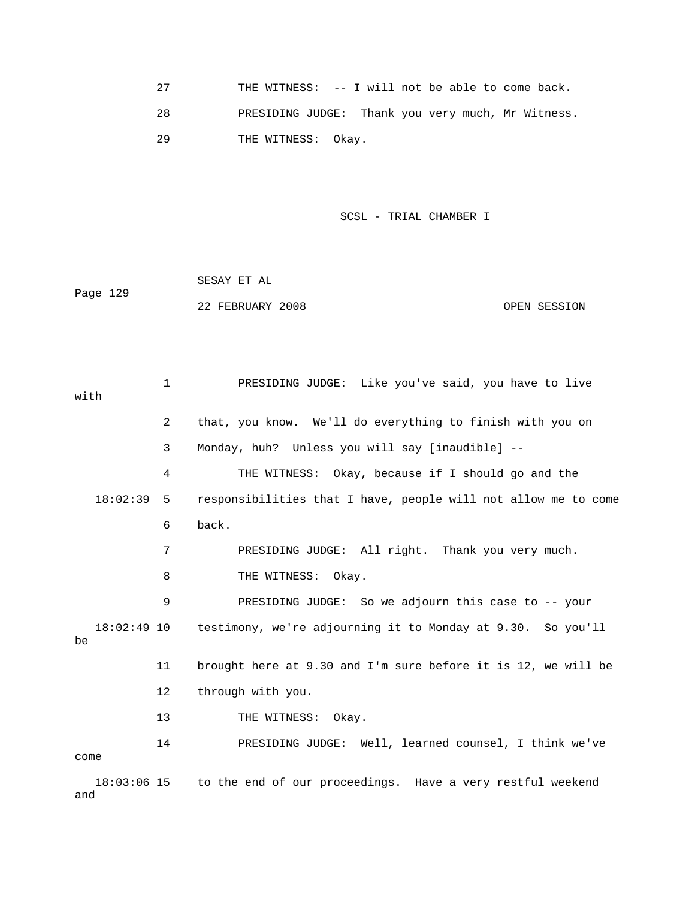27 THE WITNESS: -- I will not be able to come back. 28 PRESIDING JUDGE: Thank you very much, Mr Witness. 29 THE WITNESS: Okay.

SCSL - TRIAL CHAMBER I **SCSL** 

|          | SESAY ET AL      |              |
|----------|------------------|--------------|
| Page 129 |                  |              |
|          | 22 FEBRUARY 2008 | OPEN SESSION |

 1 PRESIDING JUDGE: Like you've said, you have to live 2 that, you know. We'll do everything to finish with you on 4 THE WITNESS: Okay, because if I should go and the 18:02:39 5 responsibilities that I have, people will not allow me to come 7 PRESIDING JUDGE: All right. Thank you very much. 8 THE WITNESS: Okay. 9 PRESIDING JUDGE: So we adjourn this case to -- your 18:02:49 10 testimony, we're adjourning it to Monday at 9.30. So you'll 11 brought here at 9.30 and I'm sure before it is 12, we will be 12 through with you. 14 PRESIDING JUDGE: Well, learned counsel, I think we've come with 3 Monday, huh? Unless you will say [inaudible] -- 6 back. be 13 THE WITNESS: Okay. 18:03:06 15 to the end of our proceedings. Have a very restful weekend

and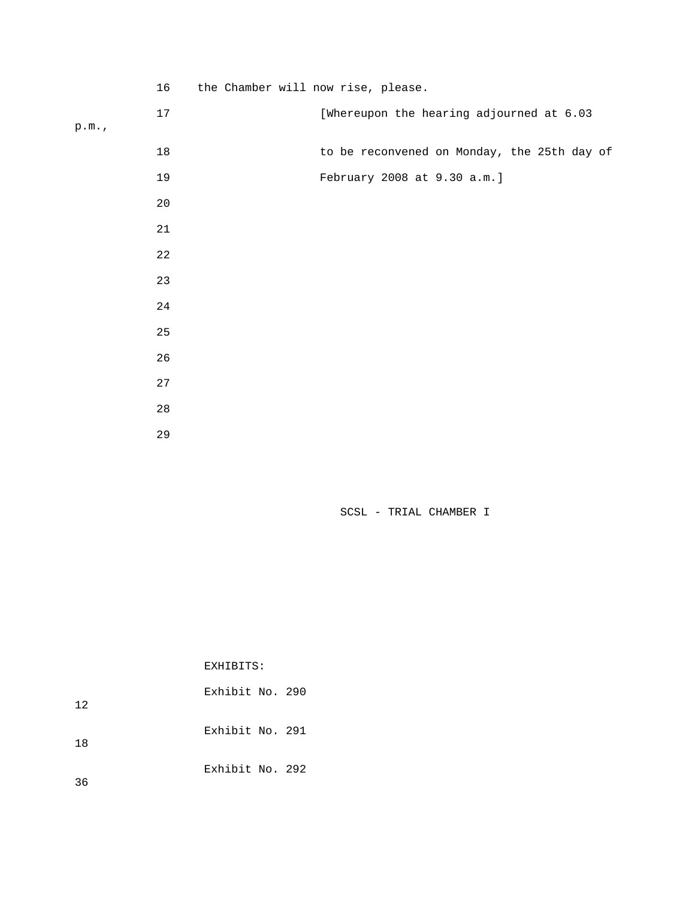|      | 16          | the Chamber will now rise, please.          |
|------|-------------|---------------------------------------------|
| p.m. | 17          | [Whereupon the hearing adjourned at 6.03    |
|      | $18\,$      | to be reconvened on Monday, the 25th day of |
|      | 19          | February 2008 at 9.30 a.m.]                 |
|      | $20$        |                                             |
|      | $2\sqrt{1}$ |                                             |
|      | $2\sqrt{2}$ |                                             |
|      | 23          |                                             |
|      | 24          |                                             |
|      | 25          |                                             |
|      | 26          |                                             |
|      | 27          |                                             |
|      | 28          |                                             |
|      | 29          |                                             |

SCSL - TRIAL CHAMBER I

EXHIBITS:

| 12 | Exhibit No. 290 |  |
|----|-----------------|--|
| 18 | Exhibit No. 291 |  |
| 36 | Exhibit No. 292 |  |